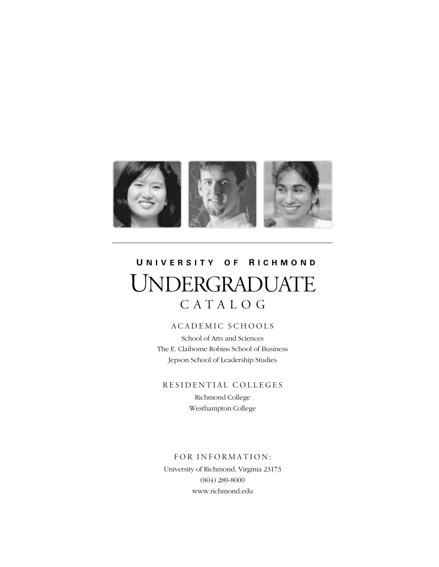

# **U NIVERSITY O F R ICHMOND** UNDERGRADUATE CATALOG

# ACADEMIC SCHOOLS

School of Arts and Sciences The E. Claiborne Robins School of Business Jepson School of Leadership Studies

RESIDENTIAL COLLEGES

Richmond College Westhampton College

FOR INFORMATION: University of Richmond, Virginia 23173 (804) 289-8000 www.richmond.edu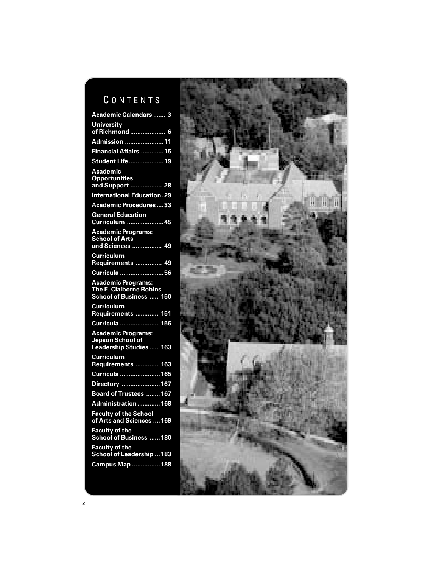# CONTENTS

| <b>Academic Calendars </b><br>3                                                    |
|------------------------------------------------------------------------------------|
| <b>University</b><br>of Richmond  6                                                |
| Admission 11                                                                       |
| Financial Affairs  15                                                              |
| <b>Student Life  19</b>                                                            |
| <b>Academic</b><br><b>Opportunities</b><br>and Support  28                         |
| <b>International Education.29</b>                                                  |
| <b>Academic Procedures33</b>                                                       |
| <b>General Education</b><br>$-45$<br>Curriculum                                    |
| Academic Programs:<br><b>School of Arts</b><br>and Sciences  49                    |
| <b>Curriculum</b><br>Requirements  49                                              |
| Curricula 56                                                                       |
| <b>Academic Programs:</b><br>The E. Claiborne Robins<br>School of Business  150    |
| <b>Curriculum</b><br>Requirements<br>151                                           |
| Curricula<br>156                                                                   |
| <b>Academic Programs:</b><br>Jepson School of<br><b>Leadership Studies </b><br>163 |
| <b>Curriculum</b><br>Requirements<br>163                                           |
| Curricula  165                                                                     |
| Directory 167                                                                      |
| Board of Trustees  167                                                             |
| Administration  168                                                                |
| <b>Faculty of the School</b><br>of Arts and Sciences  169                          |
| <b>Faculty of the</b><br>School of Business  180                                   |
|                                                                                    |
|                                                                                    |
| Faculty of the<br>School of Leadership  183<br>Campus Map  188                     |

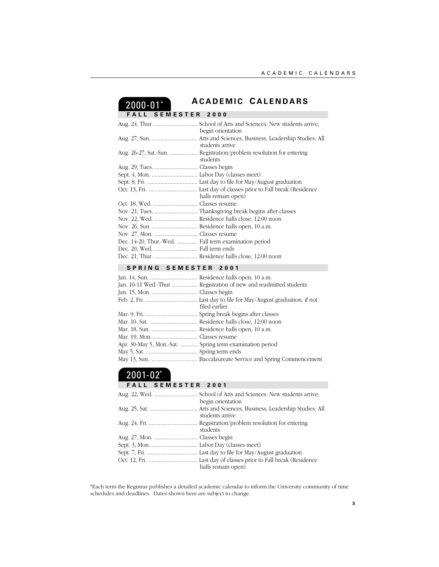# 2000-01\*

# **A CADEMIC C ALENDARS**

**SEMESTER 2000** 

|                                                      | begin orientation  |
|------------------------------------------------------|--------------------|
|                                                      | students arrive    |
|                                                      | students           |
|                                                      |                    |
|                                                      |                    |
|                                                      |                    |
|                                                      | halls remain open) |
|                                                      |                    |
|                                                      |                    |
|                                                      |                    |
|                                                      |                    |
|                                                      |                    |
| Dec. 14-20, Thur.-Wed.  Fall term examination period |                    |
|                                                      |                    |
|                                                      |                    |

# **SPRING SEMESTER 2001**

|                                                          | Jan. 10-11 Wed.-Thur.  Registration of new and readmitted students |
|----------------------------------------------------------|--------------------------------------------------------------------|
|                                                          |                                                                    |
|                                                          | filed earlier                                                      |
|                                                          |                                                                    |
|                                                          |                                                                    |
|                                                          |                                                                    |
|                                                          |                                                                    |
| Apr. 30-May 5, Mon.-Sat.  Spring term examination period |                                                                    |
|                                                          |                                                                    |
|                                                          |                                                                    |

# $2001 - 02^*$

# **FALL SEMESTER 2001** Aug. 22, Wed. ............................. School of Arts and Sciences: New students arrive; begin orientation Aug. 25, Sat. ................................ Arts and Sciences, Business, Leadership Studies: All students arrive Aug. 24, Fri.................................. Registration/problem resolution for entering students Aug. 27, Mon. ............................. Classes begin Sept. 3, Mon. ............................... Labor Day (classes meet) Sept. 7, Fri. .................................. Last day to file for May/August graduation Oct. 12, Fri. ................................. Last day of classes prior to Fall break (Residence halls remain open)

\*Each term the Registrar publishes a detailed academic calendar to inform the University community of time schedules and deadlines. Dates shown here are subject to change.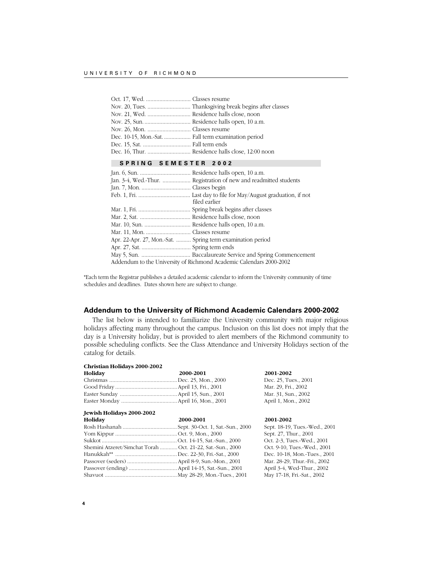| Dec. 10-15, Mon.-Sat.  Fall term examination period |  |
|-----------------------------------------------------|--|
|                                                     |  |
|                                                     |  |
|                                                     |  |

# **SPRING SEMESTER 2002**

| filed earlier                                                       |
|---------------------------------------------------------------------|
|                                                                     |
|                                                                     |
|                                                                     |
|                                                                     |
| Apr. 22-Apr. 27, Mon.-Sat.  Spring term examination period          |
|                                                                     |
|                                                                     |
| Addendum to the University of Richmond Academic Calendars 2000-2002 |

\*Each term the Registrar publishes a detailed academic calendar to inform the University community of time schedules and deadlines. Dates shown here are subject to change.

# **Addendum to the University of Richmond Academic Calendars 2000-2002**

The list below is intended to familiarize the University community with major religious holidays affecting many throughout the campus. Inclusion on this list does not imply that the day is a University holiday, but is provided to alert members of the Richmond community to possible scheduling conflicts. See the Class Attendance and University Holidays section of the catalog for details.

| Dec. 25, Tues., 2001 |
|----------------------|
| Mar. 29, Fri., 2002  |
| Mar. 31, Sun., 2002  |
| April 1, Mon., 2002  |
|                      |

| Holiday                                                   | 2000-2001 | 2001-2002                     |
|-----------------------------------------------------------|-----------|-------------------------------|
|                                                           |           | Sept. 18-19, Tues.-Wed., 2001 |
|                                                           |           | Sept. 27, Thur., 2001         |
|                                                           |           | Oct. 2-3, Tues.-Wed., 2001    |
| Shemini Atzeret/Simchat Torah Oct. 21-22, Sat.-Sun., 2000 |           | Oct. 9-10, Tues.-Wed., 2001   |
|                                                           |           | Dec. 10-18, Mon.-Tues., 2001  |
|                                                           |           | Mar. 28-29, Thur.-Fri., 2002  |
|                                                           |           | April 3-4, Wed-Thur., 2002    |
|                                                           |           | May 17-18, Fri.-Sat., 2002    |
|                                                           |           |                               |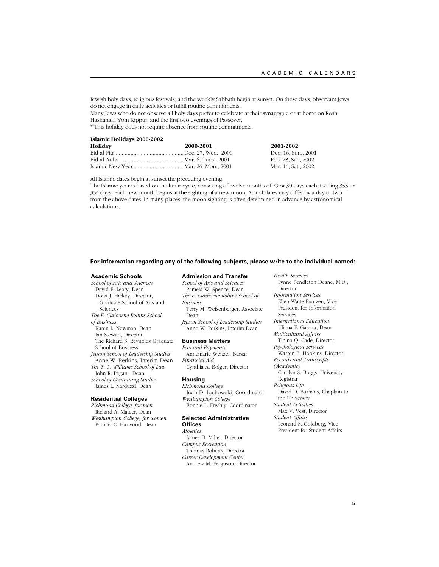Jewish holy days, religious festivals, and the weekly Sabbath begin at sunset. On these days, observant Jews do not engage in daily activities or fulfill routine commitments.

Many Jews who do not observe all holy days prefer to celebrate at their synagogue or at home on Rosh Hashanah, Yom Kippur, and the first two evenings of Passover.

\*\*This holiday does not require absence from routine commitments.

#### **Islamic Holidays 2000-2002**

| Holiday | 2000-2001 |
|---------|-----------|
|         |           |
|         |           |
|         |           |

**Holiday 2000-2001 2001-2002** Dec. 16, Sun., 2001 Feb. 23, Sat., 2002 Mar. 16, Sat., 2002

All Islamic dates begin at sunset the preceding evening.

The Islamic year is based on the lunar cycle, consisting of twelve months of 29 or 30 days each, totaling 353 or 354 days. Each new month begins at the sighting of a new moon. Actual dates may differ by a day or two from the above dates. In many places, the moon sighting is often determined in advance by astronomical calculations.

#### **For information regarding any of the following subjects, please write to the individual named:**

#### **Academic Schools**

*School of Arts and Sciences* David E. Leary, Dean Dona J. Hickey, Director, Graduate School of Arts and Sciences *The E. Claiborne Robins School of Business* Karen L. Newman, Dean Ian Stewart, Director, The Richard S. Reynolds Graduate School of Business *Jepson School of Leadership Studies* Anne W. Perkins, Interim Dean *The T. C. Williams School of Law* John R. Pagan, Dean *School of Continuing Studies* James L. Narduzzi, Dean

#### **Residential Colleges**

*Richmond College, for men* Richard A. Mateer, Dean *Westhampton College, for women* Patricia C. Harwood, Dean

#### **Admission and Transfer**

*School of Arts and Sciences* Pamela W. Spence, Dean *The E. Claiborne Robins School of Business* Terry M. Weisenberger, Associate Dean *Jepson School of Leadership Studies*

Anne W. Perkins, Interim Dean

# **Business Matters**

*Fees and Payments* Annemarie Weitzel, Bursar *Financial Aid* Cynthia A. Bolger, Director

#### **Housing**

*Richmond College* Joan D. Lachowski, Coordinator *Westhampton College* Bonnie L. Freshly, Coordinator

#### **Selected Administrative Offices**

*Athletics* James D. Miller, Director *Campus Recreation* Thomas Roberts, Director *Career Development Center* Andrew M. Ferguson, Director *Health Services*

- Lynne Pendleton Deane, M.D., Director *Information Services*
- Ellen Waite-Franzen, Vice President for Information Services
- *International Education* Uliana F. Gabara, Dean *Multicultural Affairs*
- Tinina Q. Cade, Director *Psychological Services*
- Warren P. Hopkins, Director
- *Records and Transcripts (Academic)*
- Carolyn S. Boggs, University Registrar

*Religious Life*

- David D. Burhans, Chaplain to the University
- *Student Activities*
- Max V. Vest, Director *Student Affairs*
- Leonard S. Goldberg, Vice President for Student Affairs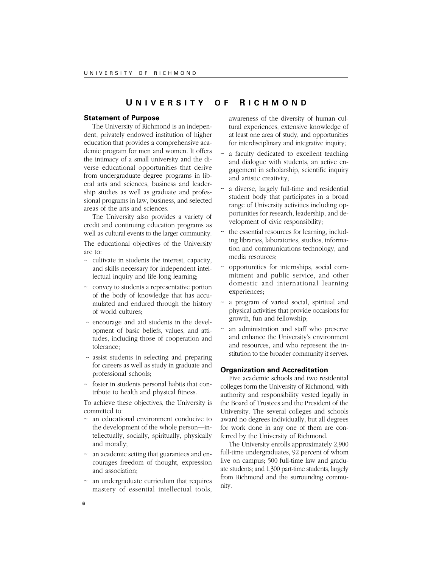# **U NIVERSITY O F R ICHMOND**

# **Statement of Purpose**

The University of Richmond is an independent, privately endowed institution of higher education that provides a comprehensive academic program for men and women. It offers the intimacy of a small university and the diverse educational opportunities that derive from undergraduate degree programs in liberal arts and sciences, business and leadership studies as well as graduate and professional programs in law, business, and selected areas of the arts and sciences.

The University also provides a variety of credit and continuing education programs as well as cultural events to the larger community.

The educational objectives of the University are to:

- ~ cultivate in students the interest, capacity, and skills necessary for independent intellectual inquiry and life-long learning;
- ~ convey to students a representative portion of the body of knowledge that has accumulated and endured through the history of world cultures;
- ~ encourage and aid students in the development of basic beliefs, values, and attitudes, including those of cooperation and tolerance;
- ~ assist students in selecting and preparing for careers as well as study in graduate and professional schools;
- ~ foster in students personal habits that contribute to health and physical fitness.

To achieve these objectives, the University is committed to:

- ~ an educational environment conducive to the development of the whole person—intellectually, socially, spiritually, physically and morally;
- ~ an academic setting that guarantees and encourages freedom of thought, expression and association;
- ~ an undergraduate curriculum that requires mastery of essential intellectual tools,

awareness of the diversity of human cultural experiences, extensive knowledge of at least one area of study, and opportunities for interdisciplinary and integrative inquiry;

- a faculty dedicated to excellent teaching and dialogue with students, an active engagement in scholarship, scientific inquiry and artistic creativity;
- a diverse, largely full-time and residential student body that participates in a broad range of University activities including opportunities for research, leadership, and development of civic responsibility;
- the essential resources for learning, including libraries, laboratories, studios, information and communications technology, and media resources;
- ~ opportunities for internships, social commitment and public service, and other domestic and international learning experiences;
- a program of varied social, spiritual and physical activities that provide occasions for growth, fun and fellowship;
- an administration and staff who preserve and enhance the University's environment and resources, and who represent the institution to the broader community it serves.

#### **Organization and Accreditation**

Five academic schools and two residential colleges form the University of Richmond, with authority and responsibility vested legally in the Board of Trustees and the President of the University. The several colleges and schools award no degrees individually, but all degrees for work done in any one of them are conferred by the University of Richmond.

The University enrolls approximately 2,900 full-time undergraduates, 92 percent of whom live on campus; 500 full-time law and graduate students; and 1,300 part-time students, largely from Richmond and the surrounding community.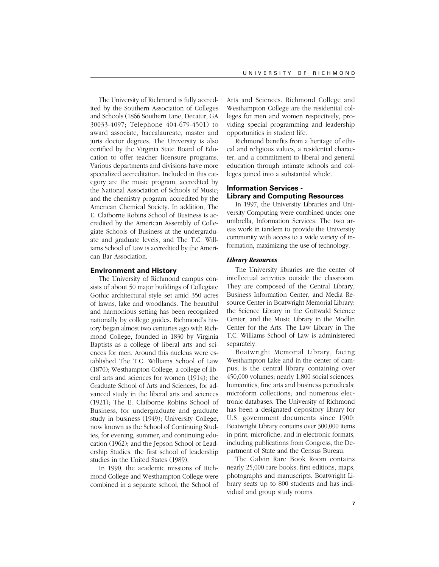The University of Richmond is fully accredited by the Southern Association of Colleges and Schools (1866 Southern Lane, Decatur, GA 30033-4097; Telephone 404-679-4501) to award associate, baccalaureate, master and juris doctor degrees. The University is also certified by the Virginia State Board of Education to offer teacher licensure programs. Various departments and divisions have more specialized accreditation. Included in this category are the music program, accredited by the National Association of Schools of Music; and the chemistry program, accredited by the American Chemical Society. In addition, The E. Claiborne Robins School of Business is accredited by the American Assembly of Collegiate Schools of Business at the undergraduate and graduate levels, and The T.C. Williams School of Law is accredited by the American Bar Association.

# **Environment and History**

The University of Richmond campus consists of about 50 major buildings of Collegiate Gothic architectural style set amid 350 acres of lawns, lake and woodlands. The beautiful and harmonious setting has been recognized nationally by college guides. Richmond's history began almost two centuries ago with Richmond College, founded in 1830 by Virginia Baptists as a college of liberal arts and sciences for men. Around this nucleus were established The T.C. Williams School of Law (1870); Westhampton College, a college of liberal arts and sciences for women (1914); the Graduate School of Arts and Sciences, for advanced study in the liberal arts and sciences (1921); The E. Claiborne Robins School of Business, for undergraduate and graduate study in business (1949); University College, now known as the School of Continuing Studies, for evening, summer, and continuing education (1962); and the Jepson School of Leadership Studies, the first school of leadership studies in the United States (1989).

In 1990, the academic missions of Richmond College and Westhampton College were combined in a separate school, the School of

Arts and Sciences. Richmond College and Westhampton College are the residential colleges for men and women respectively, providing special programming and leadership opportunities in student life.

Richmond benefits from a heritage of ethical and religious values, a residential character, and a commitment to liberal and general education through intimate schools and colleges joined into a substantial whole.

# **Information Services - Library and Computing Resources**

In 1997, the University Libraries and University Computing were combined under one umbrella, Information Services. The two areas work in tandem to provide the University community with access to a wide variety of information, maximizing the use of technology.

#### *Library Resources*

The University libraries are the center of intellectual activities outside the classroom. They are composed of the Central Library, Business Information Center, and Media Resource Center in Boatwright Memorial Library; the Science Library in the Gottwald Science Center, and the Music Library in the Modlin Center for the Arts. The Law Library in The T.C. Williams School of Law is administered separately.

Boatwright Memorial Library, facing Westhampton Lake and in the center of campus, is the central library containing over 450,000 volumes; nearly 1,800 social sciences, humanities, fine arts and business periodicals; microform collections; and numerous electronic databases. The University of Richmond has been a designated depository library for U.S. government documents since 1900; Boatwright Library contains over 300,000 items in print, microfiche, and in electronic formats, including publications from Congress, the Department of State and the Census Bureau.

The Galvin Rare Book Room contains nearly 25,000 rare books, first editions, maps, photographs and manuscripts. Boatwright Library seats up to 800 students and has individual and group study rooms.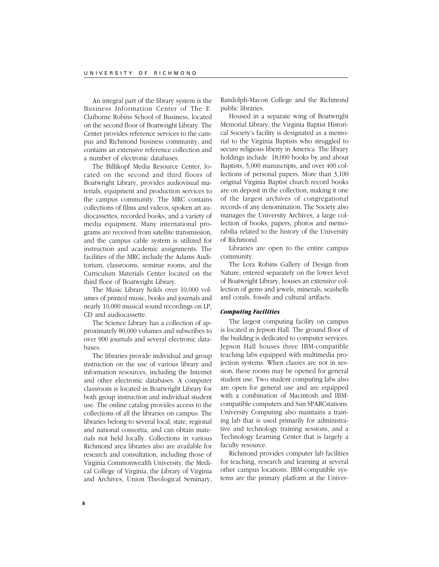An integral part of the library system is the Business Information Center of The E. Claiborne Robins School of Business, located on the second floor of Boatwright Library. The Center provides reference services to the campus and Richmond business community, and contains an extensive reference collection and a number of electronic databases.

The Billikopf Media Resource Center, located on the second and third floors of Boatwright Library, provides audiovisual materials, equipment and production services to the campus community. The MRC contains collections of films and videos, spoken art audiocassettes, recorded books, and a variety of media equipment. Many international programs are received from satellite transmission, and the campus cable system is utilized for instruction and academic assignments. The facilities of the MRC include the Adams Auditorium, classrooms, seminar rooms, and the Curriculum Materials Center located on the third floor of Boatwright Library.

The Music Library holds over 10,000 volumes of printed music, books and journals and nearly 10,000 musical sound recordings on LP, CD and audiocassette.

The Science Library has a collection of approximately 80,000 volumes and subscribes to over 900 journals and several electronic databases.

The libraries provide individual and group instruction on the use of various library and information resources, including the Internet and other electronic databases. A computer classroom is located in Boatwright Library for both group instruction and individual student use. The online catalog provides access to the collections of all the libraries on campus. The libraries belong to several local, state, regional and national consortia, and can obtain materials not held locally. Collections in various Richmond area libraries also are available for research and consultation, including those of Virginia Commonwealth University, the Medical College of Virginia, the Library of Virginia and Archives, Union Theological Seminary,

Randolph-Macon College and the Richmond public libraries.

Housed in a separate wing of Boatwright Memorial Library, the Virginia Baptist Historical Society's facility is designated as a memorial to the Virginia Baptists who struggled to secure religious liberty in America. The library holdings include 18,000 books by and about Baptists, 5,000 manuscripts, and over 400 collections of personal papers. More than 3,100 original Virginia Baptist church record books are on deposit in the collection, making it one of the largest archives of congregational records of any denomination. The Society also manages the University Archives, a large collection of books, papers, photos and memorabilia related to the history of the University of Richmond.

Libraries are open to the entire campus community.

The Lora Robins Gallery of Design from Nature, entered separately on the lower level of Boatwright Library, houses an extensive collection of gems and jewels, minerals, seashells and corals, fossils and cultural artifacts.

# *Computing Facilities*

The largest computing facility on campus is located in Jepson Hall. The ground floor of the building is dedicated to computer services. Jepson Hall houses three IBM-compatible teaching labs equipped with multimedia projection systems. When classes are not in session, these rooms may be opened for general student use. Two student computing labs also are open for general use and are equipped with a combination of Macintosh and IBMcompatible computers and Sun SPARCstations. University Computing also maintains a training lab that is used primarily for administrative and technology training sessions, and a Technology Learning Center that is largely a faculty resource.

Richmond provides computer lab facilities for teaching, research and learning at several other campus locations. IBM-compatible systems are the primary platform at the Univer-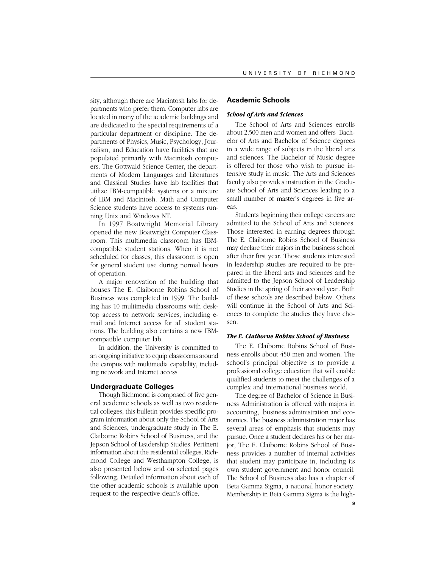sity, although there are Macintosh labs for departments who prefer them. Computer labs are located in many of the academic buildings and are dedicated to the special requirements of a particular department or discipline. The departments of Physics, Music, Psychology, Journalism, and Education have facilities that are populated primarily with Macintosh computers. The Gottwald Science Center, the departments of Modern Languages and Literatures and Classical Studies have lab facilities that utilize IBM-compatible systems or a mixture of IBM and Macintosh. Math and Computer Science students have access to systems running Unix and Windows NT.

In 1997 Boatwright Memorial Library opened the new Boatwright Computer Classroom. This multimedia classroom has IBMcompatible student stations. When it is not scheduled for classes, this classroom is open for general student use during normal hours of operation.

A major renovation of the building that houses The E. Claiborne Robins School of Business was completed in 1999. The building has 10 multimedia classrooms with desktop access to network services, including email and Internet access for all student stations. The building also contains a new IBMcompatible computer lab.

In addition, the University is committed to an ongoing initiative to equip classrooms around the campus with multimedia capability, including network and Internet access.

#### **Undergraduate Colleges**

Though Richmond is composed of five general academic schools as well as two residential colleges, this bulletin provides specific program information about only the School of Arts and Sciences, undergraduate study in The E. Claiborne Robins School of Business, and the Jepson School of Leadership Studies. Pertinent information about the residential colleges, Richmond College and Westhampton College, is also presented below and on selected pages following. Detailed information about each of the other academic schools is available upon request to the respective dean's office.

## **Academic Schools**

#### *School of Arts and Sciences*

The School of Arts and Sciences enrolls about 2,500 men and women and offers Bachelor of Arts and Bachelor of Science degrees in a wide range of subjects in the liberal arts and sciences. The Bachelor of Music degree is offered for those who wish to pursue intensive study in music. The Arts and Sciences faculty also provides instruction in the Graduate School of Arts and Sciences leading to a small number of master's degrees in five areas.

Students beginning their college careers are admitted to the School of Arts and Sciences. Those interested in earning degrees through The E. Claiborne Robins School of Business may declare their majors in the business school after their first year. Those students interested in leadership studies are required to be prepared in the liberal arts and sciences and be admitted to the Jepson School of Leadership Studies in the spring of their second year. Both of these schools are described below. Others will continue in the School of Arts and Sciences to complete the studies they have chosen.

#### *The E. Claiborne Robins School of Business*

The E. Claiborne Robins School of Business enrolls about 450 men and women. The school's principal objective is to provide a professional college education that will enable qualified students to meet the challenges of a complex and international business world.

The degree of Bachelor of Science in Business Administration is offered with majors in accounting, business administration and economics. The business administration major has several areas of emphasis that students may pursue. Once a student declares his or her major, The E. Claiborne Robins School of Business provides a number of internal activities that student may participate in, including its own student government and honor council. The School of Business also has a chapter of Beta Gamma Sigma, a national honor society. Membership in Beta Gamma Sigma is the high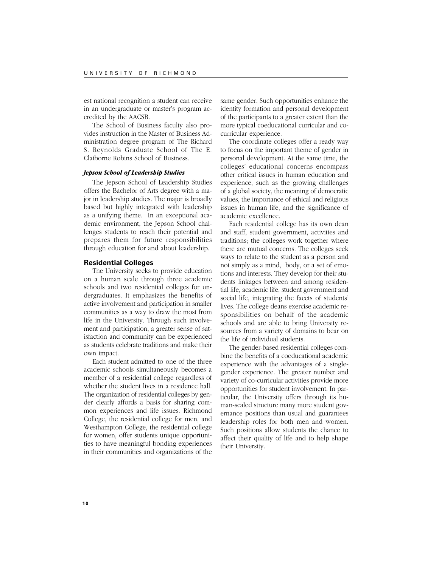est national recognition a student can receive in an undergraduate or master's program accredited by the AACSB.

The School of Business faculty also provides instruction in the Master of Business Administration degree program of The Richard S. Reynolds Graduate School of The E. Claiborne Robins School of Business.

# *Jepson School of Leadership Studies*

The Jepson School of Leadership Studies offers the Bachelor of Arts degree with a major in leadership studies. The major is broadly based but highly integrated with leadership as a unifying theme. In an exceptional academic environment, the Jepson School challenges students to reach their potential and prepares them for future responsibilities through education for and about leadership.

# **Residential Colleges**

The University seeks to provide education on a human scale through three academic schools and two residential colleges for undergraduates. It emphasizes the benefits of active involvement and participation in smaller communities as a way to draw the most from life in the University. Through such involvement and participation, a greater sense of satisfaction and community can be experienced as students celebrate traditions and make their own impact.

Each student admitted to one of the three academic schools simultaneously becomes a member of a residential college regardless of whether the student lives in a residence hall. The organization of residential colleges by gender clearly affords a basis for sharing common experiences and life issues. Richmond College, the residential college for men, and Westhampton College, the residential college for women, offer students unique opportunities to have meaningful bonding experiences in their communities and organizations of the

same gender. Such opportunities enhance the identity formation and personal development of the participants to a greater extent than the more typical coeducational curricular and cocurricular experience.

The coordinate colleges offer a ready way to focus on the important theme of gender in personal development. At the same time, the colleges' educational concerns encompass other critical issues in human education and experience, such as the growing challenges of a global society, the meaning of democratic values, the importance of ethical and religious issues in human life, and the significance of academic excellence.

Each residential college has its own dean and staff, student government, activities and traditions; the colleges work together where there are mutual concerns. The colleges seek ways to relate to the student as a person and not simply as a mind, body, or a set of emotions and interests. They develop for their students linkages between and among residential life, academic life, student government and social life, integrating the facets of students' lives. The college deans exercise academic responsibilities on behalf of the academic schools and are able to bring University resources from a variety of domains to bear on the life of individual students.

The gender-based residential colleges combine the benefits of a coeducational academic experience with the advantages of a singlegender experience. The greater number and variety of co-curricular activities provide more opportunities for student involvement. In particular, the University offers through its human-scaled structure many more student governance positions than usual and guarantees leadership roles for both men and women. Such positions allow students the chance to affect their quality of life and to help shape their University.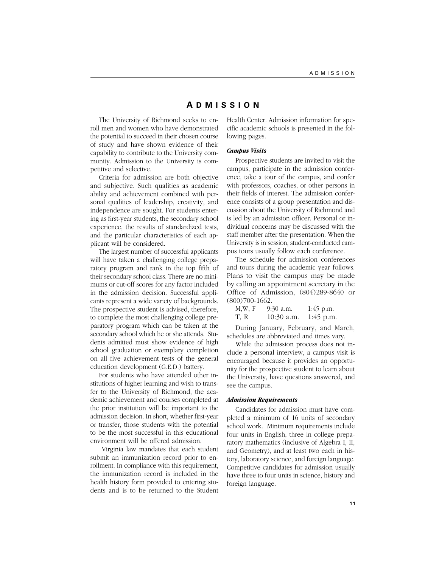# **A DMISSION**

The University of Richmond seeks to enroll men and women who have demonstrated the potential to succeed in their chosen course of study and have shown evidence of their capability to contribute to the University community. Admission to the University is competitive and selective.

Criteria for admission are both objective and subjective. Such qualities as academic ability and achievement combined with personal qualities of leadership, creativity, and independence are sought. For students entering as first-year students, the secondary school experience, the results of standardized tests, and the particular characteristics of each applicant will be considered.

The largest number of successful applicants will have taken a challenging college preparatory program and rank in the top fifth of their secondary school class. There are no minimums or cut-off scores for any factor included in the admission decision. Successful applicants represent a wide variety of backgrounds. The prospective student is advised, therefore, to complete the most challenging college preparatory program which can be taken at the secondary school which he or she attends. Students admitted must show evidence of high school graduation or exemplary completion on all five achievement tests of the general education development (G.E.D.) battery.

For students who have attended other institutions of higher learning and wish to transfer to the University of Richmond, the academic achievement and courses completed at the prior institution will be important to the admission decision. In short, whether first-year or transfer, those students with the potential to be the most successful in this educational environment will be offered admission.

 Virginia law mandates that each student submit an immunization record prior to enrollment. In compliance with this requirement, the immunization record is included in the health history form provided to entering students and is to be returned to the Student Health Center. Admission information for specific academic schools is presented in the following pages.

#### *Campus Visits*

Prospective students are invited to visit the campus, participate in the admission conference, take a tour of the campus, and confer with professors, coaches, or other persons in their fields of interest. The admission conference consists of a group presentation and discussion about the University of Richmond and is led by an admission officer. Personal or individual concerns may be discussed with the staff member after the presentation. When the University is in session, student-conducted campus tours usually follow each conference.

The schedule for admission conferences and tours during the academic year follows. Plans to visit the campus may be made by calling an appointment secretary in the Office of Admission, (804)289-8640 or (800)700-1662.

| M,W, F | 9:30 a.m.    | $1:45$ p.m. |
|--------|--------------|-------------|
| T, R   | $10:30$ a.m. | $1:45$ p.m. |

During January, February, and March, schedules are abbreviated and times vary.

While the admission process does not include a personal interview, a campus visit is encouraged because it provides an opportunity for the prospective student to learn about the University, have questions answered, and see the campus.

## *Admission Requirements*

Candidates for admission must have completed a minimum of 16 units of secondary school work. Minimum requirements include four units in English, three in college preparatory mathematics (inclusive of Algebra I, II, and Geometry), and at least two each in history, laboratory science, and foreign language. Competitive candidates for admission usually have three to four units in science, history and foreign language.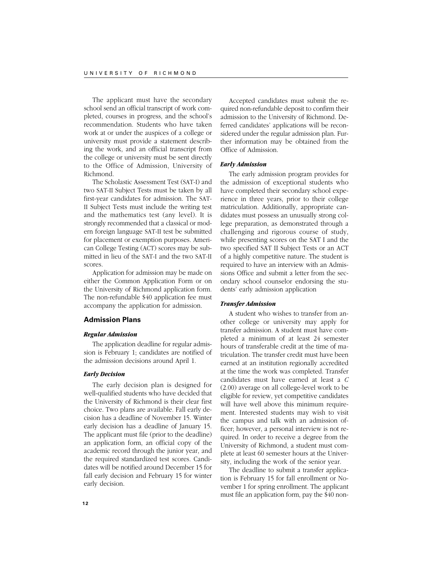The applicant must have the secondary school send an official transcript of work completed, courses in progress, and the school's recommendation. Students who have taken work at or under the auspices of a college or university must provide a statement describing the work, and an official transcript from the college or university must be sent directly to the Office of Admission, University of Richmond.

The Scholastic Assessment Test (SAT-I) and two SAT-II Subject Tests must be taken by all first-year candidates for admission. The SAT-II Subject Tests must include the writing test and the mathematics test (any level). It is strongly recommended that a classical or modern foreign language SAT-II test be submitted for placement or exemption purposes. American College Testing (ACT) scores may be submitted in lieu of the SAT-I and the two SAT-II scores.

Application for admission may be made on either the Common Application Form or on the University of Richmond application form. The non-refundable \$40 application fee must accompany the application for admission.

# **Admission Plans**

# *Regular Admission*

The application deadline for regular admission is February 1; candidates are notified of the admission decisions around April 1.

# *Early Decision*

The early decision plan is designed for well-qualified students who have decided that the University of Richmond is their clear first choice. Two plans are available. Fall early decision has a deadline of November 15. Winter early decision has a deadline of January 15. The applicant must file (prior to the deadline) an application form, an official copy of the academic record through the junior year, and the required standardized test scores. Candidates will be notified around December 15 for fall early decision and February 15 for winter early decision.

Accepted candidates must submit the required non-refundable deposit to confirm their admission to the University of Richmond. Deferred candidates' applications will be reconsidered under the regular admission plan. Further information may be obtained from the Office of Admission.

# *Early Admission*

The early admission program provides for the admission of exceptional students who have completed their secondary school experience in three years, prior to their college matriculation. Additionally, appropriate candidates must possess an unusually strong college preparation, as demonstrated through a challenging and rigorous course of study, while presenting scores on the SAT I and the two specified SAT II Subject Tests or an ACT of a highly competitive nature. The student is required to have an interview with an Admissions Office and submit a letter from the secondary school counselor endorsing the students' early admission application

#### *Transfer Admission*

A student who wishes to transfer from another college or university may apply for transfer admission. A student must have completed a minimum of at least 24 semester hours of transferable credit at the time of matriculation. The transfer credit must have been earned at an institution regionally accredited at the time the work was completed. Transfer candidates must have earned at least a *C* (2.00) average on all college-level work to be eligible for review, yet competitive candidates will have well above this minimum requirement. Interested students may wish to visit the campus and talk with an admission officer; however, a personal interview is not required. In order to receive a degree from the University of Richmond, a student must complete at least 60 semester hours at the University, including the work of the senior year.

The deadline to submit a transfer application is February 15 for fall enrollment or November 1 for spring enrollment. The applicant must file an application form, pay the \$40 non-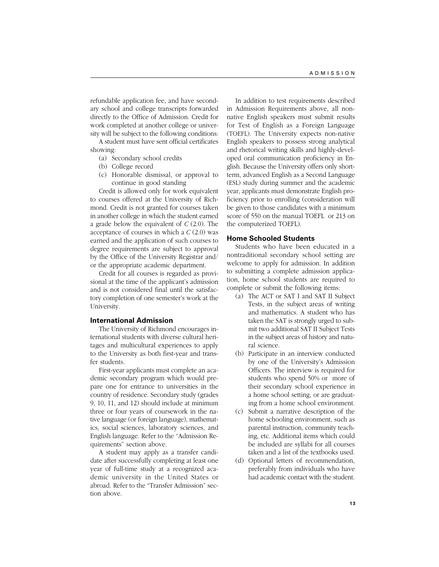refundable application fee, and have secondary school and college transcripts forwarded directly to the Office of Admission. Credit for work completed at another college or university will be subject to the following conditions:

A student must have sent official certificates showing:

- (a) Secondary school credits
- (b) College record
- (c) Honorable dismissal, or approval to continue in good standing

Credit is allowed only for work equivalent to courses offered at the University of Richmond. Credit is not granted for courses taken in another college in which the student earned a grade below the equivalent of *C* (2.0). The acceptance of courses in which a *C* (2.0) was earned and the application of such courses to degree requirements are subject to approval by the Office of the University Registrar and/ or the appropriate academic department.

Credit for all courses is regarded as provisional at the time of the applicant's admission and is not considered final until the satisfactory completion of one semester's work at the University.

## **International Admission**

The University of Richmond encourages international students with diverse cultural heritages and multicultural experiences to apply to the University as both first-year and transfer students.

First-year applicants must complete an academic secondary program which would prepare one for entrance to universities in the country of residence. Secondary study (grades 9, 10, 11, and 12) should include at minimum three or four years of coursework in the native language (or foreign language), mathematics, social sciences, laboratory sciences, and English language. Refer to the "Admission Requirements" section above.

A student may apply as a transfer candidate after successfully completing at least one year of full-time study at a recognized academic university in the United States or abroad. Refer to the "Transfer Admission" section above.

In addition to test requirements described in Admission Requirements above, all nonnative English speakers must submit results for Test of English as a Foreign Language (TOEFL). The University expects non-native English speakers to possess strong analytical and rhetorical writing skills and highly-developed oral communication proficiency in English. Because the University offers only shortterm, advanced English as a Second Language (ESL) study during summer and the academic year, applicants must demonstrate English proficiency prior to enrolling (consideration will be given to those candidates with a minimum score of 550 on the manual TOEFL or 213 on the computerized TOEFL).

# **Home Schooled Students**

Students who have been educated in a nontraditional secondary school setting are welcome to apply for admission. In addition to submitting a complete admission application, home school students are required to complete or submit the following items:

- (a) The ACT or SAT I and SAT II Subject Tests, in the subject areas of writing and mathematics. A student who has taken the SAT is strongly urged to submit two additional SAT II Subject Tests in the subject areas of history and natural science.
- (b) Participate in an interview conducted by one of the University's Admission Officers. The interview is required for students who spend 50% or more of their secondary school experience in a home school setting, or are graduating from a home school environment.
- (c) Submit a narrative description of the home schooling environment, such as parental instruction, community teaching, etc. Additional items which could be included are syllabi for all courses taken and a list of the textbooks used.
- (d) Optional letters of recommendation, preferably from individuals who have had academic contact with the student.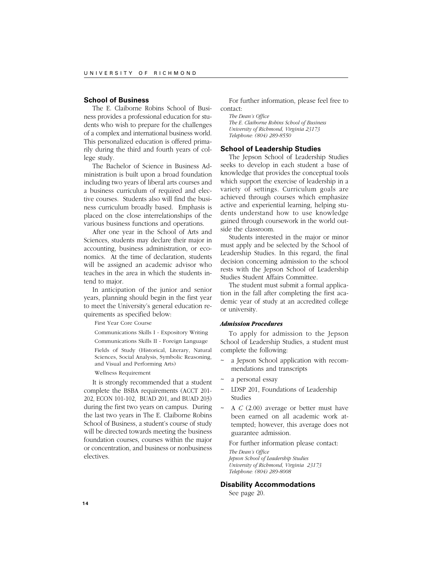# **School of Business**

The E. Claiborne Robins School of Business provides a professional education for students who wish to prepare for the challenges of a complex and international business world. This personalized education is offered primarily during the third and fourth years of college study.

The Bachelor of Science in Business Administration is built upon a broad foundation including two years of liberal arts courses and a business curriculum of required and elective courses. Students also will find the business curriculum broadly based. Emphasis is placed on the close interrelationships of the various business functions and operations.

After one year in the School of Arts and Sciences, students may declare their major in accounting, business administration, or economics. At the time of declaration, students will be assigned an academic advisor who teaches in the area in which the students intend to major.

In anticipation of the junior and senior years, planning should begin in the first year to meet the University's general education requirements as specified below:

First Year Core Course

Communications Skills I - Expository Writing

Communications Skills II - Foreign Language

Fields of Study (Historical, Literary, Natural Sciences, Social Analysis, Symbolic Reasoning, and Visual and Performing Arts)

Wellness Requirement

It is strongly recommended that a student complete the BSBA requirements (ACCT 201- 202, ECON 101-102, BUAD 201, and BUAD 203) during the first two years on campus. During the last two years in The E. Claiborne Robins School of Business, a student's course of study will be directed towards meeting the business foundation courses, courses within the major or concentration, and business or nonbusiness electives.

For further information, please feel free to contact:

*The Dean's Office The E. Claiborne Robins School of Business University of Richmond, Virginia 23173 Telephone: (804) 289-8550*

# **School of Leadership Studies**

The Jepson School of Leadership Studies seeks to develop in each student a base of knowledge that provides the conceptual tools which support the exercise of leadership in a variety of settings. Curriculum goals are achieved through courses which emphasize active and experiential learning, helping students understand how to use knowledge gained through coursework in the world outside the classroom.

Students interested in the major or minor must apply and be selected by the School of Leadership Studies. In this regard, the final decision concerning admission to the school rests with the Jepson School of Leadership Studies Student Affairs Committee.

The student must submit a formal application in the fall after completing the first academic year of study at an accredited college or university.

# *Admission Procedures*

To apply for admission to the Jepson School of Leadership Studies, a student must complete the following:

- a Jepson School application with recommendations and transcripts
- a personal essay
- ~ LDSP 201, Foundations of Leadership Studies
- ~ A *C* (2.00) average or better must have been earned on all academic work attempted; however, this average does not guarantee admission.

For further information please contact: *The Dean's Office Jepson School of Leadership Studies University of Richmond, Virginia 23173 Telephone: (804) 289-8008*

# **Disability Accommodations**

See page 20.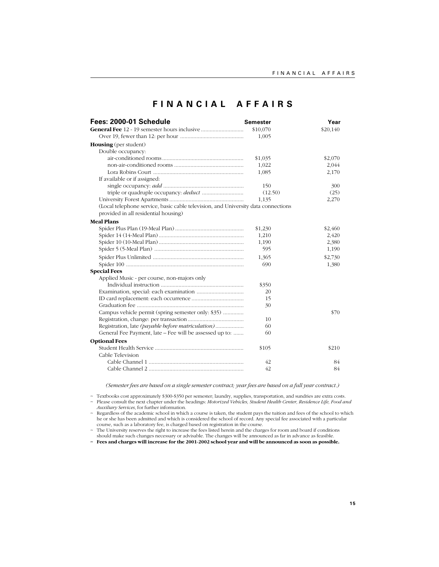# **FINANCIAL AFFAIRS**

| Fees: 2000-01 Schedule                                                            | <b>Semester</b> | Year     |
|-----------------------------------------------------------------------------------|-----------------|----------|
|                                                                                   | \$10,070        | \$20,140 |
|                                                                                   | 1,005           |          |
| <b>Housing</b> (per student)                                                      |                 |          |
| Double occupancy:                                                                 |                 |          |
|                                                                                   | \$1,035         | \$2,070  |
|                                                                                   | 1,022           | 2,044    |
|                                                                                   | 1,085           | 2,170    |
| If available or if assigned:                                                      |                 |          |
|                                                                                   | 150             | 300      |
|                                                                                   | (12.50)         | (25)     |
|                                                                                   | 1,135           | 2,270    |
| (Local telephone service, basic cable television, and University data connections |                 |          |
| provided in all residential housing)                                              |                 |          |
| <b>Meal Plans</b>                                                                 |                 |          |
|                                                                                   | \$1,230         | \$2,460  |
|                                                                                   | 1,210           | 2,420    |
|                                                                                   | 1,190           | 2,380    |
|                                                                                   | 595             | 1,190    |
|                                                                                   | 1,365           | \$2,730  |
|                                                                                   | 690             | 1,380    |
| <b>Special Fees</b>                                                               |                 |          |
| Applied Music - per course, non-majors only                                       |                 |          |
|                                                                                   | \$350           |          |
|                                                                                   | 20              |          |
|                                                                                   | 15              |          |
|                                                                                   | 30              |          |
| Campus vehicle permit (spring semester only: \$35)                                |                 | \$70     |
|                                                                                   | 10              |          |
| Registration, late (payable before matriculation)                                 | 60              |          |
| General Fee Payment, late – Fee will be assessed up to:                           | 60              |          |
| <b>Optional Fees</b>                                                              |                 |          |
|                                                                                   | \$105           | \$210    |
| Cable Television                                                                  |                 |          |
|                                                                                   | 42              | 84       |
|                                                                                   | 42              | 84       |

*(Semester fees are based on a single semester contract; year fees are based on a full year contract.)*

~ Textbooks cost approximately \$300-\$350 per semester; laundry, supplies, transportation, and sundries are extra costs.<br>~ Please consult the next chapter under the headings: Motorized Vebicles, Student Health Center, Resi

*Auxiliary Services*, for further information.

~ Regardless of the academic school in which a course is taken, the student pays the tuition and fees of the school to which<br>he or she has been admitted and which is considered the school of record. Any special fee associa course, such as a laboratory fee, is charged based on registration in the course.

~ The University reserves the right to increase the fees listed herein and the charges for room and board if conditions should make such changes necessary or advisable. The changes will be announced as far in advance as feasible.

**~ Fees and charges will increase for the 2001-2002 school year and will be announced as soon as possible.**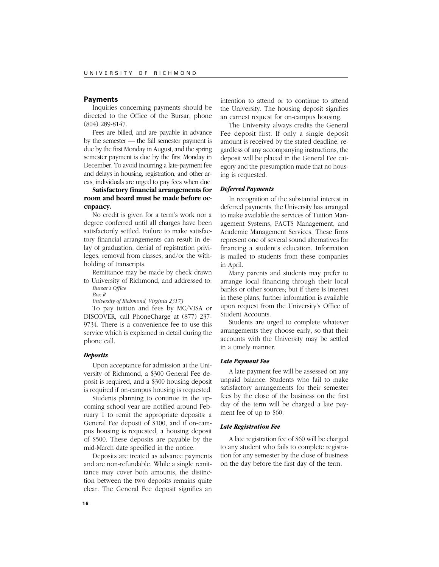# **Payments**

Inquiries concerning payments should be directed to the Office of the Bursar, phone (804) 289-8147.

Fees are billed, and are payable in advance by the semester — the fall semester payment is due by the first Monday in August, and the spring semester payment is due by the first Monday in December. To avoid incurring a late-payment fee and delays in housing, registration, and other areas, individuals are urged to pay fees when due.

# **Satisfactory financial arrangements for room and board must be made before occupancy.**

No credit is given for a term's work nor a degree conferred until all charges have been satisfactorily settled. Failure to make satisfactory financial arrangements can result in delay of graduation, denial of registration privileges, removal from classes, and/or the withholding of transcripts.

Remittance may be made by check drawn to University of Richmond, and addressed to: *Bursar's Office*

*Box R*

*University of Richmond, Virginia 23173*

To pay tuition and fees by MC/VISA or DISCOVER, call PhoneCharge at (877) 237- 9734. There is a convenience fee to use this service which is explained in detail during the phone call.

# *Deposits*

Upon acceptance for admission at the University of Richmond, a \$300 General Fee deposit is required, and a \$300 housing deposit is required if on-campus housing is requested.

Students planning to continue in the upcoming school year are notified around February 1 to remit the appropriate deposits: a General Fee deposit of \$100, and if on-campus housing is requested, a housing deposit of \$500. These deposits are payable by the mid-March date specified in the notice.

Deposits are treated as advance payments and are non-refundable. While a single remittance may cover both amounts, the distinction between the two deposits remains quite clear. The General Fee deposit signifies an

intention to attend or to continue to attend the University. The housing deposit signifies an earnest request for on-campus housing.

The University always credits the General Fee deposit first. If only a single deposit amount is received by the stated deadline, regardless of any accompanying instructions, the deposit will be placed in the General Fee category and the presumption made that no housing is requested.

# *Deferred Payments*

In recognition of the substantial interest in deferred payments, the University has arranged to make available the services of Tuition Management Systems, FACTS Management, and Academic Management Services. These firms represent one of several sound alternatives for financing a student's education. Information is mailed to students from these companies in April.

Many parents and students may prefer to arrange local financing through their local banks or other sources; but if there is interest in these plans, further information is available upon request from the University's Office of Student Accounts.

Students are urged to complete whatever arrangements they choose early, so that their accounts with the University may be settled in a timely manner.

# *Late Payment Fee*

A late payment fee will be assessed on any unpaid balance. Students who fail to make satisfactory arrangements for their semester fees by the close of the business on the first day of the term will be charged a late payment fee of up to \$60.

#### *Late Registration Fee*

A late registration fee of \$60 will be charged to any student who fails to complete registration for any semester by the close of business on the day before the first day of the term.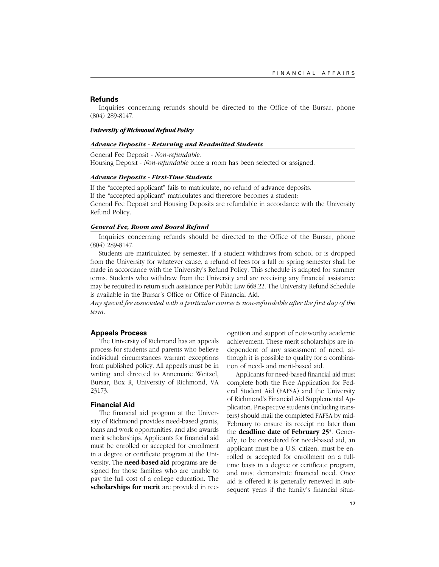# **Refunds**

Inquiries concerning refunds should be directed to the Office of the Bursar, phone (804) 289-8147.

# *University of Richmond Refund Policy*

#### *Advance Deposits - Returning and Readmitted Students*

General Fee Deposit - *Non-refundable*.

Housing Deposit - *Non-refundable* once a room has been selected or assigned.

#### *Advance Deposits - First-Time Students*

If the "accepted applicant" fails to matriculate, no refund of advance deposits. If the "accepted applicant" matriculates and therefore becomes a student: General Fee Deposit and Housing Deposits are refundable in accordance with the University Refund Policy.

#### *General Fee, Room and Board Refund*

Inquiries concerning refunds should be directed to the Office of the Bursar, phone (804) 289-8147.

Students are matriculated by semester. If a student withdraws from school or is dropped from the University for whatever cause, a refund of fees for a fall or spring semester shall be made in accordance with the University's Refund Policy. This schedule is adapted for summer terms. Students who withdraw from the University and are receiving any financial assistance may be required to return such assistance per Public Law 668.22. The University Refund Schedule is available in the Bursar's Office or Office of Financial Aid.

*Any special fee associated with a particular course is non-refundable after the first day of the term.*

# **Appeals Process**

The University of Richmond has an appeals process for students and parents who believe individual circumstances warrant exceptions from published policy. All appeals must be in writing and directed to Annemarie Weitzel, Bursar, Box R, University of Richmond, VA 23173.

#### **Financial Aid**

The financial aid program at the University of Richmond provides need-based grants, loans and work opportunities, and also awards merit scholarships. Applicants for financial aid must be enrolled or accepted for enrollment in a degree or certificate program at the University. The **need-based aid** programs are designed for those families who are unable to pay the full cost of a college education. The **scholarships for merit** are provided in recognition and support of noteworthy academic achievement. These merit scholarships are independent of any assessment of need, although it is possible to qualify for a combination of need- and merit-based aid.

Applicants for need-based financial aid must complete both the Free Application for Federal Student Aid (FAFSA) and the University of Richmond's Financial Aid Supplemental Application. Prospective students (including transfers) should mail the completed FAFSA by mid-February to ensure its receipt no later than the **deadline date of February 25\***. Generally, to be considered for need-based aid, an applicant must be a U.S. citizen, must be enrolled or accepted for enrollment on a fulltime basis in a degree or certificate program, and must demonstrate financial need. Once aid is offered it is generally renewed in subsequent years if the family's financial situa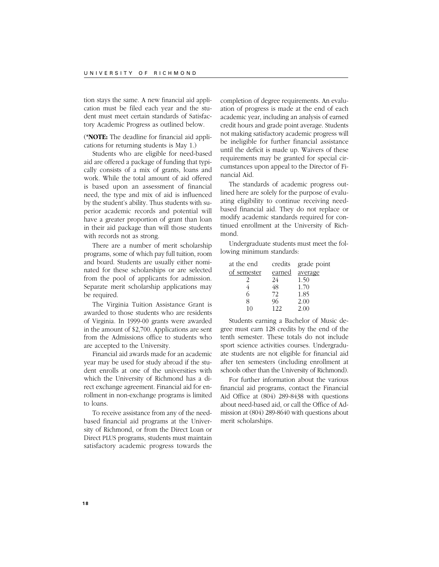tion stays the same. A new financial aid application must be filed each year and the student must meet certain standards of Satisfactory Academic Progress as outlined below.

(**\*NOTE:** The deadline for financial aid applications for returning students is May 1.)

Students who are eligible for need-based aid are offered a package of funding that typically consists of a mix of grants, loans and work. While the total amount of aid offered is based upon an assessment of financial need, the type and mix of aid is influenced by the student's ability. Thus students with superior academic records and potential will have a greater proportion of grant than loan in their aid package than will those students with records not as strong.

There are a number of merit scholarship programs, some of which pay full tuition, room and board. Students are usually either nominated for these scholarships or are selected from the pool of applicants for admission. Separate merit scholarship applications may be required.

The Virginia Tuition Assistance Grant is awarded to those students who are residents of Virginia. In 1999-00 grants were awarded in the amount of \$2,700. Applications are sent from the Admissions office to students who are accepted to the University.

Financial aid awards made for an academic year may be used for study abroad if the student enrolls at one of the universities with which the University of Richmond has a direct exchange agreement. Financial aid for enrollment in non-exchange programs is limited to loans.

To receive assistance from any of the needbased financial aid programs at the University of Richmond, or from the Direct Loan or Direct PLUS programs, students must maintain satisfactory academic progress towards the

completion of degree requirements. An evaluation of progress is made at the end of each academic year, including an analysis of earned credit hours and grade point average. Students not making satisfactory academic progress will be ineligible for further financial assistance until the deficit is made up. Waivers of these requirements may be granted for special circumstances upon appeal to the Director of Financial Aid.

The standards of academic progress outlined here are solely for the purpose of evaluating eligibility to continue receiving needbased financial aid. They do not replace or modify academic standards required for continued enrollment at the University of Richmond.

Undergraduate students must meet the following minimum standards:

| credits       | grade point |
|---------------|-------------|
| <u>earned</u> | average     |
| 24            | 1.50        |
| 48            | 1.70        |
| 72            | 1.85        |
| 96            | 2.00        |
| 122           | 2.00        |
|               |             |

Students earning a Bachelor of Music degree must earn 128 credits by the end of the tenth semester. These totals do not include sport science activities courses. Undergraduate students are not eligible for financial aid after ten semesters (including enrollment at schools other than the University of Richmond).

For further information about the various financial aid programs, contact the Financial Aid Office at (804) 289-8438 with questions about need-based aid, or call the Office of Admission at (804) 289-8640 with questions about merit scholarships.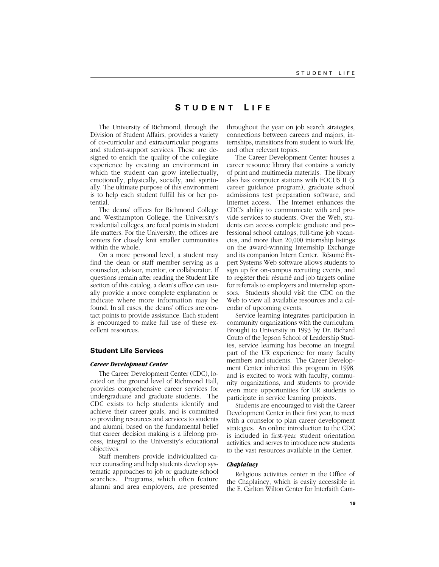# **S TUDENT L IFE**

The University of Richmond, through the Division of Student Affairs, provides a variety of co-curricular and extracurricular programs and student-support services. These are designed to enrich the quality of the collegiate experience by creating an environment in which the student can grow intellectually, emotionally, physically, socially, and spiritually. The ultimate purpose of this environment is to help each student fulfill his or her potential.

The deans' offices for Richmond College and Westhampton College, the University's residential colleges, are focal points in student life matters. For the University, the offices are centers for closely knit smaller communities within the whole.

On a more personal level, a student may find the dean or staff member serving as a counselor, advisor, mentor, or collaborator. If questions remain after reading the Student Life section of this catalog, a dean's office can usually provide a more complete explanation or indicate where more information may be found. In all cases, the deans' offices are contact points to provide assistance. Each student is encouraged to make full use of these excellent resources.

# **Student Life Services**

#### *Career Development Center*

The Career Development Center (CDC), located on the ground level of Richmond Hall, provides comprehensive career services for undergraduate and graduate students. The CDC exists to help students identify and achieve their career goals, and is committed to providing resources and services to students and alumni, based on the fundamental belief that career decision making is a lifelong process, integral to the University's educational objectives.

Staff members provide individualized career counseling and help students develop systematic approaches to job or graduate school searches. Programs, which often feature alumni and area employers, are presented throughout the year on job search strategies, connections between careers and majors, internships, transitions from student to work life, and other relevant topics.

The Career Development Center houses a career resource library that contains a variety of print and multimedia materials. The library also has computer stations with FOCUS II (a career guidance program), graduate school admissions test preparation software, and Internet access. The Internet enhances the CDC's ability to communicate with and provide services to students. Over the Web, students can access complete graduate and professional school catalogs, full-time job vacancies, and more than 20,000 internship listings on the award-winning Internship Exchange and its companion Intern Center. Résumé Expert Systems Web software allows students to sign up for on-campus recruiting events, and to register their résumé and job targets online for referrals to employers and internship sponsors. Students should visit the CDC on the Web to view all available resources and a calendar of upcoming events.

Service learning integrates participation in community organizations with the curriculum. Brought to University in 1993 by Dr. Richard Couto of the Jepson School of Leadership Studies, service learning has become an integral part of the UR experience for many faculty members and students. The Career Development Center inherited this program in 1998, and is excited to work with faculty, community organizations, and students to provide even more opportunities for UR students to participate in service learning projects.

Students are encouraged to visit the Career Development Center in their first year, to meet with a counselor to plan career development strategies. An online introduction to the CDC is included in first-year student orientation activities, and serves to introduce new students to the vast resources available in the Center.

#### *Chaplaincy*

Religious activities center in the Office of the Chaplaincy, which is easily accessible in the E. Carlton Wilton Center for Interfaith Cam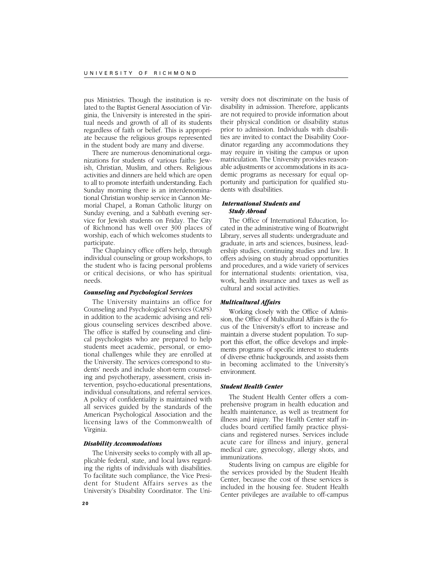pus Ministries. Though the institution is related to the Baptist General Association of Virginia, the University is interested in the spiritual needs and growth of all of its students regardless of faith or belief. This is appropriate because the religious groups represented in the student body are many and diverse.

There are numerous denominational organizations for students of various faiths: Jewish, Christian, Muslim, and others. Religious activities and dinners are held which are open to all to promote interfaith understanding. Each Sunday morning there is an interdenominational Christian worship service in Cannon Memorial Chapel, a Roman Catholic liturgy on Sunday evening, and a Sabbath evening service for Jewish students on Friday. The City of Richmond has well over 300 places of worship, each of which welcomes students to participate.

The Chaplaincy office offers help, through individual counseling or group workshops, to the student who is facing personal problems or critical decisions, or who has spiritual needs.

## *Counseling and Psychological Services*

The University maintains an office for Counseling and Psychological Services (CAPS) in addition to the academic advising and religious counseling services described above. The office is staffed by counseling and clinical psychologists who are prepared to help students meet academic, personal, or emotional challenges while they are enrolled at the University. The services correspond to students' needs and include short-term counseling and psychotherapy, assessment, crisis intervention, psycho-educational presentations, individual consultations, and referral services. A policy of confidentiality is maintained with all services guided by the standards of the American Psychological Association and the licensing laws of the Commonwealth of Virginia.

#### *Disability Accommodations*

The University seeks to comply with all applicable federal, state, and local laws regarding the rights of individuals with disabilities. To facilitate such compliance, the Vice President for Student Affairs serves as the University's Disability Coordinator. The Uni-

versity does not discriminate on the basis of disability in admission. Therefore, applicants are not required to provide information about their physical condition or disability status prior to admission. Individuals with disabilities are invited to contact the Disability Coordinator regarding any accommodations they may require in visiting the campus or upon matriculation. The University provides reasonable adjustments or accommodations in its academic programs as necessary for equal opportunity and participation for qualified students with disabilities.

# *International Students and Study Abroad*

The Office of International Education, located in the administrative wing of Boatwright Library, serves all students: undergraduate and graduate, in arts and sciences, business, leadership studies, continuing studies and law. It offers advising on study abroad opportunities and procedures, and a wide variety of services for international students: orientation, visa, work, health insurance and taxes as well as cultural and social activities.

# *Multicultural Affairs*

Working closely with the Office of Admission, the Office of Multicultural Affairs is the focus of the University's effort to increase and maintain a diverse student population. To support this effort, the office develops and implements programs of specific interest to students of diverse ethnic backgrounds, and assists them in becoming acclimated to the University's environment.

#### *Student Health Center*

The Student Health Center offers a comprehensive program in health education and health maintenance, as well as treatment for illness and injury. The Health Center staff includes board certified family practice physicians and registered nurses. Services include acute care for illness and injury, general medical care, gynecology, allergy shots, and immunizations.

Students living on campus are eligible for the services provided by the Student Health Center, because the cost of these services is included in the housing fee. Student Health Center privileges are available to off-campus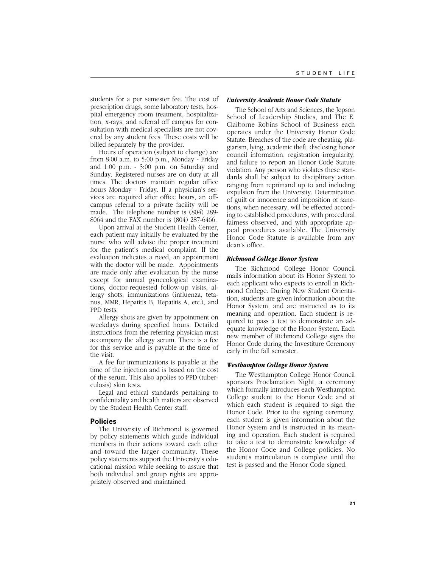students for a per semester fee. The cost of prescription drugs, some laboratory tests, hospital emergency room treatment, hospitalization, x-rays, and referral off campus for consultation with medical specialists are not covered by any student fees. These costs will be billed separately by the provider.

Hours of operation (subject to change) are from 8:00 a.m. to 5:00 p.m., Monday - Friday and 1:00 p.m. - 5:00 p.m. on Saturday and Sunday. Registered nurses are on duty at all times. The doctors maintain regular office hours Monday - Friday. If a physician's services are required after office hours, an offcampus referral to a private facility will be made. The telephone number is (804) 289- 8064 and the FAX number is (804) 287-6466.

Upon arrival at the Student Health Center, each patient may initially be evaluated by the nurse who will advise the proper treatment for the patient's medical complaint. If the evaluation indicates a need, an appointment with the doctor will be made. Appointments are made only after evaluation by the nurse except for annual gynecological examinations, doctor-requested follow-up visits, allergy shots, immunizations (influenza, tetanus, MMR, Hepatitis B, Hepatitis A, etc.), and PPD tests.

Allergy shots are given by appointment on weekdays during specified hours. Detailed instructions from the referring physician must accompany the allergy serum. There is a fee for this service and is payable at the time of the visit.

A fee for immunizations is payable at the time of the injection and is based on the cost of the serum. This also applies to PPD (tuberculosis) skin tests.

Legal and ethical standards pertaining to confidentiality and health matters are observed by the Student Health Center staff.

#### **Policies**

The University of Richmond is governed by policy statements which guide individual members in their actions toward each other and toward the larger community. These policy statements support the University's educational mission while seeking to assure that both individual and group rights are appropriately observed and maintained.

#### *University Academic Honor Code Statute*

The School of Arts and Sciences, the Jepson School of Leadership Studies, and The E. Claiborne Robins School of Business each operates under the University Honor Code Statute. Breaches of the code are cheating, plagiarism, lying, academic theft, disclosing honor council information, registration irregularity, and failure to report an Honor Code Statute violation. Any person who violates these standards shall be subject to disciplinary action ranging from reprimand up to and including expulsion from the University. Determination of guilt or innocence and imposition of sanctions, when necessary, will be effected according to established procedures, with procedural fairness observed, and with appropriate appeal procedures available. The University Honor Code Statute is available from any dean's office.

## *Richmond College Honor System*

The Richmond College Honor Council mails information about its Honor System to each applicant who expects to enroll in Richmond College. During New Student Orientation, students are given information about the Honor System, and are instructed as to its meaning and operation. Each student is required to pass a test to demonstrate an adequate knowledge of the Honor System. Each new member of Richmond College signs the Honor Code during the Investiture Ceremony early in the fall semester.

## *Westhampton College Honor System*

The Westhampton College Honor Council sponsors Proclamation Night, a ceremony which formally introduces each Westhampton College student to the Honor Code and at which each student is required to sign the Honor Code. Prior to the signing ceremony, each student is given information about the Honor System and is instructed in its meaning and operation. Each student is required to take a test to demonstrate knowledge of the Honor Code and College policies. No student's matriculation is complete until the test is passed and the Honor Code signed.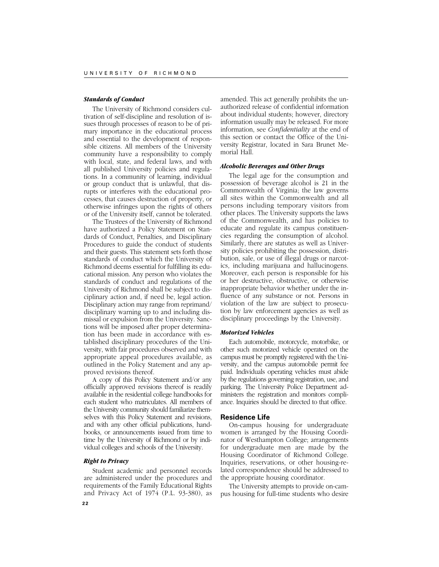#### *Standards of Conduct*

The University of Richmond considers cultivation of self-discipline and resolution of issues through processes of reason to be of primary importance in the educational process and essential to the development of responsible citizens. All members of the University community have a responsibility to comply with local, state, and federal laws, and with all published University policies and regulations. In a community of learning, individual or group conduct that is unlawful, that disrupts or interferes with the educational processes, that causes destruction of property, or otherwise infringes upon the rights of others or of the University itself, cannot be tolerated.

The Trustees of the University of Richmond have authorized a Policy Statement on Standards of Conduct, Penalties, and Disciplinary Procedures to guide the conduct of students and their guests. This statement sets forth those standards of conduct which the University of Richmond deems essential for fulfilling its educational mission. Any person who violates the standards of conduct and regulations of the University of Richmond shall be subject to disciplinary action and, if need be, legal action. Disciplinary action may range from reprimand/ disciplinary warning up to and including dismissal or expulsion from the University. Sanctions will be imposed after proper determination has been made in accordance with established disciplinary procedures of the University, with fair procedures observed and with appropriate appeal procedures available, as outlined in the Policy Statement and any approved revisions thereof.

A copy of this Policy Statement and/or any officially approved revisions thereof is readily available in the residential college handbooks for each student who matriculates. All members of the University community should familiarize themselves with this Policy Statement and revisions, and with any other official publications, handbooks, or announcements issued from time to time by the University of Richmond or by individual colleges and schools of the University.

#### *Right to Privacy*

Student academic and personnel records are administered under the procedures and requirements of the Family Educational Rights and Privacy Act of 1974 (P.L. 93-380), as amended. This act generally prohibits the unauthorized release of confidential information about individual students; however, directory information usually may be released. For more information, see *Confidentiality* at the end of this section or contact the Office of the University Registrar, located in Sara Brunet Memorial Hall.

#### *Alcoholic Beverages and Other Drugs*

The legal age for the consumption and possession of beverage alcohol is 21 in the Commonwealth of Virginia; the law governs all sites within the Commonwealth and all persons including temporary visitors from other places. The University supports the laws of the Commonwealth, and has policies to educate and regulate its campus constituencies regarding the consumption of alcohol. Similarly, there are statutes as well as University policies prohibiting the possession, distribution, sale, or use of illegal drugs or narcotics, including marijuana and hallucinogens. Moreover, each person is responsible for his or her destructive, obstructive, or otherwise inappropriate behavior whether under the influence of any substance or not. Persons in violation of the law are subject to prosecution by law enforcement agencies as well as disciplinary proceedings by the University.

#### *Motorized Vehicles*

Each automobile, motorcycle, motorbike, or other such motorized vehicle operated on the campus must be promptly registered with the University, and the campus automobile permit fee paid. Individuals operating vehicles must abide by the regulations governing registration, use, and parking. The University Police Department administers the registration and monitors compliance. Inquiries should be directed to that office.

#### **Residence Life**

On-campus housing for undergraduate women is arranged by the Housing Coordinator of Westhampton College; arrangements for undergraduate men are made by the Housing Coordinator of Richmond College. Inquiries, reservations, or other housing-related correspondence should be addressed to the appropriate housing coordinator.

The University attempts to provide on-campus housing for full-time students who desire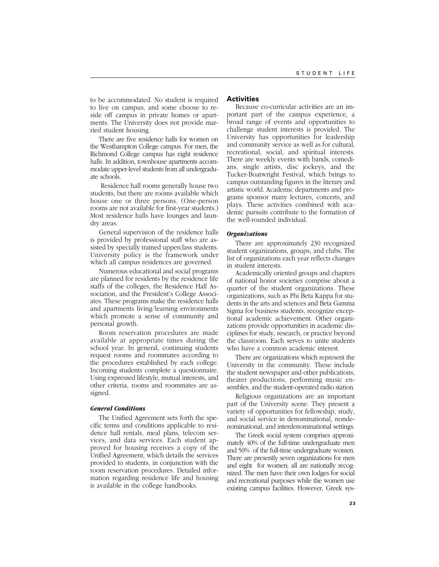to be accommodated. No student is required to live on campus, and some choose to reside off campus in private homes or apartments. The University does not provide married student housing.

There are five residence halls for women on the Westhampton College campus. For men, the Richmond College campus has eight residence halls. In addition, townhouse apartments accommodate upper-level students from all undergraduate schools.

 Residence hall rooms generally house two students, but there are rooms available which house one or three persons. (One-person rooms are not available for first-year students.) Most residence halls have lounges and laundry areas.

General supervision of the residence halls is provided by professional staff who are assisted by specially trained upperclass students. University policy is the framework under which all campus residences are governed.

Numerous educational and social programs are planned for residents by the residence life staffs of the colleges, the Residence Hall Association, and the President's College Associates. These programs make the residence halls and apartments living/learning environments which promote a sense of community and personal growth.

Room reservation procedures are made available at appropriate times during the school year. In general, continuing students request rooms and roommates according to the procedures established by each college. Incoming students complete a questionnaire. Using expressed lifestyle, mutual interests, and other criteria, rooms and roommates are assigned.

#### *General Conditions*

The Unified Agreement sets forth the specific terms and conditions applicable to residence hall rentals, meal plans, telecom services, and data services. Each student approved for housing receives a copy of the Unified Agreement, which details the services provided to students, in conjunction with the room reservation procedures. Detailed information regarding residence life and housing is available in the college handbooks.

# **Activities**

Because co-curricular activities are an important part of the campus experience, a broad range of events and opportunities to challenge student interests is provided. The University has opportunities for leadership and community service as well as for cultural, recreational, social, and spiritual interests. There are weekly events with bands, comedians, single artists, disc jockeys, and the Tucker-Boatwright Festival, which brings to campus outstanding figures in the literary and artistic world. Academic departments and programs sponsor many lectures, concerts, and plays. These activities combined with academic pursuits contribute to the formation of the well-rounded individual.

#### *Organizations*

There are approximately 230 recognized student organizations, groups, and clubs. The list of organizations each year reflects changes in student interests.

Academically oriented groups and chapters of national honor societies comprise about a quarter of the student organizations. These organizations, such as Phi Beta Kappa for students in the arts and sciences and Beta Gamma Sigma for business students, recognize exceptional academic achievement. Other organizations provide opportunities in academic disciplines for study, research, or practice beyond the classroom. Each serves to unite students who have a common academic interest.

There are organizations which represent the University in the community. These include the student newspaper and other publications, theater productions, performing music ensembles, and the student-operated radio station.

Religious organizations are an important part of the University scene. They present a variety of opportunities for fellowship, study, and social service in denominational, nondenominational, and interdenominational settings.

The Greek social system comprises approximately 40% of the full-time undergraduate men and 50% of the full-time undergraduate women. There are presently seven organizations for men and eight for women; all are nationally recognized. The men have their own lodges for social and recreational purposes while the women use existing campus facilities. However, Greek sys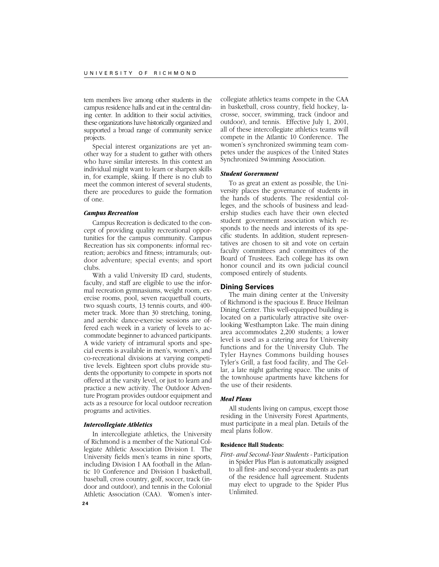tem members live among other students in the campus residence halls and eat in the central dining center. In addition to their social activities, these organizations have historically organized and supported a broad range of community service projects.

Special interest organizations are yet another way for a student to gather with others who have similar interests. In this context an individual might want to learn or sharpen skills in, for example, skiing. If there is no club to meet the common interest of several students, there are procedures to guide the formation of one.

#### *Campus Recreation*

Campus Recreation is dedicated to the concept of providing quality recreational opportunities for the campus community. Campus Recreation has six components: informal recreation; aerobics and fitness; intramurals; outdoor adventure; special events; and sport clubs.

With a valid University ID card, students, faculty, and staff are eligible to use the informal recreation gymnasiums, weight room, exercise rooms, pool, seven racquetball courts, two squash courts, 13 tennis courts, and 400 meter track. More than 30 stretching, toning, and aerobic dance-exercise sessions are offered each week in a variety of levels to accommodate beginner to advanced participants. A wide variety of intramural sports and special events is available in men's, women's, and co-recreational divisions at varying competitive levels. Eighteen sport clubs provide students the opportunity to compete in sports not offered at the varsity level, or just to learn and practice a new activity. The Outdoor Adventure Program provides outdoor equipment and acts as a resource for local outdoor recreation programs and activities.

#### *Intercollegiate Athletics*

In intercollegiate athletics, the University of Richmond is a member of the National Collegiate Athletic Association Division I. The University fields men's teams in nine sports, including Division I AA football in the Atlantic 10 Conference and Division I basketball, baseball, cross country, golf, soccer, track (indoor and outdoor), and tennis in the Colonial Athletic Association (CAA). Women's inter-

collegiate athletics teams compete in the CAA in basketball, cross country, field hockey, lacrosse, soccer, swimming, track (indoor and outdoor), and tennis. Effective July 1, 2001, all of these intercollegiate athletics teams will compete in the Atlantic 10 Conference. The women's synchronized swimming team competes under the auspices of the United States Synchronized Swimming Association.

#### *Student Government*

To as great an extent as possible, the University places the governance of students in the hands of students. The residential colleges, and the schools of business and leadership studies each have their own elected student government association which responds to the needs and interests of its specific students. In addition, student representatives are chosen to sit and vote on certain faculty committees and committees of the Board of Trustees. Each college has its own honor council and its own judicial council composed entirely of students.

#### **Dining Services**

The main dining center at the University of Richmond is the spacious E. Bruce Heilman Dining Center. This well-equipped building is located on a particularly attractive site overlooking Westhampton Lake. The main dining area accommodates 2,200 students; a lower level is used as a catering area for University functions and for the University Club. The Tyler Haynes Commons building houses Tyler's Grill, a fast food facility, and The Cellar, a late night gathering space. The units of the townhouse apartments have kitchens for the use of their residents.

## *Meal Plans*

All students living on campus, except those residing in the University Forest Apartments, must participate in a meal plan. Details of the meal plans follow.

#### **Residence Hall Students:**

*First- and Second-Year Students -* Participation in Spider Plus Plan is automatically assigned to all first- and second-year students as part of the residence hall agreement. Students may elect to upgrade to the Spider Plus Unlimited.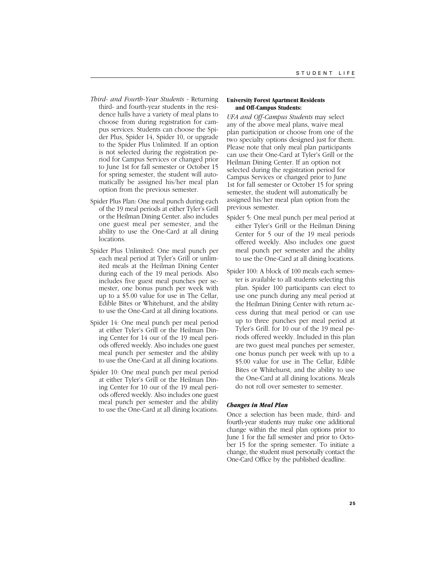- *Third- and Fourth-Year Students* Returning third- and fourth-year students in the residence halls have a variety of meal plans to choose from during registration for campus services. Students can choose the Spider Plus, Spider 14, Spider 10, or upgrade to the Spider Plus Unlimited. If an option is not selected during the registration period for Campus Services or changed prior to June 1st for fall semester or October 15 for spring semester, the student will automatically be assigned his/her meal plan option from the previous semester.
- Spider Plus Plan: One meal punch during each of the 19 meal periods at either Tyler's Grill or the Heilman Dining Center. also includes one guest meal per semester, and the ability to use the One-Card at all dining locations.
- Spider Plus Unlimited: One meal punch per each meal period at Tyler's Grill or unlimited meals at the Heilman Dining Center during each of the 19 meal periods. Also includes five guest meal punches per semester, one bonus punch per week with up to a \$5.00 value for use in The Cellar, Edible Bites or Whitehurst, and the ability to use the One-Card at all dining locations.
- Spider 14: One meal punch per meal period at either Tyler's Grill or the Heilman Dining Center for 14 our of the 19 meal periods offered weekly. Also includes one guest meal punch per semester and the ability to use the One-Card at all dining locations.
- Spider 10: One meal punch per meal period at either Tyler's Grill or the Heilman Dining Center for 10 our of the 19 meal periods offered weekly. Also includes one guest meal punch per semester and the ability to use the One-Card at all dining locations.

#### **University Forest Apartment Residents and Off-Campus Students:**

*UFA and Off-Campus Students* may select any of the above meal plans, waive meal plan participation or choose from one of the two specialty options designed just for them. Please note that only meal plan participants can use their One-Card at Tyler's Grill or the Heilman Dining Center. If an option not selected during the registration period for Campus Services or changed prior to June 1st for fall semester or October 15 for spring semester, the student will automatically be assigned his/her meal plan option from the previous semester.

- Spider 5: One meal punch per meal period at either Tyler's Grill or the Heilman Dining Center for 5 our of the 19 meal periods offered weekly. Also includes one guest meal punch per semester and the ability to use the One-Card at all dining locations.
- Spider 100: A block of 100 meals each semester is available to all students selecting this plan. Spider 100 participants can elect to use one punch during any meal period at the Heilman Dining Center with return access during that meal period or can use up to three punches per meal period at Tyler's Grill. for 10 our of the 19 meal periods offered weekly. Included in this plan are two guest meal punches per semester, one bonus punch per week with up to a \$5.00 value for use in The Cellar, Edible Bites or Whitehurst, and the ability to use the One-Card at all dining locations. Meals do not roll over semester to semester.

# *Changes in Meal Plan*

Once a selection has been made, third- and fourth-year students may make one additional change within the meal plan options prior to June 1 for the fall semester and prior to October 15 for the spring semester. To initiate a change, the student must personally contact the One-Card Office by the published deadline.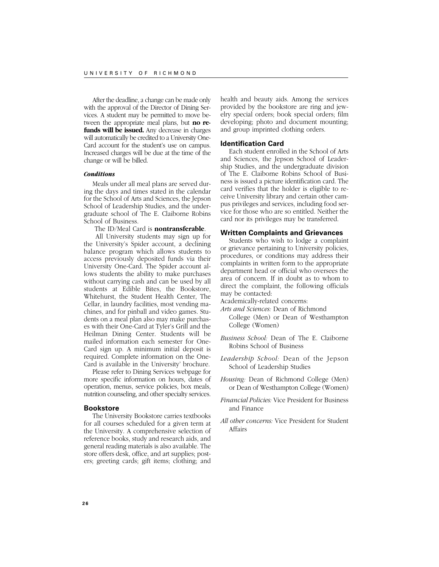After the deadline, a change can be made only with the approval of the Director of Dining Services. A student may be permitted to move between the appropriate meal plans, but **no refunds will be issued.** Any decrease in charges will automatically be credited to a University One-Card account for the student's use on campus. Increased charges will be due at the time of the change or will be billed.

## *Conditions*

Meals under all meal plans are served during the days and times stated in the calendar for the School of Arts and Sciences, the Jepson School of Leadership Studies, and the undergraduate school of The E. Claiborne Robins School of Business.

The ID/Meal Card is **nontransferable**.

 All University students may sign up for the University's Spider account, a declining balance program which allows students to access previously deposited funds via their University One-Card. The Spider account allows students the ability to make purchases without carrying cash and can be used by all students at Edible Bites, the Bookstore, Whitehurst, the Student Health Center, The Cellar, in laundry facilities, most vending machines, and for pinball and video games. Students on a meal plan also may make purchases with their One-Card at Tyler's Grill and the Heilman Dining Center. Students will be mailed information each semester for One-Card sign up. A minimum initial deposit is required. Complete information on the One-Card is available in the University' brochure.

Please refer to Dining Services webpage for more specific information on hours, dates of operation, menus, service policies, box meals, nutrition counseling, and other specialty services.

#### **Bookstore**

The University Bookstore carries textbooks for all courses scheduled for a given term at the University. A comprehensive selection of reference books, study and research aids, and general reading materials is also available. The store offers desk, office, and art supplies; posters; greeting cards; gift items; clothing; and

health and beauty aids. Among the services provided by the bookstore are ring and jewelry special orders; book special orders; film developing; photo and document mounting; and group imprinted clothing orders.

#### **Identification Card**

Each student enrolled in the School of Arts and Sciences, the Jepson School of Leadership Studies, and the undergraduate division of The E. Claiborne Robins School of Business is issued a picture identification card. The card verifies that the holder is eligible to receive University library and certain other campus privileges and services, including food service for those who are so entitled. Neither the card nor its privileges may be transferred.

#### **Written Complaints and Grievances**

Students who wish to lodge a complaint or grievance pertaining to University policies, procedures, or conditions may address their complaints in written form to the appropriate department head or official who oversees the area of concern. If in doubt as to whom to direct the complaint, the following officials may be contacted:

Academically-related concerns:

- *Arts and Sciences:* Dean of Richmond
	- College (Men) or Dean of Westhampton College (Women)
- *Business School:* Dean of The E. Claiborne Robins School of Business
- *Leadership School:* Dean of the Jepson School of Leadership Studies
- *Housing:* Dean of Richmond College (Men) or Dean of Westhampton College (Women)
- *Financial Policies:* Vice President for Business and Finance
- *All other concerns:* Vice President for Student Affairs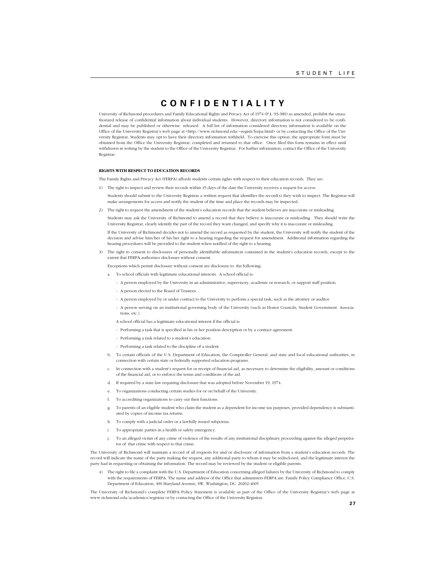# **CONFIDENTIALITY**

University of Richmond procedures and Family Educational Rights and Privacy Act of 1974 (P.L. 93-380) as amended, prohibit the unauthorized release of confidential information about individual students. However, directory information is not considered to be confidential and may be published or otherwise released. A full list of information considered directory information is available on the Office of the University Registrar's web page at <http://www.richmond.edu/~registr/ferpa.html> or by contacting the Office of the University Registrar. Students may opt to have their directory information withheld. To exercise this option, the appropriate form must be obtained from the Office the University Registrar, completed and returned to that office. Once filed this form remains in effect until withdrawn in writing by the student to the Office of the University Registrar. For further information, contact the Office of the University Registrar.

#### **RIGHTS WITH RESPECT TO EDUCATION RECORDS**

The Family Rights and Privacy Act (FERPA) affords students certain rights with respect to their education records. They are:

- 1) The right to inspect and review their records within 45 days of the date the University receives a request for access.
- Students should submit to the University Registrar a written request that identifies the record(s) they wish to inspect. The Registrar will make arrangements for access and notify the student of the time and place the records may be inspected.
- 2) The right to request the amendment of the student's education records that the student believes are inaccurate or misleading.

Students may ask the University of Richmond to amend a record that they believe is inaccurate or misleading. They should write the University Registrar, clearly identify the part of the record they want changed, and specify why it is inaccurate or misleading.

If the University of Richmond decides not to amend the record as requested by the student, the University will notify the student of the decision and advise him/her of his/her right to a hearing regarding the request for amendment. Additional information regarding the hearing procedures will be provided to the student when notified of the right to a hearing.

3) The right to consent to disclosures of personally identifiable information contained in the student's education records, except to the extent that FERPA authorizes disclosure without consent.

Exceptions which permit disclosure without consent are disclosure to the following:

- a. To school officials with legitimate educational interests. A school official is:
	- A person employed by the University in an administrative, supervisory, academic or research, or support staff position.
	- A person elected to the Board of Trustees.
	- A person employed by or under contract to the University to perform a special task, such as the attorney or auditor.
	- A person serving on an institutional governing body of the University (such as Honor Councils, Student Government Associations, etc.).
	- A school official has a legitimate educational interest if the official is:
	- Performing a task that is specified in his or her position description or by a contract agreement.
	- Performing a task related to a student's education.
	- Performing a task related to the discipline of a student.
- b. To certain officials of the U.S. Department of Education, the Comptroller General, and state and local educational authorities, in connection with certain state or federally supported education programs.
- c. In connection with a student's request for or receipt of financial aid, as necessary to determine the eligibility, amount or conditions of the financial aid, or to enforce the terms and conditions of the aid.
- d. If required by a state law requiring disclosure that was adopted before November 19, 1974.
- e. To organizations conducting certain studies for or on behalf of the University.
- f. To accrediting organizations to carry out their functions.
- g. To parents of an eligible student who claim the student as a dependent for income tax purposes, provided dependency is substantiated by copies of income tax returns.
- h. To comply with a judicial order or a lawfully issued subpoena.
- i. To appropriate parties in a health or safety emergency.
- j. To an alleged victim of any crime of violence of the results of any institutional disciplinary proceeding against the alleged perpetrator of that crime with respect to that crime.

The University of Richmond will maintain a record of all requests for and/or disclosure of information from a student's education records. The record will indicate the name of the party making the request, any additional party to whom it may be redisclosed, and the legitimate interest the party had in requesting or obtaining the information. The record may be reviewed by the student or eligible parents.

4) The right to file a complaint with the U.S. Department of Education concerning alleged failures by the University of Richmond to comply with the requirements of FERPA. The name and address of the Office that administers FERPA are: Family Policy Compliance Office, U.S. Department of Education, 400 Maryland Avenue, SW, Washington, DC 20202-4605

The University of Richmond's complete FERPA Policy Statement is available as part of the Office of the University Registrar's web page at www.richmond.edu/academics/registrar or by contacting the Office of the University Registrar.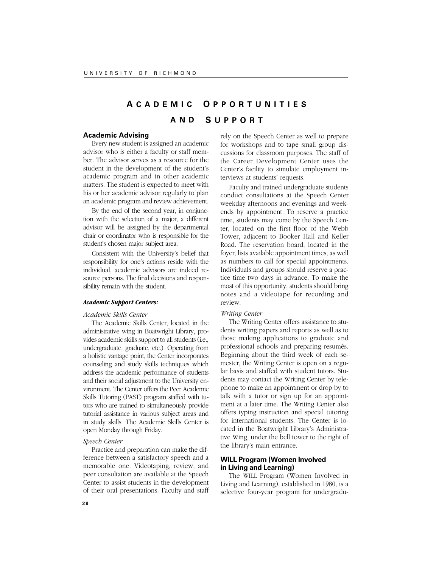# **A CADEMIC O PPORTUNITIES AND S UPPORT**

# **Academic Advising**

Every new student is assigned an academic advisor who is either a faculty or staff member. The advisor serves as a resource for the student in the development of the student's academic program and in other academic matters. The student is expected to meet with his or her academic advisor regularly to plan an academic program and review achievement.

By the end of the second year, in conjunction with the selection of a major, a different advisor will be assigned by the departmental chair or coordinator who is responsible for the student's chosen major subject area.

Consistent with the University's belief that responsibility for one's actions reside with the individual, academic advisors are indeed resource persons. The final decisions and responsibility remain with the student.

# *Academic Support Centers:*

#### *Academic Skills Center*

The Academic Skills Center, located in the administrative wing in Boatwright Library, provides academic skills support to all students (i.e., undergraduate, graduate, etc.). Operating from a holistic vantage point, the Center incorporates counseling and study skills techniques which address the academic performance of students and their social adjustment to the University environment. The Center offers the Peer Academic Skills Tutoring (PAST) program staffed with tutors who are trained to simultaneously provide tutorial assistance in various subject areas and in study skills. The Academic Skills Center is open Monday through Friday.

# *Speech Center*

Practice and preparation can make the difference between a satisfactory speech and a memorable one. Videotaping, review, and peer consultation are available at the Speech Center to assist students in the development of their oral presentations. Faculty and staff

rely on the Speech Center as well to prepare for workshops and to tape small group discussions for classroom purposes. The staff of the Career Development Center uses the Center's facility to simulate employment interviews at students' requests.

Faculty and trained undergraduate students conduct consultations at the Speech Center weekday afternoons and evenings and weekends by appointment. To reserve a practice time, students may come by the Speech Center, located on the first floor of the Webb Tower, adjacent to Booker Hall and Keller Road. The reservation board, located in the foyer, lists available appointment times, as well as numbers to call for special appointments. Individuals and groups should reserve a practice time two days in advance. To make the most of this opportunity, students should bring notes and a videotape for recording and review.

#### *Writing Center*

The Writing Center offers assistance to students writing papers and reports as well as to those making applications to graduate and professional schools and preparing resumés. Beginning about the third week of each semester, the Writing Center is open on a regular basis and staffed with student tutors. Students may contact the Writing Center by telephone to make an appointment or drop by to talk with a tutor or sign up for an appointment at a later time. The Writing Center also offers typing instruction and special tutoring for international students. The Center is located in the Boatwright Library's Administrative Wing, under the bell tower to the right of the library's main entrance.

# **WILL Program (Women Involved in Living and Learning)**

The WILL Program (Women Involved in Living and Learning), established in 1980, is a selective four-year program for undergradu-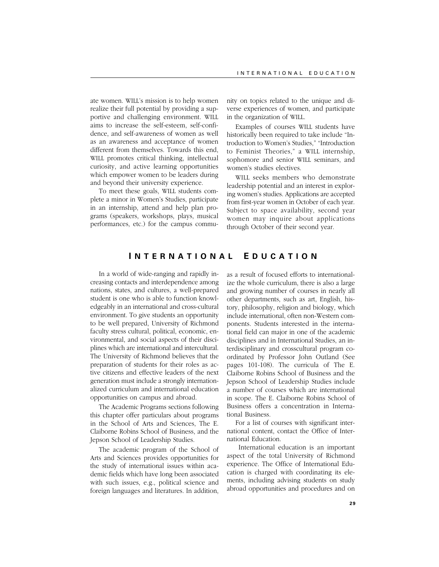ate women. WILL's mission is to help women realize their full potential by providing a supportive and challenging environment. WILL aims to increase the self-esteem, self-confidence, and self-awareness of women as well as an awareness and acceptance of women different from themselves. Towards this end, WILL promotes critical thinking, intellectual curiosity, and active learning opportunities which empower women to be leaders during and beyond their university experience.

To meet these goals, WILL students complete a minor in Women's Studies, participate in an internship, attend and help plan programs (speakers, workshops, plays, musical performances, etc.) for the campus community on topics related to the unique and diverse experiences of women, and participate in the organization of WILL.

Examples of courses WILL students have historically been required to take include "Introduction to Women's Studies," "Introduction to Feminist Theories," a WILL internship, sophomore and senior WILL seminars, and women's studies electives.

WILL seeks members who demonstrate leadership potential and an interest in exploring women's studies. Applications are accepted from first-year women in October of each year. Subject to space availability, second year women may inquire about applications through October of their second year.

# **I NTERNATIONAL E DUCATION**

In a world of wide-ranging and rapidly increasing contacts and interdependence among nations, states, and cultures, a well-prepared student is one who is able to function knowledgeably in an international and cross-cultural environment. To give students an opportunity to be well prepared, University of Richmond faculty stress cultural, political, economic, environmental, and social aspects of their disciplines which are international and intercultural. The University of Richmond believes that the preparation of students for their roles as active citizens and effective leaders of the next generation must include a strongly internationalized curriculum and international education opportunities on campus and abroad.

The Academic Programs sections following this chapter offer particulars about programs in the School of Arts and Sciences, The E. Claiborne Robins School of Business, and the Jepson School of Leadership Studies.

The academic program of the School of Arts and Sciences provides opportunities for the study of international issues within academic fields which have long been associated with such issues, e.g., political science and foreign languages and literatures. In addition, as a result of focused efforts to internationalize the whole curriculum, there is also a large and growing number of courses in nearly all other departments, such as art, English, history, philosophy, religion and biology, which include international, often non-Western components. Students interested in the international field can major in one of the academic disciplines and in International Studies, an interdisciplinary and crosscultural program coordinated by Professor John Outland (See pages 101-108). The curricula of The E. Claiborne Robins School of Business and the Jepson School of Leadership Studies include a number of courses which are international in scope. The E. Claiborne Robins School of Business offers a concentration in International Business.

For a list of courses with significant international content, contact the Office of International Education.

 International education is an important aspect of the total University of Richmond experience. The Office of International Education is charged with coordinating its elements, including advising students on study abroad opportunities and procedures and on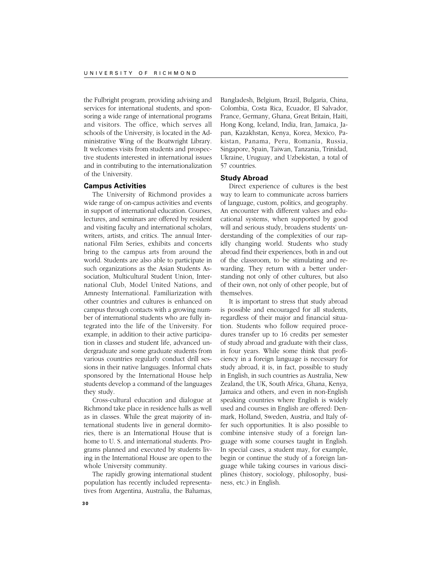the Fulbright program, providing advising and services for international students, and sponsoring a wide range of international programs and visitors. The office, which serves all schools of the University, is located in the Administrative Wing of the Boatwright Library. It welcomes visits from students and prospective students interested in international issues and in contributing to the internationalization of the University.

# **Campus Activities**

The University of Richmond provides a wide range of on-campus activities and events in support of international education. Courses, lectures, and seminars are offered by resident and visiting faculty and international scholars, writers, artists, and critics. The annual International Film Series, exhibits and concerts bring to the campus arts from around the world. Students are also able to participate in such organizations as the Asian Students Association, Multicultural Student Union, International Club, Model United Nations, and Amnesty International. Familiarization with other countries and cultures is enhanced on campus through contacts with a growing number of international students who are fully integrated into the life of the University. For example, in addition to their active participation in classes and student life, advanced undergraduate and some graduate students from various countries regularly conduct drill sessions in their native languages. Informal chats sponsored by the International House help students develop a command of the languages they study.

Cross-cultural education and dialogue at Richmond take place in residence halls as well as in classes. While the great majority of international students live in general dormitories, there is an International House that is home to U. S. and international students. Programs planned and executed by students living in the International House are open to the whole University community.

The rapidly growing international student population has recently included representatives from Argentina, Australia, the Bahamas,

Bangladesh, Belgium, Brazil, Bulgaria, China, Colombia, Costa Rica, Ecuador, El Salvador, France, Germany, Ghana, Great Britain, Haiti, Hong Kong, Iceland, India, Iran, Jamaica, Japan, Kazakhstan, Kenya, Korea, Mexico, Pakistan, Panama, Peru, Romania, Russia, Singapore, Spain, Taiwan, Tanzania, Trinidad, Ukraine, Uruguay, and Uzbekistan, a total of 57 countries.

# **Study Abroad**

Direct experience of cultures is the best way to learn to communicate across barriers of language, custom, politics, and geography. An encounter with different values and educational systems, when supported by good will and serious study, broadens students' understanding of the complexities of our rapidly changing world. Students who study abroad find their experiences, both in and out of the classroom, to be stimulating and rewarding. They return with a better understanding not only of other cultures, but also of their own, not only of other people, but of themselves.

It is important to stress that study abroad is possible and encouraged for all students, regardless of their major and financial situation. Students who follow required procedures transfer up to 16 credits per semester of study abroad and graduate with their class, in four years. While some think that proficiency in a foreign language is necessary for study abroad, it is, in fact, possible to study in English, in such countries as Australia, New Zealand, the UK, South Africa, Ghana, Kenya, Jamaica and others, and even in non-English speaking countries where English is widely used and courses in English are offered: Denmark, Holland, Sweden, Austria, and Italy offer such opportunities. It is also possible to combine intensive study of a foreign language with some courses taught in English. In special cases, a student may, for example, begin or continue the study of a foreign language while taking courses in various disciplines (history, sociology, philosophy, business, etc.) in English.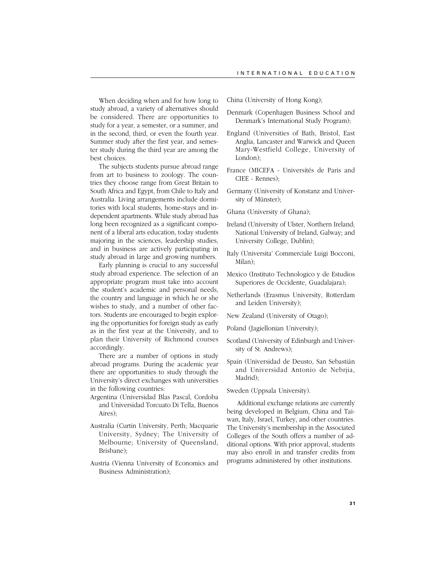When deciding when and for how long to study abroad, a variety of alternatives should be considered. There are opportunities to study for a year, a semester, or a summer, and in the second, third, or even the fourth year. Summer study after the first year, and semester study during the third year are among the best choices.

The subjects students pursue abroad range from art to business to zoology. The countries they choose range from Great Britain to South Africa and Egypt, from Chile to Italy and Australia. Living arrangements include dormitories with local students, home-stays and independent apartments. While study abroad has long been recognized as a significant component of a liberal arts education, today students majoring in the sciences, leadership studies, and in business are actively participating in study abroad in large and growing numbers.

Early planning is crucial to any successful study abroad experience. The selection of an appropriate program must take into account the student's academic and personal needs, the country and language in which he or she wishes to study, and a number of other factors. Students are encouraged to begin exploring the opportunities for foreign study as early as in the first year at the University, and to plan their University of Richmond courses accordingly.

There are a number of options in study abroad programs. During the academic year there are opportunities to study through the University's direct exchanges with universities in the following countries:

- Argentina (Universidad Blas Pascal, Cordoba and Universidad Torcuato Di Tella, Buenos Aires);
- Australia (Curtin University, Perth; Macquarie University, Sydney; The University of Melbourne; University of Queensland, Brisbane);
- Austria (Vienna University of Economics and Business Administration);

China (University of Hong Kong);

- Denmark (Copenhagen Business School and Denmark's International Study Program);
- England (Universities of Bath, Bristol, East Anglia, Lancaster and Warwick and Queen Mary-Westfield College, University of London);
- France (MICEFA Universités de Paris and CIEE - Rennes);
- Germany (University of Konstanz and University of Münster);
- Ghana (University of Ghana);
- Ireland (University of Ulster, Northern Ireland; National University of Ireland, Galway; and University College, Dublin);
- Italy (Universita' Commerciale Luigi Bocconi, Milan);
- Mexico (Instituto Technologico y de Estudios Superiores de Occidente, Guadalajara);
- Netherlands (Erasmus University, Rotterdam and Leiden University);
- New Zealand (University of Otago);
- Poland (Jagiellonian University);
- Scotland (University of Edinburgh and University of St. Andrews);
- Spain (Universidad de Deusto, San Sebastián and Universidad Antonio de Nebrjia, Madrid);

Sweden (Uppsala University).

 Additional exchange relations are currently being developed in Belgium, China and Taiwan, Italy, Israel, Turkey, and other countries. The University's membership in the Associated Colleges of the South offers a number of additional options. With prior approval, students may also enroll in and transfer credits from programs administered by other institutions.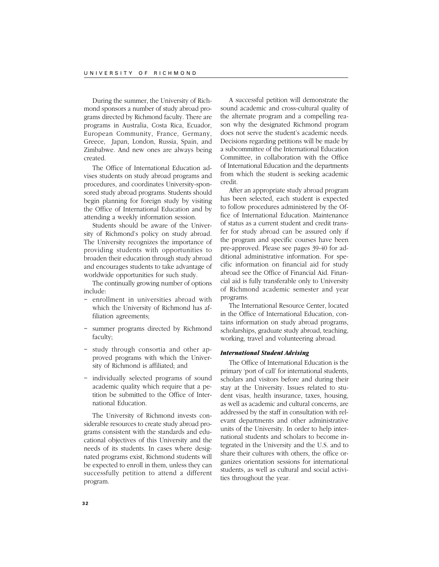During the summer, the University of Richmond sponsors a number of study abroad programs directed by Richmond faculty. There are programs in Australia, Costa Rica, Ecuador, European Community, France, Germany, Greece, Japan, London, Russia, Spain, and Zimbabwe. And new ones are always being created.

The Office of International Education advises students on study abroad programs and procedures, and coordinates University-sponsored study abroad programs. Students should begin planning for foreign study by visiting the Office of International Education and by attending a weekly information session.

Students should be aware of the University of Richmond's policy on study abroad. The University recognizes the importance of providing students with opportunities to broaden their education through study abroad and encourages students to take advantage of worldwide opportunities for such study.

The continually growing number of options include:

- enrollment in universities abroad with which the University of Richmond has affiliation agreements;
- ~ summer programs directed by Richmond faculty;
- ~ study through consortia and other approved programs with which the University of Richmond is affiliated; and
- ~ individually selected programs of sound academic quality which require that a petition be submitted to the Office of International Education.

The University of Richmond invests considerable resources to create study abroad programs consistent with the standards and educational objectives of this University and the needs of its students. In cases where designated programs exist, Richmond students will be expected to enroll in them, unless they can successfully petition to attend a different program.

A successful petition will demonstrate the sound academic and cross-cultural quality of the alternate program and a compelling reason why the designated Richmond program does not serve the student's academic needs. Decisions regarding petitions will be made by a subcommittee of the International Education Committee, in collaboration with the Office of International Education and the departments from which the student is seeking academic credit.

After an appropriate study abroad program has been selected, each student is expected to follow procedures administered by the Office of International Education. Maintenance of status as a current student and credit transfer for study abroad can be assured only if the program and specific courses have been pre-approved. Please see pages 39-40 for additional administrative information. For specific information on financial aid for study abroad see the Office of Financial Aid. Financial aid is fully transferable only to University of Richmond academic semester and year programs.

The International Resource Center, located in the Office of International Education, contains information on study abroad programs, scholarships, graduate study abroad, teaching, working, travel and volunteering abroad.

#### *International Student Advising*

The Office of International Education is the primary 'port of call' for international students, scholars and visitors before and during their stay at the University. Issues related to student visas, health insurance, taxes, housing, as well as academic and cultural concerns, are addressed by the staff in consultation with relevant departments and other administrative units of the University. In order to help international students and scholars to become integrated in the University and the U.S. and to share their cultures with others, the office organizes orientation sessions for international students, as well as cultural and social activities throughout the year.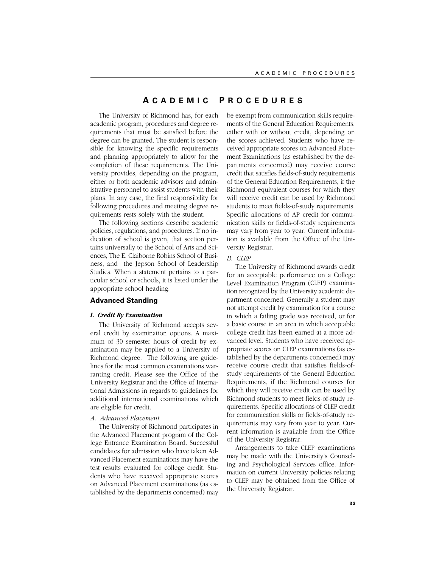# **A CADEMIC P ROCEDURES**

The University of Richmond has, for each academic program, procedures and degree requirements that must be satisfied before the degree can be granted. The student is responsible for knowing the specific requirements and planning appropriately to allow for the completion of these requirements. The University provides, depending on the program, either or both academic advisors and administrative personnel to assist students with their plans. In any case, the final responsibility for following procedures and meeting degree requirements rests solely with the student.

The following sections describe academic policies, regulations, and procedures. If no indication of school is given, that section pertains universally to the School of Arts and Sciences, The E. Claiborne Robins School of Business, and the Jepson School of Leadership Studies. When a statement pertains to a particular school or schools, it is listed under the appropriate school heading.

# **Advanced Standing**

# *I. Credit By Examination*

The University of Richmond accepts several credit by examination options. A maximum of 30 semester hours of credit by examination may be applied to a University of Richmond degree. The following are guidelines for the most common examinations warranting credit. Please see the Office of the University Registrar and the Office of International Admissions in regards to guidelines for additional international examinations which are eligible for credit.

# *A. Advanced Placement*

The University of Richmond participates in the Advanced Placement program of the College Entrance Examination Board. Successful candidates for admission who have taken Advanced Placement examinations may have the test results evaluated for college credit. Students who have received appropriate scores on Advanced Placement examinations (as established by the departments concerned) may be exempt from communication skills requirements of the General Education Requirements, either with or without credit, depending on the scores achieved. Students who have received appropriate scores on Advanced Placement Examinations (as established by the departments concerned) may receive course credit that satisfies fields-of-study requirements of the General Education Requirements, if the Richmond equivalent courses for which they will receive credit can be used by Richmond students to meet fields-of-study requirements. Specific allocations of AP credit for communication skills or fields-of-study requirements may vary from year to year. Current information is available from the Office of the University Registrar.

# *B. CLEP*

The University of Richmond awards credit for an acceptable performance on a College Level Examination Program (CLEP) examination recognized by the University academic department concerned. Generally a student may not attempt credit by examination for a course in which a failing grade was received, or for a basic course in an area in which acceptable college credit has been earned at a more advanced level. Students who have received appropriate scores on CLEP examinations (as established by the departments concerned) may receive course credit that satisfies fields-ofstudy requirements of the General Education Requirements, if the Richmond courses for which they will receive credit can be used by Richmond students to meet fields-of-study requirements. Specific allocations of CLEP credit for communication skills or fields-of-study requirements may vary from year to year. Current information is available from the Office of the University Registrar.

Arrangements to take CLEP examinations may be made with the University's Counseling and Psychological Services office. Information on current University policies relating to CLEP may be obtained from the Office of the University Registrar.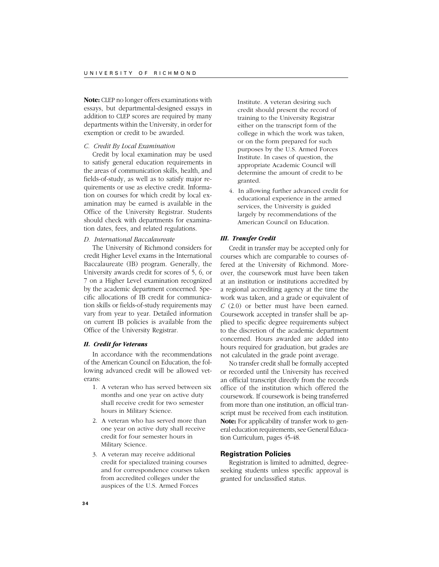**Note:** CLEP no longer offers examinations with essays, but departmental-designed essays in addition to CLEP scores are required by many departments within the University, in order for exemption or credit to be awarded.

# *C. Credit By Local Examination*

Credit by local examination may be used to satisfy general education requirements in the areas of communication skills, health, and fields-of-study, as well as to satisfy major requirements or use as elective credit. Information on courses for which credit by local examination may be earned is available in the Office of the University Registrar. Students should check with departments for examination dates, fees, and related regulations.

## *D. International Baccalaureate*

The University of Richmond considers for credit Higher Level exams in the International Baccalaureate (IB) program. Generally, the University awards credit for scores of 5, 6, or 7 on a Higher Level examination recognized by the academic department concerned. Specific allocations of IB credit for communication skills or fields-of-study requirements may vary from year to year. Detailed information on current IB policies is available from the Office of the University Registrar.

# *II. Credit for Veterans*

In accordance with the recommendations of the American Council on Education, the following advanced credit will be allowed veterans:

- 1. A veteran who has served between six months and one year on active duty shall receive credit for two semester hours in Military Science.
- 2. A veteran who has served more than one year on active duty shall receive credit for four semester hours in Military Science.
- 3. A veteran may receive additional credit for specialized training courses and for correspondence courses taken from accredited colleges under the auspices of the U.S. Armed Forces

Institute. A veteran desiring such credit should present the record of training to the University Registrar either on the transcript form of the college in which the work was taken, or on the form prepared for such purposes by the U.S. Armed Forces Institute. In cases of question, the appropriate Academic Council will determine the amount of credit to be granted.

4. In allowing further advanced credit for educational experience in the armed services, the University is guided largely by recommendations of the American Council on Education.

# *III. Transfer Credit*

Credit in transfer may be accepted only for courses which are comparable to courses offered at the University of Richmond. Moreover, the coursework must have been taken at an institution or institutions accredited by a regional accrediting agency at the time the work was taken, and a grade or equivalent of *C* (2.0) or better must have been earned. Coursework accepted in transfer shall be applied to specific degree requirements subject to the discretion of the academic department concerned. Hours awarded are added into hours required for graduation, but grades are not calculated in the grade point average.

No transfer credit shall be formally accepted or recorded until the University has received an official transcript directly from the records office of the institution which offered the coursework. If coursework is being transferred from more than one institution, an official transcript must be received from each institution. **Note:** For applicability of transfer work to general education requirements, see General Education Curriculum, pages 45-48.

#### **Registration Policies**

Registration is limited to admitted, degreeseeking students unless specific approval is granted for unclassified status.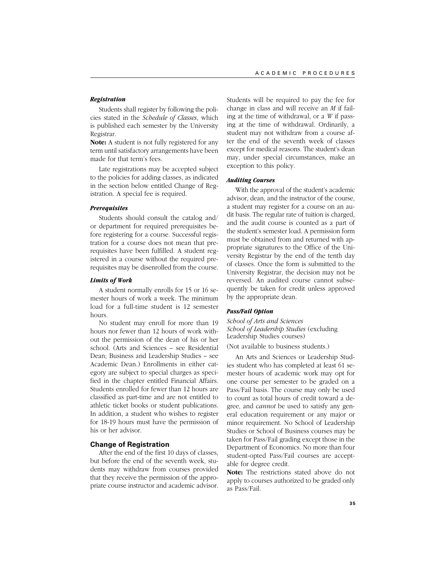# *Registration*

Students shall register by following the policies stated in the *Schedule of Classes*, which is published each semester by the University Registrar.

**Note:** A student is not fully registered for any term until satisfactory arrangements have been made for that term's fees.

Late registrations may be accepted subject to the policies for adding classes, as indicated in the section below entitled Change of Registration. A special fee is required.

# *Prerequisites*

Students should consult the catalog and/ or department for required prerequisites before registering for a course. Successful registration for a course does not mean that prerequisites have been fulfilled. A student registered in a course without the required prerequisites may be disenrolled from the course.

# *Limits of Work*

A student normally enrolls for 15 or 16 semester hours of work a week. The minimum load for a full-time student is 12 semester hours.

No student may enroll for more than 19 hours nor fewer than 12 hours of work without the permission of the dean of his or her school. (Arts and Sciences – see Residential Dean; Business and Leadership Studies – see Academic Dean.) Enrollments in either category are subject to special charges as specified in the chapter entitled Financial Affairs. Students enrolled for fewer than 12 hours are classified as part-time and are not entitled to athletic ticket books or student publications. In addition, a student who wishes to register for 18-19 hours must have the permission of his or her advisor.

# **Change of Registration**

After the end of the first 10 days of classes, but before the end of the seventh week, students may withdraw from courses provided that they receive the permission of the appropriate course instructor and academic advisor. Students will be required to pay the fee for change in class and will receive an *M* if failing at the time of withdrawal, or a *W* if passing at the time of withdrawal. Ordinarily, a student may not withdraw from a course after the end of the seventh week of classes except for medical reasons. The student's dean may, under special circumstances, make an exception to this policy.

# *Auditing Courses*

With the approval of the student's academic advisor, dean, and the instructor of the course, a student may register for a course on an audit basis. The regular rate of tuition is charged, and the audit course is counted as a part of the student's semester load. A permission form must be obtained from and returned with appropriate signatures to the Office of the University Registrar by the end of the tenth day of classes. Once the form is submitted to the University Registrar, the decision may not be reversed. An audited course cannot subsequently be taken for credit unless approved by the appropriate dean.

## *Pass/Fail Option*

*School of Arts and Sciences School of Leadership Studies* (excluding Leadership Studies courses)

(Not available to business students.)

An Arts and Sciences or Leadership Studies student who has completed at least 61 semester hours of academic work may opt for one course per semester to be graded on a Pass/Fail basis. The course may only be used to count as total hours of credit toward a degree, and *cannot* be used to satisfy any general education requirement or any major or minor requirement. No School of Leadership Studies or School of Business courses may be taken for Pass/Fail grading except those in the Department of Economics. No more than four student-opted Pass/Fail courses are acceptable for degree credit.

**Note:** The restrictions stated above do not apply to courses authorized to be graded only as Pass/Fail.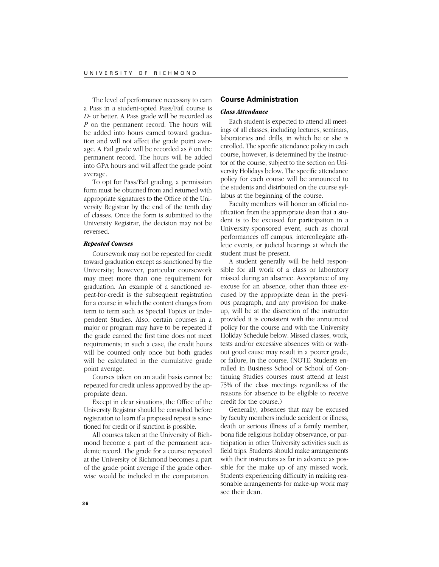The level of performance necessary to earn a Pass in a student-opted Pass/Fail course is *D*- or better. A Pass grade will be recorded as *P* on the permanent record. The hours will be added into hours earned toward graduation and will not affect the grade point average. A Fail grade will be recorded as *F* on the permanent record. The hours will be added into GPA hours and will affect the grade point average.

To opt for Pass/Fail grading, a permission form must be obtained from and returned with appropriate signatures to the Office of the University Registrar by the end of the tenth day of classes. Once the form is submitted to the University Registrar, the decision may not be reversed.

# *Repeated Courses*

Coursework may not be repeated for credit toward graduation except as sanctioned by the University; however, particular coursework may meet more than one requirement for graduation. An example of a sanctioned repeat-for-credit is the subsequent registration for a course in which the content changes from term to term such as Special Topics or Independent Studies. Also, certain courses in a major or program may have to be repeated if the grade earned the first time does not meet requirements; in such a case, the credit hours will be counted only once but both grades will be calculated in the cumulative grade point average.

Courses taken on an audit basis cannot be repeated for credit unless approved by the appropriate dean.

Except in clear situations, the Office of the University Registrar should be consulted before registration to learn if a proposed repeat is sanctioned for credit or if sanction is possible.

All courses taken at the University of Richmond become a part of the permanent academic record. The grade for a course repeated at the University of Richmond becomes a part of the grade point average if the grade otherwise would be included in the computation.

# **Course Administration**

# *Class Attendance*

Each student is expected to attend all meetings of all classes, including lectures, seminars, laboratories and drills, in which he or she is enrolled. The specific attendance policy in each course, however, is determined by the instructor of the course, subject to the section on University Holidays below. The specific attendance policy for each course will be announced to the students and distributed on the course syllabus at the beginning of the course.

Faculty members will honor an official notification from the appropriate dean that a student is to be excused for participation in a University-sponsored event, such as choral performances off campus, intercollegiate athletic events, or judicial hearings at which the student must be present.

A student generally will be held responsible for all work of a class or laboratory missed during an absence. Acceptance of any excuse for an absence, other than those excused by the appropriate dean in the previous paragraph, and any provision for makeup, will be at the discretion of the instructor provided it is consistent with the announced policy for the course and with the University Holiday Schedule below. Missed classes, work, tests and/or excessive absences with or without good cause may result in a poorer grade, or failure, in the course. (NOTE: Students enrolled in Business School or School of Continuing Studies courses must attend at least 75% of the class meetings regardless of the reasons for absence to be eligible to receive credit for the course.)

Generally, absences that may be excused by faculty members include accident or illness, death or serious illness of a family member, bona fide religious holiday observance, or participation in other University activities such as field trips. Students should make arrangements with their instructors as far in advance as possible for the make up of any missed work. Students experiencing difficulty in making reasonable arrangements for make-up work may see their dean.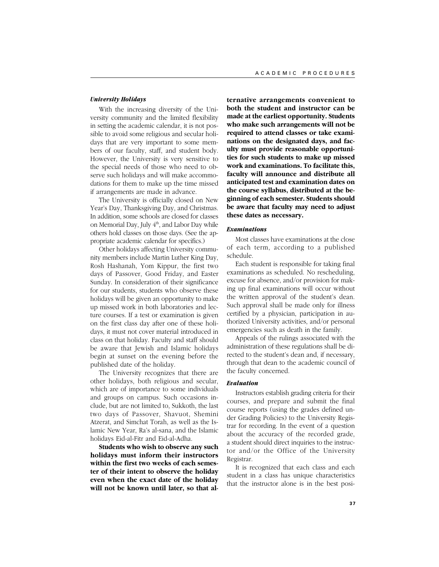### *University Holidays*

With the increasing diversity of the University community and the limited flexibility in setting the academic calendar, it is not possible to avoid some religious and secular holidays that are very important to some members of our faculty, staff, and student body. However, the University is very sensitive to the special needs of those who need to observe such holidays and will make accommodations for them to make up the time missed if arrangements are made in advance.

The University is officially closed on New Year's Day, Thanksgiving Day, and Christmas. In addition, some schools are closed for classes on Memorial Day, July  $4<sup>th</sup>$ , and Labor Day while others hold classes on those days. (See the appropriate academic calendar for specifics.)

Other holidays affecting University community members include Martin Luther King Day, Rosh Hashanah, Yom Kippur, the first two days of Passover, Good Friday, and Easter Sunday. In consideration of their significance for our students, students who observe these holidays will be given an opportunity to make up missed work in both laboratories and lecture courses. If a test or examination is given on the first class day after one of these holidays, it must not cover material introduced in class on that holiday. Faculty and staff should be aware that Jewish and Islamic holidays begin at sunset on the evening before the published date of the holiday.

The University recognizes that there are other holidays, both religious and secular, which are of importance to some individuals and groups on campus. Such occasions include, but are not limited to, Sukkoth, the last two days of Passover, Shavuot, Shemini Atzerat, and Simchat Torah, as well as the Islamic New Year, Ra's al-sana, and the Islamic holidays Eid-al-Fitr and Eid-al-Adha.

**Students who wish to observe any such holidays must inform their instructors within the first two weeks of each semester of their intent to observe the holiday even when the exact date of the holiday will not be known until later, so that al-** **ternative arrangements convenient to both the student and instructor can be made at the earliest opportunity. Students who make such arrangements will not be required to attend classes or take examinations on the designated days, and faculty must provide reasonable opportunities for such students to make up missed work and examinations. To facilitate this, faculty will announce and distribute all anticipated test and examination dates on the course syllabus, distributed at the beginning of each semester. Students should be aware that faculty may need to adjust these dates as necessary.**

#### *Examinations*

Most classes have examinations at the close of each term, according to a published schedule.

Each student is responsible for taking final examinations as scheduled. No rescheduling, excuse for absence, and/or provision for making up final examinations will occur without the written approval of the student's dean. Such approval shall be made only for illness certified by a physician, participation in authorized University activities, and/or personal emergencies such as death in the family.

Appeals of the rulings associated with the administration of these regulations shall be directed to the student's dean and, if necessary, through that dean to the academic council of the faculty concerned.

### *Evaluation*

Instructors establish grading criteria for their courses, and prepare and submit the final course reports (using the grades defined under Grading Policies) to the University Registrar for recording. In the event of a question about the accuracy of the recorded grade, a student should direct inquiries to the instructor and/or the Office of the University Registrar.

It is recognized that each class and each student in a class has unique characteristics that the instructor alone is in the best posi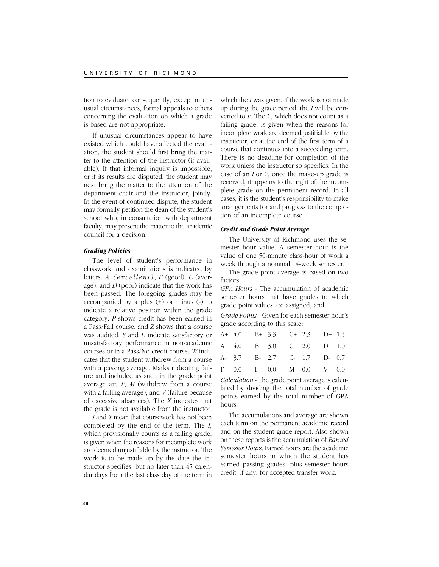tion to evaluate; consequently, except in unusual circumstances, formal appeals to others concerning the evaluation on which a grade is based are not appropriate.

If unusual circumstances appear to have existed which could have affected the evaluation, the student should first bring the matter to the attention of the instructor (if available). If that informal inquiry is impossible, or if its results are disputed, the student may next bring the matter to the attention of the department chair and the instructor, jointly. In the event of continued dispute, the student may formally petition the dean of the student's school who, in consultation with department faculty, may present the matter to the academic council for a decision.

# *Grading Policies*

The level of student's performance in classwork and examinations is indicated by letters. *A (excellent)*, *B* (good), *C* (average), and *D* (poor) indicate that the work has been passed. The foregoing grades may be accompanied by a plus (+) or minus (-) to indicate a relative position within the grade category. *P* shows credit has been earned in a Pass/Fail course, and *Z* shows that a course was audited. *S* and *U* indicate satisfactory or unsatisfactory performance in non-academic courses or in a Pass/No-credit course. *W* indicates that the student withdrew from a course with a passing average. Marks indicating failure and included as such in the grade point average are *F*, *M* (withdrew from a course with a failing average), and *V* (failure because of excessive absences). The *X* indicates that the grade is not available from the instructor.

*I* and *Y* mean that coursework has not been completed by the end of the term. The *I*, which provisionally counts as a failing grade, is given when the reasons for incomplete work are deemed unjustifiable by the instructor. The work is to be made up by the date the instructor specifies, but no later than 45 calendar days from the last class day of the term in

which the *I* was given. If the work is not made up during the grace period, the *I* will be converted to *F*. The *Y*, which does not count as a failing grade, is given when the reasons for incomplete work are deemed justifiable by the instructor, or at the end of the first term of a course that continues into a succeeding term. There is no deadline for completion of the work unless the instructor so specifies. In the case of an *I* or *Y*, once the make-up grade is received, it appears to the right of the incomplete grade on the permanent record. In all cases, it is the student's responsibility to make arrangements for and progress to the completion of an incomplete course.

# *Credit and Grade Point Average*

The University of Richmond uses the semester hour value. A semester hour is the value of one 50-minute class-hour of work a week through a nominal 14-week semester.

The grade point average is based on two factors:

*GPA Hours* - The accumulation of academic semester hours that have grades to which grade point values are assigned; and

*Grade Points* - Given for each semester hour's grade according to this scale:

| A+ 4.0 B+ 3.3 C+ 2.3 D+ 1.3 |  |  |  |
|-----------------------------|--|--|--|
| A 4.0 B 3.0 C 2.0 D 1.0     |  |  |  |
| A- 3.7 B- 2.7 C- 1.7 D- 0.7 |  |  |  |
| F 0.0 I 0.0 M 0.0 V 0.0     |  |  |  |

*Calculation* - The grade point average is calculated by dividing the total number of grade points earned by the total number of GPA hours.

The accumulations and average are shown each term on the permanent academic record and on the student grade report. Also shown on these reports is the accumulation of *Earned Semester Hours.* Earned hours are the academic semester hours in which the student has earned passing grades, plus semester hours credit, if any, for accepted transfer work.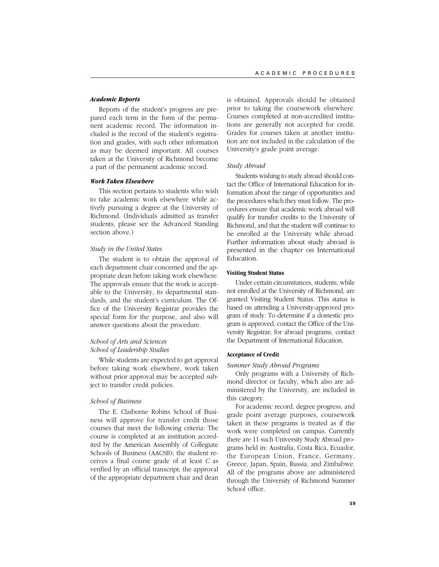### *Academic Reports*

Reports of the student's progress are prepared each term in the form of the permanent academic record. The information included is the record of the student's registration and grades, with such other information as may be deemed important. All courses taken at the University of Richmond become a part of the permanent academic record.

# *Work Taken Elsewhere*

This section pertains to students who wish to take academic work elsewhere while actively pursuing a degree at the University of Richmond. (Individuals admitted as transfer students, please see the Advanced Standing section above.)

### *Study in the United States*

The student is to obtain the approval of each department chair concerned and the appropriate dean before taking work elsewhere. The approvals ensure that the work is acceptable to the University, its departmental standards, and the student's curriculum. The Office of the University Registrar provides the special form for the purpose, and also will answer questions about the procedure.

# *School of Arts and Sciences School of Leadership Studies*

While students are expected to get approval before taking work elsewhere, work taken without prior approval may be accepted subject to transfer credit policies.

# *School of Business*

The E. Claiborne Robins School of Business will approve for transfer credit those courses that meet the following criteria: The course is completed at an institution accredited by the American Assembly of Collegiate Schools of Business (AACSB); the student receives a final course grade of at least *C* as verified by an official transcript; the approval of the appropriate department chair and dean is obtained. Approvals should be obtained prior to taking the coursework elsewhere. Courses completed at non-accredited institutions are generally not accepted for credit. Grades for courses taken at another institution are not included in the calculation of the University's grade point average.

#### *Study Abroad*

Students wishing to study abroad should contact the Office of International Education for information about the range of opportunities and the procedures which they must follow. The procedures ensure that academic work abroad will qualify for transfer credits to the University of Richmond, and that the student will continue to be enrolled at the University while abroad. Further information about study abroad is presented in the chapter on International Education.

### **Visiting Student Status**

Under certain circumstances, students, while not enrolled at the University of Richmond, are granted Visiting Student Status. This status is based on attending a University-approved program of study. To determine if a domestic program is approved, contact the Office of the University Registrar; for abroad programs, contact the Department of International Education.

# **Acceptance of Credit**

*Summer Study Abroad Programs*

Only programs with a University of Richmond director or faculty, which also are administered by the University, are included in this category.

For academic record, degree progress, and grade point average purposes, coursework taken in these programs is treated as if the work were completed on campus. Currently there are 11 such University Study Abroad programs held in: Australia, Costa Rica, Ecuador, the European Union, France, Germany, Greece, Japan, Spain, Russia, and Zimbabwe. All of the programs above are administered through the University of Richmond Summer School office.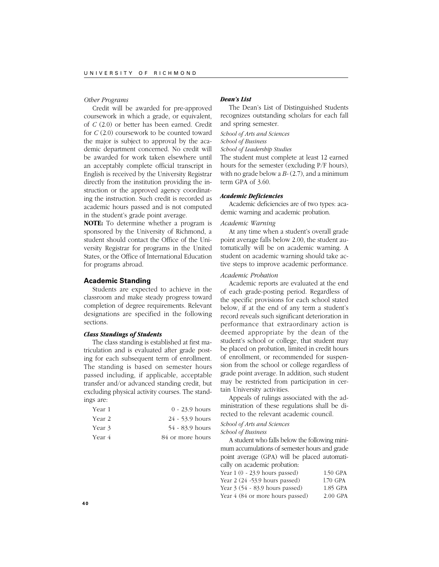### *Other Programs*

Credit will be awarded for pre-approved coursework in which a grade, or equivalent, of *C* (2.0) or better has been earned. Credit for *C* (2.0) coursework to be counted toward the major is subject to approval by the academic department concerned. No credit will be awarded for work taken elsewhere until an acceptably complete official transcript in English is received by the University Registrar directly from the institution providing the instruction or the approved agency coordinating the instruction. Such credit is recorded as academic hours passed and is not computed in the student's grade point average.

**NOTE:** To determine whether a program is sponsored by the University of Richmond, a student should contact the Office of the University Registrar for programs in the United States, or the Office of International Education for programs abroad.

# **Academic Standing**

Students are expected to achieve in the classroom and make steady progress toward completion of degree requirements. Relevant designations are specified in the following sections.

### *Class Standings of Students*

The class standing is established at first matriculation and is evaluated after grade posting for each subsequent term of enrollment. The standing is based on semester hours passed including, if applicable, acceptable transfer and/or advanced standing credit, but excluding physical activity courses. The standings are:

| Year 1 | $0 - 23.9$ hours |
|--------|------------------|
| Year 2 | 24 - 53.9 hours  |
| Year 3 | 54 - 83.9 hours  |
| Year 4 | 84 or more hours |

# *Dean's List*

The Dean's List of Distinguished Students recognizes outstanding scholars for each fall and spring semester.

*School of Arts and Sciences*

*School of Business*

*School of Leadership Studies*

The student must complete at least 12 earned hours for the semester (excluding P/F hours), with no grade below a *B-* (2.7), and a minimum term GPA of 3.60.

# *Academic Deficiencies*

Academic deficiencies are of two types: academic warning and academic probation.

# *Academic Warning*

At any time when a student's overall grade point average falls below 2.00, the student automatically will be on academic warning. A student on academic warning should take active steps to improve academic performance.

# *Academic Probation*

Academic reports are evaluated at the end of each grade-posting period. Regardless of the specific provisions for each school stated below, if at the end of any term a student's record reveals such significant deterioration in performance that extraordinary action is deemed appropriate by the dean of the student's school or college, that student may be placed on probation, limited in credit hours of enrollment, or recommended for suspension from the school or college regardless of grade point average. In addition, such student may be restricted from participation in certain University activities.

Appeals of rulings associated with the administration of these regulations shall be directed to the relevant academic council.

*School of Arts and Sciences*

*School of Business*

A student who falls below the following minimum accumulations of semester hours and grade point average (GPA) will be placed automatically on academic probation: Year 1 (0 - 23.9 hours passed) 1.50 GPA Year 2 (24 -53.9 hours passed) l.70 GPA<br>Year 3 (54 - 83.9 hours passed) l.85 GPA

Year  $3(54 - 83.9$  hours passed) Year  $4$  (84 or more hours passed) 2.00 GPA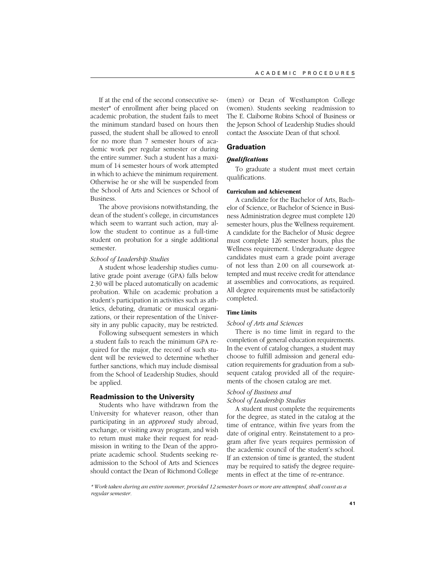If at the end of the second consecutive semester\* of enrollment after being placed on academic probation, the student fails to meet the minimum standard based on hours then passed, the student shall be allowed to enroll for no more than 7 semester hours of academic work per regular semester or during the entire summer. Such a student has a maximum of 14 semester hours of work attempted in which to achieve the minimum requirement. Otherwise he or she will be suspended from the School of Arts and Sciences or School of Business.

The above provisions notwithstanding, the dean of the student's college, in circumstances which seem to warrant such action, may allow the student to continue as a full-time student on probation for a single additional semester.

# *School of Leadership Studies*

A student whose leadership studies cumulative grade point average (GPA) falls below 2.30 will be placed automatically on academic probation. While on academic probation a student's participation in activities such as athletics, debating, dramatic or musical organizations, or their representation of the University in any public capacity, may be restricted.

Following subsequent semesters in which a student fails to reach the minimum GPA required for the major, the record of such student will be reviewed to determine whether further sanctions, which may include dismissal from the School of Leadership Studies, should be applied.

# **Readmission to the University**

Students who have withdrawn from the University for whatever reason, other than participating in an *approved* study abroad, exchange, or visiting away program, and wish to return must make their request for readmission in writing to the Dean of the appropriate academic school. Students seeking readmission to the School of Arts and Sciences should contact the Dean of Richmond College (men) or Dean of Westhampton College (women). Students seeking readmission to The E. Claiborne Robins School of Business or the Jepson School of Leadership Studies should contact the Associate Dean of that school.

# **Graduation**

# *Qualifications*

To graduate a student must meet certain qualifications.

# **Curriculum and Achievement**

A candidate for the Bachelor of Arts, Bachelor of Science, or Bachelor of Science in Business Administration degree must complete 120 semester hours, plus the Wellness requirement. A candidate for the Bachelor of Music degree must complete 126 semester hours, plus the Wellness requirement. Undergraduate degree candidates must earn a grade point average of not less than 2.00 on all coursework attempted and must receive credit for attendance at assemblies and convocations, as required. All degree requirements must be satisfactorily completed.

# **Time Limits**

# *School of Arts and Sciences*

There is no time limit in regard to the completion of general education requirements. In the event of catalog changes, a student may choose to fulfill admission and general education requirements for graduation from a subsequent catalog provided all of the requirements of the chosen catalog are met.

# *School of Business and*

*School of Leadership Studies*

A student must complete the requirements for the degree, as stated in the catalog at the time of entrance, within five years from the date of original entry. Reinstatement to a program after five years requires permission of the academic council of the student's school. If an extension of time is granted, the student may be required to satisfy the degree requirements in effect at the time of re-entrance.

*\* Work taken during an entire summer, provided 12 semester hours or more are attempted, shall count as a regular semester.*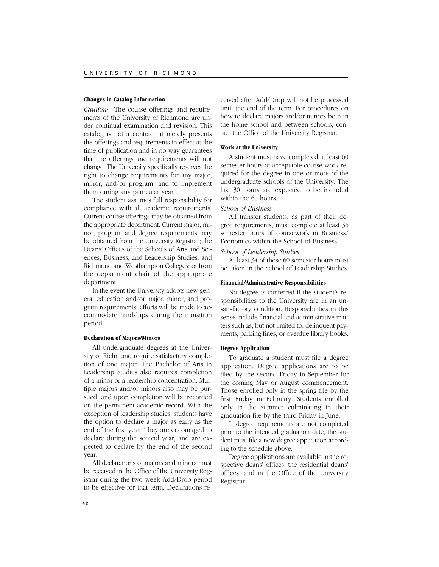### **Changes in Catalog Information**

*Caution:* The course offerings and requirements of the University of Richmond are under continual examination and revision. This catalog is not a contract; it merely presents the offerings and requirements in effect at the time of publication and in no way guarantees that the offerings and requirements will not change. The University specifically reserves the right to change requirements for any major, minor, and/or program, and to implement them during any particular year.

The student assumes full responsibility for compliance with all academic requirements. Current course offerings may be obtained from the appropriate department. Current major, minor, program and degree requirements may be obtained from the University Registrar; the Deans' Offices of the Schools of Arts and Sciences, Business, and Leadership Studies, and Richmond and Westhampton Colleges; or from the department chair of the appropriate department.

In the event the University adopts new general education and/or major, minor, and program requirements, efforts will be made to accommodate hardships during the transition period.

# **Declaration of Majors/Minors**

All undergraduate degrees at the University of Richmond require satisfactory completion of one major. The Bachelor of Arts in Leadership Studies also requires completion of a minor or a leadership concentration. Multiple majors and/or minors also may be pursued, and upon completion will be recorded on the permanent academic record. With the exception of leadership studies, students have the option to declare a major as early as the end of the first year. They are encouraged to declare during the second year, and are expected to declare by the end of the second year.

All declarations of majors and minors must be received in the Office of the University Registrar during the two week Add/Drop period to be effective for that term. Declarations re-

ceived after Add/Drop will not be processed until the end of the term. For procedures on how to declare majors and/or minors both in the home school and between schools, contact the Office of the University Registrar.

### **Work at the University**

A student must have completed at least 60 semester hours of acceptable course-work required for the degree in one or more of the undergraduate schools of the University. The last 30 hours are expected to be included within the 60 hours.

# *School of Business*

All transfer students, as part of their degree requirements, must complete at least 36 semester hours of coursework in Business/ Economics within the School of Business.

# *School of Leadership Studies*

At least 34 of these 60 semester hours must be taken in the School of Leadership Studies.

### **Financial/Administrative Responsibilities**

No degree is conferred if the student's responsibilities to the University are in an unsatisfactory condition. Responsibilities in this sense include financial and administrative matters such as, but not limited to, delinquent payments, parking fines, or overdue library books.

### **Degree Application**

To graduate a student must file a degree application. Degree applications are to be filed by the second Friday in September for the coming May or August commencement. Those enrolled only in the spring file by the first Friday in February. Students enrolled only in the summer culminating in their graduation file by the third Friday in June.

If degree requirements are not completed prior to the intended graduation date, the student must file a new degree application according to the schedule above.

Degree applications are available in the respective deans' offices, the residential deans' offices, and in the Office of the University Registrar.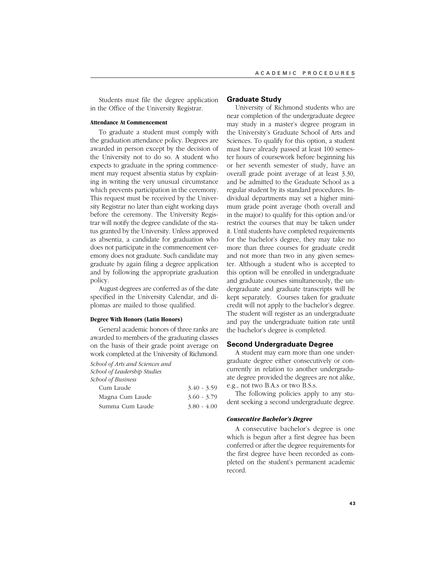Students must file the degree application in the Office of the University Registrar.

# **Attendance At Commencement**

To graduate a student must comply with the graduation attendance policy. Degrees are awarded in person except by the decision of the University not to do so. A student who expects to graduate in the spring commencement may request absentia status by explaining in writing the very unusual circumstance which prevents participation in the ceremony. This request must be received by the University Registrar no later than eight working days before the ceremony. The University Registrar will notify the degree candidate of the status granted by the University. Unless approved as absentia, a candidate for graduation who does not participate in the commencement ceremony does not graduate. Such candidate may graduate by again filing a degree application and by following the appropriate graduation policy.

August degrees are conferred as of the date specified in the University Calendar, and diplomas are mailed to those qualified.

# **Degree With Honors (Latin Honors)**

General academic honors of three ranks are awarded to members of the graduating classes on the basis of their grade point average on work completed at the University of Richmond.

*School of Arts and Sciences and School of Leadership Studies*

*School of Business*

| Cum Laude       | $3.40 - 3.59$ |
|-----------------|---------------|
| Magna Cum Laude | $3.60 - 3.79$ |
| Summa Cum Laude | $3.80 - 4.00$ |

### **Graduate Study**

University of Richmond students who are near completion of the undergraduate degree may study in a master's degree program in the University's Graduate School of Arts and Sciences. To qualify for this option, a student must have already passed at least 100 semester hours of coursework before beginning his or her seventh semester of study, have an overall grade point average of at least 3.30, and be admitted to the Graduate School as a regular student by its standard procedures. Individual departments may set a higher minimum grade point average (both overall and in the major) to qualify for this option and/or restrict the courses that may be taken under it. Until students have completed requirements for the bachelor's degree, they may take no more than three courses for graduate credit and not more than two in any given semester. Although a student who is accepted to this option will be enrolled in undergraduate and graduate courses simultaneously, the undergraduate and graduate transcripts will be kept separately. Courses taken for graduate credit will not apply to the bachelor's degree. The student will register as an undergraduate and pay the undergraduate tuition rate until the bachelor's degree is completed.

# **Second Undergraduate Degree**

A student may earn more than one undergraduate degree either consecutively or concurrently in relation to another undergraduate degree provided the degrees are not alike, e.g., not two B.A.s or two B.S.s.

The following policies apply to any student seeking a second undergraduate degree.

### *Consecutive Bachelor's Degree*

A consecutive bachelor's degree is one which is begun after a first degree has been conferred or after the degree requirements for the first degree have been recorded as completed on the student's permanent academic record.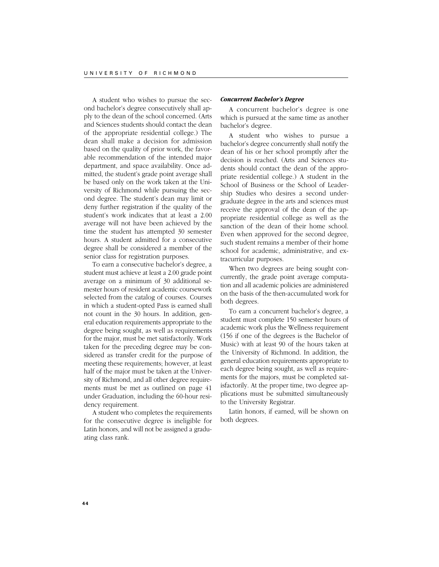A student who wishes to pursue the second bachelor's degree consecutively shall apply to the dean of the school concerned. (Arts and Sciences students should contact the dean of the appropriate residential college.) The dean shall make a decision for admission based on the quality of prior work, the favorable recommendation of the intended major department, and space availability. Once admitted, the student's grade point average shall be based only on the work taken at the University of Richmond while pursuing the second degree. The student's dean may limit or deny further registration if the quality of the student's work indicates that at least a 2.00 average will not have been achieved by the time the student has attempted 30 semester hours. A student admitted for a consecutive degree shall be considered a member of the senior class for registration purposes.

To earn a consecutive bachelor's degree, a student must achieve at least a 2.00 grade point average on a minimum of 30 additional semester hours of resident academic coursework selected from the catalog of courses. Courses in which a student-opted Pass is earned shall not count in the 30 hours. In addition, general education requirements appropriate to the degree being sought, as well as requirements for the major, must be met satisfactorily. Work taken for the preceding degree may be considered as transfer credit for the purpose of meeting these requirements; however, at least half of the major must be taken at the University of Richmond, and all other degree requirements must be met as outlined on page 41 under Graduation, including the 60-hour residency requirement.

A student who completes the requirements for the consecutive degree is ineligible for Latin honors, and will not be assigned a graduating class rank.

### *Concurrent Bachelor's Degree*

A concurrent bachelor's degree is one which is pursued at the same time as another bachelor's degree.

A student who wishes to pursue a bachelor's degree concurrently shall notify the dean of his or her school promptly after the decision is reached. (Arts and Sciences students should contact the dean of the appropriate residential college.) A student in the School of Business or the School of Leadership Studies who desires a second undergraduate degree in the arts and sciences must receive the approval of the dean of the appropriate residential college as well as the sanction of the dean of their home school. Even when approved for the second degree, such student remains a member of their home school for academic, administrative, and extracurricular purposes.

When two degrees are being sought concurrently, the grade point average computation and all academic policies are administered on the basis of the then-accumulated work for both degrees.

To earn a concurrent bachelor's degree, a student must complete 150 semester hours of academic work plus the Wellness requirement (156 if one of the degrees is the Bachelor of Music) with at least 90 of the hours taken at the University of Richmond. In addition, the general education requirements appropriate to each degree being sought, as well as requirements for the majors, must be completed satisfactorily. At the proper time, two degree applications must be submitted simultaneously to the University Registrar.

Latin honors, if earned, will be shown on both degrees.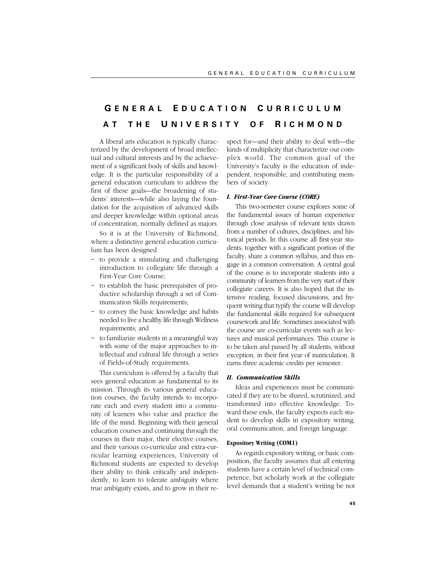# **G ENERAL E DUCATION C URRICULUM A T THE U NIVERSITY O F R ICHMOND**

A liberal arts education is typically characterized by the development of broad intellectual and cultural interests and by the achievement of a significant body of skills and knowledge. It is the particular responsibility of a general education curriculum to address the first of these goals—the broadening of students' interests—while also laying the foundation for the acquisition of advanced skills and deeper knowledge within optional areas of concentration, normally defined as majors.

So it is at the University of Richmond, where a distinctive general education curriculum has been designed

- ~ to provide a stimulating and challenging introduction to collegiate life through a First-Year Core Course;
- ~ to establish the basic prerequisites of productive scholarship through a set of Communication Skills requirements;
- ~ to convey the basic knowledge and habits needed to live a healthy life through Wellness requirements; and
- $\sim$  to familiarize students in a meaningful way with some of the major approaches to intellectual and cultural life through a series of Fields-of-Study requirements.

This curriculum is offered by a faculty that sees general education as fundamental to its mission. Through its various general education courses, the faculty intends to incorporate each and every student into a community of learners who value and practice the life of the mind. Beginning with their general education courses and continuing through the courses in their major, their elective courses, and their various co-curricular and extra-curricular learning experiences, University of Richmond students are expected to develop their ability to think critically and independently, to learn to tolerate ambiguity where true ambiguity exists, and to grow in their respect for—and their ability to deal with—the kinds of multiplicity that characterize our complex world. The common goal of the University's faculty is the education of independent, responsible, and contributing members of society.

# *I. First-Year Core Course (CORE)*

This two-semester course explores some of the fundamental issues of human experience through close analysis of relevant texts drawn from a number of cultures, disciplines, and historical periods. In this course all first-year students, together with a significant portion of the faculty, share a common syllabus, and thus engage in a common conversation. A central goal of the course is to incorporate students into a community of learners from the very start of their collegiate careers. It is also hoped that the intensive reading, focused discussions, and frequent writing that typify the course will develop the fundamental skills required for subsequent coursework and life. Sometimes associated with the course are co-curricular events such as lectures and musical performances. This course is to be taken and passed by all students, without exception, in their first year of matriculation. It earns three academic credits per semester.

# *II. Communication Skills*

Ideas and experiences must be communicated if they are to be shared, scrutinized, and transformed into effective knowledge. Toward these ends, the faculty expects each student to develop skills in expository writing, oral communication, and foreign language.

# **Expository Writing (COM1)**

As regards expository writing, or basic composition, the faculty assumes that all entering students have a certain level of technical competence, but scholarly work at the collegiate level demands that a student's writing be not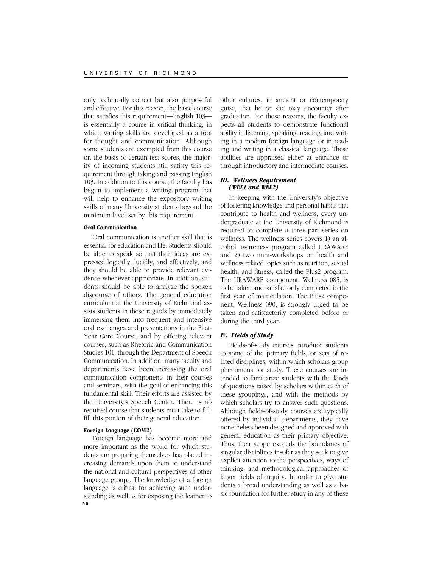only technically correct but also purposeful and effective. For this reason, the basic course that satisfies this requirement—English 103 is essentially a course in critical thinking, in which writing skills are developed as a tool for thought and communication. Although some students are exempted from this course on the basis of certain test scores, the majority of incoming students still satisfy this requirement through taking and passing English 103. In addition to this course, the faculty has begun to implement a writing program that will help to enhance the expository writing skills of many University students beyond the minimum level set by this requirement.

### **Oral Communication**

Oral communication is another skill that is essential for education and life. Students should be able to speak so that their ideas are expressed logically, lucidly, and effectively, and they should be able to provide relevant evidence whenever appropriate. In addition, students should be able to analyze the spoken discourse of others. The general education curriculum at the University of Richmond assists students in these regards by immediately immersing them into frequent and intensive oral exchanges and presentations in the First-Year Core Course, and by offering relevant courses, such as Rhetoric and Communication Studies 101, through the Department of Speech Communication. In addition, many faculty and departments have been increasing the oral communication components in their courses and seminars, with the goal of enhancing this fundamental skill. Their efforts are assisted by the University's Speech Center. There is no required course that students must take to fulfill this portion of their general education.

### **Foreign Language (COM2)**

**46** Foreign language has become more and more important as the world for which students are preparing themselves has placed increasing demands upon them to understand the national and cultural perspectives of other language groups. The knowledge of a foreign language is critical for achieving such understanding as well as for exposing the learner to

other cultures, in ancient or contemporary guise, that he or she may encounter after graduation. For these reasons, the faculty expects all students to demonstrate functional ability in listening, speaking, reading, and writing in a modern foreign language or in reading and writing in a classical language. These abilities are appraised either at entrance or through introductory and intermediate courses.

# *III. Wellness Requirement (WEL1 and WEL2)*

In keeping with the University's objective of fostering knowledge and personal habits that contribute to health and wellness, every undergraduate at the University of Richmond is required to complete a three-part series on wellness. The wellness series covers 1) an alcohol awareness program called URAWARE and 2) two mini-workshops on health and wellness related topics such as nutrition, sexual health, and fitness, called the Plus2 program. The URAWARE component, Wellness 085, is to be taken and satisfactorily completed in the first year of matriculation. The Plus2 component, Wellness 090, is strongly urged to be taken and satisfactorily completed before or during the third year.

# *IV. Fields of Study*

Fields-of-study courses introduce students to some of the primary fields, or sets of related disciplines, within which scholars group phenomena for study. These courses are intended to familiarize students with the kinds of questions raised by scholars within each of these groupings, and with the methods by which scholars try to answer such questions. Although fields-of-study courses are typically offered by individual departments, they have nonetheless been designed and approved with general education as their primary objective. Thus, their scope exceeds the boundaries of singular disciplines insofar as they seek to give explicit attention to the perspectives, ways of thinking, and methodological approaches of larger fields of inquiry. In order to give students a broad understanding as well as a basic foundation for further study in any of these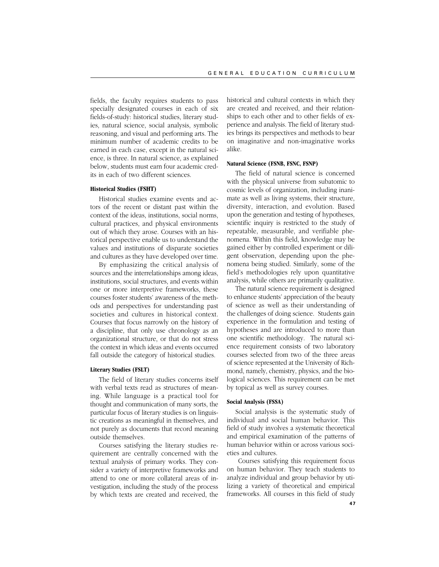fields, the faculty requires students to pass specially designated courses in each of six fields-of-study: historical studies, literary studies, natural science, social analysis, symbolic reasoning, and visual and performing arts. The minimum number of academic credits to be earned in each case, except in the natural science, is three. In natural science, as explained below, students must earn four academic credits in each of two different sciences.

# **Historical Studies (FSHT)**

Historical studies examine events and actors of the recent or distant past within the context of the ideas, institutions, social norms, cultural practices, and physical environments out of which they arose. Courses with an historical perspective enable us to understand the values and institutions of disparate societies and cultures as they have developed over time.

By emphasizing the critical analysis of sources and the interrelationships among ideas, institutions, social structures, and events within one or more interpretive frameworks, these courses foster students' awareness of the methods and perspectives for understanding past societies and cultures in historical context. Courses that focus narrowly on the history of a discipline, that only use chronology as an organizational structure, or that do not stress the context in which ideas and events occurred fall outside the category of historical studies.

# **Literary Studies (FSLT)**

The field of literary studies concerns itself with verbal texts read as structures of meaning. While language is a practical tool for thought and communication of many sorts, the particular focus of literary studies is on linguistic creations as meaningful in themselves, and not purely as documents that record meaning outside themselves.

Courses satisfying the literary studies requirement are centrally concerned with the textual analysis of primary works. They consider a variety of interpretive frameworks and attend to one or more collateral areas of investigation, including the study of the process by which texts are created and received, the historical and cultural contexts in which they are created and received, and their relationships to each other and to other fields of experience and analysis. The field of literary studies brings its perspectives and methods to bear on imaginative and non-imaginative works alike.

### **Natural Science (FSNB, FSNC, FSNP)**

The field of natural science is concerned with the physical universe from subatomic to cosmic levels of organization, including inanimate as well as living systems, their structure, diversity, interaction, and evolution. Based upon the generation and testing of hypotheses, scientific inquiry is restricted to the study of repeatable, measurable, and verifiable phenomena. Within this field, knowledge may be gained either by controlled experiment or diligent observation, depending upon the phenomena being studied. Similarly, some of the field's methodologies rely upon quantitative analysis, while others are primarily qualitative.

The natural science requirement is designed to enhance students' appreciation of the beauty of science as well as their understanding of the challenges of doing science. Students gain experience in the formulation and testing of hypotheses and are introduced to more than one scientific methodology. The natural science requirement consists of two laboratory courses selected from two of the three areas of science represented at the University of Richmond, namely, chemistry, physics, and the biological sciences. This requirement can be met by topical as well as survey courses.

# **Social Analysis (FSSA)**

Social analysis is the systematic study of individual and social human behavior. This field of study involves a systematic theoretical and empirical examination of the patterns of human behavior within or across various societies and cultures.

 Courses satisfying this requirement focus on human behavior. They teach students to analyze individual and group behavior by utilizing a variety of theoretical and empirical frameworks. All courses in this field of study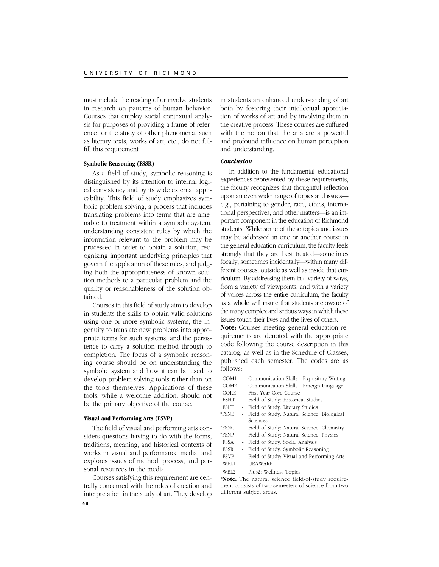must include the reading of or involve students in research on patterns of human behavior. Courses that employ social contextual analysis for purposes of providing a frame of reference for the study of other phenomena, such as literary texts, works of art, etc., do not fulfill this requirement

### **Symbolic Reasoning (FSSR)**

As a field of study, symbolic reasoning is distinguished by its attention to internal logical consistency and by its wide external applicability. This field of study emphasizes symbolic problem solving, a process that includes translating problems into terms that are amenable to treatment within a symbolic system, understanding consistent rules by which the information relevant to the problem may be processed in order to obtain a solution, recognizing important underlying principles that govern the application of these rules, and judging both the appropriateness of known solution methods to a particular problem and the quality or reasonableness of the solution obtained.

Courses in this field of study aim to develop in students the skills to obtain valid solutions using one or more symbolic systems, the ingenuity to translate new problems into appropriate terms for such systems, and the persistence to carry a solution method through to completion. The focus of a symbolic reasoning course should be on understanding the symbolic system and how it can be used to develop problem-solving tools rather than on the tools themselves. Applications of these tools, while a welcome addition, should not be the primary objective of the course.

# **Visual and Performing Arts (FSVP)**

The field of visual and performing arts considers questions having to do with the forms, traditions, meaning, and historical contexts of works in visual and performance media, and explores issues of method, process, and personal resources in the media.

Courses satisfying this requirement are centrally concerned with the roles of creation and interpretation in the study of art. They develop

in students an enhanced understanding of art both by fostering their intellectual appreciation of works of art and by involving them in the creative process. These courses are suffused with the notion that the arts are a powerful and profound influence on human perception and understanding.

# *Conclusion*

In addition to the fundamental educational experiences represented by these requirements, the faculty recognizes that thoughtful reflection upon an even wider range of topics and issues e.g., pertaining to gender, race, ethics, international perspectives, and other matters—is an important component in the education of Richmond students. While some of these topics and issues may be addressed in one or another course in the general education curriculum, the faculty feels strongly that they are best treated—sometimes focally, sometimes incidentally—within many different courses, outside as well as inside that curriculum. By addressing them in a variety of ways, from a variety of viewpoints, and with a variety of voices across the entire curriculum, the faculty as a whole will insure that students are aware of the many complex and serious ways in which these issues touch their lives and the lives of others.

**Note:** Courses meeting general education requirements are denoted with the appropriate code following the course description in this catalog, as well as in the Schedule of Classes, published each semester. The codes are as follows:

- COM1 Communication Skills Expository Writing
- COM2 Communication Skills Foreign Language
- CORE First-Year Core Course
- FSHT Field of Study: Historical Studies
- FSLT Field of Study: Literary Studies
- \*FSNB Field of Study: Natural Science, Biological Sciences
- \*FSNC Field of Study: Natural Science, Chemistry
- \*FSNP Field of Study: Natural Science, Physics
- FSSA Field of Study: Social Analysis
- FSSR Field of Study: Symbolic Reasoning
- FSVP Field of Study: Visual and Performing Arts WEL1 - URAWARE
	-
- WEL2 Plus2: Wellness Topics

**\*Note:** The natural science field-of-study requirement consists of two semesters of science from two different subject areas.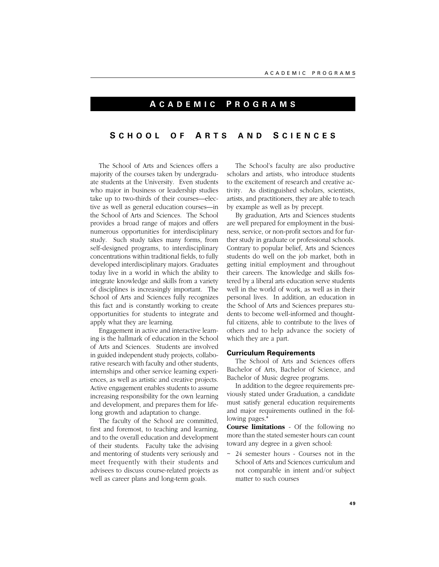# **A CADEMIC P ROGRAMS**

# **S CHOOL O F A RTS AND S CIENCES**

The School of Arts and Sciences offers a majority of the courses taken by undergraduate students at the University. Even students who major in business or leadership studies take up to two-thirds of their courses—elective as well as general education courses—in the School of Arts and Sciences. The School provides a broad range of majors and offers numerous opportunities for interdisciplinary study. Such study takes many forms, from self-designed programs, to interdisciplinary concentrations within traditional fields, to fully developed interdisciplinary majors. Graduates today live in a world in which the ability to integrate knowledge and skills from a variety of disciplines is increasingly important. The School of Arts and Sciences fully recognizes this fact and is constantly working to create opportunities for students to integrate and apply what they are learning.

Engagement in active and interactive learning is the hallmark of education in the School of Arts and Sciences. Students are involved in guided independent study projects, collaborative research with faculty and other students, internships and other service learning experiences, as well as artistic and creative projects. Active engagement enables students to assume increasing responsibility for the own learning and development, and prepares them for lifelong growth and adaptation to change.

The faculty of the School are committed, first and foremost, to teaching and learning, and to the overall education and development of their students. Faculty take the advising and mentoring of students very seriously and meet frequently with their students and advisees to discuss course-related projects as well as career plans and long-term goals.

The School's faculty are also productive scholars and artists, who introduce students to the excitement of research and creative activity. As distinguished scholars, scientists, artists, and practitioners, they are able to teach by example as well as by precept.

By graduation, Arts and Sciences students are well prepared for employment in the business, service, or non-profit sectors and for further study in graduate or professional schools. Contrary to popular belief, Arts and Sciences students do well on the job market, both in getting initial employment and throughout their careers. The knowledge and skills fostered by a liberal arts education serve students well in the world of work, as well as in their personal lives. In addition, an education in the School of Arts and Sciences prepares students to become well-informed and thoughtful citizens, able to contribute to the lives of others and to help advance the society of which they are a part.

### **Curriculum Requirements**

The School of Arts and Sciences offers Bachelor of Arts, Bachelor of Science, and Bachelor of Music degree programs.

In addition to the degree requirements previously stated under Graduation, a candidate must satisfy general education requirements and major requirements outlined in the following pages.\*

**Course limitations** - Of the following no more than the stated semester hours can count toward any degree in a given school:

~ 24 semester hours - Courses not in the School of Arts and Sciences curriculum and not comparable in intent and/or subject matter to such courses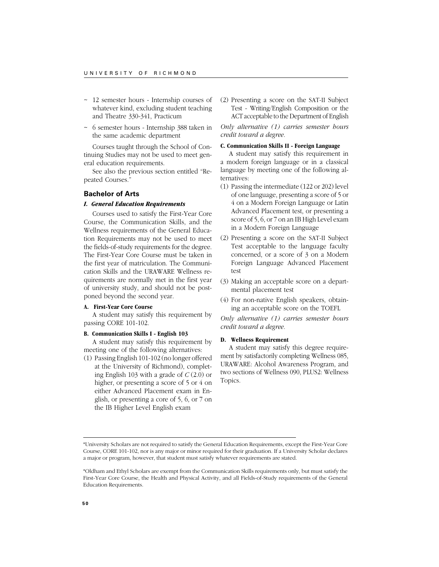- ~ 12 semester hours Internship courses of whatever kind, excluding student teaching and Theatre 330-341, Practicum
- ~ 6 semester hours Internship 388 taken in the same academic department

Courses taught through the School of Continuing Studies may not be used to meet general education requirements.

See also the previous section entitled "Repeated Courses."

# **Bachelor of Arts**

# *I. General Education Requirements*

Courses used to satisfy the First-Year Core Course, the Communication Skills, and the Wellness requirements of the General Education Requirements may not be used to meet the fields-of-study requirements for the degree. The First-Year Core Course must be taken in the first year of matriculation. The Communication Skills and the URAWARE Wellness requirements are normally met in the first year of university study, and should not be postponed beyond the second year.

# **A. First-Year Core Course**

A student may satisfy this requirement by passing CORE 101-102.

# **B. Communication Skills I - English 103**

A student may satisfy this requirement by meeting one of the following alternatives:

(1) Passing English 101-102 (no longer offered at the University of Richmond), completing English 103 with a grade of *C* (2.0) or higher, or presenting a score of 5 or 4 on either Advanced Placement exam in English, or presenting a core of 5, 6, or 7 on the IB Higher Level English exam

(2) Presenting a score on the SAT-II Subject Test - Writing/English Composition or the ACT acceptable to the Department of English

*Only alternative (1) carries semester hours credit toward a degree.*

# **C. Communication Skills II - Foreign Language**

A student may satisfy this requirement in a modern foreign language or in a classical language by meeting one of the following alternatives:

- (1) Passing the intermediate (122 or 202) level of one language, presenting a score of 5 or 4 on a Modern Foreign Language or Latin Advanced Placement test, or presenting a score of 5, 6, or 7 on an IB High Level exam in a Modern Foreign Language
- (2) Presenting a score on the SAT-II Subject Test acceptable to the language faculty concerned, or a score of 3 on a Modern Foreign Language Advanced Placement test
- (3) Making an acceptable score on a departmental placement test
- (4) For non-native English speakers, obtaining an acceptable score on the TOEFL

*Only alternative (1) carries semester hours credit toward a degree.*

### **D. Wellness Requirement**

A student may satisfy this degree requirement by satisfactorily completing Wellness 085, URAWARE: Alcohol Awareness Program, and two sections of Wellness 090, PLUS2: Wellness Topics.

<sup>\*</sup>University Scholars are not required to satisfy the General Education Requirements, except the First-Year Core Course, CORE 101-102, nor is any major or minor required for their graduation. If a University Scholar declares a major or program, however, that student must satisfy whatever requirements are stated.

<sup>\*</sup>Oldham and Ethyl Scholars are exempt from the Communication Skills requirements only, but must satisfy the First-Year Core Course, the Health and Physical Activity, and all Fields-of-Study requirements of the General Education Requirements.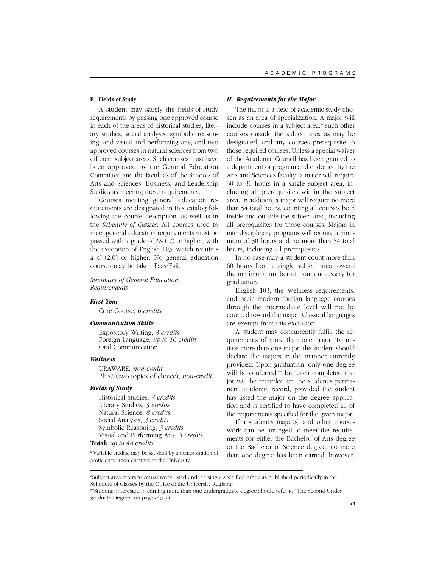### **E. Fields of Study**

A student may satisfy the fields-of-study requirements by passing one approved course in each of the areas of historical studies, literary studies, social analysis, symbolic reasoning, and visual and performing arts, and two approved courses in natural sciences from two different subject areas. Such courses must have been approved by the General Education Committee and the faculties of the Schools of Arts and Sciences, Business, and Leadership Studies as meeting these requirements.

Courses meeting general education requirements are designated in this catalog following the course description, as well as in the *Schedule of Classes*. All courses used to meet general education requirements must be passed with a grade of *D-* (.7) or higher, with the exception of English 103, which requires a *C* (2.0) or higher. No general education courses may be taken Pass/Fail.

*Summary of General Education Requirements*

### *First-Year*

Core Course, *6 credits*

### *Communication Skills*

Expository Writing, *3 credits* Foreign Language, *up to 16 credits*<sup>a</sup> Oral Communication

# *Wellness*

URAWARE, *non-credit* Plus2 (two topics of choice), *non-credit*

### *Fields of Study*

Historical Studies, *3 credits* Literary Studies, *3 credits* Natural Science, *8 credits* Social Analysis, *3 credits* Symbolic Reasoning, *3 credits* Visual and Performing Arts, *3 credits*

# **Total:** *up to 48 credits*

a Variable credits; may be satisfied by a demonstration of proficiency upon entrance to the University.

# *II. Requirements for the Major*

The major is a field of academic study chosen as an area of specialization. A major will include courses in a subject area,\* such other courses outside the subject area as may be designated, and any courses prerequisite to those required courses. Unless a special waiver of the Academic Council has been granted to a department or program and endorsed by the Arts and Sciences faculty, a major will require 30 to 36 hours in a single subject area, including all prerequisites within the subject area. In addition, a major will require no more than 54 total hours, counting all courses both inside and outside the subject area, including all prerequisites for those courses. Majors in interdisciplinary programs will require a minimum of 30 hours and no more than 54 total hours, including all prerequisites.

In no case may a student count more than 60 hours from a single subject area toward the minimum number of hours necessary for graduation.

English 103, the Wellness requirements, and basic modern foreign language courses through the intermediate level will not be counted toward the major. Classical languages are exempt from this exclusion.

A student may concurrently fulfill the requirements of more than one major. To initiate more than one major, the student should declare the majors in the manner currently provided. Upon graduation, only one degree will be conferred,\*\* but each completed major will be recorded on the student's permanent academic record, provided the student has listed the major on the degree application and is certified to have completed all of the requirements specified for the given major.

If a student's major(s) and other coursework can be arranged to meet the requirements for either the Bachelor of Arts degree or the Bachelor of Science degree, no more than one degree has been earned; however,

<sup>\*</sup>Subject area refers to coursework listed under a single specified rubric as published periodically in the Schedule of Classes by the Office of the University Registrar.

<sup>\*\*</sup>Students interested in earning more than one undergraduate degree should refer to "The Second Undergraduate Degree" on pages 43-44.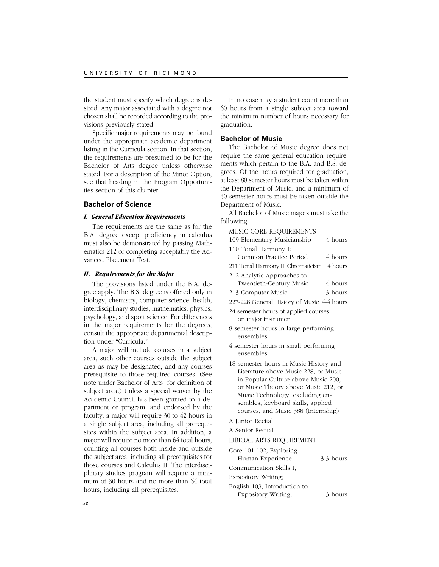the student must specify which degree is desired. Any major associated with a degree not chosen shall be recorded according to the provisions previously stated.

Specific major requirements may be found under the appropriate academic department listing in the Curricula section. In that section, the requirements are presumed to be for the Bachelor of Arts degree unless otherwise stated. For a description of the Minor Option, see that heading in the Program Opportunities section of this chapter.

# **Bachelor of Science**

# *I. General Education Requirements*

The requirements are the same as for the B.A. degree except proficiency in calculus must also be demonstrated by passing Mathematics 212 or completing acceptably the Advanced Placement Test.

### *II. Requirements for the Major*

The provisions listed under the B.A. degree apply. The B.S. degree is offered only in biology, chemistry, computer science, health, interdisciplinary studies, mathematics, physics, psychology, and sport science. For differences in the major requirements for the degrees, consult the appropriate departmental description under "Curricula."

A major will include courses in a subject area, such other courses outside the subject area as may be designated, and any courses prerequisite to those required courses. (See note under Bachelor of Arts for definition of subject area.) Unless a special waiver by the Academic Council has been granted to a department or program, and endorsed by the faculty, a major will require 30 to 42 hours in a single subject area, including all prerequisites within the subject area. In addition, a major will require no more than 64 total hours, counting all courses both inside and outside the subject area, including all prerequisites for those courses and Calculus II. The interdisciplinary studies program will require a minimum of 30 hours and no more than 64 total hours, including all prerequisites.

In no case may a student count more than 60 hours from a single subject area toward the minimum number of hours necessary for graduation.

# **Bachelor of Music**

The Bachelor of Music degree does not require the same general education requirements which pertain to the B.A. and B.S. degrees. Of the hours required for graduation, at least 80 semester hours must be taken within the Department of Music, and a minimum of 30 semester hours must be taken outside the Department of Music.

All Bachelor of Music majors must take the following:

| MUSIC CORE REQUIREMENTS                                                                                                                                                                                                                                                     |           |
|-----------------------------------------------------------------------------------------------------------------------------------------------------------------------------------------------------------------------------------------------------------------------------|-----------|
| 109 Elementary Musicianship                                                                                                                                                                                                                                                 | 4 hours   |
| 110 Tonal Harmony I:                                                                                                                                                                                                                                                        |           |
| Common Practice Period                                                                                                                                                                                                                                                      | 4 hours   |
| 211 Tonal Harmony II: Chromaticism                                                                                                                                                                                                                                          | 4 hours   |
| 212 Analytic Approaches to                                                                                                                                                                                                                                                  |           |
| Twentieth-Century Music                                                                                                                                                                                                                                                     | 4 hours   |
| 213 Computer Music                                                                                                                                                                                                                                                          | 3 hours   |
| 227-228 General History of Music 4-4 hours                                                                                                                                                                                                                                  |           |
| 24 semester hours of applied courses                                                                                                                                                                                                                                        |           |
| on major instrument                                                                                                                                                                                                                                                         |           |
| 8 semester hours in large performing<br>ensembles                                                                                                                                                                                                                           |           |
| 4 semester hours in small performing<br>ensembles                                                                                                                                                                                                                           |           |
| 18 semester hours in Music History and<br>Literature above Music 228, or Music<br>in Popular Culture above Music 200,<br>or Music Theory above Music 212, or<br>Music Technology, excluding en-<br>sembles, keyboard skills, applied<br>courses, and Music 388 (Internship) |           |
| A Junior Recital                                                                                                                                                                                                                                                            |           |
| A Senior Recital                                                                                                                                                                                                                                                            |           |
| LIBERAL ARTS REQUIREMENT                                                                                                                                                                                                                                                    |           |
| Core 101-102, Exploring<br>Human Experience                                                                                                                                                                                                                                 | 3-3 hours |
| Communication Skills I.                                                                                                                                                                                                                                                     |           |
| Expository Writing;                                                                                                                                                                                                                                                         |           |
| English 103, Introduction to<br>Expository Writing;                                                                                                                                                                                                                         | 3 hours   |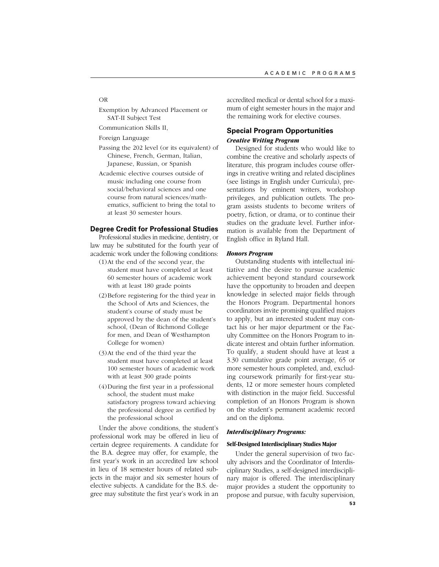### OR

Exemption by Advanced Placement or SAT-II Subject Test

Communication Skills II,

Foreign Language

- Passing the 202 level (or its equivalent) of Chinese, French, German, Italian, Japanese, Russian, or Spanish
- Academic elective courses outside of music including one course from social/behavioral sciences and one course from natural sciences/mathematics, sufficient to bring the total to at least 30 semester hours.

# **Degree Credit for Professional Studies**

Professional studies in medicine, dentistry, or law may be substituted for the fourth year of academic work under the following conditions:

- (1)At the end of the second year, the student must have completed at least 60 semester hours of academic work with at least 180 grade points
- (2)Before registering for the third year in the School of Arts and Sciences, the student's course of study must be approved by the dean of the student's school, (Dean of Richmond College for men, and Dean of Westhampton College for women)
- (3)At the end of the third year the student must have completed at least 100 semester hours of academic work with at least 300 grade points
- (4)During the first year in a professional school, the student must make satisfactory progress toward achieving the professional degree as certified by the professional school

Under the above conditions, the student's professional work may be offered in lieu of certain degree requirements. A candidate for the B.A. degree may offer, for example, the first year's work in an accredited law school in lieu of 18 semester hours of related subjects in the major and six semester hours of elective subjects. A candidate for the B.S. degree may substitute the first year's work in an accredited medical or dental school for a maximum of eight semester hours in the major and the remaining work for elective courses.

# **Special Program Opportunities** *Creative Writing Program*

Designed for students who would like to combine the creative and scholarly aspects of literature, this program includes course offerings in creative writing and related disciplines (see listings in English under Curricula), presentations by eminent writers, workshop privileges, and publication outlets. The program assists students to become writers of poetry, fiction, or drama, or to continue their studies on the graduate level. Further information is available from the Department of English office in Ryland Hall.

# *Honors Program*

Outstanding students with intellectual initiative and the desire to pursue academic achievement beyond standard coursework have the opportunity to broaden and deepen knowledge in selected major fields through the Honors Program. Departmental honors coordinators invite promising qualified majors to apply, but an interested student may contact his or her major department or the Faculty Committee on the Honors Program to indicate interest and obtain further information. To qualify, a student should have at least a 3.30 cumulative grade point average, 65 or more semester hours completed, and, excluding coursework primarily for first-year students, 12 or more semester hours completed with distinction in the major field. Successful completion of an Honors Program is shown on the student's permanent academic record and on the diploma.

# *Interdisciplinary Programs:*

# **Self-Designed Interdisciplinary Studies Major**

Under the general supervision of two faculty advisors and the Coordinator of Interdisciplinary Studies, a self-designed interdisciplinary major is offered. The interdisciplinary major provides a student the opportunity to propose and pursue, with faculty supervision,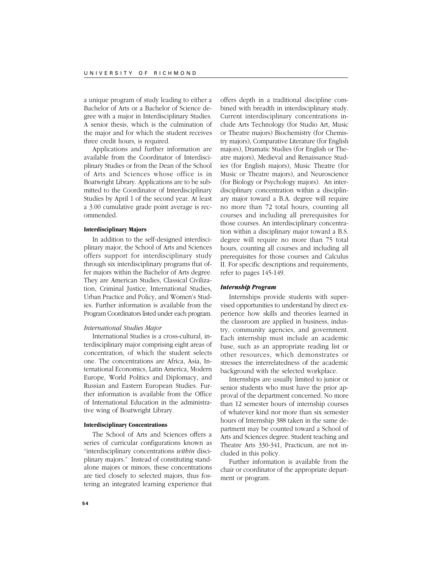a unique program of study leading to either a Bachelor of Arts or a Bachelor of Science degree with a major in Interdisciplinary Studies. A senior thesis, which is the culmination of the major and for which the student receives three credit hours, is required.

Applications and further information are available from the Coordinator of Interdisciplinary Studies or from the Dean of the School of Arts and Sciences whose office is in Boatwright Library. Applications are to be submitted to the Coordinator of Interdisciplinary Studies by April 1 of the second year. At least a 3.00 cumulative grade point average is recommended.

# **Interdisciplinary Majors**

In addition to the self-designed interdisciplinary major, the School of Arts and Sciences offers support for interdisciplinary study through six interdisciplinary programs that offer majors within the Bachelor of Arts degree. They are American Studies, Classical Civilization, Criminal Justice, International Studies, Urban Practice and Policy, and Women's Studies. Further information is available from the Program Coordinators listed under each program.

# *International Studies Major*

International Studies is a cross-cultural, interdisciplinary major comprising eight areas of concentration, of which the student selects one. The concentrations are Africa, Asia, International Economics, Latin America, Modern Europe, World Politics and Diplomacy, and Russian and Eastern European Studies. Further information is available from the Office of International Education in the administrative wing of Boatwright Library.

### **Interdisciplinary Concentrations**

The School of Arts and Sciences offers a series of curricular configurations known as "interdisciplinary concentrations *within* disciplinary majors." Instead of constituting standalone majors or minors, these concentrations are tied closely to selected majors, thus fostering an integrated learning experience that

offers depth in a traditional discipline combined with breadth in interdisciplinary study. Current interdisciplinary concentrations include Arts Technology (for Studio Art, Music or Theatre majors) Biochemistry (for Chemistry majors), Comparative Literature (for English majors), Dramatic Studies (for English or Theatre majors), Medieval and Renaissance Studies (for English majors), Music Theatre (for Music or Theatre majors), and Neuroscience (for Biology or Psychology majors). An interdisciplinary concentration within a disciplinary major toward a B.A. degree will require no more than 72 total hours, counting all courses and including all prerequisites for those courses. An interdisciplinary concentration within a disciplinary major toward a B.S. degree will require no more than 75 total hours, counting all courses and including all prerequisites for those courses and Calculus II. For specific descriptions and requirements, refer to pages 145-149.

### *Internship Program*

Internships provide students with supervised opportunities to understand by direct experience how skills and theories learned in the classroom are applied in business, industry, community agencies, and government. Each internship must include an academic base, such as an appropriate reading list or other resources, which demonstrates or stresses the interrelatedness of the academic background with the selected workplace.

Internships are usually limited to junior or senior students who must have the prior approval of the department concerned. No more than 12 semester hours of internship courses of whatever kind nor more than six semester hours of Internship 388 taken in the same department may be counted toward a School of Arts and Sciences degree. Student teaching and Theatre Arts 330-341, Practicum, are not included in this policy.

Further information is available from the chair or coordinator of the appropriate department or program.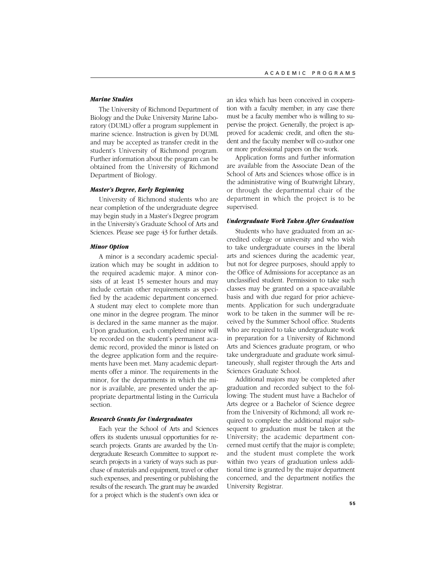# *Marine Studies*

The University of Richmond Department of Biology and the Duke University Marine Laboratory (DUML) offer a program supplement in marine science. Instruction is given by DUML and may be accepted as transfer credit in the student's University of Richmond program. Further information about the program can be obtained from the University of Richmond Department of Biology.

# *Master's Degree, Early Beginning*

University of Richmond students who are near completion of the undergraduate degree may begin study in a Master's Degree program in the University's Graduate School of Arts and Sciences. Please see page 43 for further details.

# *Minor Option*

A minor is a secondary academic specialization which may be sought in addition to the required academic major. A minor consists of at least 15 semester hours and may include certain other requirements as specified by the academic department concerned. A student may elect to complete more than one minor in the degree program. The minor is declared in the same manner as the major. Upon graduation, each completed minor will be recorded on the student's permanent academic record, provided the minor is listed on the degree application form and the requirements have been met. Many academic departments offer a minor. The requirements in the minor, for the departments in which the minor is available, are presented under the appropriate departmental listing in the Curricula section.

# *Research Grants for Undergraduates*

Each year the School of Arts and Sciences offers its students unusual opportunities for research projects. Grants are awarded by the Undergraduate Research Committee to support research projects in a variety of ways such as purchase of materials and equipment, travel or other such expenses, and presenting or publishing the results of the research. The grant may be awarded for a project which is the student's own idea or an idea which has been conceived in cooperation with a faculty member; in any case there must be a faculty member who is willing to supervise the project. Generally, the project is approved for academic credit, and often the student and the faculty member will co-author one or more professional papers on the work.

Application forms and further information are available from the Associate Dean of the School of Arts and Sciences whose office is in the administrative wing of Boatwright Library, or through the departmental chair of the department in which the project is to be supervised.

# *Undergraduate Work Taken After Graduation*

Students who have graduated from an accredited college or university and who wish to take undergraduate courses in the liberal arts and sciences during the academic year, but not for degree purposes, should apply to the Office of Admissions for acceptance as an unclassified student. Permission to take such classes may be granted on a space-available basis and with due regard for prior achievements. Application for such undergraduate work to be taken in the summer will be received by the Summer School office. Students who are required to take undergraduate work in preparation for a University of Richmond Arts and Sciences graduate program, or who take undergraduate and graduate work simultaneously, shall register through the Arts and Sciences Graduate School.

Additional majors may be completed after graduation and recorded subject to the following: The student must have a Bachelor of Arts degree or a Bachelor of Science degree from the University of Richmond; all work required to complete the additional major subsequent to graduation must be taken at the University; the academic department concerned must certify that the major is complete; and the student must complete the work within two years of graduation unless additional time is granted by the major department concerned, and the department notifies the University Registrar.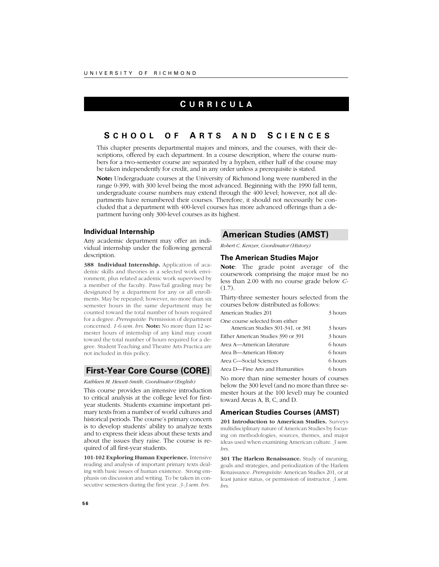# **C URRICULA**

# **S CHOOL O F A RTS AND S CIENCES**

This chapter presents departmental majors and minors, and the courses, with their descriptions, offered by each department. In a course description, where the course numbers for a two-semester course are separated by a hyphen, either half of the course may be taken independently for credit, and in any order unless a prerequisite is stated.

**Note:** Undergraduate courses at the University of Richmond long were numbered in the range 0-399, with 300 level being the most advanced. Beginning with the 1990 fall term, undergraduate course numbers may extend through the 400 level; however, not all departments have renumbered their courses. Therefore, it should not necessarily be concluded that a department with 400-level courses has more advanced offerings than a department having only 300-level courses as its highest.

# **Individual Internship**

Any academic department may offer an individual internship under the following general description.

**388 Individual Internship.** Application of academic skills and theories in a selected work environment, plus related academic work supervised by a member of the faculty. Pass/fail grading may be designated by a department for any or all enrollments. May be repeated; however, no more than six semester hours in the same department may be counted toward the total number of hours required for a degree. *Prerequisite:* Permission of department concerned. *1-6 sem. hrs.* **Note:** No more than 12 semester hours of internship of any kind may count toward the total number of hours required for a degree. Student Teaching and Theatre Arts Practica are not included in this policy.

# **First-Year Core Course (CORE)**

#### *Kathleen M. Hewett-Smith, Coordinator (English)*

This course provides an intensive introduction to critical analysis at the college level for firstyear students. Students examine important primary texts from a number of world cultures and historical periods. The course's primary concern is to develop students' ability to analyze texts and to express their ideas about these texts and about the issues they raise. The course is required of all first-year students.

**101-102 Exploring Human Experience.** Intensive reading and analysis of important primary texts dealing with basic issues of human existence. Strong emphasis on discussion and writing. To be taken in consecutive semesters during the first year. *3-3 sem. hrs.*

# **American Studies (AMST)**

*Robert C. Kenzer, Coordinator (History)*

### **The American Studies Major**

**Note**: The grade point average of the coursework comprising the major must be no less than 2.00 with no course grade below *C-* (1.7).

Thirty-three semester hours selected from the courses below distributed as follows:

| American Studies 201               | 3 hours |
|------------------------------------|---------|
| One course selected from either    |         |
| American Studies 301-341, or 381   | 3 hours |
| Either American Studies 390 or 391 | 3 hours |
| Area A—American Literature         | 6 hours |
| Area B—American History            | 6 hours |
| Area C—Social Sciences             | 6 hours |
| Area D—Fine Arts and Humanities    | 6 hours |

No more than nine semester hours of courses below the 300 level (and no more than three semester hours at the 100 level) may be counted toward Areas A, B, C, and D.

# **American Studies Courses (AMST)**

**201 Introduction to American Studies.** Surveys multidisciplinary nature of American Studies by focusing on methodologies, sources, themes, and major ideas used when examining American culture. *3 sem. hrs.*

**301 The Harlem Renaissance.** Study of meaning, goals and strategies, and periodization of the Harlem Renaissance. *Prerequisite:* American Studies 201, or at least junior status, or permission of instructor. *3 sem. hrs.*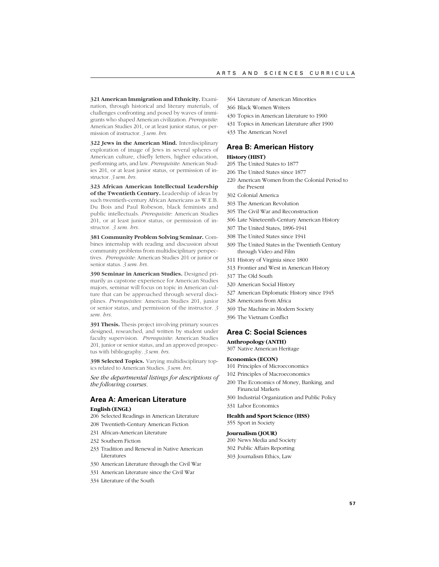**321 American Immigration and Ethnicity.** Examination, through historical and literary materials, of challenges confronting and posed by waves of immigrants who shaped American civilization. *Prerequisite*: American Studies 201, or at least junior status, or permission of instructor. *3 sem. hrs.*

**322 Jews in the American Mind.** Interdisciplinary exploration of image of Jews in several spheres of American culture, chiefly letters, higher education, performing arts, and law. *Prerequisite*: American Studies 201, or at least junior status, or permission of instructor. *3 sem. hrs.*

**323 African American Intellectual Leadership of the Twentieth Century.** Leadership of ideas by such twentieth-century African Americans as W.E.B. Du Bois and Paul Robeson, black feminists and public intellectuals. *Prerequisite*: American Studies 201, or at least junior status, or permission of instructor. *3 sem. hrs.*

**381 Community Problem Solving Seminar.** Combines internship with reading and discussion about community problems from multidisciplinary perspectives. *Prerequisite*: American Studies 201 or junior or senior status. *3 sem. hrs.*

**390 Seminar in American Studies.** Designed primarily as capstone experience for American Studies majors, seminar will focus on topic in American culture that can be approached through several disciplines. *Prerequisites*: American Studies 201, junior or senior status, and permission of the instructor. *3 sem. hrs.*

**391 Thesis.** Thesis project involving primary sources designed, researched, and written by student under faculty supervision. *Prerequisite*: American Studies 201, junior or senior status, and an approved prospectus with bibliography. *3 sem. hrs.*

**398 Selected Topics.** Varying multidisciplinary topics related to American Studies. *3 sem. hrs.*

*See the departmental listings for descriptions of the following courses.*

# **Area A: American Literature**

### **English (ENGL)**

206 Selected Readings in American Literature

- 208 Twentieth-Century American Fiction
- 231 African-American Literature
- 232 Southern Fiction
- 233 Tradition and Renewal in Native American Literatures
- 330 American Literature through the Civil War
- 331 American Literature since the Civil War
- 334 Literature of the South
- 364 Literature of American Minorities
- 366 Black Women Writers
- 430 Topics in American Literature to 1900
- 431 Topics in American Literature after 1900
- 433 The American Novel

# **Area B: American History**

# **History (HIST)**

- 205 The United States to 1877
- 206 The United States since 1877
- 220 American Women from the Colonial Period to the Present
- 302 Colonial America
- 303 The American Revolution
- 305 The Civil War and Reconstruction
- 306 Late Nineteenth-Century American History
- 307 The United States, 1896-1941
- 308 The United States since 1941
- 309 The United States in the Twentieth Century through Video and Film
- 311 History of Virginia since 1800
- 313 Frontier and West in American History
- 317 The Old South
- 320 American Social History
- 327 American Diplomatic History since 1945
- 328 Americans from Africa
- 369 The Machine in Modern Society
- 396 The Vietnam Conflict

### **Area C: Social Sciences**

### **Anthropology (ANTH)**

307 Native American Heritage

### **Economics (ECON)**

- 101 Principles of Microeconomics
- 102 Principles of Macroeconomics
- 200 The Economics of Money, Banking, and Financial Markets
- 300 Industrial Organization and Public Policy
- 331 Labor Economics

#### **Health and Sport Science (HSS)** 355 Sport in Society

#### **Journalism (JOUR)**

- 200 News Media and Society
- 302 Public Affairs Reporting
- 303 Journalism Ethics, Law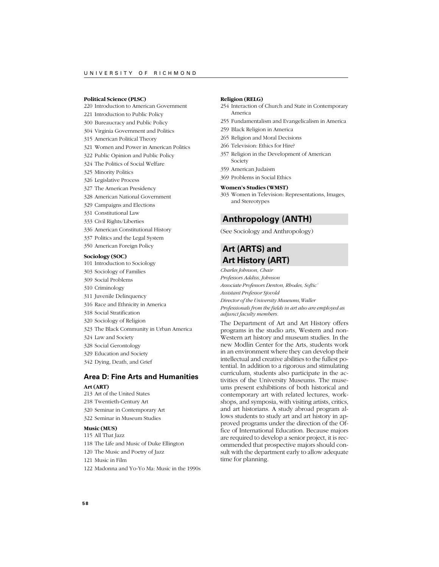### **Political Science (PLSC)**

- 220 Introduction to American Government
- 221 Introduction to Public Policy
- 300 Bureaucracy and Public Policy
- 304 Virginia Government and Politics
- 315 American Political Theory
- 321 Women and Power in American Politics
- 322 Public Opinion and Public Policy
- 324 The Politics of Social Welfare
- 325 Minority Politics
- 326 Legislative Process
- 327 The American Presidency
- 328 American National Government
- 329 Campaigns and Elections
- 331 Constitutional Law
- 333 Civil Rights/Liberties
- 336 American Constitutional History
- 337 Politics and the Legal System
- 350 American Foreign Policy

#### **Sociology (SOC)**

- 101 Introduction to Sociology
- 303 Sociology of Families
- 309 Social Problems
- 310 Criminology
- 311 Juvenile Delinquency
- 316 Race and Ethnicity in America
- 318 Social Stratification
- 320 Sociology of Religion
- 323 The Black Community in Urban America
- 324 Law and Society
- 328 Social Gerontology
- 329 Education and Society
- 342 Dying, Death, and Grief

# **Area D: Fine Arts and Humanities Art (ART)**

- 213 Art of the United States
- 218 Twentieth-Century Art
- 320 Seminar in Contemporary Art
- 322 Seminar in Museum Studies

### **Music (MUS)**

- 115 All That Jazz
- 118 The Life and Music of Duke Ellington
- 120 The Music and Poetry of Jazz
- 121 Music in Film
- 122 Madonna and Yo-Yo Ma: Music in the 1990s

# **Religion (RELG)**

- 254 Interaction of Church and State in Contemporary America
- 255 Fundamentalism and Evangelicalism in America
- 259 Black Religion in America
- 265 Religion and Moral Decisions
- 266 Television: Ethics for Hire?
- 357 Religion in the Development of American Society
- 359 American Judaism
- 369 Problems in Social Ethics

#### **Women's Studies (WMST)**

303 Women in Television: Representations, Images, and Stereotypes

# **Anthropology (ANTH)**

(See Sociology and Anthropology)

# **Art (ARTS) and Art History (ART)**

*Charles Johnson, Chair*

- *Professors Addiss, Johnson*
- *Associate Professors Denton, Rhodes, Softic' Assistant Professor Sjovold*
- *Director of the University Museums,Waller*
- *Professionals from the fields in art also are employed as*
- *adjunct faculty members.*

The Department of Art and Art History offers programs in the studio arts, Western and non-Western art history and museum studies. In the new Modlin Center for the Arts, students work in an environment where they can develop their intellectual and creative abilities to the fullest potential. In addition to a rigorous and stimulating curriculum, students also participate in the activities of the University Museums. The museums present exhibitions of both historical and contemporary art with related lectures, workshops, and symposia, with visiting artists, critics, and art historians. A study abroad program allows students to study art and art history in approved programs under the direction of the Office of International Education. Because majors are required to develop a senior project, it is recommended that prospective majors should consult with the department early to allow adequate time for planning.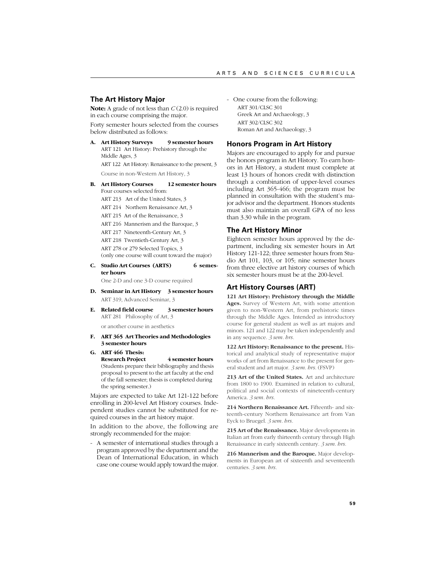# **The Art History Major**

**Note:** A grade of not less than *C* (2.0) is required in each course comprising the major.

Forty semester hours selected from the courses below distributed as follows:

**A. Art History Surveys 9 semester hours** ART 121 Art History: Prehistory through the Middle Ages, 3 ART 122 Art History: Renaissance to the present, 3

Course in non-Western Art History, 3

**B. Art History Courses 12 semester hours** Four courses selected from: ART 213 Art of the United States, 3

ART 214 Northern Renaissance Art, 3

ART 215 Art of the Renaissance, 3

ART 216 Mannerism and the Baroque, 3

- ART 217 Nineteenth-Century Art, 3
- ART 218 Twentieth-Century Art, 3

ART 278 or 279 Selected Topics, 3 (only one course will count toward the major)

- **C. Studio Art Courses (ARTS) 6 semester hours** One 2-D and one 3-D course required
- **D. Seminar in Art History 3 semester hours** ART 319, Advanced Seminar, 3
- **E. Related field course 3 semester hours** ART 281 Philosophy of Art, 3

or another course in aesthetics

- **F. ART 365 Art Theories and Methodologies 3 semester hours**
- **G. ART 466 Thesis: Research Project** 4 semester hours (Students prepare their bibliography and thesis proposal to present to the art faculty at the end of the fall semester; thesis is completed during the spring semester.)

Majors are expected to take Art 121-122 before enrolling in 200-level Art History courses. Independent studies cannot be substituted for required courses in the art history major.

In addition to the above, the following are strongly recommended for the major:

- A semester of international studies through a program approved by the department and the Dean of International Education, in which case one course would apply toward the major.

- One course from the following: ART 301/CLSC 301 Greek Art and Archaeology, 3 ART 302/CLSC 302 Roman Art and Archaeology, 3

# **Honors Program in Art History**

Majors are encouraged to apply for and pursue the honors program in Art History. To earn honors in Art History, a student must complete at least 13 hours of honors credit with distinction through a combination of upper-level courses including Art 365-466; the program must be planned in consultation with the student's major advisor and the department. Honors students must also maintain an overall GPA of no less than 3.30 while in the program.

### **The Art History Minor**

Eighteen semester hours approved by the department, including six semester hours in Art History 121-122; three semester hours from Studio Art 101, 103, or 105; nine semester hours from three elective art history courses of which six semester hours must be at the 200-level.

# **Art History Courses (ART)**

**121 Art History: Prehistory through the Middle Ages.** Survey of Western Art, with some attention given to non-Western Art, from prehistoric times through the Middle Ages. Intended as introductory course for general student as well as art majors and minors. 121 and 122 may be taken independently and in any sequence. *3 sem. hrs.*

**122 Art History: Renaissance to the present.** Historical and analytical study of representative major works of art from Renaissance to the present for general student and art major. *3 sem. hrs.* (FSVP)

**213 Art of the United States.** Art and architecture from 1800 to 1900. Examined in relation to cultural, political and social contexts of nineteenth-century America. *3 sem. hrs.*

214 Northern Renaissance Art. Fifteenth- and sixteenth-century Northern Renaissance art from Van Eyck to Bruegel. *3 sem. hrs.*

**215 Art of the Renaissance.** Major developments in Italian art from early thirteenth century through High Renaissance in early sixteenth century. *3 sem. hrs.*

**216 Mannerism and the Baroque.** Major developments in European art of sixteenth and seventeenth centuries. *3 sem. hrs.*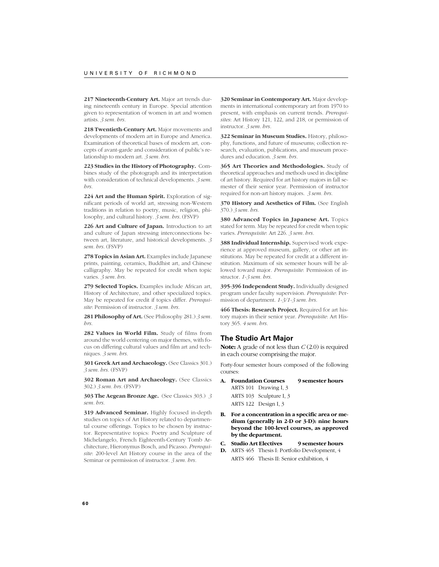217 Nineteenth-Century Art. Major art trends during nineteenth century in Europe. Special attention given to representation of women in art and women artists. *3 sem. hrs.*

**218 Twentieth-Century Art.** Major movements and developments of modern art in Europe and America. Examination of theoretical bases of modern art, concepts of avant-garde and consideration of public's relationship to modern art. *3 sem. hrs.*

**223 Studies in the History of Photography.** Combines study of the photograph and its interpretation with consideration of technical developments. *3 sem. hrs.*

**224 Art and the Human Spirit.** Exploration of significant periods of world art, stressing non-Western traditions in relation to poetry, music, religion, philosophy, and cultural history. *3 sem. hrs.* (FSVP)

**226 Art and Culture of Japan.** Introduction to art and culture of Japan stressing interconnections between art, literature, and historical developments. *3 sem. hrs.* (FSVP)

**278 Topics in Asian Art.** Examples include Japanese prints, painting, ceramics, Buddhist art, and Chinese calligraphy. May be repeated for credit when topic varies. *3 sem. hrs.*

**279 Selected Topics.** Examples include African art, History of Architecture, and other specialized topics. May be repeated for credit if topics differ. *Prerequisite*: Permission of instructor. *3 sem. hrs.*

**281 Philosophy of Art.** (See Philosophy 281.) *3 sem. hrs.*

**282 Values in World Film.** Study of films from around the world centering on major themes, with focus on differing cultural values and film art and techniques. *3 sem. hrs.*

**301 Greek Art and Archaeology.** (See Classics 301.) *3 sem. hrs.* (FSVP)

**302 Roman Art and Archaeology.** (See Classics 302.) *3 sem. hrs.* (FSVP)

**303 The Aegean Bronze Age.** (See Classics 303.) *3 sem. hrs.*

**319 Advanced Seminar.** Highly focused in-depth studies on topics of Art History related to departmental course offerings. Topics to be chosen by instructor. Representative topics: Poetry and Sculpture of Michelangelo, French Eighteenth-Century Tomb Architecture, Hieronymus Bosch, and Picasso. *Prerequisite*: 200-level Art History course in the area of the Seminar or permission of instructor. *3 sem. hrs.*

**320 Seminar in Contemporary Art.** Major developments in international contemporary art from 1970 to present, with emphasis on current trends. *Prerequisites*: Art History 121, 122, and 218, or permission of instructor. *3 sem. hrs.*

**322 Seminar in Museum Studies.** History, philosophy, functions, and future of museums; collection research, evaluation, publications, and museum procedures and education. *3 sem. hrs.*

**365 Art Theories and Methodologies.** Study of theoretical approaches and methods used in discipline of art history. Required for art history majors in fall semester of their senior year. Permission of instructor required for non-art history majors. *3 sem. hrs.*

**370 History and Aesthetics of Film.** (See English 370.) *3 sem. hrs.*

**380 Advanced Topics in Japanese Art.** Topics stated for term. May be repeated for credit when topic varies. *Prerequisite*: Art 226. *3 sem. hrs.*

**388 Individual Internship.** Supervised work experience at approved museum, gallery, or other art institutions. May be repeated for credit at a different institution. Maximum of six semester hours will be allowed toward major. *Prerequisite*: Permission of instructor. *1-3 sem. hrs.*

**395-396 Independent Study.** Individually designed program under faculty supervision. *Prerequisite*: Permission of department. *1-3/1-3 sem. hrs.*

**466 Thesis: Research Project.** Required for art history majors in their senior year. *Prerequisite*: Art History 365. *4 sem. hrs.*

# **The Studio Art Major**

**Note:** A grade of not less than *C* (2.0) is required in each course comprising the major.

Forty-four semester hours composed of the following courses:

- **A. Foundation Courses 9 semester hours** ARTS 101 Drawing I, 3 ARTS 103 Sculpture I, 3 ARTS 122 Design I, 3
- **B. For a concentration in a specific area or medium (generally in 2-D or 3-D): nine hours beyond the 100-level courses, as approved by the department.**
- **C. Studio Art Electives 9 semester hours**
- **D.** ARTS 465 Thesis I: Portfolio Development, 4 ARTS 466 Thesis II: Senior exhibition, 4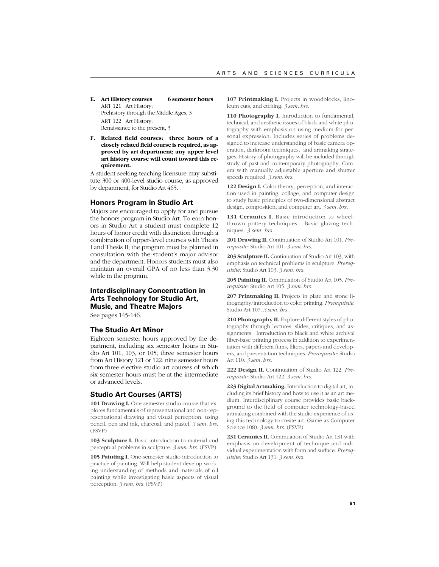**E. Art History courses 6 semester hours** ART 121 Art History: Prehistory through the Middle Ages, 3 ART 122 Art History: Renaissance to the present, 3

**F. Related field courses: three hours of a closely related field course is required, as approved by art department; any upper level art history course will count toward this requirement.**

A student seeking teaching licensure may substitute 300 or 400-level studio course, as approved by department, for Studio Art 465.

### **Honors Program in Studio Art**

Majors are encouraged to apply for and pursue the honors program in Studio Art. To earn honors in Studio Art a student must complete 12 hours of honor credit with distinction through a combination of upper-level courses with Thesis I and Thesis II; the program must be planned in consultation with the student's major advisor and the department. Honors students must also maintain an overall GPA of no less than 3.30 while in the program.

# **Interdisciplinary Concentration in Arts Technology for Studio Art, Music, and Theatre Majors**

See pages 145-146.

### **The Studio Art Minor**

Eighteen semester hours approved by the department, including six semester hours in Studio Art 101, 103, or 105; three semester hours from Art History 121 or 122; nine semester hours from three elective studio art courses of which six semester hours must be at the intermediate or advanced levels.

### **Studio Art Courses (ARTS)**

**101 Drawing I.** One-semester studio course that explores fundamentals of representational and non-representational drawing and visual perception, using pencil, pen and ink, charcoal, and pastel. *3 sem. hrs.* (FSVP)

**103 Sculpture I.** Basic introduction to material and perceptual problems in sculpture. *3 sem. hrs.* (FSVP)

**105 Painting I.** One-semester studio introduction to practice of painting. Will help student develop working understanding of methods and materials of oil painting while investigating basic aspects of visual perception. *3 sem. hrs.* (FSVP)

**107 Printmaking I.** Projects in woodblocks, linoleum cuts, and etching. *3 sem. hrs.*

**110 Photography I.** Introduction to fundamental, technical, and aesthetic issues of black and white photography with emphasis on using medium for personal expression. Includes series of problems designed to increase understanding of basic camera operation, darkroom techniques, and artmaking strategies. History of photography will be included through study of past and contemporary photography. Camera with manually adjustable aperture and shutter speeds required. *3 sem. hrs.*

**122 Design I.** Color theory, perception, and interaction used in painting, collage, and computer design to study basic principles of two-dimensional abstract design, composition, and computer art. *3 sem. hrs.*

131 Ceramics I. Basic introduction to wheelthrown pottery techniques. Basic glazing techniques. *3 sem. hrs.*

**201 Drawing II.** Continuation of Studio Art 101. *Prerequisite*: Studio Art 101. *3 sem. hrs.*

**203 Sculpture II.** Continuation of Studio Art 103, with emphasis on technical problems in sculpture. *Prerequisite*: Studio Art 103. *3 sem. hrs.*

**205 Painting II.** Continuation of Studio Art 105. *Prerequisite*: Studio Art 105. *3 sem. hrs.*

207 Printmaking II. Projects in plate and stone lithography/introduction to color printing. *Prerequisite*: Studio Art 107. *3 sem. hrs.*

**210 Photography II.** Explore different styles of photography through lectures, slides, critiques, and assignments. Introduction to black and white archival fiber-base printing process in addition to experimentation with different films, filters, papers and developers, and presentation techniques. *Prerequisite*: Studio Art 110. *3 sem. hrs.*

**222 Design II.** Continuation of Studio Art 122. *Prerequisite*: Studio Art 122. *3 sem. hrs.*

**223 Digital Artmaking.** Introduction to digital art, including its brief history and how to use it as an art medium. Interdisciplinary course provides basic background to the field of computer technology-based artmaking combined with the studio experience of using this technology to create art. (Same as Computer Science 108). *3 sem. hrs.* (FSVP)

**231 Ceramics II.** Continuation of Studio Art 131 with emphasis on development of technique and individual experimentation with form and surface. *Prerequisite*: Studio Art 131. *3 sem. hrs.*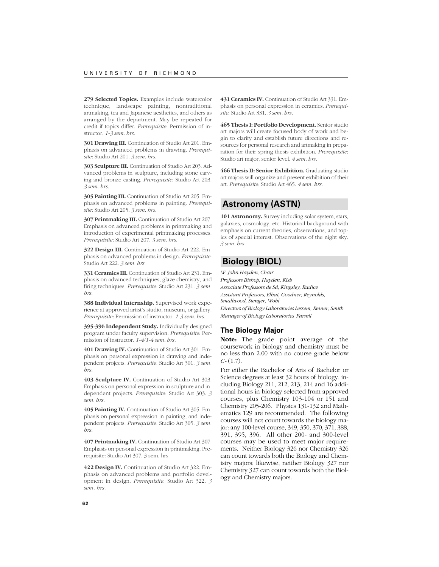**279 Selected Topics.** Examples include watercolor technique, landscape painting, nontraditional artmaking, tea and Japanese aesthetics, and others as arranged by the department. May be repeated for credit if topics differ. *Prerequisite*: Permission of instructor. *1-3 sem. hrs.*

**301 Drawing III.** Continuation of Studio Art 201. Emphasis on advanced problems in drawing. *Prerequisite*: Studio Art 201. *3 sem. hrs.*

**303 Sculpture III.** Continuation of Studio Art 203. Advanced problems in sculpture, including stone carving and bronze casting. *Prerequisite*: Studio Art 203. *3 sem. hrs.*

**305 Painting III.** Continuation of Studio Art 205. Emphasis on advanced problems in painting. *Prerequisite*: Studio Art 205. *3 sem. hrs.*

**307 Printmaking III.** Continuation of Studio Art 207. Emphasis on advanced problems in printmaking and introduction of experimental printmaking processes. *Prerequisite*: Studio Art 207. *3 sem. hrs.*

**322 Design III.** Continuation of Studio Art 222. Emphasis on advanced problems in design. *Prerequisite*: Studio Art 222. *3 sem. hrs.*

**331 Ceramics III.** Continuation of Studio Art 231. Emphasis on advanced techniques, glaze chemistry, and firing techniques. *Prerequisite*: Studio Art 231. *3 sem. hrs.*

**388 Individual Internship.** Supervised work experience at approved artist's studio, museum, or gallery. *Prerequisite*: Permission of instructor. *1-3 sem. hrs.*

**395-396 Independent Study.** Individually designed program under faculty supervision. *Prerequisite*: Permission of instructor. *1-4/1-4 sem. hrs.*

**401 Drawing IV.** Continuation of Studio Art 301. Emphasis on personal expression in drawing and independent projects. *Prerequisite*: Studio Art 301. *3 sem. hrs.*

**403 Sculpture IV.** Continuation of Studio Art 303. Emphasis on personal expression in sculpture and independent projects. *Prerequisite*: Studio Art 303. *3 sem. hrs.*

**405 Painting IV.** Continuation of Studio Art 305. Emphasis on personal expression in painting, and independent projects. *Prerequisite*: Studio Art 305. *3 sem. hrs.*

**407 Printmaking IV.** Continuation of Studio Art 307. Emphasis on personal expression in printmaking. Prerequisite: Studio Art 307. 3 sem. hrs.

**422 Design IV.** Continuation of Studio Art 322. Emphasis on advanced problems and portfolio development in design. *Prerequisite*: Studio Art 322. *3 sem. hrs.*

**431 Ceramics IV.** Continuation of Studio Art 331. Emphasis on personal expression in ceramics. *Prerequisite*: Studio Art 331. *3 sem. hrs.*

**465 Thesis I: Portfolio Development.** Senior studio art majors will create focused body of work and begin to clarify and establish future directions and resources for personal research and artmaking in preparation for their spring thesis exhibition. *Prerequisite*: Studio art major, senior level. *4 sem. hrs.*

**466 Thesis II: Senior Exhibition.** Graduating studio art majors will organize and present exhibition of their art. *Prerequisite*: Studio Art 465. *4 sem. hrs.*

# **Astronomy (ASTN)**

**101 Astronomy.** Survey including solar system, stars, galaxies, cosmology, etc. Historical background with emphasis on current theories, observations, and topics of special interest. Observations of the night sky. *3 sem. hrs.*

# **Biology (BIOL)**

*W. John Hayden, Chair Professors Bishop, Hayden, Kish Associate Professors de Sá, Kingsley, Radice Assistant Professors, Elhai, Goodner, Reynolds, Smallwood, Stenger, Wohl Directors of Biology Laboratories Lessem, Reiner, Smith Manager of Biology Laboratories Farrell*

# **The Biology Major**

**Note:** The grade point average of the coursework in biology and chemistry must be no less than 2.00 with no course grade below *C-* (1.7).

For either the Bachelor of Arts of Bachelor or Science degrees at least 32 hours of biology, including Biology 211, 212, 213, 214 and 16 additional hours in biology selected from approved courses, plus Chemistry 103-104 or 151 and Chemistry 205-206. Physics 131-132 and Mathematics 129 are recommended. The following courses will not count towards the biology major: any 100-level course, 349, 350, 370, 371, 388, 391, 395, 396. All other 200- and 300-level courses may be used to meet major requirements. Neither Biology 326 nor Chemistry 326 can count towards both the Biology and Chemistry majors; likewise, neither Biology 327 nor Chemistry 327 can count towards both the Biology and Chemistry majors.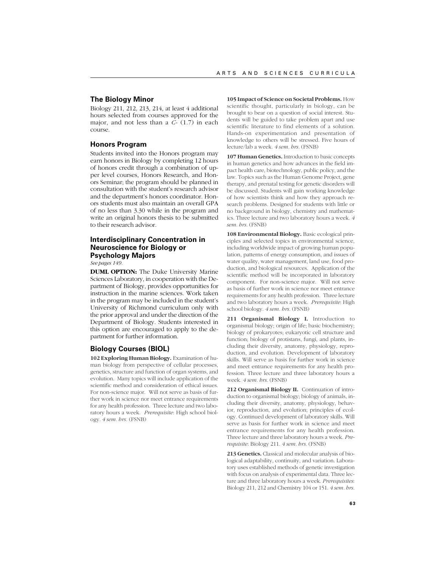# **The Biology Minor**

Biology 211, 212, 213, 214, at least 4 additional hours selected from courses approved for the major, and not less than a *C*- (1.7) in each course.

# **Honors Program**

Students invited into the Honors program may earn honors in Biology by completing 12 hours of honors credit through a combination of upper level courses, Honors Research, and Honors Seminar; the program should be planned in consultation with the student's research advisor and the department's honors coordinator. Honors students must also maintain an overall GPA of no less than 3.30 while in the program and write an original honors thesis to be submitted to their research advisor.

# **Interdisciplinary Concentration in Neuroscience for Biology or Psychology Majors**

*See pages 149.*

**DUML OPTION:** The Duke University Marine Sciences Laboratory, in cooperation with the Department of Biology, provides opportunities for instruction in the marine sciences. Work taken in the program may be included in the student's University of Richmond curriculum only with the prior approval and under the direction of the Department of Biology. Students interested in this option are encouraged to apply to the department for further information.

# **Biology Courses (BIOL)**

**102 Exploring Human Biology.** Examination of human biology from perspective of cellular processes, genetics, structure and function of organ systems, and evolution. Many topics will include application of the scientific method and consideration of ethical issues. For non-science major. Will not serve as basis of further work in science nor meet entrance requirements for any health profession. Three lecture and two laboratory hours a week. *Prerequisite*: High school biology. *4 sem. hrs.* (FSNB)

**105 Impact of Science on Societal Problems.** How scientific thought, particularly in biology, can be brought to bear on a question of social interest. Students will be guided to take problem apart and use scientific literature to find elements of a solution. Hands-on experimentation and presentation of knowledge to others will be stressed. Five hours of lecture/lab a week. *4 sem. hrs.* (FSNB)

**107 Human Genetics.** Introduction to basic concepts in human genetics and how advances in the field impact health care, biotechnology, public policy, and the law. Topics such as the Human Genome Project, gene therapy, and prenatal testing for genetic disorders will be discussed. Students will gain working knowledge of how scientists think and how they approach research problems. Designed for students with little or no background in biology, chemistry and mathematics. Three lecture and two laboratory hours a week. *4 sem. hrs.* (FSNB)

**108 Environmental Biology.** Basic ecological principles and selected topics in environmental science, including worldwide impact of growing human population, patterns of energy consumption, and issues of water quality, water management, land use, food production, and biological resources. Application of the scientific method will be incorporated in laboratory component. For non-science major. Will not serve as basis of further work in science nor meet entrance requirements for any health profession. Three lecture and two laboratory hours a week. *Prerequisite*: High school biology. *4 sem. hrs.* (FSNB)

211 Organismal Biology I. Introduction to organismal biology; origin of life; basic biochemistry; biology of prokaryotes; eukaryotic cell structure and function; biology of protistans, fungi, and plants, including their diversity, anatomy, physiology, reproduction, and evolution. Development of laboratory skills. Will serve as basis for further work in science and meet entrance requirements for any health profession. Three lecture and three laboratory hours a week. *4 sem. hrs.* (FSNB)

212 Organismal Biology II. Continuation of introduction to organismal biology; biology of animals, including their diversity, anatomy, physiology, behavior, reproduction, and evolution; principles of ecology. Continued development of laboratory skills. Will serve as basis for further work in science and meet entrance requirements for any health profession. Three lecture and three laboratory hours a week. *Prerequisite*: Biology 211. *4 sem. hrs.* (FSNB)

213 Genetics. Classical and molecular analysis of biological adaptability, continuity, and variation. Laboratory uses established methods of genetic investigation with focus on analysis of experimental data. Three lecture and three laboratory hours a week. *Prerequisites*: Biology 211, 212 and Chemistry 104 or 151. *4 sem. hrs.*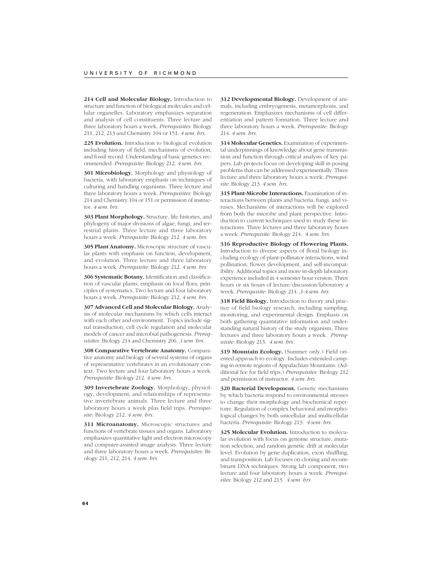**214 Cell and Molecular Biology.** Introduction to structure and function of biological molecules and cellular organelles. Laboratory emphasizes separation and analysis of cell constituents. Three lecture and three laboratory hours a week. *Prerequisites*: Biology 211, 212, 213 and Chemistry 104 or 151. *4 sem. hrs.*

**225 Evolution.** Introduction to biological evolution including history of field, mechanisms of evolution, and fossil record. Understanding of basic genetics recommended. *Prerequisite*: Biology 212. *4 sem. hrs.*

**301 Microbiology.** Morphology and physiology of bacteria, with laboratory emphasis on techniques of culturing and handling organisms. Three lecture and three laboratory hours a week. *Prerequisites*: Biology 214 and Chemistry 104 or 151 or permission of instructor. *4 sem. hrs.*

**303 Plant Morphology.** Structure, life histories, and phylogeny of major divisions of algae, fungi, and terrestrial plants. Three lecture and three laboratory hours a week. *Prerequisite*: Biology 212. *4 sem. hrs.*

**305 Plant Anatomy.** Microscopic structure of vascular plants with emphasis on function, development, and evolution. Three lecture and three laboratory hours a week. *Prerequisite*: Biology 212. *4 sem. hrs.*

**306 Systematic Botany.** Identification and classification of vascular plants; emphasis on local flora; principles of systematics. Two lecture and four laboratory hours a week. *Prerequisite*: Biology 212. *4 sem. hrs.*

**307 Advanced Cell and Molecular Biology.** Analysis of molecular mechanisms by which cells interact with each other and environment. Topics include signal transduction, cell cycle regulation and molecular models of cancer and microbial pathogenesis. *Prerequisites*: Biology 214 and Chemistry 206. *3 sem. hrs.*

**308 Comparative Vertebrate Anatomy.** Comparative anatomy and biology of several systems of organs of representative vertebrates in an evolutionary context. Two lecture and four laboratory hours a week. *Prerequisite*: Biology 212. *4 sem. hrs.*

**309 Invertebrate Zoology.** Morphology, physiology, development, and relationships of representative invertebrate animals. Three lecture and three laboratory hours a week plus field trips. *Prerequisite*: Biology 212. *4 sem. hrs.*

**311 Microanatomy.** Microscopic structures and functions of vertebrate tissues and organs. Laboratory emphasizes quantitative light and electron microscopy and computer-assisted image analysis. Three lecture and three laboratory hours a week. *Prerequisites*: Biology 211, 212, 214. *4 sem. hrs.*

**312 Developmental Biology.** Development of animals, including embryogenesis, metamorphosis, and regeneration. Emphasizes mechanisms of cell differentiation and pattern formation. Three lecture and three laboratory hours a week. *Prerequisite*: Biology 214. *4 sem. hrs.*

**314 Molecular Genetics.** Examination of experimental underpinnings of knowledge about gene transmission and function through critical analysis of key papers. Lab projects focus on developing skill in posing problems that can be addressed experimentally. Three lecture and three laboratory hours a week. *Prerequisite*: Biology 213. *4 sem. hrs.*

**315 Plant-Microbe Interactions.** Examination of interactions between plants and bacteria, fungi, and viruses. Mechanisms of interactions will be explored from both the microbe and plant perspective. Introduction to current techniques used to study these interactions. Three lectures and three laboratory hours a week. *Prerequisite*: Biology 214. *4 sem. hrs.*

**316 Reproductive Biology of Flowering Plants.** Introduction to diverse aspects of floral biology including ecology of plant-pollinator interactions, wind pollination, flower development, and self-incompatibility. Additional topics and more in-depth laboratory experience included in 4 semester hour version. Three hours or six hours of lecture/discussion/laboratory a week. *Prerequisite*: Biology 214. *3-4 sem. hrs.*

**318 Field Biology.** Introduction to theory and practice of field biology research, including sampling, monitoring, and experimental design. Emphasis on both gathering quantitative information and understanding natural history of the study organism. Three lectures and three laboratory hours a week. *Prerequisite*: Biology 213. *4 sem. hrs.*

**319 Mountain Ecology.** (Summer only.) Field oriented approach to ecology. Includes extended camping in remote regions of Appalachian Mountains. (Additional fee for field trips.) *Prerequisites*: Biology 212 and permission of instructor. *4 sem. hrs.*

**320 Bacterial Development.** Genetic mechanisms by which bacteria respond to environmental stresses to change their morphology and biochemical repertoire. Regulation of complex behavioral and morphological changes by both unicellular and multicellular bacteria. *Prerequisite*: Biology 213. *4 sem. hrs.*

**325 Molecular Evolution.** Introduction to molecular evolution with focus on genome structure, mutation selection, and random genetic drift at molecular level. Evolution by gene duplication, exon shuffling, and transposition. Lab focuses on cloning and recombinant DNA techniques. Strong lab component, two lecture and four laboratory hours a week. *Prerequisites*: Biology 212 and 213. *4 sem. hrs.*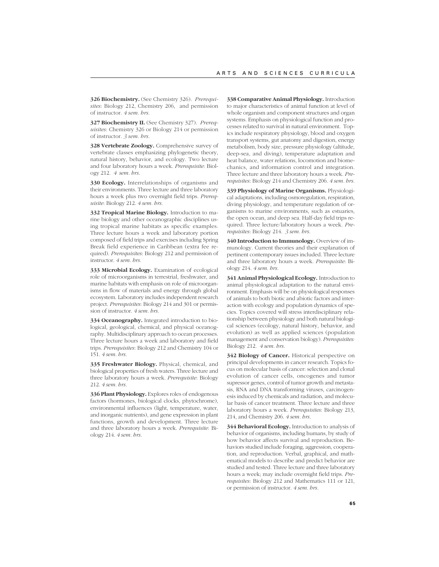**326 Biochemistry.** (See Chemistry 326). *Prerequisites*: Biology 212, Chemistry 206, and permission of instructor. *4 sem. hrs.*

**327 Biochemistry II.** (See Chemistry 327). *Prerequisites*: Chemistry 326 or Biology 214 or permission of instructor. *3 sem. hrs.*

**328 Vertebrate Zoology.** Comprehensive survey of vertebrate classes emphasizing phylogenetic theory, natural history, behavior, and ecology. Two lecture and four laboratory hours a week. *Prerequisite*: Biology 212. *4 sem. hrs.*

**330 Ecology.** Interrelationships of organisms and their environments. Three lecture and three laboratory hours a week plus two overnight field trips. *Prerequisite*: Biology 212. *4 sem. hrs.*

**332 Tropical Marine Biology.** Introduction to marine biology and other oceanographic disciplines using tropical marine habitats as specific examples. Three lecture hours a week and laboratory portion composed of field trips and exercises including Spring Break field experience in Caribbean (extra fee required). *Prerequisites*: Biology 212 and permission of instructor. *4 sem. hrs.*

**333 Microbial Ecology.** Examination of ecological role of microorganisms in terrestrial, freshwater, and marine habitats with emphasis on role of microorganisms in flow of materials and energy through global ecosystem. Laboratory includes independent research project. *Prerequisites*: Biology 214 and 301 or permission of instructor. *4 sem. hrs.*

**334 Oceanography.** Integrated introduction to biological, geological, chemical, and physical oceanography. Multidisciplinary approach to ocean processes. Three lecture hours a week and laboratory and field trips. *Prerequisites*: Biology 212 and Chemistry 104 or 151. *4 sem. hrs.*

**335 Freshwater Biology.** Physical, chemical, and biological properties of fresh waters. Three lecture and three laboratory hours a week. *Prerequisite*: Biology 212. *4 sem. hrs.*

**336 Plant Physiology.** Explores roles of endogenous factors (hormones, biological clocks, phytochrome), environmental influences (light, temperature, water, and inorganic nutrients), and gene expression in plant functions, growth and development. Three lecture and three laboratory hours a week. *Prerequisite*: Biology 214. *4 sem. hrs.*

**338 Comparative Animal Physiology.** Introduction to major characteristics of animal function at level of whole organism and component structures and organ systems. Emphasis on physiological function and processes related to survival in natural environment. Topics include respiratory physiology, blood and oxygen transport systems, gut anatomy and digestion, energy metabolism, body size, pressure physiology (altitude, deep-sea, and diving), temperature adaptation and heat balance, water relations, locomotion and biomechanics, and information control and integration. Three lecture and three laboratory hours a week. *Prerequisites*: Biology 214 and Chemistry 206. *4 sem. hrs.*

**339 Physiology of Marine Organisms.** Physiological adaptations, including osmoregulation, respiration, diving physiology, and temperature regulation of organisms to marine environments, such as estuaries, the open ocean, and deep sea. Half-day field trips required. Three lecture/laboratory hours a week. *Prerequisites*: Biology 214. *3 sem. hrs.*

**340 Introduction to Immunology.** Overview of immunology. Current theories and their explanation of pertinent contemporary issues included. Three lecture and three laboratory hours a week. *Prerequisite*: Biology 214. *4 sem. hrs.*

**341 Animal Physiological Ecology.** Introduction to animal physiological adaptation to the natural environment. Emphasis will be on physiological responses of animals to both biotic and abiotic factors and interaction with ecology and population dynamics of species. Topics covered will stress interdisciplinary relationship between physiology and both natural biological sciences (ecology, natural history, behavior, and evolution) as well as applied sciences (population management and conservation biology). *Prerequisites:* Biology 212. *4 sem. hrs.*

**342 Biology of Cancer.** Historical perspective on principal developments in cancer research. Topics focus on molecular basis of cancer: selection and clonal evolution of cancer cells, oncogenes and tumor supressor genes, control of tumor growth and metastasis, RNA and DNA transforming viruses, carcinogenesis induced by chemicals and radiation, and molecular basis of cancer treatment. Three lecture and three laboratory hours a week. *Prerequisites*: Biology 213, 214, and Chemistry 206. *4 sem. hrs.*

**344 Behavioral Ecology.** Introduction to analysis of behavior of organisms, including humans, by study of how behavior affects survival and reproduction. Behaviors studied include foraging, aggression, cooperation, and reproduction. Verbal, graphical, and mathematical models to describe and predict behavior are studied and tested. Three lecture and three laboratory hours a week; may include overnight field trips. *Prerequisites*: Biology 212 and Mathematics 111 or 121, or permission of instructor. *4 sem. hrs.*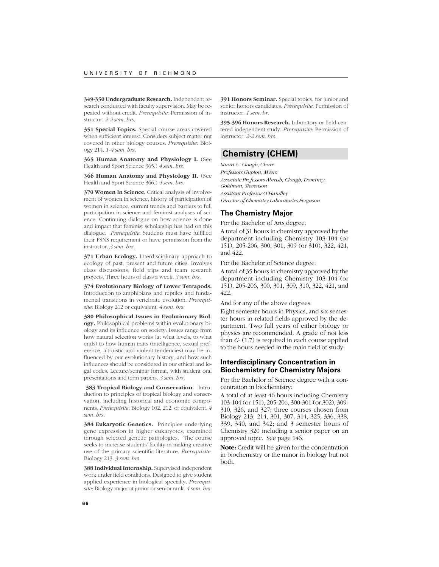**349-350 Undergraduate Research.** Independent research conducted with faculty supervision. May be repeated without credit. *Prerequisite*: Permission of instructor. *2-2 sem. hrs.*

**351 Special Topics.** Special course areas covered when sufficient interest. Considers subject matter not covered in other biology courses. *Prerequisite*: Biology 214. *1-4 sem. hrs.*

**365 Human Anatomy and Physiology I.** (See Health and Sport Science 365.) *4 sem. hrs.*

**366 Human Anatomy and Physiology II.** (See Health and Sport Science 366.) *4 sem. hrs.*

**370 Women in Science.** Critical analysis of involvement of women in science, history of participation of women in science, current trends and barriers to full participation in science and feminist analyses of science. Continuing dialogue on how science is done and impact that feminist scholarship has had on this dialogue. *Prerequisite*: Students must have fulfilled their FSNS requirement or have permission from the instructor. *3 sem. hrs.*

**371 Urban Ecology.** Interdisciplinary approach to ecology of past, present and future cities. Involves class discussions, field trips and team research projects. Three hours of class a week. *3 sem. hrs.*

**374 Evolutionary Biology of Lower Tetrapods.** Introduction to amphibians and reptiles and fundamental transitions in vertebrate evolution. *Prerequisite*: Biology 212 or equivalent. *4 sem. hrs.*

**380 Philosophical Issues in Evolutionary Biology.** Philosophical problems within evolutionary biology and its influence on society. Issues range from how natural selection works (at what levels, to what ends) to how human traits (intelligence, sexual preference, altruistic and violent tendencies) may be influenced by our evolutionary history, and how such influences should be considered in our ethical and legal codes. Lecture/seminar format, with student oral presentations and term papers. *3 sem. hrs.*

**383 Tropical Biology and Conservation.** Introduction to principles of tropical biology and conservation, including historical and economic components. *Prerequisite*: Biology 102, 212, or equivalent. *4 sem. hrs.*

**384 Eukaryotic Genetics.** Principles underlying gene expression in higher eukaryotes, examined through selected genetic pathologies. The course seeks to increase students' facility in making creative use of the primary scientific literature. *Prerequisite*: Biology 213. *3 sem. hrs.*

**388 Individual Internship.** Supervised independent work under field conditions. Designed to give student applied experience in biological specialty. *Prerequisite*: Biology major at junior or senior rank. *4 sem. hrs.*

**391 Honors Seminar.** Special topics, for junior and senior honors candidates. *Prerequisite*: Permission of instructor. *1 sem. hr.*

**395-396 Honors Research.** Laboratory or field-centered independent study. *Prerequisite*: Permission of instructor. *2-2 sem. hrs.*

# **Chemistry (CHEM)**

*Stuart C. Clough, Chair Professors Gupton, Myers Associate Professors Abrash, Clough, Dominey, Goldman, Stevenson Assistant Professor O'Handley Director of Chemistry Laboratories Ferguson*

# **The Chemistry Major**

For the Bachelor of Arts degree:

A total of 31 hours in chemistry approved by the department including Chemistry 103-104 (or 151), 205-206, 300, 301, 309 (or 310), 322, 421, and 422.

For the Bachelor of Science degree:

A total of 35 hours in chemistry approved by the department including Chemistry 103-104 (or 151), 205-206, 300, 301, 309, 310, 322, 421, and 422.

And for any of the above degrees:

Eight semester hours in Physics, and six semester hours in related fields approved by the department. Two full years of either biology or physics are recommended. A grade of not less than *C-* (1.7) is required in each course applied to the hours needed in the main field of study.

# **Interdisciplinary Concentration in Biochemistry for Chemistry Majors**

For the Bachelor of Science degree with a concentration in biochemistry:

A total of at least 46 hours including Chemistry 103-104 (or 151), 205-206, 300-301 (or 302), 309- 310, 326, and 327; three courses chosen from Biology 213, 214, 301, 307, 314, 325, 336, 338, 339, 340, and 342; and 3 semester hours of Chemistry 320 including a senior paper on an approved topic. See page 146.

**Note:** Credit will be given for the concentration in biochemistry or the minor in biology but not both.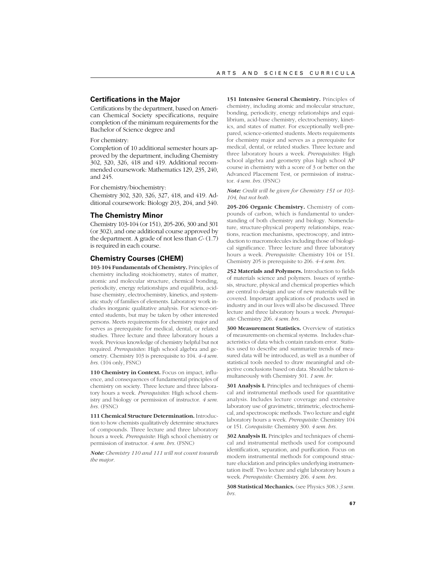### **Certifications in the Major**

Certifications by the department, based on American Chemical Society specifications, require completion of the minimum requirements for the Bachelor of Science degree and

# For chemistry:

Completion of 10 additional semester hours approved by the department, including Chemistry 302, 320, 326, 418 and 419. Additional recommended coursework: Mathematics 129, 235, 240, and 245.

For chemistry/biochemistry:

Chemistry 302, 320, 326, 327, 418, and 419. Additional coursework: Biology 203, 204, and 340.

### **The Chemistry Minor**

Chemistry 103-104 (or 151), 205-206, 300 and 301 (or 302), and one additional course approved by the department. A grade of not less than *C-* (1.7) is required in each course.

# **Chemistry Courses (CHEM)**

**103-104 Fundamentals of Chemistry.** Principles of chemistry including stoichiometry, states of matter, atomic and molecular structure, chemical bonding, periodicity, energy relationships and equilibria, acidbase chemistry, electrochemistry, kinetics, and systematic study of families of elements. Laboratory work includes inorganic qualitative analysis. For science-oriented students, but may be taken by other interested persons. Meets requirements for chemistry major and serves as prerequisite for medical, dental, or related studies. Three lecture and three laboratory hours a week. Previous knowledge of chemistry helpful but not required. *Prerequisites*: High school algebra and geometry. Chemistry 103 is prerequisite to 104. *4-4 sem. hrs.* (104 only, FSNC)

110 Chemistry in Context. Focus on impact, influence, and consequences of fundamental principles of chemistry on society. Three lecture and three laboratory hours a week. *Prerequisites*: High school chemistry and biology or permission of instructor. *4 sem. hrs.* (FSNC)

**111 Chemical Structure Determination.** Introduction to how chemists qualitatively determine structures of compounds. Three lecture and three laboratory hours a week. *Prerequisite*: High school chemistry or permission of instructor. *4 sem. hrs.* (FSNC)

*Note: Chemistry 110 and 111 will not count towards the major.*

**151 Intensive General Chemistry.** Principles of chemistry, including atomic and molecular structure, bonding, periodicity, energy relationships and equilibrium, acid-base chemistry, electrochemistry, kinetics, and states of matter. For exceptionally well-prepared, science-oriented students. Meets requirements for chemistry major and serves as a prerequisite for medical, dental, or related studies. Three lecture and three laboratory hours a week. *Prerequisites*: High school algebra and geometry plus high school AP course in chemistry with a score of 3 or better on the Advanced Placement Test, or permission of instructor. *4 sem. hrs.* (FSNC)

*Note: Credit will be given for Chemistry 151 or 103- 104, but not both.*

**205-206 Organic Chemistry.** Chemistry of compounds of carbon, which is fundamental to understanding of both chemistry and biology. Nomenclature, structure-physical property relationships, reactions, reaction mechanisms, spectroscopy, and introduction to macromolecules including those of biological significance. Three lecture and three laboratory hours a week. *Prerequisite*: Chemistry 104 or 151. Chemistry 205 is prerequisite to 206. *4-4 sem. hrs.*

**252 Materials and Polymers.** Introduction to fields of materials science and polymers. Issues of synthesis, structure, physical and chemical properties which are central to design and use of new materials will be covered. Important applications of products used in industry and in our lives will also be discussed. Three lecture and three laboratory hours a week. *Prerequisite*: Chemistry 206. *4 sem. hrs.*

**300 Measurement Statistics.** Overview of statistics of measurements on chemical systems. Includes characteristics of data which contain random error. Statistics used to describe and summarize trends of measured data will be introduced, as well as a number of statistical tools needed to draw meaningful and objective conclusions based on data. Should be taken simultaneously with Chemistry 301. *1 sem. hr.*

**301 Analysis I.** Principles and techniques of chemical and instrumental methods used for quantitative analysis. Includes lecture coverage and extensive laboratory use of gravimetric, titrimetric, electrochemical, and spectroscopic methods. Two lecture and eight laboratory hours a week. *Prerequisite*: Chemistry 104 or 151. *Corequisite:* Chemistry 300. *4 sem. hrs.*

**302 Analysis II.** Principles and techniques of chemical and instrumental methods used for compound identification, separation, and purification. Focus on modern instrumental methods for compound structure elucidation and principles underlying instrumentation itself. Two lecture and eight laboratory hours a week. *Prerequisite*: Chemistry 206. *4 sem. hrs.*

**308 Statistical Mechanics.** (see Physics 308.) *3 sem. hrs.*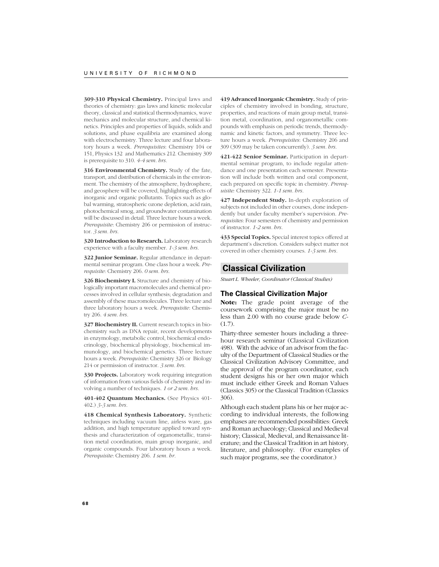**309-310 Physical Chemistry.** Principal laws and theories of chemistry: gas laws and kinetic molecular theory, classical and statistical thermodynamics, wave mechanics and molecular structure, and chemical kinetics. Principles and properties of liquids, solids and solutions, and phase equilibria are examined along with electrochemistry. Three lecture and four laboratory hours a week. *Prerequisites*: Chemistry 104 or 151, Physics 132 and Mathematics 212. Chemistry 309 is prerequisite to 310. *4-4 sem. hrs.*

**316 Environmental Chemistry.** Study of the fate, transport, and distribution of chemicals in the environment. The chemistry of the atmosphere, hydrosphere, and geosphere will be covered, highlighting effects of inorganic and organic pollutants. Topics such as global warming, stratospheric ozone depletion, acid rain, photochemical smog, and groundwater contamination will be discussed in detail. Three lecture hours a week. *Prerequisite*: Chemistry 206 or permission of instructor. *3 sem. hrs.*

**320 Introduction to Research.** Laboratory research experience with a faculty member. *1-3 sem. hrs.*

**322 Junior Seminar.** Regular attendance in departmental seminar program. One class hour a week. *Prerequisite*: Chemistry 206. *0 sem. hrs.*

**326 Biochemistry I.** Structure and chemistry of biologically important macromolecules and chemical processes involved in cellular synthesis; degradation and assembly of these macromolecules. Three lecture and three laboratory hours a week. *Prerequisite*: Chemistry 206. *4 sem. hrs.*

327 Biochemistry II. Current research topics in biochemistry such as DNA repair, recent developments in enzymology, metabolic control, biochemical endocrinology, biochemical physiology, biochemical immunology, and biochemical genetics. Three lecture hours a week. *Prerequisite*: Chemistry 326 or Biology 214 or permission of instructor. *3 sem. hrs.*

**330 Projects.** Laboratory work requiring integration of information from various fields of chemistry and involving a number of techniques. *1 or 2 sem. hrs.*

**401-402 Quantum Mechanics.** (See Physics 401- 402.) *3-3 sem. hrs.*

**418 Chemical Synthesis Laboratory.** Synthetic techniques including vacuum line, airless ware, gas addition, and high temperature applied toward synthesis and characterization of organometallic, transition metal coordination, main group inorganic, and organic compounds. Four laboratory hours a week. *Prerequisite*: Chemistry 206. *1 sem. hr.*

**419 Advanced Inorganic Chemistry.** Study of principles of chemistry involved in bonding, structure, properties, and reactions of main group metal, transition metal, coordination, and organometallic compounds with emphasis on periodic trends, thermodynamic and kinetic factors, and symmetry. Three lecture hours a week. *Prerequisites*: Chemistry 206 and 309 (309 may be taken concurrently). *3 sem. hrs.*

**421-422 Senior Seminar.** Participation in departmental seminar program, to include regular attendance and one presentation each semester. Presentation will include both written and oral component, each prepared on specific topic in chemistry. *Prerequisite:* Chemistry 322. *1-1 sem. hrs.*

**427 Independent Study.** In-depth exploration of subjects not included in other courses, done independently but under faculty member's supervision. *Prerequisites*: Four semesters of chemistry and permission of instructor. *1-2 sem. hrs.*

**433 Special Topics.** Special interest topics offered at department's discretion. Considers subject matter not covered in other chemistry courses. *1-3 sem. hrs.*

# **Classical Civilization**

*Stuart L. Wheeler, Coordinator (Classical Studies)*

# **The Classical Civilization Major**

**Note:** The grade point average of the coursework comprising the major must be no less than 2.00 with no course grade below *C-*  $(1.7)$ 

Thirty-three semester hours including a threehour research seminar (Classical Civilization 498). With the advice of an advisor from the faculty of the Department of Classical Studies or the Classical Civilization Advisory Committee, and the approval of the program coordinator, each student designs his or her own major which must include either Greek and Roman Values (Classics 305) or the Classical Tradition (Classics 306).

Although each student plans his or her major according to individual interests, the following emphases are recommended possibilities: Greek and Roman archaeology; Classical and Medieval history; Classical, Medieval, and Renaissance literature; and the Classical Tradition in art history, literature, and philosophy. (For examples of such major programs, see the coordinator.)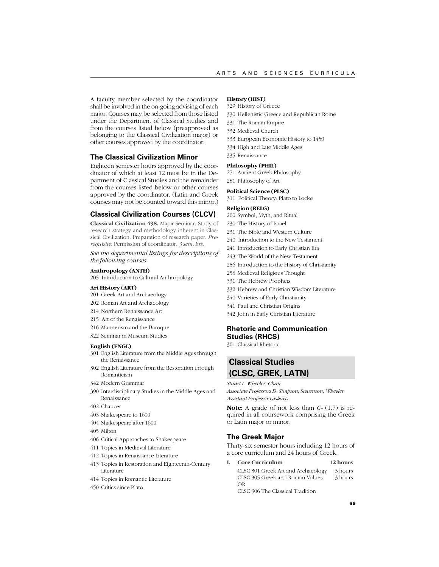A faculty member selected by the coordinator shall be involved in the on-going advising of each major. Courses may be selected from those listed under the Department of Classical Studies and from the courses listed below (preapproved as belonging to the Classical Civilization major) or other courses approved by the coordinator.

# **The Classical Civilization Minor**

Eighteen semester hours approved by the coordinator of which at least 12 must be in the Department of Classical Studies and the remainder from the courses listed below or other courses approved by the coordinator. (Latin and Greek courses may not be counted toward this minor.)

# **Classical Civilization Courses (CLCV)**

**Classical Civilization 498.** Major Seminar. Study of research strategy and methodology inherent in Classical Civilization. Preparation of research paper. *Prerequisite*: Permission of coordinator. *3 sem. hrs.*

*See the departmental listings for descriptions of the following courses.*

### **Anthropology (ANTH)**

205 Introduction to Cultural Anthropology

#### **Art History (ART)**

- 201 Greek Art and Archaeology
- 202 Roman Art and Archaeology
- 214 Northern Renaissance Art
- 215 Art of the Renaissance
- 216 Mannerism and the Baroque
- 322 Seminar in Museum Studies

#### **English (ENGL)**

- 301 English Literature from the Middle Ages through the Renaissance
- 302 English Literature from the Restoration through Romanticism
- 342 Modern Grammar
- 390 Interdisciplinary Studies in the Middle Ages and Renaissance
- 402 Chaucer
- 403 Shakespeare to 1600
- 404 Shakespeare after 1600
- 405 Milton
- 406 Critical Approaches to Shakespeare
- 411 Topics in Medieval Literature
- 412 Topics in Renaissance Literature
- 413 Topics in Restoration and Eighteenth-Century Literature
- 414 Topics in Romantic Literature
- 450 Critics since Plato

# **History (HIST)**

- 329 History of Greece
- 330 Hellenistic Greece and Republican Rome
- 331 The Roman Empire
- 332 Medieval Church
- 333 European Economic History to 1450
- 334 High and Late Middle Ages
- 335 Renaissance

#### **Philosophy (PHIL)**

271 Ancient Greek Philosophy 281 Philosophy of Art

#### 311 Political Theory: Plato to Locke

#### **Religion (RELG)**

- 200 Symbol, Myth, and Ritual
- 230 The History of Israel

**Political Science (PLSC)**

- 231 The Bible and Western Culture
- 240 Introduction to the New Testament
- 241 Introduction to Early Christian Era
- 243 The World of the New Testament
- 256 Introduction to the History of Christianity
- 258 Medieval Religious Thought
- 331 The Hebrew Prophets
- 332 Hebrew and Christian Wisdom Literature
- 340 Varieties of Early Christianity
- 341 Paul and Christian Origins
- 342 John in Early Christian Literature

# **Rhetoric and Communication Studies (RHCS)**

301 Classical Rhetoric

# **Classical Studies (CLSC, GREK, LATN)**

#### *Stuart L. Wheeler, Chair*

*Associate Professors D. Simpson, Stevenson, Wheeler Assistant Professor Laskaris*

**Note:** A grade of not less than *C-* (1.7) is required in all coursework comprising the Greek or Latin major or minor.

# **The Greek Major**

Thirty-six semester hours including 12 hours of a core curriculum and 24 hours of Greek.

**I. Core Curriculum 12 hours** CLSC 301 Greek Art and Archaeology 3 hours CLSC 305 Greek and Roman Values 3 hours OR CLSC 306 The Classical Tradition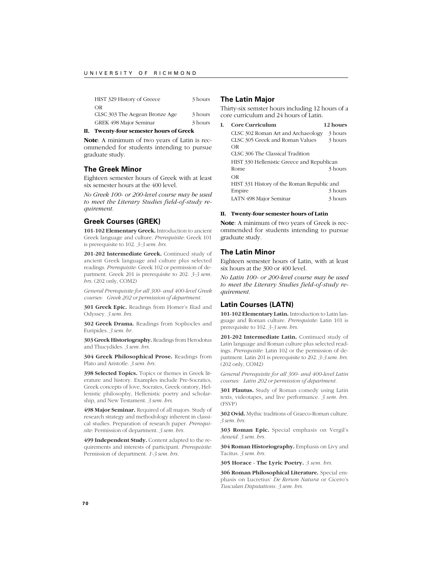| HIST 329 History of Greece     | 3 hours |
|--------------------------------|---------|
| OR                             |         |
| CLSC 303 The Aegean Bronze Age | 3 hours |
| GREK 498 Maior Seminar         | 3 hours |

#### **II. Twenty-four semester hours of Greek**

**Note**: A minimum of two years of Latin is recommended for students intending to pursue graduate study.

# **The Greek Minor**

Eighteen semester hours of Greek with at least six semester hours at the 400 level.

*No Greek 100- or 200-level course may be used to meet the Literary Studies field-of-study requirement.*

# **Greek Courses (GREK)**

**101-102 Elementary Greek.** Introduction to ancient Greek language and culture. *Prerequisite*: Greek 101 is prerequisite to 102. *3-3 sem. hrs.*

201-202 Intermediate Greek. Continued study of ancient Greek language and culture plus selected readings. *Prerequisite*: Greek 102 or permission of department. Greek 201 is prerequisite to 202. *3-3 sem. hrs.* (202 only, COM2)

*General Prerequisite for all 300- and 400-level Greek courses: Greek 202 or permission of department.*

**301 Greek Epic.** Readings from Homer's Iliad and Odyssey. *3 sem. hrs.*

**302 Greek Drama.** Readings from Sophocles and Euripides. *3 sem. hr.*

**303 Greek Historiography.** Readings from Herodotus and Thucydides. *3 sem. hrs.*

**304 Greek Philosophical Prose.** Readings from Plato and Aristotle. *3 sem. hrs.*

**398 Selected Topics.** Topics or themes in Greek literature and history. Examples include Pre-Socratics, Greek concepts of love, Socrates, Greek oratory, Hellenistic philosophy, Hellenistic poetry and scholarship, and New Testament. *3 sem. hrs.*

**498 Major Seminar.** Required of all majors. Study of research strategy and methodology inherent in classical studies. Preparation of research paper. *Prerequisite*: Permission of department. *3 sem. hrs.*

**499 Independent Study.** Content adapted to the requirements and interests of participant. *Prerequisite*: Permission of department. *1-3 sem. hrs.*

# **The Latin Major**

Thirty-six semster hours including 12 hours of a core curriculum and 24 hours of Latin.

| T. | <b>Core Curriculum</b>                     | 12 hours |
|----|--------------------------------------------|----------|
|    | CLSC 302 Roman Art and Archaeology         | 3 hours  |
|    | CLSC 305 Greek and Roman Values            | 3 hours  |
|    | OR                                         |          |
|    | CLSC 306 The Classical Tradition           |          |
|    | HIST 330 Hellenistic Greece and Republican |          |
|    | Rome                                       | 3 hours  |
|    | OR                                         |          |
|    | HIST 331 History of the Roman Republic and |          |
|    | Empire                                     | 3 hours  |
|    | LATN 498 Major Seminar                     | 3 hours  |

#### **II. Twenty-four semester hours of Latin**

**Note**: A minimum of two years of Greek is recommended for students intending to pursue graduate study.

# **The Latin Minor**

Eighteen semester hours of Latin, with at least six hours at the 300 or 400 level.

*No Latin 100- or 200-level course may be used to meet the Literary Studies field-of-study requirement.*

# **Latin Courses (LATN)**

**101-102 Elementary Latin.** Introduction to Latin language and Roman culture. *Prerequisite*: Latin 101 is prerequisite to 102. *3-3 sem. hrs.*

**201-202 Intermediate Latin.** Continued study of Latin language and Roman culture plus selected readings. *Prerequisite*: Latin 102 or the permission of department. Latin 201 is prerequisite to 202. *3-3 sem. hrs.* (202 only, COM2)

*General Prerequisite for all 300- and 400-level Latin courses: Latin 202 or permission of department.*

**301 Plautus.** Study of Roman comedy using Latin texts, videotapes, and live performance. *3 sem. hrs.* (FSVP)

**302 Ovid.** Mythic traditions of Graeco-Roman culture. *3 sem. hrs.*

**303 Roman Epic.** Special emphasis on Vergil's *Aeneid*. *3 sem. hrs.*

**304 Roman Historiography.** Emphasis on Livy and Tacitus. *3 sem. hrs.*

**305 Horace - The Lyric Poetry.** *3 sem. hrs.*

**306 Roman Philosophical Literature.** Special emphasis on Lucretius' *De Rerum Natura* or Cicero's *Tusculan Disputations*. *3 sem. hrs.*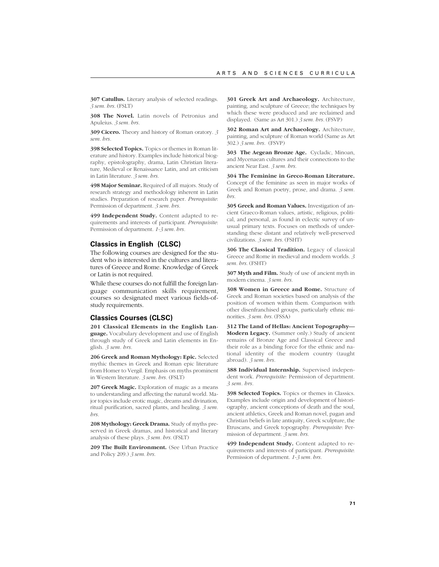**307 Catullus.** Literary analysis of selected readings. *3 sem. hrs.* (FSLT)

**308 The Novel.** Latin novels of Petronius and Apuleius. *3 sem. hrs.*

**309 Cicero.** Theory and history of Roman oratory. *3 sem. hrs.*

**398 Selected Topics.** Topics or themes in Roman literature and history. Examples include historical biography, epistolography, drama, Latin Christian literature, Medieval or Renaissance Latin, and art criticism in Latin literature. *3 sem. hrs.*

**498 Major Seminar.** Required of all majors. Study of research strategy and methodology inherent in Latin studies. Preparation of research paper. *Prerequisite*: Permission of department. *3 sem. hrs.*

**499 Independent Study.** Content adapted to requirements and interests of participant. *Prerequisite*: Permission of department. *1-3 sem. hrs.*

# **Classics in English (CLSC)**

The following courses are designed for the student who is interested in the cultures and literatures of Greece and Rome. Knowledge of Greek or Latin is not required.

While these courses do not fulfill the foreign language communication skills requirement, courses so designated meet various fields-ofstudy requirements.

### **Classics Courses (CLSC)**

**201 Classical Elements in the English Language.** Vocabulary development and use of English through study of Greek and Latin elements in English. *3 sem. hrs.*

**206 Greek and Roman Mythology: Epic.** Selected mythic themes in Greek and Roman epic literature from Homer to Vergil. Emphasis on myths prominent in Western literature. *3 sem. hrs.* (FSLT)

**207 Greek Magic.** Exploration of magic as a means to understanding and affecting the natural world. Major topics include erotic magic, dreams and divination, ritual purification, sacred plants, and healing. *3 sem. hrs.*

**208 Mythology: Greek Drama.** Study of myths preserved in Greek dramas, and historical and literary analysis of these plays. *3 sem. hrs.* (FSLT)

**209 The Built Environment.** (See Urban Practice and Policy 209.) *3 sem. hrs.*

**301 Greek Art and Archaeology.** Architecture, painting, and sculpture of Greece; the techniques by which these were produced and are reclaimed and displayed. (Same as Art 301.) *3 sem. hrs.* (FSVP)

**302 Roman Art and Archaeology.** Architecture, painting, and sculpture of Roman world (Same as Art 302.) *3 sem. hrs.* (FSVP)

**303 The Aegean Bronze Age.** Cycladic, Minoan, and Mycenaean cultures and their connections to the ancient Near East. *3 sem. hrs.*

**304 The Feminine in Greco-Roman Literature.** Concept of the feminine as seen in major works of Greek and Roman poetry, prose, and drama. *3 sem. hrs.*

**305 Greek and Roman Values.** Investigation of ancient Graeco-Roman values, artistic, religious, political, and personal, as found in eclectic survey of unusual primary texts. Focuses on methods of understanding these distant and relatively well-preserved civilizations. *3 sem. hrs.* (FSHT)

**306 The Classical Tradition.** Legacy of classical Greece and Rome in medieval and modern worlds. *3 sem. hrs.* (FSHT)

**307 Myth and Film.** Study of use of ancient myth in modern cinema. *3 sem. hrs.*

**308 Women in Greece and Rome.** Structure of Greek and Roman societies based on analysis of the position of women within them. Comparison with other disenfranchised groups, particularly ethnic minorities. *3 sem. hrs.* (FSSA)

**312 The Land of Hellas: Ancient Topography— Modern Legacy.** (Summer only.) Study of ancient remains of Bronze Age and Classical Greece and their role as a binding force for the ethnic and national identity of the modern country (taught abroad). *3 sem. hrs.*

**388 Individual Internship.** Supervised independent work. *Prerequisite:* Permission of department. *3 sem. hrs.*

**398 Selected Topics.** Topics or themes in Classics. Examples include origin and development of historiography, ancient conceptions of death and the soul, ancient athletics, Greek and Roman novel, pagan and Christian beliefs in late antiquity, Greek sculpture, the Etruscans, and Greek topography. *Prerequisite*: Permission of department. *3 sem. hrs.*

**499 Independent Study.** Content adapted to requirements and interests of participant. *Prerequisite*: Permission of department. *1-3 sem. hrs.*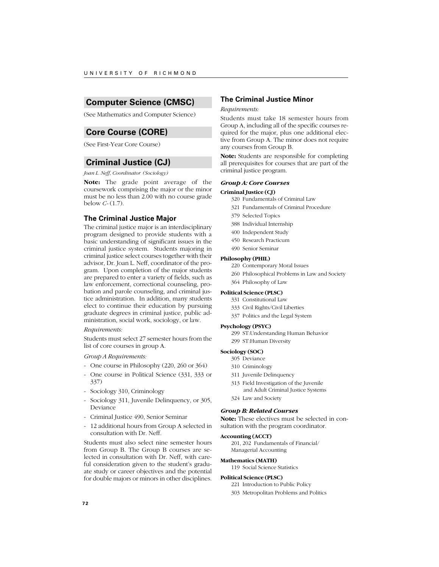# **Computer Science (CMSC)**

(See Mathematics and Computer Science)

# **Core Course (CORE)**

(See First-Year Core Course)

# **Criminal Justice (CJ)**

*Joan L. Neff, Coordinator (Sociology)*

**Note:** The grade point average of the coursework comprising the major or the minor must be no less than 2.00 with no course grade below *C-* (1.7).

# **The Criminal Justice Major**

The criminal justice major is an interdisciplinary program designed to provide students with a basic understanding of significant issues in the criminal justice system. Students majoring in criminal justice select courses together with their advisor, Dr. Joan L. Neff, coordinator of the program. Upon completion of the major students are prepared to enter a variety of fields, such as law enforcement, correctional counseling, probation and parole counseling, and criminal justice administration. In addition, many students elect to continue their education by pursuing graduate degrees in criminal justice, public administration, social work, sociology, or law.

### *Requirements:*

Students must select 27 semester hours from the list of core courses in group A.

# *Group A Requirements:*

- One course in Philosophy (220, 260 or 364)
- One course in Political Science (331, 333 or 337)
- Sociology 310, Criminology
- Sociology 311, Juvenile Delinquency, or 305, Deviance
- Criminal Justice 490, Senior Seminar
- 12 additional hours from Group A selected in consultation with Dr. Neff.

Students must also select nine semester hours from Group B. The Group B courses are selected in consultation with Dr. Neff, with careful consideration given to the student's graduate study or career objectives and the potential for double majors or minors in other disciplines.

# **The Criminal Justice Minor**

### *Requirements:*

Students must take 18 semester hours from Group A, including all of the specific courses required for the major, plus one additional elective from Group A. The minor does not require any courses from Group B.

**Note:** Students are responsible for completing all prerequisites for courses that are part of the criminal justice program.

# *Group A: Core Courses*

### **Criminal Justice (CJ)**

- 320 Fundamentals of Criminal Law
- 321 Fundamentals of Criminal Procedure
- 379 Selected Topics
- 388 Individual Internship
- 400 Independent Study
- 450 Research Practicum
- 490 Senior Seminar

# **Philosophy (PHIL)**

- 220 Contemporary Moral Issues
- 260 Philosophical Problems in Law and Society
- 364 Philosophy of Law

# **Political Science (PLSC)**

- 331 Constitutional Law
- 333 Civil Rights/Civil Liberties
- 337 Politics and the Legal System

# **Psychology (PSYC)**

299 ST:Understanding Human Behavior 299 ST:Human Diversity

# **Sociology (SOC)**

- 305 Deviance
- 310 Criminology
- 311 Juvenile Delinquency
- 313 Field Investigation of the Juvenile
	- and Adult Criminal Justice Systems
- 324 Law and Society

# *Group B: Related Courses*

**Note:** These electives must be selected in consultation with the program coordinator.

### **Accounting (ACCT)**

201, 202 Fundamentals of Financial/ Managerial Accounting

#### **Mathematics (MATH)**

119 Social Science Statistics

#### **Political Science (PLSC)**

- 221 Introduction to Public Policy
- 303 Metropolitan Problems and Politics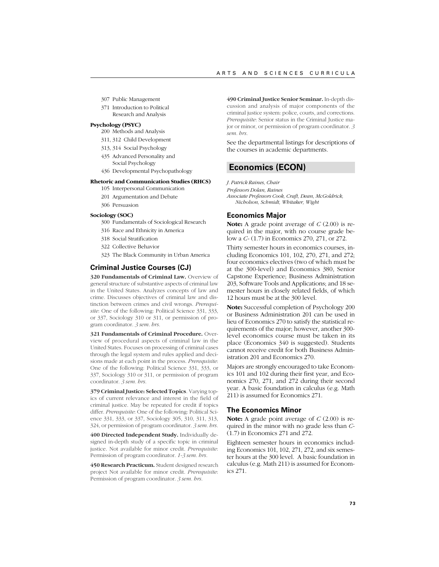- 307 Public Management
- 371 Introduction to Political Research and Analysis

#### **Psychology (PSYC)**

- 200 Methods and Analysis
- 311, 312 Child Development
- 313, 314 Social Psychology
- 435 Advanced Personality and Social Psychology
- 436 Developmental Psychopathology

# **Rhetoric and Communication Studies (RHCS)**

- 105 Interpersonal Communication 201 Argumentation and Debate
- 306 Persuasion

### **Sociology (SOC)**

- 300 Fundamentals of Sociological Research
- 316 Race and Ethnicity in America
- 318 Social Stratification
- 322 Collective Behavior
- 323 The Black Community in Urban America

# **Criminal Justice Courses (CJ)**

**320 Fundamentals of Criminal Law.** Overview of general structure of substantive aspects of criminal law in the United States. Analyzes concepts of law and crime. Discusses objectives of criminal law and distinction between crimes and civil wrongs. *Prerequisite*: One of the following: Political Science 331, 333, or 337, Sociology 310 or 311, or permission of program coordinator. *3 sem. hrs.*

**321 Fundamentals of Criminal Procedure.** Overview of procedural aspects of criminal law in the United States. Focuses on processing of criminal cases through the legal system and rules applied and decisions made at each point in the process. *Prerequisite*: One of the following: Political Science 331, 333, or 337, Sociology 310 or 311, or permission of program coordinator. *3 sem. hrs.*

**379 Criminal Justice: Selected Topics**. Varying topics of current relevance and interest in the field of criminal justice. May be repeated for credit if topics differ. *Prerequisite*: One of the following: Political Science 331, 333, or 337, Sociology 305, 310, 311, 313, 324, or permission of program coordinator. *3 sem. hrs.*

**400 Directed Independent Study.** Individually designed in-depth study of a specific topic in criminal justice. Not available for minor credit. *Prerequisite*: Permission of program coordinator. *1-3 sem. hrs.*

**450 Research Practicum.** Student designed research project Not available for minor credit. *Prerequisite*: Permission of program coordinator. *3 sem. hrs.*

**490 Criminal Justice Senior Seminar.** In-depth discussion and analysis of major components of the criminal justice system: police, courts, and corrections. *Prerequisite*: Senior status in the Criminal Justice major or minor, or permission of program coordinator. *3 sem. hrs.*

See the departmental listings for descriptions of the courses in academic departments.

# **Economics (ECON)**

*J. Patrick Raines, Chair Professors Dolan, Raines Associate Professors Cook, Craft, Dean, McGoldrick, Nicholson, Schmidt, Whitaker, Wight*

# **Economics Major**

**Note:** A grade point average of *C* (2.00) is required in the major, with no course grade below a *C-* (1.7) in Economics 270, 271, or 272.

Thirty semester hours in economics courses, including Economics 101, 102, 270, 271, and 272; four economics electives (two of which must be at the 300-level) and Economics 380, Senior Capstone Experience; Business Administration 203, Software Tools and Applications; and 18 semester hours in closely related fields, of which 12 hours must be at the 300 level.

**Note:** Successful completion of Psychology 200 or Business Administration 201 can be used in lieu of Economics 270 to satisfy the statistical requirements of the major; however, another 300 level economics course must be taken in its place (Economics 340 is suggested). Students cannot receive credit for both Business Administration 201 and Economics 270.

Majors are strongly encouraged to take Economics 101 and 102 during their first year, and Economics 270, 271, and 272 during their second year. A basic foundation in calculus (e.g. Math 211) is assumed for Economics 271.

### **The Economics Minor**

**Note:** A grade point average of *C* (2.00) is required in the minor with no grade less than *C-* (1.7) in Economics 271 and 272.

Eighteen semester hours in economics including Economics 101, 102, 271, 272, and six semester hours at the 300 level. A basic foundation in calculus (e.g. Math 211) is assumed for Economics 271.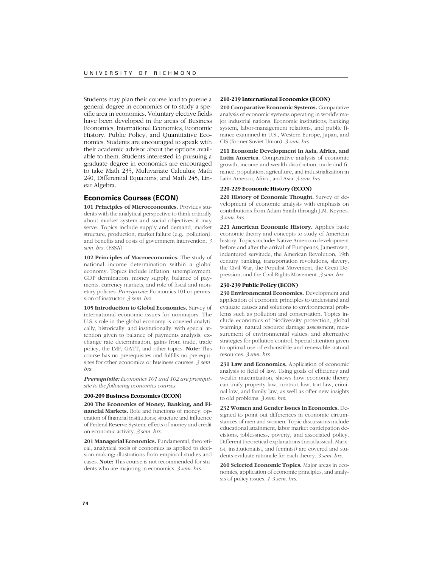Students may plan their course load to pursue a general degree in economics or to study a specific area in economics. Voluntary elective fields have been developed in the areas of Business Economics, International Economics, Economic History, Public Policy, and Quantitative Economics. Students are encouraged to speak with their academic advisor about the options available to them. Students interested in pursuing a graduate degree in economics are encouraged to take Math 235, Multivariate Calculus; Math 240, Differential Equations; and Math 245, Linear Algebra.

# **Economics Courses (ECON)**

**101 Principles of Microeconomics.** Provides students with the analytical perspective to think critically about market system and social objectives it may serve. Topics include supply and demand, market structure, production, market failure (e.g., pollution), and benefits and costs of government intervention. *3 sem. hrs.* (FSSA)

**102 Principles of Macroeconomics.** The study of national income determination within a global economy. Topics include inflation, unemployment, GDP dermination, money supply, balance of payments, currency markets, and role of fiscal and monetary policies. *Prerequisite*: Economics 101 or permission of instructor. *3 sem. hrs.*

**105 Introduction to Global Economics.** Survey of international economic issues for nonmajors. The U.S.'s role in the global economy is covered analytically, historically, and institutionally, with special attention given to balance of payments analysis, exchange rate determination, gains from trade, trade policy, the IMF, GATT, and other topics. **Note:** This course has no prerequisites and fulfills no prerequisites for other economics or business courses. *3 sem. hrs.*

*Prerequisite: Economics 101 and 102 are prerequisite to the following economics courses.*

#### **200-209 Business Economics (ECON)**

**200 The Economics of Money, Banking, and Financial Markets.** Role and functions of money; operation of financial institutions; structure and influence of Federal Reserve System; effects of money and credit on economic activity. *3 sem. hrs*.

**201 Managerial Economics.** Fundamental, theoretical, analytical tools of economics as applied to decision making; illustrations from empirical studies and cases. **Note:** This course is not recommended for students who are majoring in economics. *3 sem. hrs.*

### **210-219 International Economics (ECON)**

**210 Comparative Economic Systems.** Comparative analysis of economic systems operating in world's major industrial nations. Economic institutions, banking system, labor-management relations, and public finance examined in U.S., Western Europe, Japan, and CIS (former Soviet Union). *3 sem. hrs.*

**211 Economic Development in Asia, Africa, and Latin America**. Comparative analysis of economic growth, income and wealth distribution, trade and finance, population, agriculture, and industrialization in Latin America, Africa, and Asia. *3 sem. hrs.*

# **220-229 Economic History (ECON)**

**220 History of Economic Thought.** Survey of development of economic analysis with emphasis on contributions from Adam Smith through J.M. Keynes. *3 sem. hrs.*

**221 American Economic History.** Applies basic economic theory and concepts to study of American history. Topics include: Native American development before and after the arrival of Europeans, Jamestown, indentured servitude, the American Revolution, 19th century banking, transportation revolutions, slavery, the Civil War, the Populist Movement, the Great Depression, and the Civil Rights Movement. *3 sem. hrs.*

### **230-239 Public Policy (ECON)**

**230 Environmental Economics.** Development and application of economic principles to understand and evaluate causes and solutions to environmental problems such as pollution and conservation. Topics include economics of biodiversity protection, global warming, natural resource damage assessment, measurement of environmental values, and alternative strategies for pollution control. Special attention given to optimal use of exhaustible and renewable natural resources. *3 sem. hrs.*

**231 Law and Economics.** Application of economic analysis to field of law. Using goals of efficiency and wealth maximization, shows how economic theory can unify property law, contract law, tort law, criminal law, and family law, as well as offer new insights to old problems. *3 sem. hrs*.

**232 Women and Gender Issues in Economics.** Designed to point out differences in economic circumstances of men and women. Topic discussions include educational attainment, labor market participation decisions, joblessness, poverty, and associated policy. Different theoretical explanations (neoclassical, Marxist, institutionalist, and feminist) are covered and students evaluate rationale for each theory. *3 sem. hrs.*

**260 Selected Economic Topics.** Major areas in economics, application of economic principles, and analysis of policy issues. *1-3 sem. hrs.*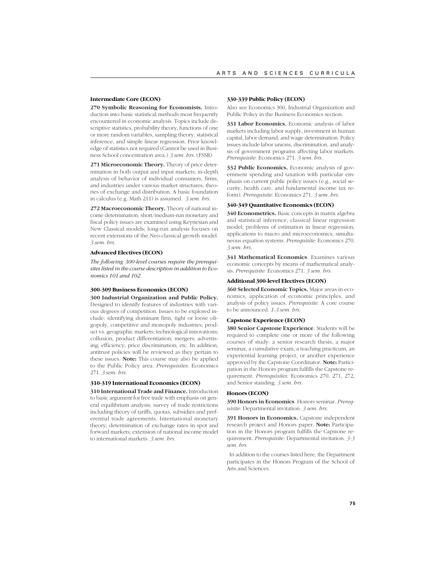### **Intermediate Core (ECON)**

**270 Symbolic Reasoning for Economists.** Introduction into basic statistical methods most frequently encountered in economic analysis. Topics include descriptive statistics, probability theory, functions of one or more random variables, sampling theory, statistical inference, and simple linear regression. Prior knowledge of statistics not required (Cannot be used in Business School concentration area.) *3 sem. hrs.* (FSSR)

**271 Microeconomic Theory.** Theory of price determination in both output and input markets; in-depth analysis of behavior of individual consumers, firms, and industries under various market structures; theories of exchange and distribution. A basic foundation in calculus (e.g. Math 211) is assumed. *3 sem. hrs.*

**272 Macroeconomic Theory.** Theory of national income determination; short/medium-run monetary and fiscal policy issues are examined using Keynesian and New Classical models; long-run analysis focuses on recent extensions of the Neo-classical growth model. *3 sem. hrs.*

#### **Advanced Electives (ECON)**

*The following 300-level courses require the prerequisites listed in the course description in addition to Economics 101 and 102.*

#### **300-309 Business Economics (ECON)**

**300 Industrial Organization and Public Policy.** Designed to identify features of industries with various degrees of competition. Issues to be explored include: identifying dominant firm, tight or loose oligopoly, competitive and monopoly industries; product vs. geographic markets; technological innovations; collusion, product differentiation; mergers; advertising; efficiency; price discrimination; etc. In addition, antitrust policies will be reviewed as they pertain to these issues. **Note:** This course may also be applied to the Public Policy area. *Prerequisites:* Economics 271. *3 sem. hrs.*

#### **310-319 International Economics (ECON)**

**310 International Trade and Finance.** Introduction to basic argument for free trade with emphasis on general equilibrium analysis; survey of trade restrictions including theory of tariffs, quotas, subsidies and preferential trade agreements. International monetary theory; determination of exchange rates in spot and forward markets; extension of national income model to international markets. *3 sem. hrs.*

#### **330-339 Public Policy (ECON)**

Also see Economics 300, Industrial Organization and Public Policy in the Business Economics section.

**331 Labor Economics.** Economic analysis of labor markets including labor supply, investment in human capital, labor demand, and wage determination. Policy issues include labor unions, discrimination, and analysis of government programs affecting labor markets. *Prerequisite:* Economics 271. *3 sem. hrs.*

**332 Public Economics.** Economic analysis of government spending and taxation with particular emphasis on current public policy issues (e.g., social security, health care, and fundamental income tax reform). *Prerequisite:* Economics 271. *3 sem. hrs*.

#### **340-349 Quantitative Economics (ECON)**

**340 Econometrics.** Basic concepts in matrix algebra and statistical inference; classical linear regression model; problems of estimation in linear regression; applications to macro and microeconomics; simultaneous equation systems. *Prerequisite:* Economics 270. *3 sem. hrs.*

**341 Mathematical Economics**. Examines various economic concepts by means of mathematical analysis. *Prerequisite:* Economics 271. *3 sem. hrs.*

#### **Additional 300-level Electives (ECON)**

**360 Selected Economic Topics.** Major areas in economics, application of economic principles, and analysis of policy issues. *Prerequisite:* A core course to be announced. *1-3 sem. hrs.*

#### **Capstone Experience (ECON)**

**380 Senior Capstone Experience**. Students will be required to complete one or more of the following courses of study: a senior research thesis, a major seminar, a cumulative exam, a teaching practicum, an experiential learning project, or another experience approved by the Capstone Coordinator. **Note:** Participation in the Honors program fulfills the Capstone requirement. *Prerequisites:* Economics 270, 271, 272, and Senior standing. *3 sem. hrs.*

# **Honors (ECON)**

**390 Honors in Economics**. Honors seminar. *Prerequisite:* Departmental invitation. *3 sem. hrs.*

**391 Honors in Economics.** Capstone independent research project and Honors paper. **Note:** Participation in the Honors program fulfills the Capstone requirement. *Prerequisite:* Departmental invitation. *3-3 sem. hrs.*

 In addition to the courses listed here, the Department participates in the Honors Program of the School of Arts and Sciences.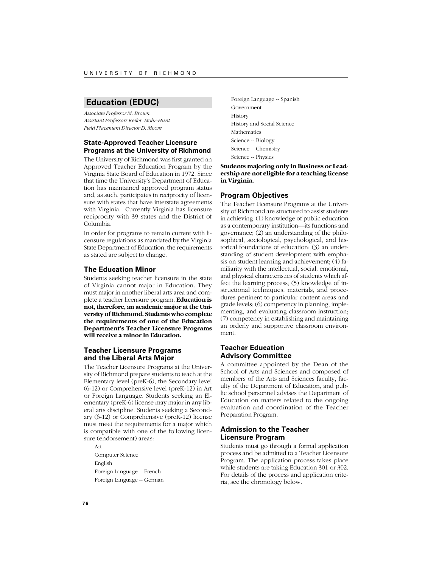# **Education (EDUC)**

*Associate Professor M. Brown Assistant Professors Keiler, Stohr-Hunt Field Placement Director D. Moore*

# **State-Approved Teacher Licensure Programs at the University of Richmond**

The University of Richmond was first granted an Approved Teacher Education Program by the Virginia State Board of Education in 1972. Since that time the University's Department of Education has maintained approved program status and, as such, participates in reciprocity of licensure with states that have interstate agreements with Virginia. Currently Virginia has licensure reciprocity with 39 states and the District of Columbia.

In order for programs to remain current with licensure regulations as mandated by the Virginia State Department of Education, the requirements as stated are subject to change.

# **The Education Minor**

Students seeking teacher licensure in the state of Virginia cannot major in Education. They must major in another liberal arts area and complete a teacher licensure program. **Education is not, therefore, an academic major at the University of Richmond. Students who complete the requirements of one of the Education Department's Teacher Licensure Programs will receive a minor in Education.**

# **Teacher Licensure Programs and the Liberal Arts Major**

The Teacher Licensure Programs at the University of Richmond prepare students to teach at the Elementary level (preK-6), the Secondary level (6-12) or Comprehensive level (preK-12) in Art or Foreign Language. Students seeking an Elementary (preK-6) license may major in any liberal arts discipline. Students seeking a Secondary (6-12) or Comprehensive (preK-12) license must meet the requirements for a major which is compatible with one of the following licensure (endorsement) areas:

Art Computer Science English Foreign Language -- French Foreign Language -- German Foreign Language -- Spanish Government History History and Social Science Mathematics Science -- Biology Science -- Chemistry Science -- Physics

**Students majoring only in Business or Leadership are not eligible for a teaching license in Virginia.**

# **Program Objectives**

The Teacher Licensure Programs at the University of Richmond are structured to assist students in achieving (1) knowledge of public education as a contemporary institution—its functions and governance; (2) an understanding of the philosophical, sociological, psychological, and historical foundations of education; (3) an understanding of student development with emphasis on student learning and achievement;  $(4)$  familiarity with the intellectual, social, emotional, and physical characteristics of students which affect the learning process; (5) knowledge of instructional techniques, materials, and procedures pertinent to particular content areas and grade levels; (6) competency in planning, implementing, and evaluating classroom instruction; (7) competency in establishing and maintaining an orderly and supportive classroom environment.

# **Teacher Education Advisory Committee**

A committee appointed by the Dean of the School of Arts and Sciences and composed of members of the Arts and Sciences faculty, faculty of the Department of Education, and public school personnel advises the Department of Education on matters related to the ongoing evaluation and coordination of the Teacher Preparation Program.

# **Admission to the Teacher Licensure Program**

Students must go through a formal application process and be admitted to a Teacher Licensure Program. The application process takes place while students are taking Education 301 or 302. For details of the process and application criteria, see the chronology below.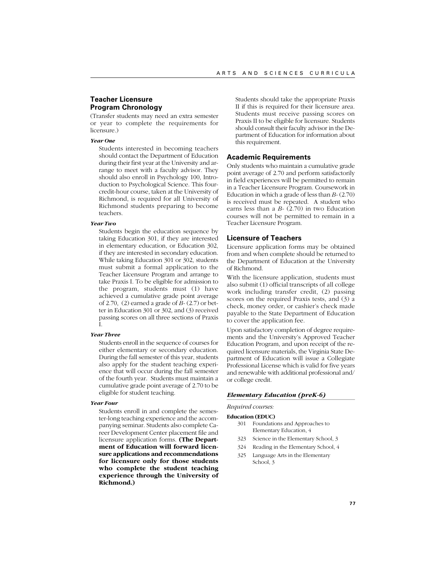# **Teacher Licensure Program Chronology**

(Transfer students may need an extra semester or year to complete the requirements for licensure.)

# *Year One*

Students interested in becoming teachers should contact the Department of Education during their first year at the University and arrange to meet with a faculty advisor. They should also enroll in Psychology 100, Introduction to Psychological Science. This fourcredit-hour course, taken at the University of Richmond, is required for all University of Richmond students preparing to become teachers.

### *Year Two*

Students begin the education sequence by taking Education 301, if they are interested in elementary education, or Education 302, if they are interested in secondary education. While taking Education 301 or 302, students must submit a formal application to the Teacher Licensure Program and arrange to take Praxis I. To be eligible for admission to the program, students must (1) have achieved a cumulative grade point average of 2.70, (2) earned a grade of *B-* (2.7) or better in Education 301 or 302, and (3) received passing scores on all three sections of Praxis I.

#### *Year Three*

Students enroll in the sequence of courses for either elementary or secondary education. During the fall semester of this year, students also apply for the student teaching experience that will occur during the fall semester of the fourth year. Students must maintain a cumulative grade point average of 2.70 to be eligible for student teaching.

### *Year Four*

Students enroll in and complete the semester-long teaching experience and the accompanying seminar. Students also complete Career Development Center placement file and licensure application forms. **(The Department of Education will forward licensure applications and recommendations for licensure only for those students who complete the student teaching experience through the University of Richmond.)**

Students should take the appropriate Praxis II if this is required for their licensure area. Students must receive passing scores on Praxis II to be eligible for licensure. Students should consult their faculty advisor in the Department of Education for information about this requirement.

# **Academic Requirements**

Only students who maintain a cumulative grade point average of 2.70 and perform satisfactorily in field experiences will be permitted to remain in a Teacher Licensure Program. Coursework in Education in which a grade of less than *B-* (2.70) is received must be repeated. A student who earns less than a *B-* (2.70) in two Education courses will not be permitted to remain in a Teacher Licensure Program.

## **Licensure of Teachers**

Licensure application forms may be obtained from and when complete should be returned to the Department of Education at the University of Richmond.

With the licensure application, students must also submit (1) official transcripts of all college work including transfer credit, (2) passing scores on the required Praxis tests, and (3) a check, money order, or cashier's check made payable to the State Department of Education to cover the application fee.

Upon satisfactory completion of degree requirements and the University's Approved Teacher Education Program, and upon receipt of the required licensure materials, the Virginia State Department of Education will issue a Collegiate Professional License which is valid for five years and renewable with additional professional and/ or college credit.

#### *Elementary Education (preK-6)*

# *Required courses:*

- **Education (EDUC)**
	- 301 Foundations and Approaches to Elementary Education, 4
	- 323 Science in the Elementary School, 3
	- 324 Reading in the Elementary School, 4
	- 325 Language Arts in the Elementary School, 3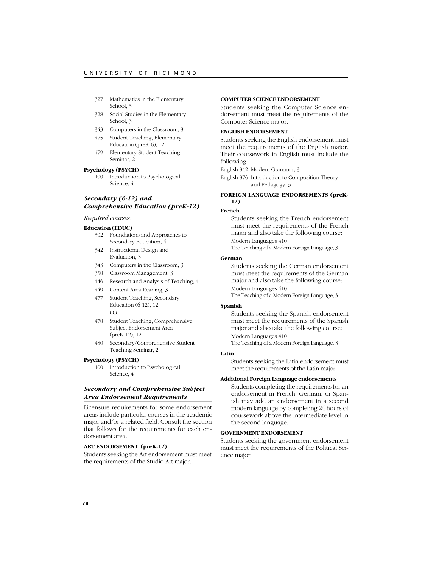- 327 Mathematics in the Elementary School, 3
- 328 Social Studies in the Elementary School, 3
- 343 Computers in the Classroom, 3
- 475 Student Teaching, Elementary Education (preK-6), 12
- 479 Elementary Student Teaching Seminar, 2

### **Psychology (PSYCH)**

100 Introduction to Psychological Science, 4

# *Secondary (6-12) and Comprehensive Education (preK-12)*

### *Required courses:*

### **Education (EDUC)**

- 302 Foundations and Approaches to Secondary Education, 4
- 342 Instructional Design and Evaluation, 3
- 343 Computers in the Classroom, 3
- 358 Classroom Management, 3
- 446 Research and Analysis of Teaching, 4
- 449 Content Area Reading, 3
- 477 Student Teaching, Secondary Education (6-12), 12 OR
- 478 Student Teaching, Comprehensive Subject Endorsement Area (preK-12), 12
- 480 Secondary/Comprehensive Student Teaching Seminar, 2

#### **Psychology (PSYCH)**

100 Introduction to Psychological Science, 4

# *Secondary and Comprehensive Subject Area Endorsement Requirements*

Licensure requirements for some endorsement areas include particular courses in the academic major and/or a related field. Consult the section that follows for the requirements for each endorsement area.

### **ART ENDORSEMENT (preK-12)**

Students seeking the Art endorsement must meet the requirements of the Studio Art major.

# **COMPUTER SCIENCE ENDORSEMENT**

Students seeking the Computer Science endorsement must meet the requirements of the Computer Science major.

## **ENGLISH ENDORSEMENT**

Students seeking the English endorsement must meet the requirements of the English major. Their coursework in English must include the following:

English 342 Modern Grammar, 3

English 376 Introduction to Composition Theory and Pedagogy, 3

## **FOREIGN LANGUAGE ENDORSEMENTS (preK-12)**

### **French**

Students seeking the French endorsement must meet the requirements of the French major and also take the following course: Modern Languages 410 The Teaching of a Modern Foreign Language, 3

# **German**

Students seeking the German endorsement must meet the requirements of the German major and also take the following course: Modern Languages 410 The Teaching of a Modern Foreign Language, 3

# **Spanish**

Students seeking the Spanish endorsement must meet the requirements of the Spanish major and also take the following course: Modern Languages 410

The Teaching of a Modern Foreign Language, 3

# **Latin**

Students seeking the Latin endorsement must meet the requirements of the Latin major.

#### **Additional Foreign Language endorsements**

Students completing the requirements for an endorsement in French, German, or Spanish may add an endorsement in a second modern language by completing 24 hours of coursework above the intermediate level in the second language.

# **GOVERNMENT ENDORSEMENT**

Students seeking the government endorsement must meet the requirements of the Political Science major.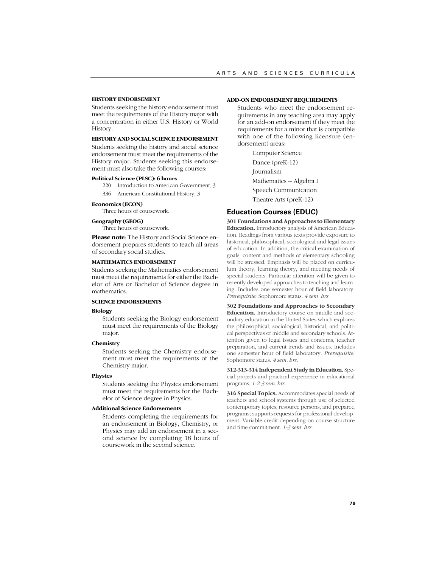### **HISTORY ENDORSEMENT**

Students seeking the history endorsement must meet the requirements of the History major with a concentration in either U.S. History or World History.

### **HISTORY AND SOCIAL SCIENCE ENDORSEMENT**

Students seeking the history and social science endorsement must meet the requirements of the History major. Students seeking this endorsement must also take the following courses:

### **Political Science (PLSC): 6 hours**

- 220 Introduction to American Government, 3
- 336 American Constitutional History, 3

### **Economics (ECON)**

Three hours of coursework.

### **Geography (GEOG)**

Three hours of coursework.

**Please note**: The History and Social Science endorsement prepares students to teach all areas of secondary social studies.

#### **MATHEMATICS ENDORSEMENT**

Students seeking the Mathematics endorsement must meet the requirements for either the Bachelor of Arts or Bachelor of Science degree in mathematics.

### **SCIENCE ENDORSEMENTS**

# **Biology**

Students seeking the Biology endorsement must meet the requirements of the Biology major.

#### **Chemistry**

Students seeking the Chemistry endorsement must meet the requirements of the Chemistry major.

#### **Physics**

Students seeking the Physics endorsement must meet the requirements for the Bachelor of Science degree in Physics.

### **Additional Science Endorsements**

Students completing the requirements for an endorsement in Biology, Chemistry, or Physics may add an endorsement in a second science by completing 18 hours of coursework in the second science.

#### **ADD-ON ENDORSEMENT REQUIREMENTS**

Students who meet the endorsement requirements in any teaching area may apply for an add-on endorsement if they meet the requirements for a minor that is compatible with one of the following licensure (endorsement) areas:

> Computer Science Dance (preK-12) Journalism Mathematics -- Algebra I Speech Communication Theatre Arts (preK-12)

# **Education Courses (EDUC)**

**301 Foundations and Approaches to Elementary Education.** Introductory analysis of American Education. Readings from various texts provide exposure to historical, philosophical, sociological and legal issues of education. In addition, the critical examination of goals, content and methods of elementary schooling will be stressed. Emphasis will be placed on curriculum theory, learning theory, and meeting needs of special students. Particular attention will be given to recently developed approaches to teaching and learning. Includes one semester hour of field laboratory. *Prerequisite:* Sophomore status. *4 sem. hrs.*

**302 Foundations and Approaches to Secondary Education.** Introductory course on middle and secondary education in the United States which explores the philosophical, sociological, historical, and political perspectives of middle and secondary schools. Attention given to legal issues and concerns, teacher preparation, and current trends and issues. Includes one semester hour of field laboratory. *Prerequisite:* Sophomore status. *4 sem. hrs.*

**312-313-314 Independent Study in Education.** Special projects and practical experience in educational programs. *1-2-3 sem. hrs.*

**316 Special Topics.** Accommodates special needs of teachers and school systems through use of selected contemporary topics, resource persons, and prepared programs; supports requests for professional development. Variable credit depending on course structure and time commitment. *1-3 sem. hrs.*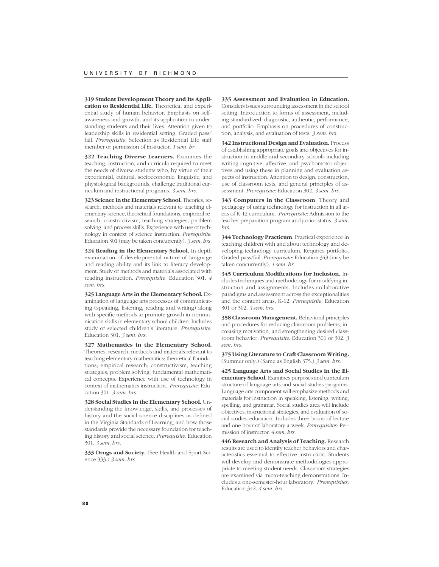**319 Student Development Theory and Its Application to Residential Life.** Theoretical and experiential study of human behavior. Emphasis on selfawareness and growth, and its application to understanding students and their lives. Attention given to leadership skills in residential setting. Graded pass/ fail. *Prerequisite*: Selection as Residential Life staff member or permission of instructor. *1 sem. hr.*

**322 Teaching Diverse Learners.** Examines the teaching, instruction, and curricula required to meet the needs of diverse students who, by virtue of their experiential, cultural, socioeconomic, linguistic, and physiological backgrounds, challenge traditional curriculum and instructional programs. *3 sem. hrs.*

**323 Science in the Elementary School.** Theories, research, methods and materials relevant to teaching elementary science, theoretical foundations, empirical research, constructivism, teaching strategies, problem solving, and process skills. Experience with use of technology in context of science instruction. *Prerequisite:* Education 301 (may be taken concurrently). *3 sem. hrs.*

**324 Reading in the Elementary School.** In-depth examination of developmental nature of language and reading ability and its link to literacy development. Study of methods and materials associated with reading instruction. *Prerequisite*: Education 301. *4 sem. hrs.*

**325 Language Arts in the Elementary School.** Examination of language arts processes of communicating (speaking, listening, reading and writing) along with specific methods to promote growth in communication skills in elementary school children. Includes study of selected children's literature. *Prerequisite:* Education 301. *3 sem. hrs.*

**327 Mathematics in the Elementary School.** Theories, research, methods and materials relevant to teaching elementary mathematics; theoretical foundations; empirical research; constructivism, teaching strategies; problem solving; fundamental mathematical concepts. Experience with use of technology in context of mathematics instruction. *Prerequisite:* Education 301. *3 sem. hrs.*

**328 Social Studies in the Elementary School.** Understanding the knowledge, skills, and processes of history and the social science disciplines as defined in the Virginia Standards of Learning, and how those standards provide the necessary foundation for teaching history and social science. *Prerequisite:* Education 301. *3 sem. hrs.*

**333 Drugs and Society.** (See Health and Sport Science 333.) *3 sem. hrs.*

**335 Assessment and Evaluation in Education.** Considers issues surrounding assessment in the school setting. Introduction to forms of assessment, including standardized, diagnostic, authentic, performance, and portfolio. Emphasis on procedures of construction, analysis, and evaluation of tests. *3 sem. hrs.*

**342 Instructional Design and Evaluation.** Process of establishing appropriate goals and objectives for instruction in middle and secondary schools including writing cognitive, affective, and psychomotor objectives and using these in planning and evaluation aspects of instruction. Attention to design, construction, use of classroom tests, and general principles of assessment. *Prerequisite*: Education 302. *3 sem. hrs.*

**343 Computers in the Classroom**. Theory and pedagogy of using technology for instruction in all areas of K-12 curriculum. *Prerequisite*: Admission to the teacher preparation program and junior status. *3 sem. hrs*.

**344 Technology Practicum**. Practical experience in teaching children with and about technology and developing technology curriculum. Requires portfolio. Graded pass/fail. *Prerequisite*: Education 343 (may be taken concurrently). *1 sem. hr*.

**345 Curriculum Modifications for Inclusion.** Includes techniques and methodology for modifying instruction and assignments. Includes collaborative paradigms and assessment across the exceptionalities and the content areas, K-12. *Prerequisite*: Education 301 or 302. *3 sem. hrs.*

**358 Classroom Management.** Behavioral principles and procedures for reducing classroom problems, increasing motivation, and strengthening desired classroom behavior. *Prerequisite*: Education 301 or 302. *3 sem. hrs.*

**375 Using Literature to Craft Classroom Writing.** (Summer only.) (Same as English 375.) *3 sem. hrs.*

**425 Language Arts and Social Studies in the Elementary School.** Examines purposes and curriculum structure of language arts and social studies programs. Language arts component will emphasize methods and materials for instruction in speaking, listening, writing, spelling, and grammar. Social studies area will include objectives, instructional strategies, and evaluation of social studies education. Includes three hours of lecture and one hour of laboratory a week. *Prerequisites*: Permission of instructor. *4 sem. hrs.*

**446 Research and Analysis of Teaching.** Research results are used to identify teacher behaviors and characteristics essential to effective instruction. Students will develop and demonstrate methodologies appropriate to meeting student needs. Classroom strategies are examined via micro-teaching demonstrations. Includes a one-semester-hour laboratory. *Prerequisites*: Education 342. *4 sem. hrs.*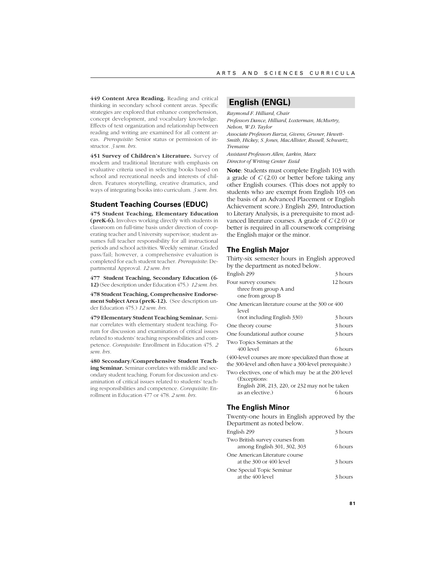**449 Content Area Reading.** Reading and critical thinking in secondary school content areas. Specific strategies are explored that enhance comprehension, concept development, and vocabulary knowledge. Effects of text organization and relationship between reading and writing are examined for all content areas. *Prerequisite:* Senior status or permission of instructor. *3 sem. hrs.*

**451 Survey of Children's Literature.** Survey of modern and traditional literature with emphasis on evaluative criteria used in selecting books based on school and recreational needs and interests of children. Features storytelling, creative dramatics, and ways of integrating books into curriculum. *3 sem. hrs.*

# **Student Teaching Courses (EDUC)**

**475 Student Teaching, Elementary Education (preK-6).** Involves working directly with students in classroom on full-time basis under direction of cooperating teacher and University supervisor; student assumes full teacher responsibility for all instructional periods and school activities. Weekly seminar. Graded pass/fail; however, a comprehensive evaluation is completed for each student teacher. *Prerequisite*: Departmental Approval. *12 sem. hrs*

**477 Student Teaching, Secondary Education (6- 12)** (See description under Education 475.) *12 sem. hrs.*

**478 Student Teaching, Comprehensive Endorsement Subject Area (preK-12).** (See description under Education 475.) *12 sem. hrs.*

**479 Elementary Student Teaching Seminar.** Seminar correlates with elementary student teaching. Forum for discussion and examination of critical issues related to students' teaching responsibilities and competence. *Corequisite*: Enrollment in Education 475. *2 sem. hrs.*

**480 Secondary/Comprehensive Student Teaching Seminar.** Seminar correlates with middle and secondary student teaching. Forum for discussion and examination of critical issues related to students' teaching responsibilities and competence. *Corequisite*: Enrollment in Education 477 or 478. *2 sem. hrs.*

# **English (ENGL)**

*Raymond F. Hilliard, Chair Professors Dance, Hilliard, Loxterman, McMurtry, Nelson, W.D. Taylor*

*Associate Professors Barza, Givens, Gruner, Hewett-Smith, Hickey, S. Jones, MacAllister, Russell, Schwartz, Tremaine*

*Assistant Professors Allen, Larkin, Marx Director of Writing Center Essid*

**Note**: Students must complete English 103 with a grade of *C* (2.0) or better before taking any other English courses. (This does not apply to students who are exempt from English 103 on the basis of an Advanced Placement or English Achievement score.) English 299, Introduction to Literary Analysis, is a prerequisite to most advanced literature courses. A grade of *C* (2.0) or better is required in all coursework comprising the English major or the minor.

# **The English Major**

Thirty-six semester hours in English approved by the department as noted below.

| English 299                                                                                                      | 3 hours  |
|------------------------------------------------------------------------------------------------------------------|----------|
| Four survey courses:                                                                                             | 12 hours |
| three from group A and                                                                                           |          |
| one from group B                                                                                                 |          |
| One American literature course at the 300 or 400<br>level                                                        |          |
| (not including English 330)                                                                                      | 3 hours  |
| One theory course                                                                                                | 3 hours  |
| One foundational author course                                                                                   | 3 hours  |
| Two Topics Seminars at the                                                                                       |          |
| $400$ level                                                                                                      | 6 hours  |
| (400-level courses are more specialized than those at<br>the 300-level and often have a 300-level prerequisite.) |          |
| Two electives, one of which may be at the 200 level                                                              |          |

(Exceptions: English 208, 213, 220, or 232 may not be taken as an elective.) 6 hours

# **The English Minor**

Twenty-one hours in English approved by the Department as noted below. English 299 3 hours Two British survey courses from among English 301, 302, 303 6 hours One American Literature course at the 300 or 400 level 3 hours One Special Topic Seminar at the 400 level 3 hours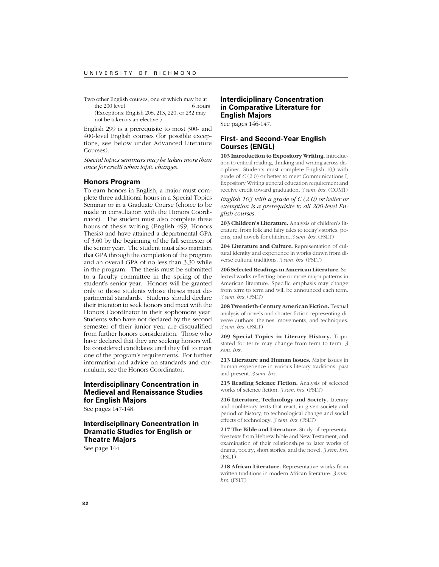Two other English courses, one of which may be at<br>the 200 level 6 hours the  $200$  level

(Exceptions: English 208, 213, 220, or 232 may not be taken as an elective.)

English 299 is a prerequisite to most 300- and 400-level English courses (for possible exceptions, see below under Advanced Literature Courses).

*Special topics seminars may be taken more than once for credit when topic changes.*

## **Honors Program**

To earn honors in English, a major must complete three additional hours in a Special Topics Seminar or in a Graduate Course (choice to be made in consultation with the Honors Coordinator). The student must also complete three hours of thesis writing (English 499, Honors Thesis) and have attained a departmental GPA of 3.60 by the beginning of the fall semester of the senior year. The student must also maintain that GPA through the completion of the program and an overall GPA of no less than 3.30 while in the program. The thesis must be submitted to a faculty committee in the spring of the student's senior year. Honors will be granted only to those students whose theses meet departmental standards. Students should declare their intention to seek honors and meet with the Honors Coordinator in their sophomore year. Students who have not declared by the second semester of their junior year are disqualified from further honors consideration. Those who have declared that they are seeking honors will be considered candidates until they fail to meet one of the program's requirements. For further information and advice on standards and curriculum, see the Honors Coordinator.

# **Interdisciplinary Concentration in Medieval and Renaissance Studies for English Majors**

See pages 147-148.

# **Interdisciplinary Concentration in Dramatic Studies for English or Theatre Majors**

See page 144.

# **Interdiciplinary Concentration in Comparative Literature for English Majors**

See pages 146-147.

# **First- and Second-Year English Courses (ENGL)**

**103 Introduction to Expository Writing.** Introduction to critical reading, thinking and writing across disciplines. Students must complete English 103 with grade of *C* (2.0) or better to meet Communications I, Expository Writing general education requirement and receive credit toward graduation. *3 sem. hrs.* (COM1)

*English 103 with a grade of C (2.0) or better or exemption is a prerequisite to all 200-level English courses.*

**203 Children's Literature.** Analysis of children's literature, from folk and fairy tales to today's stories, poems, and novels for children. *3 sem. hrs.* (FSLT)

**204 Literature and Culture.** Representation of cultural identity and experience in works drawn from diverse cultural traditions. *3 sem. hrs.* (FSLT)

**206 Selected Readings in American Literature.** Selected works reflecting one or more major patterns in American literature. Specific emphasis may change from term to term and will be announced each term. *3 sem. hrs.* (FSLT)

**208 Twentieth-Century American Fiction.** Textual analysis of novels and shorter fiction representing diverse authors, themes, movements, and techniques. *3 sem. hrs.* (FSLT)

**209 Special Topics in Literary History.** Topic stated for term; may change from term to term. *3 sem. hrs.*

**213 Literature and Human Issues.** Major issues in human experience in various literary traditions, past and present. *3 sem. hrs.*

**215 Reading Science Fiction.** Analysis of selected works of science fiction. *3 sem. hrs.* (FSLT)

**216 Literature, Technology and Society.** Literary and nonliterary texts that react, in given society and period of history, to technological change and social effects of technology. *3 sem. hrs.* (FSLT)

**217 The Bible and Literature.** Study of representative texts from Hebrew bible and New Testament, and examination of their relationships to later works of drama, poetry, short stories, and the novel. *3 sem. hrs.* (FSLT)

**218 African Literature.** Representative works from written traditions in modern African literature. *3 sem. hrs.* (FSLT)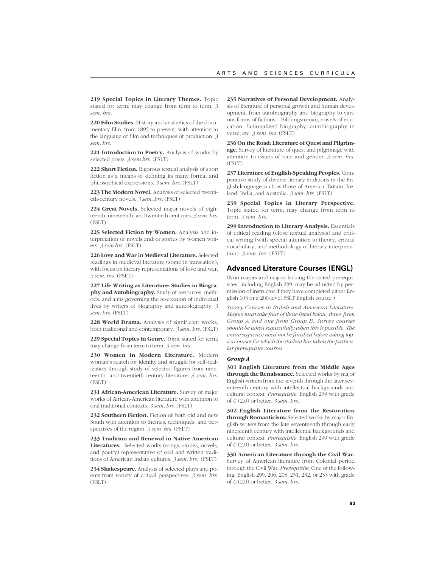**219 Special Topics in Literary Themes.** Topic stated for term; may change from term to term. *3 sem. hrs.*

**220 Film Studies.** History and aesthetics of the documentary film, from 1895 to present, with attention to the language of film and techniques of production. *3 sem. hrs.*

**221 Introduction to Poetry.** Analysis of works by selected poets. *3 sem hrs.* (FSLT)

**222 Short Fiction.** Rigorous textual analysis of short fiction as a means of defining its many formal and philosophical expressions. *3 sem. hrs.* (FSLT)

**223 The Modern Novel.** Analysis of selected twentieth-century novels. *3 sem. hrs.* (FSLT)

**224 Great Novels.** Selected major novels of eighteenth, nineteenth, and twentieth centuries. *3 sem. hrs.* (FSLT)

**225 Selected Fiction by Women.** Analysis and interpretation of novels and/or stories by women writers. *3 sem hrs.* (FSLT)

**226 Love and War in Medieval Literature.** Selected readings in medieval literature (some in translation), with focus on literary representations of love and war. *3 sem. hrs.* (FSLT)

**227 Life-Writing as Literature: Studies in Biography and Autobiography.** Study of resources, methods, and aims governing the re-creation of individual lives by writers of biography and autobiography. *3 sem. hrs.* (FSLT)

**228 World Drama.** Analysis of significant works, both traditional and contemporary. *3 sem. hrs.* (FSLT)

229 Special Topics in Genre. Topic stated for term; may change from term to term. *3 sem. hrs.*

**230 Women in Modern Literature.** Modern woman's search for identity and struggle for self-realization through study of selected figures from nineteenth- and twentieth-century literature. *3 sem. hrs.* (FSLT)

**231 African-American Literature.** Survey of major works of African-American literature with attention to oral traditional contexts. *3 sem. hrs.* (FSLT)

**232 Southern Fiction.** Fiction of both old and new South with attention to themes, techniques, and perspectives of the region. *3 sem. hrs.* (FSLT)

**233 Tradition and Renewal in Native American Literatures.** Selected works (songs, stories, novels, and poetry) representative of oral and written traditions of American Indian cultures. *3 sem. hrs.* (FSLT)

**234 Shakespeare.** Analysis of selected plays and poems from variety of critical perspectives. *3 sem. hrs.* (FSLT)

**235 Narratives of Personal Development.** Analysis of literature of personal growth and human development, from autobiography and biography to various forms of fictions—Bildungsroman, novels of education, fictionalized biography, autobiography in verse, etc. *3 sem. hrs.* (FSLT)

**236 On the Road: Literature of Quest and Pilgrimage.** Survey of literature of quest and pilgrimage with attention to issues of race and gender. *3 sem. hrs.* (FSLT)

**237 Literature of English-Speaking Peoples.** Comparative study of diverse literary traditions in the English language such as those of America, Britain, Ireland, India, and Australia. *3 sem. hrs.* (FSLT)

**239 Special Topics in Literary Perspective.** Topic stated for term; may change from term to term. *3 sem. hrs.*

**299 Introduction to Literary Analysis.** Essentials of critical reading (close textual analysis) and critical writing (with special attention to theory, critical vocabulary, and methodology of literary interpretation). *3 sem. hrs.* (FSLT)

### **Advanced Literature Courses (ENGL)**

(Non-majors and majors lacking the stated prerequisites, including English 299, may be admitted by permission of instructor if they have completed either English 103 or a 200-level FSLT English course.)

*Survey Courses in British and American Literature: Majors must take four of those listed below, three from Group A and one from Group B. Survey courses should be taken sequentially when this is possible. The entire sequence need not be finished before taking topics courses for which the student has taken the particular prerequisite courses.*

### *Group A*

**301 English Literature from the Middle Ages through the Renaissance.** Selected works by major English writers from the seventh through the later seventeenth century with intellectual backgrounds and cultural context. *Prerequisite*: English 299 with grade of *C* (2.0) or better. *3 sem. hrs.*

**302 English Literature from the Restoration through Romanticism.** Selected works by major English writers from the late seventeenth through early nineteenth century with intellectual backgrounds and cultural context. *Prerequisite*: English 299 with grade of *C* (2.0) or better. *3 sem. hrs.*

**330 American Literature through the Civil War.** Survey of American literature from Colonial period through the Civil War. *Prerequisite*: One of the following: English 299, 206, 208, 231, 232, or 233 with grade of *C* (2.0) or better. *3 sem. hrs.*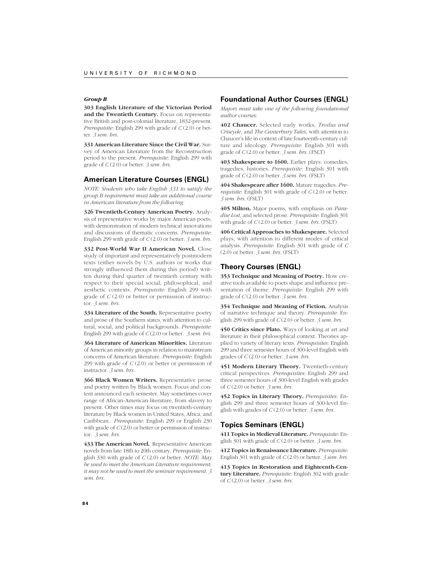## *Group B*

**303 English Literature of the Victorian Period and the Twentieth Century.** Focus on representative British and post-colonial literature, 1832-present. *Prerequisite*: English 299 with grade of *C* (2.0) or better. *3 sem. hrs.*

**331 American Literature Since the Civil War.** Survey of American Literature from the Reconstruction period to the present. *Prerequisite*: English 299 with grade of *C* (2.0) or better. *3 sem. hrs.*

# **American Literature Courses (ENGL)**

*NOTE: Students who take English 331 to satisfy the group B requirement must take an additional course in American literature from the following:*

**326 Twentieth-Century American Poetry.** Analysis of representative works by major American poets, with demonstration of modern technical innovations and discussions of thematic concerns. *Prerequisite*: English 299 with grade of *C* (2.0) or better. *3 sem. hrs.*

**332 Post-World War II American Novel.** Close study of important and representatively postmodern texts (either novels by U.S. authors or works that strongly influenced them during this period) written during third quarter of twentieth century with respect to their special social, philosophical, and aesthetic contexts. *Prerequisite*: English 299 with grade of *C* (2.0) or better or permission of instructor. *3 sem. hrs.*

**334 Literature of the South.** Representative poetry and prose of the Southern states, with attention to cultural, social, and political backgrounds. *Prerequisite*: English 299 with grade of *C* (2.0) or better. *3 sem. hrs.*

**364 Literature of American Minorities.** Literature of American minority groups in relation to mainstream concerns of American literature. *Prerequisite*: English 299 with grade of *C* (2.0) or better or permission of instructor. *3 sem. hrs.*

**366 Black Women Writers.** Representative prose and poetry written by Black women. Focus and content announced each semester. May sometimes cover range of African-American literature, from slavery to present. Other times may focus on twentieth-century literature by Black women in United States, Africa, and Caribbean. *Prerequisite*: English 299 or English 230 with grade of  $C(2.0)$  or better or permission of instructor. *3 sem. hrs.*

**433 The American Novel.** Representative American novels from late 18th to 20th century. *Prerequisite*: English 330 with grade of *C* (2.0) or better. *NOTE: May be used to meet the American Literature requirement; it may not be used to meet the seminar requirement. 3 sem. hrs.*

## **Foundational Author Courses (ENGL)**

*Majors must take one of the following foundational author courses:*

**402 Chaucer.** Selected early works, *Troilus and Criseyde*, and *The Canterbury Tales*, with attention to Chaucer's life in context of late fourteenth-century culture and ideology. *Prerequisite*: English 301 with grade of *C* (2.0) or better. *3 sem. hrs.* (FSLT)

**403 Shakespeare to 1600.** Earlier plays: comedies, tragedies, histories. *Prerequisite*: English 301 with grade of *C* (2.0) or better. *3 sem. hrs.* (FSLT)

**404 Shakespeare after 1600.** Mature tragedies. *Prerequisite*: English 301 with grade of *C* (2.0) or better. *3 sem. hrs.* (FSLT)

**405 Milton.** Major poems, with emphasis on *Paradise Lost*, and selected prose. *Prerequisite*: English 301 with grade of *C* (2.0) or better. *3 sem. hrs.* (FSLT)

**406 Critical Approaches to Shakespeare.** Selected plays, with attention to different modes of critical analysis. *Prerequisite*: English 301 with grade of *C* (2.0) or better. *3 sem. hrs.* (FSLT)

# **Theory Courses (ENGL)**

**353 Technique and Meaning of Poetry.** How creative tools available to poets shape and influence presentation of theme. *Prerequisite*: English 299 with grade of *C* (2.0) or better. *3 sem. hrs.*

**354 Technique and Meaning of Fiction.** Analysis of narrative technique and theory. *Prerequisite*: English 299 with grade of *C* (2.0) or better. *3 sem. hrs.*

**450 Critics since Plato.** Ways of looking at art and literature in their philosophical context. Theories applied to variety of literary texts. *Prerequisites*: English 299 and three semester hours of 300-level English with grades of *C* (2.0) or better. *3 sem. hrs.*

**451 Modern Literary Theory.** Twentieth-century critical perspectives. *Prerequisites*: English 299 and three semester hours of 300-level English with grades of *C* (2.0) or better. *3 sem. hrs.*

**452 Topics in Literary Theory.** *Prerequisites*: English 299 and three semester hours of 300-level English with grades of *C* (2.0) or better. *3 sem. hrs.*

# **Topics Seminars (ENGL)**

**411 Topics in Medieval Literature.** *Prerequisite*: English 301 with grade of *C* (2.0) or better. *3 sem. hrs.*

**412 Topics in Renaissance Literature.** *Prerequisite*: English 301 with grade of *C* (2.0) or better. *3 sem. hrs.*

**413 Topics in Restoration and Eighteenth-Century Literature.** *Prerequisite*: English 302 with grade of *C* (2.0) or better. *3 sem. hrs.*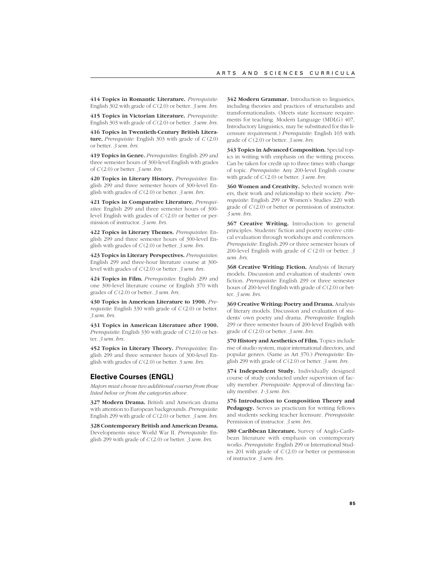**414 Topics in Romantic Literature.** *Prerequisite*: English 302 with grade of *C* (2.0) or better. *3 sem. hrs.*

**415 Topics in Victorian Literature.** *Prerequisite*: English 303 with grade of *C* (2.0) or better. *3 sem. hrs.*

**416 Topics in Twentieth-Century British Literature.** *Prerequisite*: English 303 with grade of *C* (2.0) or better. *3 sem. hrs.*

**419 Topics in Genre.** *Prerequisites*: English 299 and three semester hours of 300-level English with grades of *C* (2.0) or better. *3 sem. hrs.*

**420 Topics in Literary History.** *Prerequisites*: English 299 and three semester hours of 300-level English with grades of *C* (2.0) or better. *3 sem. hrs.*

**421 Topics in Comparative Literature.** *Prerequisites*: English 299 and three semester hours of 300 level English with grades of *C* (2.0) or better or permission of instructor. *3 sem. hrs.*

**422 Topics in Literary Themes.** *Prerequisites*: English 299 and three semester hours of 300-level English with grades of *C* (2.0) or better. *3 sem. hrs.*

**423 Topics in Literary Perspectives.** *Prerequisites*: English 299 and three-hour literature course at 300 level with grades of *C* (2.0) or better. *3 sem. hrs.*

**424 Topics in Film.** *Prerequisites*: English 299 and one 300-level literature course or English 370 with grades of *C* (2.0) or better. *3 sem. hrs.*

**430 Topics in American Literature to 1900.** *Prerequisite*: English 330 with grade of *C* (2.0) or better. *3 sem. hrs.*

**431 Topics in American Literature after 1900.** *Prerequisite*: English 330 with grade of *C* (2.0) or better. *3 sem. hrs.*

**452 Topics in Literary Theory.** *Prerequisites*: English 299 and three semester hours of 300-level English with grades of *C* (2.0) or better. 3 *sem. hrs.*

# **Elective Courses (ENGL)**

*Majors must choose two additional courses from those listed below or from the categories above.*

**327 Modern Drama.** British and American drama with attention to European backgrounds. *Prerequisite*: English 299 with grade of *C* (2.0) or better. *3 sem. hrs.*

**328 Contemporary British and American Drama.** Developments since World War II. *Prerequisite*: English 299 with grade of *C* (2.0) or better. *3 sem. hrs.*

**342 Modern Grammar.** Introduction to linguistics, including theories and practices of structuralists and transformationalists. (Meets state licensure requirements for teaching. Modern Language (MDLG) 407, Introductory Linguistics, may be substituted for this licensure requirement.) *Prerequisite*: English 103 with grade of *C* (2.0) or better. *3 sem. hrs.*

**343 Topics in Advanced Composition.** Special topics in writing with emphasis on the writing process. Can be taken for credit up to three times with change of topic. *Prerequisite*: Any 200-level English course with grade of *C* (2.0) or better. *3 sem. hrs.*

**360 Women and Creativity.** Selected women writers, their work and relationship to their society. *Prerequisite*: English 299 or Women's Studies 220 with grade of *C* (2.0) or better or permission of instructor. *3 sem. hrs.*

**367 Creative Writing.** Introduction to general principles. Students' fiction and poetry receive critical evaluation through workshops and conferences. *Prerequisite*: English 299 or three semester hours of 200-level English with grade of *C* (2.0) or better. *3 sem. hrs.*

**368 Creative Writing: Fiction.** Analysis of literary models. Discussion and evaluation of students' own fiction. *Prerequisite*: English 299 or three semester hours of 200-level English with grade of *C* (2.0) or better. *3 sem. hrs.*

**369 Creative Writing: Poetry and Drama.** Analysis of literary models. Discussion and evaluation of students' own poetry and drama. *Prerequisite*: English 299 or three semester hours of 200-level English with grade of *C* (2.0) or better. *3 sem. hrs.*

**370 History and Aesthetics of Film.** Topics include rise of studio system, major international directors, and popular genres. (Same as Art 370.) *Prerequisite*: English 299 with grade of *C* (2.0) or better. *3 sem. hrs.*

**374 Independent Study.** Individually designed course of study conducted under supervision of faculty member. *Prerequisite*: Approval of directing faculty member. *1-3 sem. hrs.*

**376 Introduction to Composition Theory and Pedagogy.** Serves as practicum for writing fellows and students seeking teacher licensure. *Prerequisite*: Permission of instructor. *3 sem. hrs.*

**380 Caribbean Literature.** Survey of Anglo-Caribbean literature with emphasis on contemporary works. *Prerequisite*: English 299 or International Studies 201 with grade of *C* (2.0) or better or permission of instructor. *3 sem. hrs.*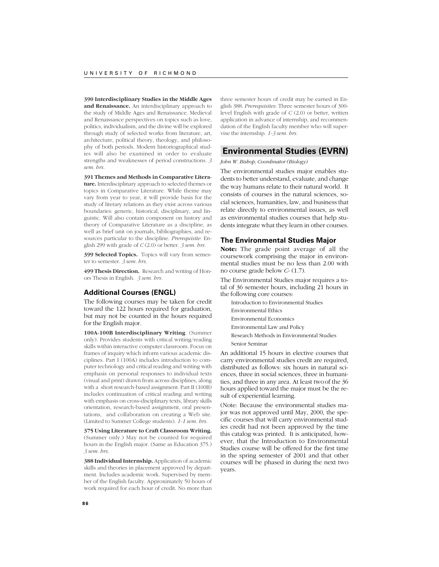**390 Interdisciplinary Studies in the Middle Ages and Renaissance.** An interdisciplinary approach to the study of Middle Ages and Renaissance. Medieval and Renaissance perspectives on topics such as love, politics, individualism, and the divine will be explored through study of selected works from literature, art, architecture, political theory, theology, and philosophy of both periods. Modern historiographical studies will also be examined in order to evaluate strengths and weaknesses of period constructions. *3 sem. hrs.*

**391 Themes and Methods in Comparative Literature.** Interdisciplinary approach to selected themes or topics in Comparative Literature. While theme may vary from year to year, it will provide basis for the study of literary relations as they exist across various boundaries: generic, historical, disciplinary, and linguistic. Will also contain component on history and theory of Comparative Literature as a discipline, as well as brief unit on journals, bibliographies, and resources particular to the discipline. *Prerequisite*: English 299 with grade of *C* (2.0) or better. *3 sem. hrs.*

**399 Selected Topics.** Topics will vary from semester to semester. *3 sem. hrs.*

**499 Thesis Direction.** Research and writing of Honors Thesis in English. *3 sem. hrs.*

## **Additional Courses (ENGL)**

The following courses may be taken for credit toward the 122 hours required for graduation, but may not be counted in the hours required for the English major.

**100A-100B Interdisciplinary Writing**. (Summer only). Provides students with critical writing/reading skills within interactive computer classroom. Focus on frames of inquiry which inform various academic disciplines. Part I (100A) includes introduction to computer technology and critical reading and writing with emphasis on personal responses to individual texts (visual and print) drawn from across disciplines, along with a short research-based assignment. Part II (100B) includes continuation of critical reading and writing with emphasis on cross-disciplinary texts, library skills orientation, research-based assignment, oral presentations, and collaboration on creating a Web site. (Limited to Summer College students). *1-1 sem. hrs.*

**375 Using Literature to Craft Classroom Writing.** (Summer only.) May not be counted for required hours in the English major. (Same as Education 375.) *3 sem. hrs.*

**388 Individual Internship.** Application of academic skills and theories in placement approved by department. Includes academic work. Supervised by member of the English faculty. Approximately 50 hours of work required for each hour of credit. No more than

three semester hours of credit may be earned in English 388. *Prerequisites*: Three semester hours of 300 level English with grade of *C* (2.0) or better, written application in advance of internship, and recommendation of the English faculty member who will supervise the internship. *1-3 sem. hrs.*

# **Environmental Studies (EVRN)**

### *John W. Bishop, Coordinator (Biology)*

The environmental studies major enables students to better understand, evaluate, and change the way humans relate to their natural world. It consists of courses in the natural sciences, social sciences, humanities, law, and business that relate directly to environmental issues, as well as environmental studies courses that help students integrate what they learn in other courses.

# **The Environmental Studies Major**

**Note:** The grade point average of all the coursework comprising the major in environmental studies must be no less than 2.00 with no course grade below *C*- (1.7).

The Environmental Studies major requires a total of 36 semester hours, including 21 hours in the following core courses:

- Introduction to Environmental Studies Environmental Ethics Environmental Economics Environmental Law and Policy Research Methods in Environmental Studies
- Senior Seminar

An additional 15 hours in elective courses that carry environmental studies credit are required, distributed as follows: six hours in natural sciences, three in social sciences, three in humanities, and three in any area. At least twoof the 36 hours applied toward the major must be the result of experiential learning.

(Note: Because the environmental studies major was not approved until May, 2000, the specific courses that will carry environmental studies credit had not been approved by the time this catalog was printed. It is anticipated, however, that the Introduction to Environmental Studies course will be offered for the first time in the spring semester of 2001 and that other courses will be phased in during the next two years.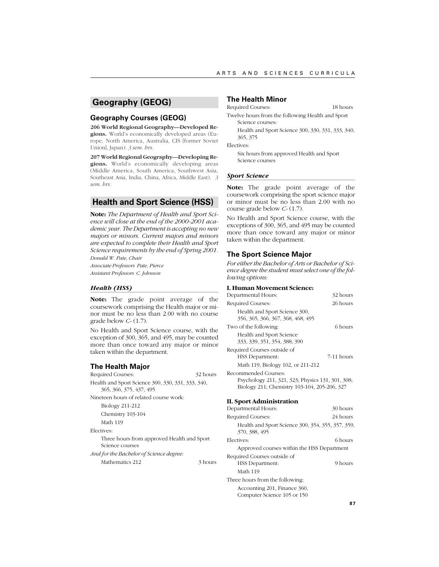# **Geography (GEOG)**

# **Geography Courses (GEOG)**

**206 World Regional Geography—Developed Regions.** World's economically developed areas (Europe, North America, Australia, CIS [former Soviet Union], Japan). *3 sem. hrs.*

**207 World Regional Geography—Developing Regions.** World's economically developing areas (Middle America, South America, Southwest Asia, Southeast Asia, India, China, Africa, Middle East). *3 sem. hrs.*

# **Health and Sport Science (HSS)**

**Note:** *The Department of Health and Sport Science will close at the end of the 2000-2001 academic year. The Department is accepting no new majors or minors. Current majors and minors are expected to complete their Health and Sport Science requirements by the end of Spring 2001. Donald W. Pate, Chair*

*Associate Professors Pate, Pierce*

*Assistant Professors C. Johnson*

# *Health (HSS)*

**Note:** The grade point average of the coursework comprising the Health major or minor must be no less than 2.00 with no course grade below *C-* (1.7).

No Health and Sport Science course, with the exception of 300, 365, and 495, may be counted more than once toward any major or minor taken within the department.

### **The Health Major**

Required Courses: 32 hours Health and Sport Science 300, 330, 331, 333, 340, 365, 366, 375, 437, 495 Nineteen hours of related course work: Biology 211-212 Chemistry 103-104 Math 119 Electives: Three hours from approved Health and Sport Science courses *And for the Bachelor of Science degree:* Mathematics 212 3 hours

### **The Health Minor**

Required Courses: 18 hours

Twelve hours from the following Health and Sport Science courses:

Health and Sport Science 300, 330, 331, 333, 340, 365, 375

Electives:

Six hours from approved Health and Sport Science courses

# *Sport Science*

**Note:** The grade point average of the coursework comprising the sport science major or minor must be no less than 2.00 with no course grade below *C-* (1.7).

No Health and Sport Science course, with the exceptions of 300, 365, and 495 may be counted more than once toward any major or minor taken within the department.

# **The Sport Science Major**

*For either the Bachelor of Arts or Bachelor of Science degree the student must select one of the following options:*

### **I. Human Movement Science:**

| Departmental Hours:                                                                                                      | 32 hours   |
|--------------------------------------------------------------------------------------------------------------------------|------------|
| Required Courses:                                                                                                        | 26 hours   |
| Health and Sport Science 300,<br>356, 365, 366, 367, 368, 468, 495                                                       |            |
| Two of the following:                                                                                                    | 6 hours    |
| Health and Sport Science<br>333, 339, 351, 354, 388, 390                                                                 |            |
| Required Courses outside of                                                                                              |            |
| HSS Department:                                                                                                          | 7-11 hours |
| Math 119, Biology 102, or 211-212                                                                                        |            |
| Recommended Courses:<br>Psychology 211, 321, 323; Physics 131, 301, 308;<br>Biology 211; Chemistry 103-104, 205-206, 327 |            |
| II. Sport Administration                                                                                                 |            |
| Departmental Hours:                                                                                                      | 30 hours   |
| Required Courses:                                                                                                        | 24 hours   |
| Health and Sport Science 300, 354, 355, 357, 359,                                                                        |            |

 $5, 35/$ , 359, 370, 388, 495 Electives: 6 hours Approved courses within the HSS Department Required Courses outside of HSS Department: 9 hours Math 119 Three hours from the following: Accounting 201, Finance 360, Computer Science 105 or 150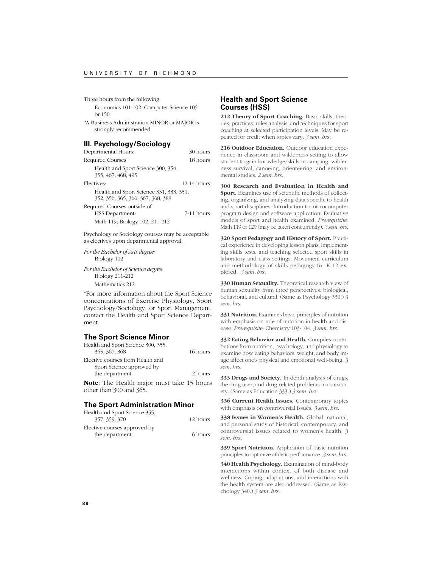Three hours from the following:

Economics 101-102, Computer Science 105 or 150

*\**A Business Administration MINOR or MAJOR is strongly recommended.

# **III. Psychology/Sociology**

| Departmental Hours:                                                          | 30 hours      |
|------------------------------------------------------------------------------|---------------|
| Required Courses:                                                            | 18 hours      |
| Health and Sport Science 300, 354,<br>355, 467, 468, 495                     |               |
| Electives:                                                                   | $12-14$ hours |
| Health and Sport Science 331, 333, 351,<br>352, 356, 365, 366, 367, 368, 388 |               |
| Required Courses outside of<br>HSS Department:                               | 7-11 hours    |
| Math 119; Biology 102, 211-212                                               |               |

Psychology or Sociology courses may be acceptable as electives upon departmental approval.

*For the Bachelor of Arts degree:* Biology 102

*For the Bachelor of Science degree:* Biology 211-212 Mathematics 212

\*For more information about the Sport Science concentrations of Exercise Physiology, Sport Psychology/Sociology, or Sport Management, contact the Health and Sport Science Department.

## **The Sport Science Minor**

| Health and Sport Science 300, 355,               |          |
|--------------------------------------------------|----------|
| 365, 367, 368                                    | 16 hours |
| Elective courses from Health and                 |          |
| Sport Science approved by                        |          |
| the department                                   | 2 hours  |
| <b>Note:</b> The Health major must take 15 hours |          |
| other than 300 and 365.                          |          |

# **The Sport Administration Minor**

| Health and Sport Science 355. |          |
|-------------------------------|----------|
| 357, 359, 370                 | 12 hours |
| Elective courses approved by  |          |
| the department                | 6 hours  |

# **Health and Sport Science Courses (HSS)**

**212 Theory of Sport Coaching.** Basic skills, theories, practices, rules analysis, and techniques for sport coaching at selected participation levels. May be repeated for credit when topics vary. *3 sem. hrs.*

**216 Outdoor Education.** Outdoor education experience in classroom and wilderness setting to allow student to gain knowledge/skills in camping, wilderness survival, canoeing, orienteering, and environmental studies. *2 sem. hrs.*

**300 Research and Evaluation in Health and Sport.** Examines use of scientific methods of collecting, organizing, and analyzing data specific to health and sport disciplines. Introduction to microcomputer program design and software application. Evaluative models of sport and health examined. *Prerequisite:* Math 119 or 129 (may be taken concurrently). *3 sem. hrs.*

**320 Sport Pedagogy and History of Sport.** Practical experience in developing lesson plans, implementing skills tests, and teaching selected sport skills in laboratory and class settings. Movement curriculum and methodology of skills pedagogy for K-12 explored. *3 sem. hrs.*

**330 Human Sexuality.** Theoretical research view of human sexuality from three perspectives: biological, behavioral, and cultural. (Same as Psychology 330.) *3 sem. hrs.*

**331 Nutrition.** Examines basic principles of nutrition with emphasis on role of nutrition in health and disease. *Prerequisite:* Chemistry 103-104. *3 sem. hrs.*

**332 Eating Behavior and Health.** Compiles contributions from nutrition, psychology, and physiology to examine how eating behaviors, weight, and body image affect one's physical and emotional well-being. *3 sem. hrs.*

**333 Drugs and Society.** In-depth analysis of drugs, the drug user, and drug-related problems in our society. (Same as Education 333.) *3 sem. hrs.*

**336 Current Health Issues.** Contemporary topics with emphasis on controversial issues. *3 sem. hrs.*

**338 Issues in Women's Health.** Global, national, and personal study of historical, contemporary, and controversial issues related to women's health. *3 sem. hrs.*

**339 Sport Nutrition.** Application of basic nutrition principles to optimize athletic performance. *3 sem. hrs.*

**340 Health Psychology.** Examination of mind-body interactions within context of both disease and wellness. Coping, adaptations, and interactions with the health system are also addressed. (Same as Psychology 340.) *3 sem. hrs.*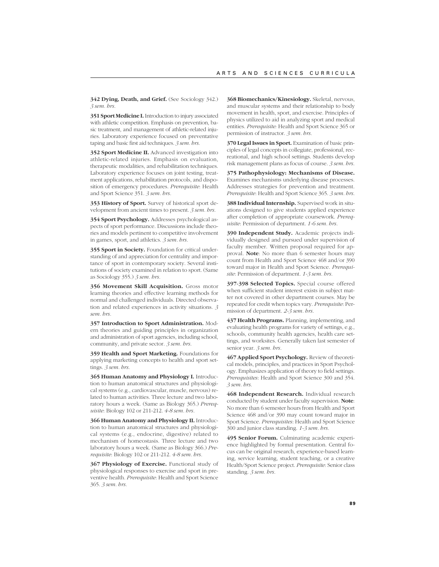**342 Dying, Death, and Grief.** (See Sociology 342.) *3 sem. hrs.*

**351 Sport Medicine I.** Introduction to injury associated with athletic competition. Emphasis on prevention, basic treatment, and management of athletic-related injuries. Laboratory experience focused on preventative taping and basic first aid techniques. *3 sem. hrs.*

**352 Sport Medicine II.** Advanced investigation into athletic-related injuries. Emphasis on evaluation, therapeutic modalities, and rehabilitation techniques. Laboratory experience focuses on joint testing, treatment applications, rehabilitation protocols, and disposition of emergency procedures. *Prerequisite*: Health and Sport Science 351. *3 sem. hrs.*

**353 History of Sport.** Survey of historical sport development from ancient times to present. *3 sem. hrs.*

**354 Sport Psychology.** Addresses psychological aspects of sport performance. Discussions include theories and models pertinent to competitive involvement in games, sport, and athletics. *3 sem. hrs.*

**355 Sport in Society.** Foundation for critical understanding of and appreciation for centrality and importance of sport in contemporary society. Several institutions of society examined in relation to sport. (Same as Sociology 355.) *3 sem. hrs.*

**356 Movement Skill Acquisition.** Gross motor learning theories and effective learning methods for normal and challenged individuals. Directed observation and related experiences in activity situations. *3 sem. hrs.*

**357 Introduction to Sport Administration.** Modern theories and guiding principles in organization and administration of sport agencies, including school, community, and private sector. *3 sem. hrs.*

**359 Health and Sport Marketing.** Foundations for applying marketing concepts to health and sport settings. *3 sem. hrs.*

**365 Human Anatomy and Physiology I.** Introduction to human anatomical structures and physiological systems (e.g., cardiovascular, muscle, nervous) related to human activities. Three lecture and two laboratory hours a week. (Same as Biology 365.) *Prerequisite*: Biology 102 or 211-212. *4-8 sem. hrs.*

**366 Human Anatomy and Physiology II.** Introduction to human anatomical structures and physiological systems (e.g., endocrine, digestive) related to mechanism of homeostasis. Three lecture and two laboratory hours a week. (Same as Biology 366.) *Prerequisite*: Biology 102 or 211-212. *4-8 sem. hrs.*

**367 Physiology of Exercise.** Functional study of physiological responses to exercise and sport in preventive health. *Prerequisite*: Health and Sport Science 365. *3 sem. hrs.*

**368 Biomechanics/Kinesiology.** Skeletal, nervous, and muscular systems and their relationship to body movement in health, sport, and exercise. Principles of physics utilized to aid in analyzing sport and medical entities. *Prerequisite:* Health and Sport Science 365 or permission of instructor. *3 sem. hrs.*

**370 Legal Issues in Sport.** Examination of basic principles of legal concepts in collegiate, professional, recreational, and high school settings. Students develop risk management plans as focus of course. *3 sem. hrs.*

**375 Pathophysiology: Mechanisms of Disease.** Examines mechanisms underlying disease processes. Addresses strategies for prevention and treatment. *Prerequisite*: Health and Sport Science 365. *3 sem. hrs.*

**388 Individual Internship.** Supervised work in situations designed to give students applied experience after completion of appropriate coursework. *Prerequisite*: Permission of department. *1-6 sem. hrs.*

**390 Independent Study.** Academic projects individually designed and pursued under supervision of faculty member. Written proposal required for approval. **Note**: No more than 6 semester hours may count from Health and Sport Science 468 and/or 390 toward major in Health and Sport Science. *Prerequisite*: Permission of department. *1-3 sem. hrs.*

**397-398 Selected Topics.** Special course offered when sufficient student interest exists in subject matter not covered in other department courses. May be repeated for credit when topics vary. *Prerequisite*: Permission of department. *2-3 sem. hrs.*

**437 Health Programs.** Planning, implementing, and evaluating health programs for variety of settings, e.g., schools, community health agencies, health care settings, and worksites. Generally taken last semester of senior year. *3 sem. hrs.*

**467 Applied Sport Psychology.** Review of theoretical models, principles, and practices in Sport Psychology. Emphasizes application of theory to field settings. *Prerequisites*: Health and Sport Science 300 and 354. *3 sem. hrs.*

**468 Independent Research.** Individual research conducted by student under faculty supervision. **Note**: No more than 6 semester hours from Health and Sport Science 468 and/or 390 may count toward major in Sport Science. *Prerequisites*: Health and Sport Science 300 and junior class standing. *1-3 sem. hrs.*

**495 Senior Forum.** Culminating academic experience highlighted by formal presentation. Central focus can be original research, experience-based learning, service learning, student teaching, or a creative Health/Sport Science project. *Prerequisite*: Senior class standing. *3 sem. hrs.*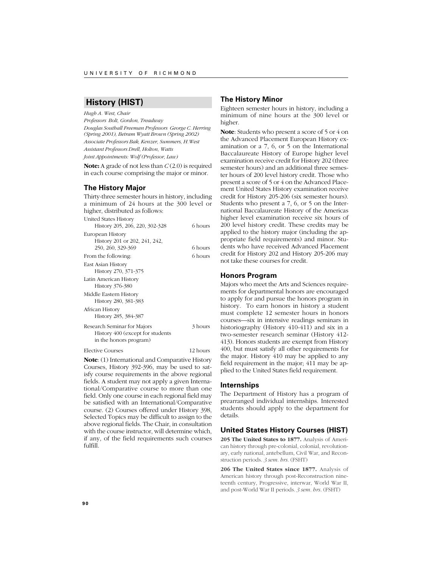# **History (HIST)**

*Hugh A. West, Chair*

*Professors Bolt, Gordon, Treadway Douglas Southall Freeman Professors George C. Herring (Spring 2001), Betram Wyatt Brown (Spring 2002) Associate Professors Bak, Kenzer, Summers, H.West Assistant Professors Drell, Holton, Watts Joint Appointments: Wolf (Professor, Law)*

**Note:** A grade of not less than *C* (2.0) is required in each course comprising the major or minor.

# **The History Major**

Thirty-three semester hours in history, including a minimum of 24 hours at the 300 level or higher, distributed as follows:

| <b>United States History</b>   |         |
|--------------------------------|---------|
| History 205, 206, 220, 302-328 | 6 hours |

| 1110001, 800, 800, 880, 908 980  |         |
|----------------------------------|---------|
| European History                 |         |
| History 201 or 202, 241, 242,    |         |
| 250, 260, 329-369                | 6 hours |
| From the following:              | 6 hours |
| East Asian History               |         |
| History 270, 371-375             |         |
| Latin American History           |         |
| History 376-380                  |         |
| Middle Eastern History           |         |
| History 280, 381-383             |         |
| African History                  |         |
| History 285, 384-387             |         |
| Research Seminar for Majors      | 3 hours |
| History 400 (except for students |         |
| in the honors program)           |         |

Elective Courses 12 hours

**Note**: (1) International and Comparative History Courses, History 392-396, may be used to satisfy course requirements in the above regional fields. A student may not apply a given International/Comparative course to more than one field. Only one course in each regional field may be satisfied with an International/Comparative course. (2) Courses offered under History 398, Selected Topics may be difficult to assign to the above regional fields. The Chair, in consultation with the course instructor, will determine which, if any, of the field requirements such courses fulfill.

# **The History Minor**

Eighteen semester hours in history, including a minimum of nine hours at the 300 level or higher.

**Note**: Students who present a score of 5 or 4 on the Advanced Placement European History examination or a 7, 6, or 5 on the International Baccalaureate History of Europe higher level examination receive credit for History 202 (three semester hours) and an additional three semester hours of 200 level history credit. Those who present a score of 5 or 4 on the Advanced Placement United States History examination receive credit for History 205-206 (six semester hours). Students who present a 7, 6, or 5 on the International Baccalaureate History of the Americas higher level examination receive six hours of 200 level history credit. These credits may be applied to the history major (including the appropriate field requirements) and minor. Students who have received Advanced Placement credit for History 202 and History 205-206 may not take these courses for credit.

# **Honors Program**

Majors who meet the Arts and Sciences requirements for departmental honors are encouraged to apply for and pursue the honors program in history. To earn honors in history a student must complete 12 semester hours in honors courses—six in intensive readings seminars in historiography (History 410-411) and six in a two-semester research seminar (History 412- 413). Honors students are exempt from History 400, but must satisfy all other requirements for the major. History 410 may be applied to any field requirement in the major; 411 may be applied to the United States field requirement.

### **Internships**

The Department of History has a program of prearranged individual internships. Interested students should apply to the department for details.

# **United States History Courses (HIST)**

**205 The United States to 1877.** Analysis of American history through pre-colonial, colonial, revolutionary, early national, antebellum, Civil War, and Reconstruction periods. *3 sem. hrs.* (FSHT)

**206 The United States since 1877.** Analysis of American history through post-Reconstruction nineteenth century, Progressive, interwar, World War II, and post-World War II periods. *3 sem. hrs.* (FSHT)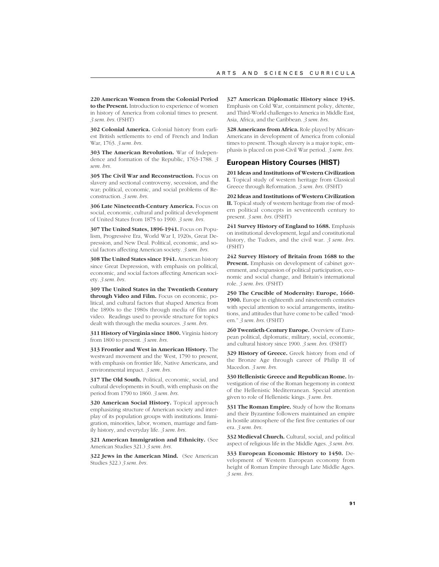**220 American Women from the Colonial Period to the Present.** Introduction to experience of women in history of America from colonial times to present. *3 sem. hrs.* (FSHT)

**302 Colonial America.** Colonial history from earliest British settlements to end of French and Indian War, 1763. *3 sem. hrs.*

**303 The American Revolution.** War of Independence and formation of the Republic, 1763-1788. *3 sem. hrs.*

**305 The Civil War and Reconstruction.** Focus on slavery and sectional controversy, secession, and the war; political, economic, and social problems of Reconstruction. *3 sem. hrs.*

**306 Late Nineteenth-Century America.** Focus on social, economic, cultural and political development of United States from 1875 to 1900. *3 sem. hrs.*

**307 The United States, 1896-1941.** Focus on Populism, Progressive Era, World War I, 1920s, Great Depression, and New Deal. Political, economic, and social factors affecting American society. *3 sem. hrs.*

**308 The United States since 1941.** American history since Great Depression, with emphasis on political, economic, and social factors affecting American society. *3 sem. hrs.*

**309 The United States in the Twentieth Century through Video and Film.** Focus on economic, political, and cultural factors that shaped America from the 1890s to the 1980s through media of film and video. Readings used to provide structure for topics dealt with through the media sources. *3 sem. hrs.*

**311 History of Virginia since 1800.** Virginia history from 1800 to present. *3 sem. hrs.*

**313 Frontier and West in American History.** The westward movement and the West, 1790 to present, with emphasis on frontier life, Native Americans, and environmental impact. *3 sem. hrs.*

**317 The Old South.** Political, economic, social, and cultural developments in South, with emphasis on the period from 1790 to 1860. *3 sem. hrs.*

**320 American Social History.** Topical approach emphasizing structure of American society and interplay of its population groups with institutions. Immigration, minorities, labor, women, marriage and family history, and everyday life. *3 sem. hrs.*

**321 American Immigration and Ethnicity.** (See American Studies 321.) *3 sem. hrs.*

**322 Jews in the American Mind.** (See American Studies 322.) *3 sem. hrs.*

**327 American Diplomatic History since 1945.** Emphasis on Cold War, containment policy, détente, and Third-World challenges to America in Middle East, Asia, Africa, and the Caribbean. *3 sem. hrs.*

**328 Americans from Africa.** Role played by African-Americans in development of America from colonial times to present. Though slavery is a major topic, emphasis is placed on post-Civil War period. *3 sem. hrs.*

# **European History Courses (HIST)**

**201 Ideas and Institutions of Western Civilization I.** Topical study of western heritage from Classical Greece through Reformation. *3 sem. hrs.* (FSHT)

**202 Ideas and Institutions of Western Civilization II.** Topical study of western heritage from rise of modern political concepts in seventeenth century to present. *3 sem. hrs.* (FSHT)

**241 Survey History of England to 1688.** Emphasis on institutional development, legal and constitutional history, the Tudors, and the civil war. *3 sem. hrs.* (FSHT)

**242 Survey History of Britain from 1688 to the Present.** Emphasis on development of cabinet government, and expansion of political participation, economic and social change, and Britain's international role. *3 sem. hrs.* (FSHT)

**250 The Crucible of Modernity: Europe, 1660- 1900.** Europe in eighteenth and nineteenth centuries with special attention to social arrangements, institutions, and attitudes that have come to be called "modern." *3 sem. hrs.* (FSHT)

260 Twentieth-Century Europe. Overview of European political, diplomatic, military, social, economic, and cultural history since 1900. *3 sem. hrs.* (FSHT)

**329 History of Greece.** Greek history from end of the Bronze Age through career of Philip II of Macedon. *3 sem. hrs.*

**330 Hellenistic Greece and Republican Rome.** Investigation of rise of the Roman hegemony in context of the Hellenistic Mediterranean. Special attention given to role of Hellenistic kings. *3 sem. hrs.*

**331 The Roman Empire.** Study of how the Romans and their Byzantine followers maintained an empire in hostile atmosphere of the first five centuries of our era. *3 sem. hrs.*

**332 Medieval Church.** Cultural, social, and political aspect of religious life in the Middle Ages. *3 sem. hrs.*

**333 European Economic History to 1450.** Development of Western European economy from height of Roman Empire through Late Middle Ages. *3 sem. hrs.*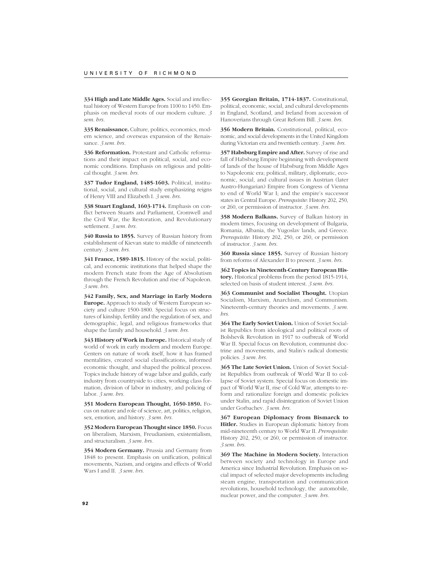**334 High and Late Middle Ages.** Social and intellectual history of Western Europe from 1100 to 1450. Emphasis on medieval roots of our modern culture. *3 sem. hrs.*

**335 Renaissance.** Culture, politics, economics, modern science, and overseas expansion of the Renaissance. *3 sem. hrs.*

**336 Reformation.** Protestant and Catholic reformations and their impact on political, social, and economic conditions. Emphasis on religious and political thought. *3 sem. hrs.*

**337 Tudor England, 1485-1603.** Political, institutional, social, and cultural study emphasizing reigns of Henry VIII and Elizabeth I. *3 sem. hrs.*

**338 Stuart England, 1603-1714.** Emphasis on conflict between Stuarts and Parliament, Cromwell and the Civil War, the Restoration, and Revolutionary settlement. *3 sem. hrs.*

**340 Russia to 1855.** Survey of Russian history from establishment of Kievan state to middle of nineteenth century. *3 sem. hrs.*

**341 France, 1589-1815.** History of the social, political, and economic institutions that helped shape the modern French state from the Age of Absolutism through the French Revolution and rise of Napoleon. *3 sem. hrs.*

**342 Family, Sex, and Marriage in Early Modern Europe.** Approach to study of Western European society and culture 1500-1800. Special focus on structures of kinship, fertility and the regulation of sex, and demographic, legal, and religious frameworks that shape the family and household. *3 sem. hrs.*

**343 History of Work in Europe.** Historical study of world of work in early modern and modern Europe. Centers on nature of work itself, how it has framed mentalities, created social classifications, informed economic thought, and shaped the political process. Topics include history of wage labor and guilds, early industry from countryside to cities, working class formation, division of labor in industry, and policing of labor. *3 sem. hrs.*

**351 Modern European Thought, 1650-1850.** Focus on nature and role of science, art, politics, religion, sex, emotion, and history. *3 sem. hrs.*

**352 Modern European Thought since 1850.** Focus on liberalism, Marxism, Freudianism, existentialism, and structuralism. *3 sem. hrs.*

**354 Modern Germany.** Prussia and Germany from 1848 to present. Emphasis on unification, political movements, Nazism, and origins and effects of World Wars I and II. *3 sem. hrs.*

**355 Georgian Britain, 1714-1837.** Constitutional, political, economic, social, and cultural developments in England, Scotland, and Ireland from accession of Hanoverians through Great Reform Bill. *3 sem. hrs.*

**356 Modern Britain.** Constitutional, political, economic, and social developments in the United Kingdom during Victorian era and twentieth century. *3 sem. hrs.*

**357 Habsburg Empire and After.** Survey of rise and fall of Habsburg Empire beginning with development of lands of the house of Habsburg from Middle Ages to Napoleonic era; political, military, diplomatic, economic, social, and cultural issues in Austrian (later Austro-Hungarian) Empire from Congress of Vienna to end of World War I; and the empire's successor states in Central Europe. *Prerequisite*: History 202, 250, or 260, or permission of instructor. *3 sem. hrs.*

**358 Modern Balkans.** Survey of Balkan history in modern times, focusing on development of Bulgaria, Romania, Albania, the Yugoslav lands, and Greece. *Prerequisite*: History 202, 250, or 260, or permission of instructor. *3 sem. hrs.*

**360 Russia since 1855.** Survey of Russian history from reforms of Alexander II to present. *3 sem. hrs.*

**362 Topics in Nineteenth-Century European History.** Historical problems from the period 1815-1914, selected on basis of student interest. *3 sem. hrs.*

**363 Communist and Socialist Thought.** Utopian Socialism, Marxism, Anarchism, and Communism. Nineteenth-century theories and movements. *3 sem. hrs.*

**364 The Early Soviet Union.** Union of Soviet Socialist Republics from ideological and political roots of Bolshevik Revolution in 1917 to outbreak of World War II. Special focus on Revolution, communist doctrine and movements, and Stalin's radical domestic policies. *3 sem. hrs.*

**365 The Late Soviet Union.** Union of Soviet Socialist Republics from outbreak of World War II to collapse of Soviet system. Special focus on domestic impact of World War II, rise of Cold War, attempts to reform and rationalize foreign and domestic policies under Stalin, and rapid disintegration of Soviet Union under Gorbachev. *3 sem. hrs.*

**367 European Diplomacy from Bismarck to Hitler.** Studies in European diplomatic history from mid-nineteenth century to World War II. *Prerequisite*: History 202, 250, or 260, or permission of instructor. *3 sem. hrs.*

**369 The Machine in Modern Society.** Interaction between society and technology in Europe and America since Industrial Revolution. Emphasis on social impact of selected major developments including steam engine, transportation and communication revolutions, household technology, the automobile, nuclear power, and the computer. *3 sem. hrs.*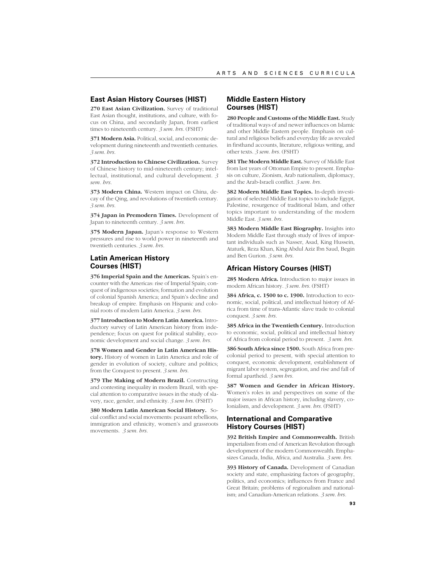# **East Asian History Courses (HIST)**

**270 East Asian Civilization.** Survey of traditional East Asian thought, institutions, and culture, with focus on China, and secondarily Japan, from earliest times to nineteenth century. *3 sem. hrs.* (FSHT)

**371 Modern Asia.** Political, social, and economic development during nineteenth and twentieth centuries. *3 sem. hrs.*

**372 Introduction to Chinese Civilization.** Survey of Chinese history to mid-nineteenth century; intellectual, institutional, and cultural development. *3 sem. hrs.*

**373 Modern China.** Western impact on China, decay of the Qing, and revolutions of twentieth century. *3 sem. hrs.*

**374 Japan in Premodern Times.** Development of Japan to nineteenth century. *3 sem. hrs.*

**375 Modern Japan.** Japan's response to Western pressures and rise to world power in nineteenth and twentieth centuries. *3 sem. hrs.*

# **Latin American History Courses (HIST)**

**376 Imperial Spain and the Americas.** Spain's encounter with the Americas: rise of Imperial Spain; conquest of indigenous societies; formation and evolution of colonial Spanish America; and Spain's decline and breakup of empire. Emphasis on Hispanic and colonial roots of modern Latin America. *3 sem. hrs.*

**377 Introduction to Modern Latin America.** Introductory survey of Latin American history from independence; focus on quest for political stability, economic development and social change. *3 sem. hrs.*

**378 Women and Gender in Latin American History.** History of women in Latin America and role of gender in evolution of society, culture and politics; from the Conquest to present. *3 sem. hrs.*

**379 The Making of Modern Brazil.** Constructing and contesting inequality in modern Brazil, with special attention to comparative issues in the study of slavery, race, gender, and ethnicity. *3 sem hrs.* (FSHT)

**380 Modern Latin American Social History.** Social conflict and social movements: peasant rebellions, immigration and ethnicity, women's and grassroots movements. *3 sem. hrs.*

# **Middle Eastern History Courses (HIST)**

**280 People and Customs of the Middle East.** Study of traditional ways of and newer influences on Islamic and other Middle Eastern people. Emphasis on cultural and religious beliefs and everyday life as revealed in firsthand accounts, literature, religious writing, and other texts. *3 sem. hrs.* (FSHT)

**381 The Modern Middle East.** Survey of Middle East from last years of Ottoman Empire to present. Emphasis on culture, Zionism, Arab nationalism, diplomacy, and the Arab-Israeli conflict. *3 sem. hrs.*

**382 Modern Middle East Topics.** In-depth investigation of selected Middle East topics to include Egypt, Palestine, resurgence of traditional Islam, and other topics important to understanding of the modern Middle East. *3 sem. hrs.*

**383 Modern Middle East Biography.** Insights into Modern Middle East through study of lives of important individuals such as Nasser, Asad, King Hussein, Ataturk, Reza Khan, King Abdul Aziz Ibn Saud, Begin and Ben Gurion. *3 sem. hrs.*

# **African History Courses (HIST)**

**285 Modern Africa.** Introduction to major issues in modern African history. *3 sem. hrs.* (FSHT)

**384 Africa, c. 1500 to c. 1900.** Introduction to economic, social, political, and intellectual history of Africa from time of trans-Atlantic slave trade to colonial conquest. *3 sem. hrs.*

**385 Africa in the Twentieth Century.** Introduction to economic, social, political and intellectual history of Africa from colonial period to present. *3 sem. hrs.*

**386 South Africa since 1500.** South Africa from precolonial period to present, with special attention to conquest, economic development, establishment of migrant labor system, segregation, and rise and fall of formal apartheid. *3 sem hrs.*

**387 Women and Gender in African History.** Women's roles in and perspectives on some of the major issues in African history, including slavery, colonialism, and development. *3 sem. hrs.* (FSHT)

# **International and Comparative History Courses (HIST)**

**392 British Empire and Commonwealth.** British imperialism from end of American Revolution through development of the modern Commonwealth. Emphasizes Canada, India, Africa, and Australia. *3 sem. hrs.*

**393 History of Canada.** Development of Canadian society and state, emphasizing factors of geography, politics, and economics; influences from France and Great Britain; problems of regionalism and nationalism; and Canadian-American relations. *3 sem. hrs.*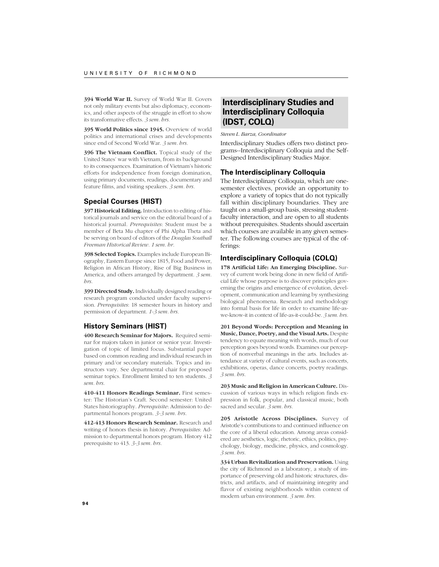**394 World War II.** Survey of World War II. Covers not only military events but also diplomacy, economics, and other aspects of the struggle in effort to show its transformative effects. *3 sem. hrs.*

**395 World Politics since 1945.** Overview of world politics and international crises and developments since end of Second World War. *3 sem. hrs.*

**396 The Vietnam Conflict.** Topical study of the United States' war with Vietnam, from its background to its consequences. Examination of Vietnam's historic efforts for independence from foreign domination, using primary documents, readings, documentary and feature films, and visiting speakers. *3 sem. hrs.*

# **Special Courses (HIST)**

**397 Historical Editing.** Introduction to editing of historical journals and service on the editorial board of a historical journal. *Prerequisites*: Student must be a member of Beta Mu chapter of Phi Alpha Theta and be serving on board of editors of the *Douglas Southall Freeman Historical Review. 1 sem. hr.*

**398 Selected Topics.** Examples include European Biography, Eastern Europe since 1815, Food and Power, Religion in African History, Rise of Big Business in America, and others arranged by department. *3 sem. hrs.*

**399 Directed Study.** Individually designed reading or research program conducted under faculty supervision. *Prerequisites*: 18 semester hours in history and permission of department. *1-3 sem. hrs.*

# **History Seminars (HIST)**

**400 Research Seminar for Majors.** Required seminar for majors taken in junior or senior year. Investigation of topic of limited focus. Substantial paper based on common reading and individual research in primary and/or secondary materials. Topics and instructors vary. See departmental chair for proposed seminar topics. Enrollment limited to ten students. *3 sem. hrs.*

**410-411 Honors Readings Seminar.** First semester: The Historian's Craft. Second semester: United States historiography. *Prerequisite*: Admission to departmental honors program. *3-3 sem. hrs.*

**412-413 Honors Research Seminar.** Research and writing of honors thesis in history. *Prerequisites*: Admission to departmental honors program. History 412 prerequisite to 413. *3-3 sem. hrs.*

# **Interdisciplinary Studies and Interdisciplinary Colloquia (IDST, COLQ)**

*Steven L. Barza, Coordinator*

Interdisciplinary Studies offers two distinct programs--Interdisciplinary Colloquia and the Self-Designed Interdisciplinary Studies Major.

# **The Interdisciplinary Colloquia**

The Interdisciplinary Colloquia, which are onesemester electives, provide an opportunity to explore a variety of topics that do not typically fall within disciplinary boundaries. They are taught on a small-group basis, stressing studentfaculty interaction, and are open to all students without prerequisites. Students should ascertain which courses are available in any given semester. The following courses are typical of the offerings:

# **Interdisciplinary Colloquia (COLQ)**

**178 Artificial Life: An Emerging Discipline.** Survey of current work being done in new field of Artificial Life whose purpose is to discover principles governing the origins and emergence of evolution, development, communication and learning by synthesizing biological phenomena. Research and methodology into formal basis for life in order to examine life-aswe-know-it in context of life-as-it-could-be. *3 sem. hrs.*

**201 Beyond Words: Perception and Meaning in Music, Dance, Poetry, and the Visual Arts.** Despite tendency to equate meaning with words, much of our perception goes beyond words. Examines our perception of nonverbal meanings in the arts. Includes attendance at variety of cultural events, such as concerts, exhibitions, operas, dance concerts, poetry readings. *3 sem. hrs.*

**203 Music and Religion in American Culture.** Discussion of various ways in which religion finds expression in folk, popular, and classical music, both sacred and secular. *3 sem. hrs.*

**205 Aristotle Across Disciplines.** Survey of Aristotle's contributions to and continued influence on the core of a liberal education. Among areas considered are aesthetics, logic, rhetoric, ethics, politics, psychology, biology, medicine, physics, and cosmology. *3 sem. hrs.*

**334 Urban Revitalization and Preservation.** Using the city of Richmond as a laboratory, a study of importance of preserving old and historic structures, districts, and artifacts, and of maintaining integrity and flavor of existing neighborhoods within context of modern urban environment. *3 sem. hrs.*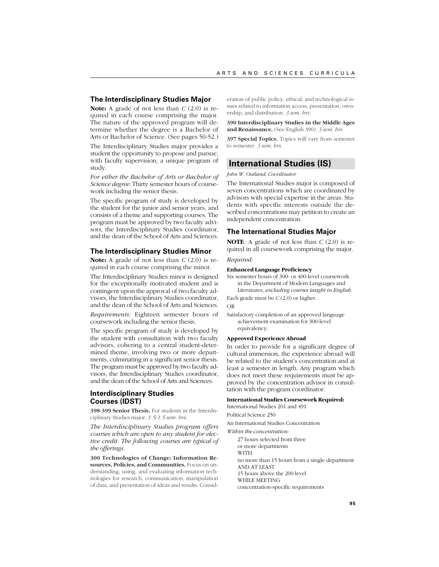### **The Interdisciplinary Studies Major**

**Note:** A grade of not less than *C* (2.0) is required in each course comprising the major. The nature of the approved program will determine whether the degree is a Bachelor of Arts or Bachelor of Science. (See pages 50-52.)

The Interdisciplinary Studies major provides a student the opportunity to propose and pursue, with faculty supervision, a unique program of study.

*For either the Bachelor of Arts or Bachelor of Science degree:* Thirty semester hours of coursework including the senior thesis.

The specific program of study is developed by the student for the junior and senior years, and consists of a theme and supporting courses. The program must be approved by two faculty advisors, the Interdisciplinary Studies coordinator, and the dean of the School of Arts and Sciences.

# **The Interdisciplinary Studies Minor**

**Note:** A grade of not less than *C* (2.0) is required in each course comprising the minor.

The Interdisciplinary Studies minor is designed for the exceptionally motivated student and is contingent upon the approval of two faculty advisors, the Interdisciplinary Studies coordinator, and the dean of the School of Arts and Sciences.

*Requirements:* Eighteen semester hours of coursework including the senior thesis.

The specific program of study is developed by the student with consultation with two faculty advisors, cohering to a central student-determined theme, involving two or more departments, culminating in a significant senior thesis. The program must be approved by two faculty advisors, the Interdisciplinary Studies coordinator, and the dean of the School of Arts and Sciences.

# **Interdisciplinary Studies Courses (IDST)**

**398-399 Senior Thesis.** For students in the Interdisciplinary Studies major. *1.5/1.5 sem. hrs.*

*The Interdisciplinary Studies program offers courses which are open to any student for elective credit. The following courses are typical of the offerings.*

**300 Technologies of Change: Information Resources, Policies, and Communities.** Focus on understanding, using, and evaluating information technologies for research, communication, manipulation of data, and presentation of ideas and results. Consideration of public policy, ethical, and technological issues related to information access, presentation, ownership, and distribution. *3 sem. hrs.*

**390 Interdisciplinary Studies in the Middle Ages and Renaissance.** (See English 390). *3 sem. hrs.*

**397 Special Topics.** Topics will vary from semester to semester. *3 sem. hrs.*

# **International Studies (IS)**

*John W. Outland, Coordinator*

The International Studies major is composed of seven concentrations which are coordinated by advisors with special expertise in the areas. Students with specific interests outside the described concentrations may petition to create an independent concentration.

### **The International Studies Major**

**NOTE**: A grade of not less than *C* (2.0) is required in all coursework comprising the major. *Required:*

#### **Enhanced Language Proficiency**

Six semester hours of 300- or 400-level coursework in the Department of Modern Languages and Literatures, *excluding courses taught in English.*

Each grade must be *C* (2.0) or higher. OR

Satisfactory completion of an approved language achievement examination for 300-level equivalency.

#### **Approved Experience Abroad**

In order to provide for a significant degree of cultural immersion, the experience abroad will be related to the student's concentration and at least a semester in length. Any program which does not meet these requirements must be approved by the concentration advisor in consultation with the program coordinator.

### **International Studies Coursework Required:**

International Studies 201 and 491

Political Science 250

An International Studies Concentration

*Within the concentration:*

27 hours selected from three or more departments WITH no more than 15 hours from a single department AND AT LEAST 15 hours above the 200 level WHILE MEETING concentration-specific requirements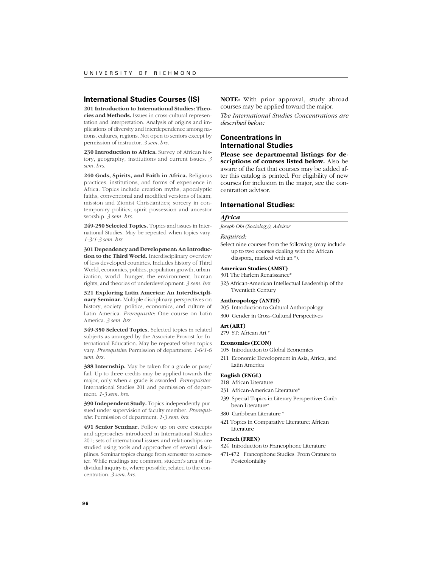# **International Studies Courses (IS)**

**201 Introduction to International Studies: Theories and Methods.** Issues in cross-cultural representation and interpretation. Analysis of origins and implications of diversity and interdependence among nations, cultures, regions. Not open to seniors except by permission of instructor. *3 sem. hrs.*

**230 Introduction to Africa.** Survey of African history, geography, institutions and current issues. *3 sem. hrs.*

**240 Gods, Spirits, and Faith in Africa.** Religious practices, institutions, and forms of experience in Africa. Topics include creation myths, apocalyptic faiths, conventional and modified versions of Islam; mission and Zionist Christianities; sorcery in contemporary politics; spirit possession and ancestor worship. *3 sem. hrs.*

**249-250 Selected Topics.** Topics and issues in International Studies. May be repeated when topics vary. *1-3/1-3 sem. hrs*

**301 Dependency and Development: An Introduction to the Third World.** Interdisciplinary overview of less developed countries. Includes history of Third World, economics, politics, population growth, urbanization, world hunger, the environment, human rights, and theories of underdevelopment. *3 sem. hrs.*

**321 Exploring Latin America: An Interdisciplinary Seminar.** Multiple disciplinary perspectives on history, society, politics, economics, and culture of Latin America. *Prerequisite*: One course on Latin America. *3 sem. hrs.*

**349-350 Selected Topics.** Selected topics in related subjects as arranged by the Associate Provost for International Education. May be repeated when topics vary. *Prerequisite*: Permission of department. *1-6/1-6 sem. hrs.*

**388 Internship.** May be taken for a grade or pass/ fail. Up to three credits may be applied towards the major, only when a grade is awarded. *Prerequisites*: International Studies 201 and permission of department. *1-3 sem. hrs.*

**390 Independent Study.** Topics independently pursued under supervision of faculty member. *Prerequisite*: Permission of department. *1-3 sem. hrs.*

**491 Senior Seminar.** Follow up on core concepts and approaches introduced in International Studies 201; sets of international issues and relationships are studied using tools and approaches of several disciplines. Seminar topics change from semester to semester. While readings are common, student's area of individual inquiry is, where possible, related to the concentration. *3 sem. hrs.*

**NOTE:** With prior approval, study abroad courses may be applied toward the major.

*The International Studies Concentrations are described below:*

# **Concentrations in International Studies**

**Please see departmental listings for descriptions of courses listed below.** Also be aware of the fact that courses may be added after this catalog is printed. For eligibility of new courses for inclusion in the major, see the concentration advisor.

# **International Studies:**

#### *Africa*

*Joseph Obi (Sociology), Advisor*

#### *Required:*

Select nine courses from the following (may include up to two courses dealing with the African diaspora, marked with an \*).

### **American Studies (AMST)**

301 The Harlem Renaissance\*

323 African-American Intellectual Leadership of the Twentieth Century

## **Anthropology (ANTH)**

205 Introduction to Cultural Anthropology

300 Gender in Cross-Cultural Perspectives

#### **Art (ART)** 279 ST: African Art \*

# **Economics (ECON)**

105 Introduction to Global Economics

211 Economic Development in Asia, Africa, and Latin America

### **English (ENGL)**

- 218 African Literature
- 231 African-American Literature\* 239 Special Topics in Literary Perspective: Carib-
- bean Literature\* 380 Caribbean Literature \*
- 
- 421 Topics in Comparative Literature: African Literature

### **French (FREN)**

- 324 Introduction to Francophone Literature
- 471-472 Francophone Studies: From Orature to Postcoloniality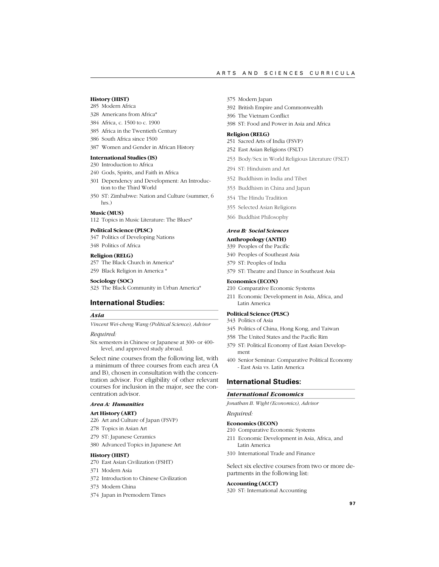#### ARTS AND SCIENCES CURRICULA

### **History (HIST)**

- 285 Modern Africa
- 328 Americans from Africa\*
- 384 Africa, c. 1500 to c. 1900
- 385 Africa in the Twentieth Century
- 386 South Africa since 1500
- 387 Women and Gender in African History

# **International Studies (IS)**

- 230 Introduction to Africa
- 240 Gods, Spirits, and Faith in Africa
- 301 Dependency and Development: An Introduction to the Third World
- 350 ST: Zimbabwe: Nation and Culture (summer, 6 hrs.)

### **Music (MUS)**

112 Topics in Music Literature: The Blues\*

### **Political Science (PLSC)**

347 Politics of Developing Nations

- 348 Politics of Africa
- **Religion (RELG)**
- 257 The Black Church in America\*
- 259 Black Religion in America \*

### **Sociology (SOC)**

323 The Black Community in Urban America\*

# **International Studies:**

### *Asia*

*Vincent Wei-cheng Wang (Political Science), Advisor*

### *Required:*

Six semesters in Chinese or Japanese at 300- or 400 level, and approved study abroad.

Select nine courses from the following list, with a minimum of three courses from each area (A and B), chosen in consultation with the concentration advisor. For eligibility of other relevant courses for inclusion in the major, see the concentration advisor.

### *Area A: Humanities*

#### **Art History (ART)**

226 Art and Culture of Japan (FSVP)

- 278 Topics in Asian Art
- 279 ST: Japanese Ceramics
- 380 Advanced Topics in Japanese Art

### **History (HIST)**

- 270 East Asian Civilization (FSHT)
- 371 Modern Asia
- 372 Introduction to Chinese Civilization
- 373 Modern China
- 374 Japan in Premodern Times
- 375 Modern Japan
- 392 British Empire and Commonwealth
- 396 The Vietnam Conflict
- 398 ST: Food and Power in Asia and Africa

#### **Religion (RELG)**

- 251 Sacred Arts of India (FSVP)
- 252 East Asian Religions (FSLT)
- 253 Body/Sex in World Religious Literature (FSLT)
- 294 ST: Hinduism and Art
- 352 Buddhism in India and Tibet
- 353 Buddhism in China and Japan
- 354 The Hindu Tradition
- 355 Selected Asian Religions
- 366 Buddhist Philosophy

#### *Area B: Social Sciences*

#### **Anthropology (ANTH)**

- 339 Peoples of the Pacific
- 340 Peoples of Southeast Asia
- 379 ST: Peoples of India
- 379 ST: Theatre and Dance in Southeast Asia

### **Economics (ECON)**

- 210 Comparative Economic Systems
- 211 Economic Development in Asia, Africa, and Latin America

### **Political Science (PLSC)**

- 343 Politics of Asia
- 345 Politics of China, Hong Kong, and Taiwan
- 358 The United States and the Pacific Rim
- 379 ST: Political Economy of East Asian Development
- 400 Senior Seminar: Comparative Political Economy - East Asia vs. Latin America

# **International Studies:**

# *International Economics*

*Jonathan B. Wight (Economics), Advisor*

# *Required:*

### **Economics (ECON)**

- 210 Comparative Economic Systems
- 211 Economic Development in Asia, Africa, and Latin America
- 310 International Trade and Finance

Select six elective courses from two or more departments in the following list:

### **Accounting (ACCT)**

320 ST: International Accounting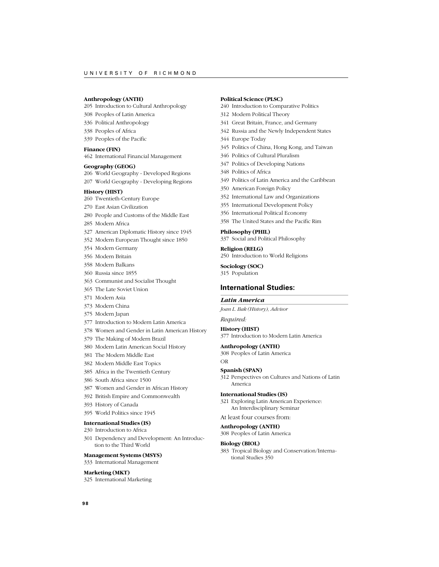### **Anthropology (ANTH)**

205 Introduction to Cultural Anthropology

- 308 Peoples of Latin America
- 336 Political Anthropology
- 338 Peoples of Africa
- 339 Peoples of the Pacific

### **Finance (FIN)**

462 International Financial Management

### **Geography (GEOG)**

206 World Geography - Developed Regions

207 World Geography - Developing Regions

# **History (HIST)**

- 260 Twentieth-Century Europe
- 270 East Asian Civilization
- 280 People and Customs of the Middle East
- 285 Modern Africa
- 327 American Diplomatic History since 1945
- 352 Modern European Thought since 1850
- 354 Modern Germany
- 356 Modern Britain
- 358 Modern Balkans
- 360 Russia since 1855
- 363 Communist and Socialist Thought
- 365 The Late Soviet Union
- 371 Modern Asia
- 373 Modern China
- 375 Modern Japan
- 377 Introduction to Modern Latin America
- 378 Women and Gender in Latin American History
- 379 The Making of Modern Brazil
- 380 Modern Latin American Social History
- 381 The Modern Middle East
- 382 Modern Middle East Topics
- 385 Africa in the Twentieth Century
- 386 South Africa since 1500
- 387 Women and Gender in African History
- 392 British Empire and Commonwealth
- 393 History of Canada
- 395 World Politics since 1945

#### **International Studies (IS)**

- 230 Introduction to Africa
- 301 Dependency and Development: An Introduction to the Third World

#### **Management Systems (MSYS)**

333 International Management

#### **Marketing (MKT)**

325 International Marketing

### **Political Science (PLSC)**

- 240 Introduction to Comparative Politics
- 312 Modern Political Theory
- 341 Great Britain, France, and Germany
- 342 Russia and the Newly Independent States
- 344 Europe Today
- 345 Politics of China, Hong Kong, and Taiwan
- 346 Politics of Cultural Pluralism
- 347 Politics of Developing Nations
- 348 Politics of Africa
- 349 Politics of Latin America and the Caribbean
- 350 American Foreign Policy
- 352 International Law and Organizations
- 355 International Development Policy
- 356 International Political Economy
- 358 The United States and the Pacific Rim

#### **Philosophy (PHIL)**

337 Social and Political Philosophy

**Religion (RELG)**

250 Introduction to World Religions

**Sociology (SOC)**

315 Population

# **International Studies:**

### *Latin America*

*Joan L. Bak (History), Advisor*

# *Required:*

**History (HIST)** 377 Introduction to Modern Latin America

#### **Anthropology (ANTH)**

308 Peoples of Latin America OR

### **Spanish (SPAN)**

312 Perspectives on Cultures and Nations of Latin America

#### **International Studies (IS)**

321 Exploring Latin American Experience: An Interdisciplinary Seminar

### At least four courses from:

**Anthropology (ANTH)**

308 Peoples of Latin America

### **Biology (BIOL)**

383 Tropical Biology and Conservation/International Studies 350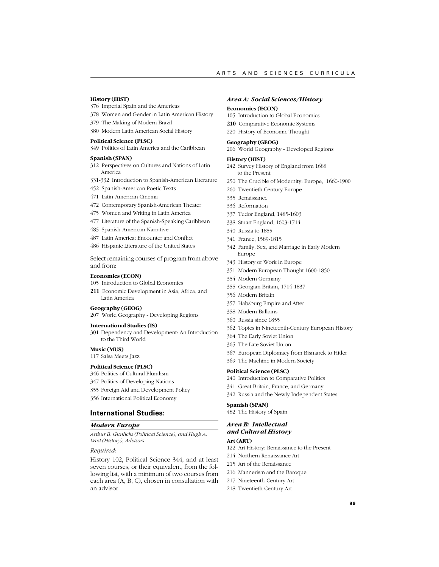### **History (HIST)**

- 376 Imperial Spain and the Americas
- 378 Women and Gender in Latin American History
- 379 The Making of Modern Brazil
- 380 Modern Latin American Social History

# **Political Science (PLSC)**

349 Politics of Latin America and the Caribbean

#### **Spanish (SPAN)**

- 312 Perspectives on Cultures and Nations of Latin America
- 331-332 Introduction to Spanish-American Literature
- 452 Spanish-American Poetic Texts
- 471 Latin-American Cinema
- 472 Contemporary Spanish-American Theater
- 475 Women and Writing in Latin America
- 477 Literature of the Spanish-Speaking Caribbean
- 485 Spanish-American Narrative
- 487 Latin America: Encounter and Conflict
- 486 Hispanic Literature of the United States

Select remaining courses of program from above and from:

#### **Economics (ECON)**

105 Introduction to Global Economics

**211** Economic Development in Asia, Africa, and Latin America

### **Geography (GEOG)**

207 World Geography - Developing Regions

#### **International Studies (IS)**

301 Dependency and Development: An Introduction to the Third World

#### **Music (MUS)**

117 Salsa Meets Jazz

#### **Political Science (PLSC)**

- 346 Politics of Cultural Pluralism
- 347 Politics of Developing Nations
- 355 Foreign Aid and Development Policy
- 356 International Political Economy

### **International Studies:**

### *Modern Europe*

*Arthur B. Gunlicks (Political Science), and Hugh A. West (History), Advisors*

### *Required:*

History 102, Political Science 344, and at least seven courses, or their equivalent, from the following list, with a minimum of two courses from each area (A, B, C), chosen in consultation with an advisor.

#### *Area A: Social Sciences/History*

#### **Economics (ECON)**

- 105 Introduction to Global Economics
- **210** Comparative Economic Systems
- 220 History of Economic Thought

# **Geography (GEOG)**

206 World Geography - Developed Regions

#### **History (HIST)**

- 242 Survey History of England from 1688 to the Present
- 250 The Crucible of Modernity: Europe, 1660-1900
- 260 Twentieth Century Europe
- 335 Renaissance
- 336 Reformation
- 337 Tudor England, 1485-1603
- 338 Stuart England, 1603-1714
- 340 Russia to 1855
- 341 France, 1589-1815
- 342 Family, Sex, and Marriage in Early Modern Europe
- 343 History of Work in Europe
- 351 Modern European Thought 1600-1850
- 354 Modern Germany
- 355 Georgian Britain, 1714-1837
- 356 Modern Britain
- 357 Habsburg Empire and After
- 358 Modern Balkans
- 360 Russia since 1855
- 362 Topics in Nineteenth-Century European History
- 364 The Early Soviet Union
- 365 The Late Soviet Union
- 367 European Diplomacy from Bismarck to Hitler
- 369 The Machine in Modern Society

### **Political Science (PLSC)**

- 240 Introduction to Comparative Politics
- 341 Great Britain, France, and Germany
- 342 Russia and the Newly Independent States

# **Spanish (SPAN)**

482 The History of Spain

# *Area B: Intellectual and Cultural History*

# **Art (ART)**

- 122 Art History: Renaissance to the Present
- 214 Northern Renaissance Art
- 215 Art of the Renaissance
- 216 Mannerism and the Baroque
- 217 Nineteenth-Century Art
- 218 Twentieth-Century Art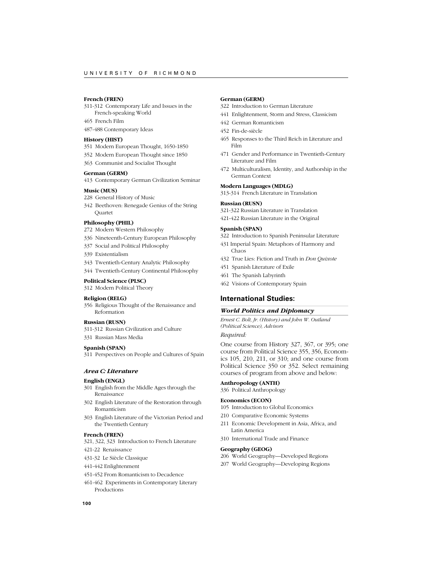# **French (FREN)**

- 311-312 Contemporary Life and Issues in the
- French-speaking World
- 465 French Film
- 487-488 Contemporary Ideas

### **History (HIST)**

- 351 Modern European Thought, 1650-1850
- 352 Modern European Thought since 1850
- 363 Communist and Socialist Thought

#### **German (GERM)**

413 Contemporary German Civilization Seminar

#### **Music (MUS)**

- 228 General History of Music
- 342 Beethoven: Renegade Genius of the String Quartet

#### **Philosophy (PHIL)**

- 272 Modern Western Philosophy
- 336 Nineteenth-Century European Philosophy
- 337 Social and Political Philosophy
- 339 Existentialism
- 343 Twentieth-Century Analytic Philosophy
- 344 Twentieth-Century Continental Philosophy

#### **Political Science (PLSC)**

312 Modern Political Theory

### **Religion (RELG)**

356 Religious Thought of the Renaissance and Reformation

#### **Russian (RUSN)**

- 311-312 Russian Civilization and Culture
- 331 Russian Mass Media

### **Spanish (SPAN)**

311 Perspectives on People and Cultures of Spain

#### *Area C: Literature*

### **English (ENGL)**

- 301 English from the Middle Ages through the Renaissance
- 302 English Literature of the Restoration through Romanticism
- 303 English Literature of the Victorian Period and the Twentieth Century

### **French (FREN)**

- 321, 322, 323 Introduction to French Literature
- 421-22 Renaissance
- 431-32 Le Siècle Classique
- 441-442 Enlightenment
- 451-452 From Romanticism to Decadence
- 461-462 Experiments in Contemporary Literary Productions

### **German (GERM)**

- 322 Introduction to German Literature
- 441 Enlightenment, Storm and Stress, Classicism
- 442 German Romanticism
- 452 Fin-de-siècle
- 465 Responses to the Third Reich in Literature and Film
- 471 Gender and Performance in Twentieth-Century Literature and Film
- 472 Multiculturalism, Identity, and Authorship in the German Context

#### **Modern Languages (MDLG)**

313-314 French Literature in Translation

#### **Russian (RUSN)**

- 321-322 Russian Literature in Translation
- 421-422 Russian Literature in the Original

#### **Spanish (SPAN)**

- 322 Introduction to Spanish Peninsular Literature
- 431 Imperial Spain: Metaphors of Harmony and Chaos
- 432 True Lies: Fiction and Truth in *Don Quixote*
- 451 Spanish Literature of Exile
- 461 The Spanish Labyrinth
- 462 Visions of Contemporary Spain

# **International Studies:**

#### *World Politics and Diplomacy*

*Ernest C. Bolt, Jr. (History) and John W. Outland (Political Science), Advisors*

### *Required:*

One course from History 327, 367, or 395; one course from Political Science 355, 356, Economics 105, 210, 211, or 310; and one course from Political Science 350 or 352. Select remaining courses of program from above and below:

# **Anthropology (ANTH)**

336 Political Anthropology

#### **Economics (ECON)**

- 105 Introduction to Global Economics
- 210 Comparative Economic Systems
- 211 Economic Development in Asia, Africa, and Latin America
- 310 International Trade and Finance

#### **Geography (GEOG)**

- 206 World Geography—Developed Regions
- 207 World Geography—Developing Regions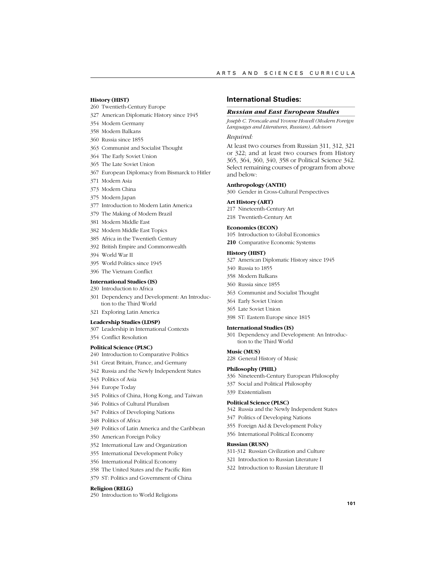#### **History (HIST)**

### 260 Twentieth-Century Europe

- 327 American Diplomatic History since 1945
- 354 Modern Germany
- 358 Modern Balkans
- 360 Russia since 1855
- 363 Communist and Socialist Thought
- 364 The Early Soviet Union
- 365 The Late Soviet Union
- 367 European Diplomacy from Bismarck to Hitler
- 371 Modern Asia
- 373 Modern China
- 375 Modern Japan
- 377 Introduction to Modern Latin America
- 379 The Making of Modern Brazil
- 381 Modern Middle East
- 382 Modern Middle East Topics
- 385 Africa in the Twentieth Century
- 392 British Empire and Commonwealth
- 394 World War II
- 395 World Politics since 1945
- 396 The Vietnam Conflict

### **International Studies (IS)**

- 230 Introduction to Africa
- 301 Dependency and Development: An Introduction to the Third World
- 321 Exploring Latin America

#### **Leadership Studies (LDSP)**

### 307 Leadership in International Contexts

354 Conflict Resolution

### **Political Science (PLSC)**

- 240 Introduction to Comparative Politics
- 341 Great Britain, France, and Germany
- 342 Russia and the Newly Independent States
- 343 Politics of Asia
- 344 Europe Today
- 345 Politics of China, Hong Kong, and Taiwan
- 346 Politics of Cultural Pluralism
- 347 Politics of Developing Nations
- 348 Politics of Africa
- 349 Politics of Latin America and the Caribbean
- 350 American Foreign Policy
- 352 International Law and Organization
- 355 International Development Policy
- 356 International Political Economy
- 358 The United States and the Pacific Rim
- 379 ST: Politics and Government of China

#### **Religion (RELG)**

250 Introduction to World Religions

# **International Studies:**

#### *Russian and East European Studies*

*Joseph C. Troncale and Yvonne Howell (Modern Foreign Languages and Literatures, Russian), Advisors*

# *Required:*

At least two courses from Russian 311, 312, 321 or 322; and at least two courses from History 365, 364, 360, 340, 358 or Political Science 342. Select remaining courses of program from above and below:

### **Anthropology (ANTH)**

300 Gender in Cross-Cultural Perspectives

#### **Art History (ART)**

- 217 Nineteenth-Century Art 218 Twentieth-Century Art
- **Economics (ECON)**
- 105 Introduction to Global Economics

**210** Comparative Economic Systems

#### **History (HIST)**

- 327 American Diplomatic History since 1945
- 340 Russia to 1855
- 358 Modern Balkans
- 360 Russia since 1855
- 363 Communist and Socialist Thought
- 364 Early Soviet Union
- 365 Late Soviet Union
- 398 ST: Eastern Europe since 1815

#### **International Studies (IS)**

301 Dependency and Development: An Introduction to the Third World

# **Music (MUS)**

228 General History of Music

#### **Philosophy (PHIL)**

- 336 Nineteenth-Century European Philosophy
- 337 Social and Political Philosophy
- 339 Existentialism

#### **Political Science (PLSC)**

- 342 Russia and the Newly Independent States
- 347 Politics of Developing Nations
- 355 Foreign Aid & Development Policy
- 356 International Political Economy

#### **Russian (RUSN)**

- 311-312 Russian Civilization and Culture
- 321 Introduction to Russian Literature I
- 322 Introduction to Russian Literature II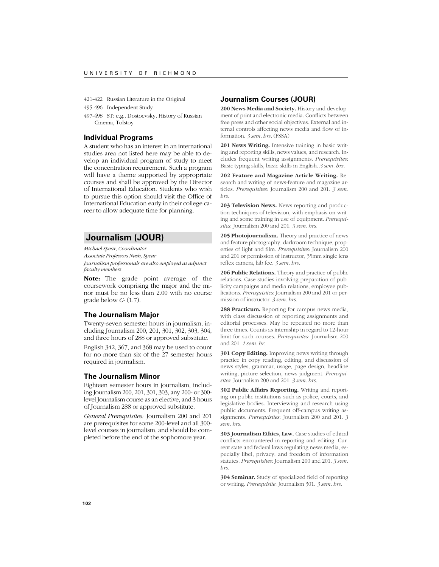421-422 Russian Literature in the Original

495-496 Independent Study

497-498 ST: e.g., Dostoevsky, History of Russian Cinema, Tolstoy

# **Individual Programs**

A student who has an interest in an international studies area not listed here may be able to develop an individual program of study to meet the concentration requirement. Such a program will have a theme supported by appropriate courses and shall be approved by the Director of International Education. Students who wish to pursue this option should visit the Office of International Education early in their college career to allow adequate time for planning.

# **Journalism (JOUR)**

*Michael Spear, Coordinator*

*Associate Professors Nash, Spear*

*Journalism professionals are also employed as adjunct faculty members.*

**Note:** The grade point average of the coursework comprising the major and the minor must be no less than 2.00 with no course grade below *C-* (1.7).

### **The Journalism Major**

Twenty-seven semester hours in journalism, including Journalism 200, 201, 301, 302, 303, 304, and three hours of 288 or approved substitute.

English 342, 367, and 368 may be used to count for no more than six of the 27 semester hours required in journalism.

# **The Journalism Minor**

Eighteen semester hours in journalism, including Journalism 200, 201, 301, 303, any 200- or 300 level Journalism course as an elective, and 3 hours of Journalism 288 or approved substitute.

*General Prerequisites:* Journalism 200 and 201 are prerequisites for some 200-level and all 300 level courses in journalism, and should be completed before the end of the sophomore year.

## **Journalism Courses (JOUR)**

**200 News Media and Society.** History and development of print and electronic media. Conflicts between free press and other social objectives. External and internal controls affecting news media and flow of information. *3 sem. hrs.* (FSSA)

**201 News Writing.** Intensive training in basic writing and reporting skills, news values, and research. Includes frequent writing assignments. *Prerequisites*: Basic typing skills, basic skills in English. *3 sem. hrs.*

**202 Feature and Magazine Article Writing.** Research and writing of news-feature and magazine articles. *Prerequisites*: Journalism 200 and 201. *3 sem. hrs.*

**203 Television News.** News reporting and production techniques of television, with emphasis on writing and some training in use of equipment. *Prerequisites*: Journalism 200 and 201. *3 sem. hrs.*

205 Photojournalism. Theory and practice of news and feature photography, darkroom technique, properties of light and film. *Prerequisites*: Journalism 200 and 201 or permission of instructor, 35mm single lens reflex camera, lab fee. *3 sem. hrs.*

**206 Public Relations.** Theory and practice of public relations. Case studies involving preparation of publicity campaigns and media relations, employee publications. *Prerequisites*: Journalism 200 and 201 or permission of instructor. *3 sem. hrs.*

**288 Practicum.** Reporting for campus news media, with class discussion of reporting assignments and editorial processes. May be repeated no more than three times. Counts as internship in regard to 12-hour limit for such courses. *Prerequisites*: Journalism 200 and 201. *1 sem. hr.*

**301 Copy Editing.** Improving news writing through practice in copy reading, editing, and discussion of news styles, grammar, usage, page design, headline writing, picture selection, news judgment. *Prerequisites*: Journalism 200 and 201. *3 sem. hrs.*

**302 Public Affairs Reporting.** Writing and reporting on public institutions such as police, courts, and legislative bodies. Interviewing and research using public documents. Frequent off-campus writing assignments. *Prerequisites*: Journalism 200 and 201. *3 sem. hrs.*

**303 Journalism Ethics, Law.** Case studies of ethical conflicts encountered in reporting and editing. Current state and federal laws regulating news media, especially libel, privacy, and freedom of information statutes. *Prerequisites*: Journalism 200 and 201. *3 sem. hrs.*

**304 Seminar.** Study of specialized field of reporting or writing. *Prerequisite*: Journalism 301. *3 sem. hrs.*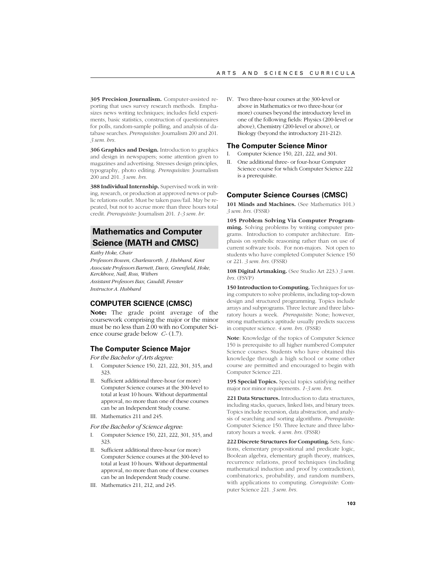**305 Precision Journalism.** Computer-assisted reporting that uses survey research methods. Emphasizes news writing techniques; includes field experiments, basic statistics, construction of questionnaires for polls, random-sample polling, and analysis of database searches. *Prerequisites*: Journalism 200 and 201. *3 sem. hrs.*

**306 Graphics and Design.** Introduction to graphics and design in newspapers; some attention given to magazines and advertising. Stresses design principles, typography, photo editing. *Prerequisites*: Journalism 200 and 201. *3 sem. hrs.*

**388 Individual Internship.** Supervised work in writing, research, or production at approved news or public relations outlet. Must be taken pass/fail. May be repeated, but not to accrue more than three hours total credit. *Prerequisite*: Journalism 201. *1-3 sem. hr.*

# **Mathematics and Computer Science (MATH and CMSC)**

*Kathy Hoke, Chair*

*Professors Bowen, Charlesworth, J. Hubbard, Kent Associate Professors Barnett, Davis, Greenfield, Hoke, Kerckhove, Nall, Ross, Withers Assistant Professors Bax, Caudill, Fenster Instructor A. Hubbard*

# **COMPUTER SCIENCE (CMSC)**

**Note:** The grade point average of the coursework comprising the major or the minor must be no less than 2.00 with no Computer Science course grade below *C-* (1.7).

# **The Computer Science Major**

*For the Bachelor of Arts degree:*

- I. Computer Science 150, 221, 222, 301, 315, and 323.
- II. Sufficient additional three-hour (or more) Computer Science courses at the 300-level to total at least 10 hours. Without departmental approval, no more than one of these courses can be an Independent Study course.
- III. Mathematics 211 and 245.

*For the Bachelor of Science degree:*

- I. Computer Science 150, 221, 222, 301, 315, and 323.
- II. Sufficient additional three-hour (or more) Computer Science courses at the 300-level to total at least 10 hours. Without departmental approval, no more than one of these courses can be an Independent Study course.
- III. Mathematics 211, 212, and 245.

IV. Two three-hour courses at the 300-level or above in Mathematics or two three-hour (or more) courses beyond the introductory level in one of the following fields: Physics (200-level or above), Chemistry (200-level or above), or Biology (beyond the introductory 211-212).

# **The Computer Science Minor**

I. Computer Science 150, 221, 222, and 301.

II. One additional three- or four-hour Computer Science course for which Computer Science 222 is a prerequisite.

# **Computer Science Courses (CMSC)**

**101 Minds and Machines.** (See Mathematics 101.) *3 sem. hrs.* (FSSR)

**105 Problem Solving Via Computer Programming.** Solving problems by writing computer programs. Introduction to computer architecture. Emphasis on symbolic reasoning rather than on use of current software tools. For non-majors. Not open to students who have completed Computer Science 150 or 221. *3 sem. hrs.* (FSSR)

**108 Digital Artmaking.** (See Studio Art 223.) *3 sem. hrs.* (FSVP)

150 Introduction to Computing. Techniques for using computers to solve problems, including top-down design and structured programming. Topics include arrays and subprograms. Three lecture and three laboratory hours a week. *Prerequisite*: None; however, strong mathematics aptitude usually predicts success in computer science. *4 sem. hrs.* (FSSR)

**Note**: Knowledge of the topics of Computer Science 150 is prerequisite to all higher numbered Computer Science courses. Students who have obtained this knowledge through a high school or some other course are permitted and encouraged to begin with Computer Science 221.

**195 Special Topics.** Special topics satisfying neither major nor minor requirements. *1-3 sem. hrs.*

**221 Data Structures.** Introduction to data structures, including stacks, queues, linked lists, and binary trees. Topics include recursion, data abstraction, and analysis of searching and sorting algorithms. *Prerequisite*: Computer Science 150. Three lecture and three laboratory hours a week. *4 sem. hrs.* (FSSR)

**222 Discrete Structures for Computing.** Sets, functions, elementary propositional and predicate logic, Boolean algebra, elementary graph theory, matrices, recurrence relations, proof techniques (including mathematical induction and proof by contradiction), combinatorics, probability, and random numbers, with applications to computing. *Corequisite*: Computer Science 221. *3 sem. hrs.*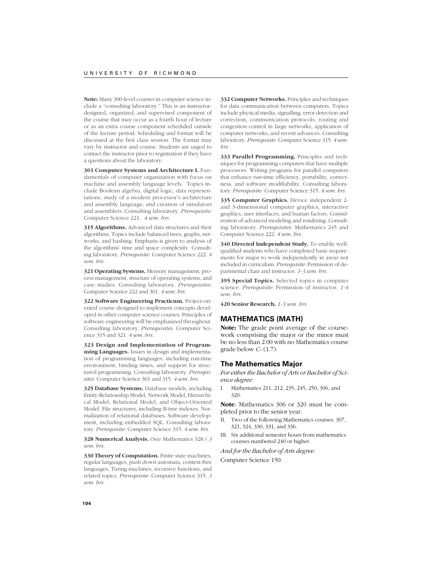**Note:** Many 300-level courses in computer science include a "consulting laboratory." This is an instructordesigned, organized, and supervised component of the course that may occur as a fourth hour of lecture or as an extra course component scheduled outside of the lecture period. Scheduling and format will be discussed at the first class session. The format may vary by instructor and course. Students are urged to contact the instructor prior to registration if they have a questions about the laboratory.

**301 Computer Systems and Architecture I.** Fundamentals of computer organization with focus on machine and assembly language levels. Topics include Boolean algebra, digital logic, data representations, study of a modern processor's architecture and assembly language, and creation of simulators and assemblers. Consulting laboratory. *Prerequisite*: Computer Science 221. *4 sem. hrs.*

**315 Algorithms.** Advanced data structures and their algorithms. Topics include balanced trees, graphs, networks, and hashing. Emphasis is given to analysis of the algorithms' time and space complexity. Consulting laboratory. *Prerequisite*: Computer Science 222. *4 sem. hrs.*

**321 Operating Systems.** Memory management, process management, structure of operating systems, and case studies. Consulting laboratory. *Prerequisites*: Computer Science 222 and 301. *4 sem. hrs.*

**322 Software Engineering Practicum.** Project-oriented course designed to implement concepts developed in other computer science courses. Principles of software engineering will be emphasized throughout. Consulting laboratory. *Prerequisites*: Computer Science 315 and 321. *4 sem. hrs.*

**323 Design and Implementation of Programming Languages.** Issues in design and implementation of programming languages, including run-time environment, binding times, and support for structured programming. Consulting laboratory. *Prerequisites*: Computer Science 301 and 315. *4 sem. hrs.*

**325 Database Systems.** Database models, including Entity-Relationship Model, Network Model, Hierarchical Model, Relational Model, and Object-Oriented Model. File structures, including B-tree indexes. Normalization of relational databases. Software development, including embedded SQL. Consulting laboratory. *Prerequisite*: Computer Science 315. *4 sem. hrs.*

**328 Numerical Analysis.** (See Mathematics 328.) *3 sem. hrs.*

**330 Theory of Computation.** Finite state machines, regular languages, push down automata, context-free languages, Turing machines, recursive functions, and related topics. *Prerequisite*: Computer Science 315. *3 sem. hrs.*

**332 Computer Networks.** Principles and techniques for data communication between computers. Topics include physical media, signalling, error detection and correction, communication protocols, routing and congestion control in large networks, application of computer networks, and recent advances. Consulting laboratory. *Prerequisite:* Computer Science 315. *4 sem. hrs.*

**333 Parallel Programming.** Principles and techniques for programming computers that have multiple processors. Writing programs for parallel computers that enhance run-time efficiency, portability, correctness, and software modifiability. Consulting laboratory. *Prerequisite:* Computer Science 315. *4 sem. hrs.*

**335 Computer Graphics.** Device independent 2 and 3-dimensional computer graphics, interactive graphics, user interfaces, and human factors. Consideration of advanced modeling and rendering. Consulting laboratory. *Prerequisites*: Mathematics 245 and Computer Science 222. *4 sem. hrs.*

**340 Directed Independent Study.** To enable wellqualified students who have completed basic requirements for major to work independently in areas not included in curriculum. *Prerequisite*: Permission of departmental chair and instructor. *1-3 sem. hrs.*

**395 Special Topics.** Selected topics in computer science. *Prerequisite*: Permission of instructor. *1-4 sem. hrs.*

**420 Senior Research.** *1-3 sem. hrs.*

# **MATHEMATICS (MATH)**

**Note:** The grade point average of the coursework comprising the major or the minor must be no less than 2.00 with no Mathematics course grade below *C-* (1.7).

## **The Mathematics Major**

*For either the Bachelor of Arts or Bachelor of Science degree:*

I. Mathematics 211, 212, 235, 245, 250, 306, and 320.

**Note**: Mathematics 306 or 320 must be completed prior to the senior year.

- II. Two of the following Mathematics courses: 307, 321, 324, 330, 331, and 336.
- III. Six additional semester hours from mathematics courses numbered 240 or higher.

*And for the Bachelor of Arts degree:* Computer Science 150.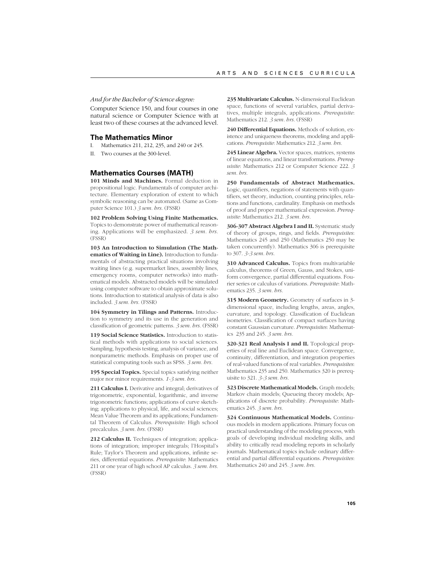*And for the Bachelor of Science degree:*

Computer Science 150, and four courses in one natural science or Computer Science with at least two of these courses at the advanced level.

## **The Mathematics Minor**

I. Mathematics 211, 212, 235, and 240 or 245.

II. Two courses at the 300-level.

# **Mathematics Courses (MATH)**

**101 Minds and Machines.** Formal deduction in propositional logic. Fundamentals of computer architecture. Elementary exploration of extent to which symbolic reasoning can be automated. (Same as Computer Science 101.) *3 sem. hrs.* (FSSR)

**102 Problem Solving Using Finite Mathematics.** Topics to demonstrate power of mathematical reasoning. Applications will be emphasized. *3 sem. hrs.* (FSSR)

**103 An Introduction to Simulation (The Mathematics of Waiting in Line).** Introduction to fundamentals of abstracting practical situations involving waiting lines (e.g. supermarket lines, assembly lines, emergency rooms, computer networks) into mathematical models. Abstracted models will be simulated using computer software to obtain approximate solutions. Introduction to statistical analysis of data is also included. *3 sem. hrs.* (FSSR)

**104 Symmetry in Tilings and Patterns.** Introduction to symmetry and its use in the generation and classification of geometric patterns. *3 sem. hrs.* (FSSR)

**119 Social Science Statistics.** Introduction to statistical methods with applications to social sciences. Sampling, hypothesis testing, analysis of variance, and nonparametric methods. Emphasis on proper use of statistical computing tools such as SPSS. *3 sem. hrs.*

**195 Special Topics.** Special topics satisfying neither major nor minor requirements. *1-3 sem. hrs.*

**211 Calculus I.** Derivative and integral; derivatives of trigonometric, exponential, logarithmic, and inverse trigonometric functions; applications of curve sketching; applications to physical, life, and social sciences; Mean Value Theorem and its applications; Fundamental Theorem of Calculus. *Prerequisite*: High school precalculus. *3 sem. hrs.* (FSSR)

**212 Calculus II.** Techniques of integration; applications of integration; improper integrals; l'Hospital's Rule; Taylor's Theorem and applications, infinite series, differential equations. *Prerequisite*: Mathematics 211 or one year of high school AP calculus. *3 sem. hrs.* (FSSR)

**235 Multivariate Calculus.** N-dimensional Euclidean space, functions of several variables, partial derivatives, multiple integrals, applications. *Prerequisite*: Mathematics 212. *3 sem. hrs.* (FSSR)

**240 Differential Equations.** Methods of solution, existence and uniqueness theorems, modeling and applications. *Prerequisite*: Mathematics 212. *3 sem. hrs.*

**245 Linear Algebra.** Vector spaces, matrices, systems of linear equations, and linear transformations. *Prerequisite*: Mathematics 212 or Computer Science 222. *3 sem. hrs.*

**250 Fundamentals of Abstract Mathematics.** Logic, quantifiers, negations of statements with quantifiers, set theory, induction, counting principles, relations and functions, cardinality. Emphasis on methods of proof and proper mathematical expression. *Prerequisite:* Mathematics 212. *3 sem. hrs.*

306-307 Abstract Algebra I and II. Systematic study of theory of groups, rings, and fields. *Prerequisites*: Mathematics 245 and 250 (Mathematics 250 may be taken concurrently). Mathematics 306 is prerequisite to 307. *3-3 sem. hrs.*

**310 Advanced Calculus.** Topics from multivariable calculus, theorems of Green, Gauss, and Stokes, uniform convergence, partial differential equations. Fourier series or calculus of variations. *Prerequisite*: Mathematics 235. *3 sem. hrs.*

**315 Modern Geometry.** Geometry of surfaces in 3 dimensional space, including lengths, areas, angles, curvature, and topology. Classification of Euclidean isometries. Classification of compact surfaces having constant Gaussian curvature. *Prerequisites*: Mathematics 235 and 245. *3 sem. hrs.*

**320-321 Real Analysis I and II.** Topological properties of real line and Euclidean space. Convergence, continuity, differentiation, and integration properties of real-valued functions of real variables. *Prerequisites*: Mathematics 235 and 250. Mathematics 320 is prerequisite to 321. *3-3 sem. hrs.*

**323 Discrete Mathematical Models.** Graph models; Markov chain models; Queueing theory models; Applications of discrete probability. *Prerequisite*: Mathematics 245. *3 sem. hrs.*

**324 Continuous Mathematical Models.** Continuous models in modern applications. Primary focus on practical understanding of the modeling process, with goals of developing individual modeling skills, and ability to critically read modeling reports in scholarly journals. Mathematical topics include ordinary differential and partial differential equations. *Prerequisites*: Mathematics 240 and 245. *3 sem. hrs.*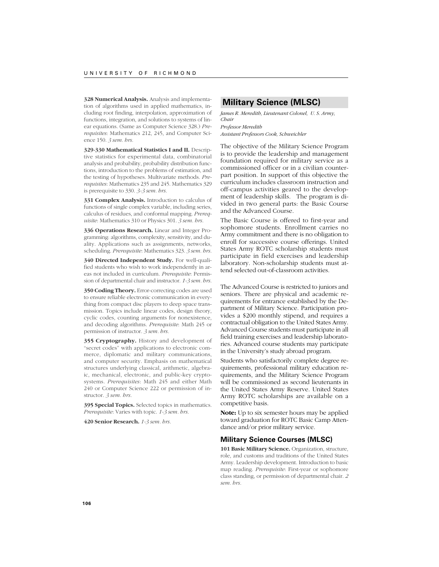**328 Numerical Analysis.** Analysis and implementation of algorithms used in applied mathematics, including root finding, interpolation, approximation of functions, integration, and solutions to systems of linear equations. (Same as Computer Science 328.) *Prerequisites*: Mathematics 212, 245, and Computer Science 150. *3 sem. hrs.*

**329-330 Mathematical Statistics I and II.** Descriptive statistics for experimental data, combinatorial analysis and probability, probability distribution functions, introduction to the problems of estimation, and the testing of hypotheses. Multivariate methods. *Prerequisites*: Mathematics 235 and 245. Mathematics 329 is prerequisite to 330. *3-3 sem. hrs.*

**331 Complex Analysis.** Introduction to calculus of functions of single complex variable, including series, calculus of residues, and conformal mapping. *Prerequisite*: Mathematics 310 or Physics 301. *3 sem. hrs.*

**336 Operations Research.** Linear and Integer Programming: algorithms, complexity, sensitivity, and duality. Applications such as assignments, networks, scheduling. *Prerequisite*: Mathematics 323. *3 sem. hrs.*

**340 Directed Independent Study.** For well-qualified students who wish to work independently in areas not included in curriculum. *Prerequisite*: Permission of departmental chair and instructor. *1-3 sem. hrs.*

**350 Coding Theory.** Error-correcting codes are used to ensure reliable electronic communication in everything from compact disc players to deep space transmission. Topics include linear codes, design theory, cyclic codes, counting arguments for nonexistence, and decoding algorithms. *Prerequisite*: Math 245 or permission of instructor. *3 sem. hrs.*

**355 Cryptography.** History and development of "secret codes" with applications to electronic commerce, diplomatic and military communications, and computer security. Emphasis on mathematical structures underlying classical, arithmetic, algebraic, mechanical, electronic, and public-key cryptosystems. *Prerequisites*: Math 245 and either Math 240 or Computer Science 222 or permission of instructor. *3 sem. hrs.*

**395 Special Topics.** Selected topics in mathematics. *Prerequisite*: Varies with topic. *1-3 sem. hrs.*

**420 Senior Research.** *1-3 sem. hrs.*

# **Military Science (MLSC)**

*James R. Meredith, Lieutenant Colonel, U. S. Army, Chair Professor Meredith*

*Assistant Professors Cook, Schweichler*

The objective of the Military Science Program is to provide the leadership and management foundation required for military service as a commissioned officer or in a civilian counterpart position. In support of this objective the curriculum includes classroom instruction and off-campus activities geared to the development of leadership skills. The program is divided in two general parts: the Basic Course and the Advanced Course.

The Basic Course is offered to first-year and sophomore students. Enrollment carries no Army commitment and there is no obligation to enroll for successive course offerings. United States Army ROTC scholarship students must participate in field exercises and leadership laboratory. Non-scholarship students must attend selected out-of-classroom activities.

The Advanced Course is restricted to juniors and seniors. There are physical and academic requirements for entrance established by the Department of Military Science. Participation provides a \$200 monthly stipend, and requires a contractual obligation to the United States Army. Advanced Course students must participate in all field training exercises and leadership laboratories. Advanced course students may participate in the University's study abroad program.

Students who satisfactorily complete degree requirements, professional military education requirements, and the Military Science Program will be commissioned as second lieutenants in the United States Army Reserve. United States Army ROTC scholarships are available on a competitive basis.

**Note:** Up to six semester hours may be applied toward graduation for ROTC Basic Camp Attendance and/or prior military service.

# **Military Science Courses (MLSC)**

**101 Basic Military Science.** Organization, structure, role, and customs and traditions of the United States Army. Leadership development. Introduction to basic map reading. *Prerequisite*: First-year or sophomore class standing, or permission of departmental chair. *2 sem. hrs.*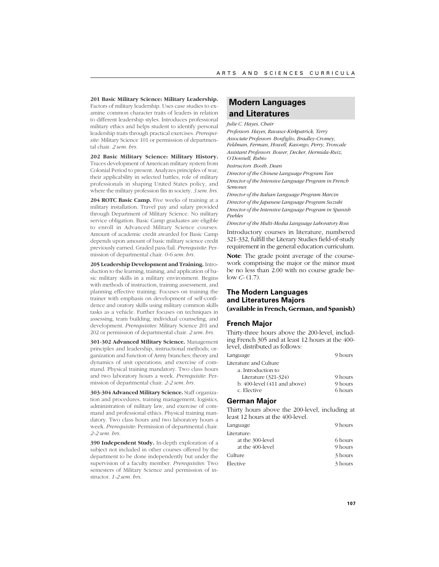**201 Basic Military Science: Military Leadership.** Factors of military leadership. Uses case studies to examine common character traits of leaders in relation to different leadership styles. Introduces professional military ethics and helps student to identify personal leadership traits through practical exercises. *Prerequisite*: Military Science 101 or permission of departmental chair. *2 sem. hrs.*

**202 Basic Military Science: Military History.** Traces development of American military system from Colonial Period to present. Analyzes principles of war, their applicability in selected battles, role of military professionals in shaping United States policy, and where the military profession fits in society. *3 sem. hrs.*

204 ROTC Basic Camp. Five weeks of training at a military installation. Travel pay and salary provided through Department of Military Science. No military service obligation. Basic Camp graduates are eligible to enroll in Advanced Military Science courses. Amount of academic credit awarded for Basic Camp depends upon amount of basic military science credit previously earned. Graded pass/fail. *Prerequisite*: Permission of departmental chair. *0-6 sem. hrs.*

**205 Leadership Development and Training.** Introduction to the learning, training, and application of basic military skills in a military environment. Begins with methods of instruction, training assessment, and planning effective training. Focuses on training the trainer with emphasis on development of self-confidence and oratory skills using military common skills tasks as a vehicle. Further focuses on techniques in assessing, team building, individual counseling, and development. *Prerequisites*: Military Science 201 and 202 or permission of departmental chair. *2 sem. hrs.*

**301-302 Advanced Military Science.** Management principles and leadership, instructional methods; organization and function of Army branches; theory and dynamics of unit operations; and exercise of command. Physical training mandatory. Two class hours and two laboratory hours a week. *Prerequisite*: Permission of departmental chair. *2-2 sem. hrs.*

**303-304 Advanced Military Science.** Staff organization and procedures, training management, logistics, administration of military law, and exercise of command and professional ethics. Physical training mandatory. Two class hours and two laboratory hours a week. *Prerequisite*: Permission of departmental chair. *2-2 sem. hrs.*

**390 Independent Study.** In-depth exploration of a subject not included in other courses offered by the department to be done independently but under the supervision of a faculty member. *Prerequisites*: Two semesters of Military Science and permission of instructor. *1-2 sem. hrs.*

# **Modern Languages and Literatures**

#### *Julie C. Hayes, Chair*

*Professors Hayes, Ravaux-Kirkpatrick, Terry Associate Professors Bonfiglio, Bradley-Cromey, Feldman, Ferman, Howell, Kasongo, Perry, Troncale Assistant Professors Bower, Decker, Hermida-Ruiz, O'Donnell, Rubio*

*Instructors Booth, Dean*

*Director of the Chinese Language Program Tan Director of the Intensive Language Program in French Semones*

*Director of the Italian Language Program Marcin Director of the Japanese Language Program Suzuki Director of the Intensive Language Program in Spanish Peebles*

*Director of the Multi-Media Language Laboratory Ross*

Introductory courses in literature, numbered 321-332, fulfill the Literary Studies field-of-study requirement in the general education curriculum.

**Note**: The grade point average of the coursework comprising the major or the minor must be no less than 2.00 with no course grade below *C-* (1.7).

# **The Modern Languages and Literatures Majors (available in French, German, and Spanish)**

### **French Major**

Thirty-three hours above the 200-level, including French 305 and at least 12 hours at the 400 level, distributed as follows:

| Language                          | 9 hours |
|-----------------------------------|---------|
| Literature and Culture            |         |
| a. Introduction to                |         |
| Literature $(321-324)$            | 9 hours |
| $b. 400$ -level $(411$ and above) | 9 hours |
| c. Elective                       | 6 hours |

# **German Major**

Thirty hours above the 200-level, including at least 12 hours at the 400-level.

| Language         | 9 hours |
|------------------|---------|
| Literature:      |         |
| at the 300-level | 6 hours |
| at the 400-level | 9 hours |
| Culture          | 3 hours |
| Elective         | 3 hours |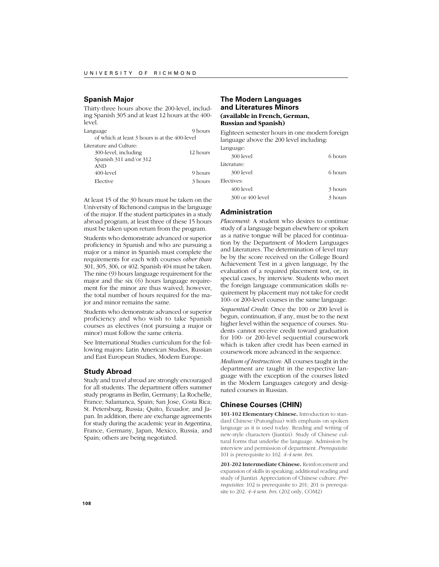# **Spanish Major**

Thirty-three hours above the 200-level, including Spanish 305 and at least 12 hours at the 400 level.

Language 9 hours of which at least 3 hours is at the 400-level Literature and Culture: 300-level, including 12 hours Spanish 311 and/or 312

| $\sigma$ $\mu$ anon $\sigma$ , $\sigma$ anon $\sigma$ , $\sigma$ $\sigma$<br><b>AND</b> |         |
|-----------------------------------------------------------------------------------------|---------|
| 400-level                                                                               | 9 hours |
| Elective                                                                                | 3 hours |

At least 15 of the 30 hours must be taken on the University of Richmond campus in the language of the major. If the student participates in a study abroad program, at least three of these 15 hours must be taken upon return from the program.

Students who demonstrate advanced or superior proficiency in Spanish and who are pursuing a major or a minor in Spanish must complete the requirements for each with courses *other than* 301, 305, 306, or 402. Spanish 404 must be taken. The nine (9) hours language requirement for the major and the six (6) hours language requirement for the minor are thus waived; however, the total number of hours required for the major and minor remains the same.

Students who demonstrate advanced or superior proficiency and who wish to take Spanish courses as electives (not pursuing a major or minor) must follow the same criteria.

See International Studies curriculum for the following majors: Latin American Studies, Russian and East European Studies, Modern Europe.

# **Study Abroad**

Study and travel abroad are strongly encouraged for all students. The department offers summer study programs in Berlin, Germany; La Rochelle, France; Salamanca, Spain; San Jose, Costa Rica; St. Petersburg, Russia; Quito, Ecuador; and Japan. In addition, there are exchange agreements for study during the academic year in Argentina, France, Germany, Japan, Mexico, Russia, and Spain; others are being negotiated.

# **The Modern Languages and Literatures Minors (available in French, German, Russian and Spanish)**

Eighteen semester hours in one modern foreign language above the 200 level including:

Language:

| 300 level        | 6 hours |
|------------------|---------|
| Literature:      |         |
| 300 level        | 6 hours |
| Electives:       |         |
| 400 level        | 3 hours |
| 300 or 400 level | 3 hours |

# **Administration**

*Placement*: A student who desires to continue study of a language begun elsewhere or spoken as a native tongue will be placed for continuation by the Department of Modern Languages and Literatures. The determination of level may be by the score received on the College Board Achievement Test in a given language, by the evaluation of a required placement test, or, in special cases, by interview. Students who meet the foreign language communication skills requirement by placement may not take for credit 100- or 200-level courses in the same language.

*Sequential Credit:* Once the 100 or 200 level is begun, continuation, if any, must be to the next higher level within the sequence of courses. Students cannot receive credit toward graduation for 100- or 200-level sequential coursework which is taken after credit has been earned in coursework more advanced in the sequence.

*Medium of Instruction:* All courses taught in the department are taught in the respective language with the exception of the courses listed in the Modern Languages category and designated courses in Russian.

# **Chinese Courses (CHIN)**

**101-102 Elementary Chinese.** Introduction to standard Chinese (Putonghua) with emphasis on spoken language as it is used today. Reading and writing of new-style characters (Jiantizi). Study of Chinese cultural forms that underlie the language. Admission by interview and permission of department. *Prerequisite:* 101 is prerequisite to 102. *4-4 sem. hrs.*

**201-202 Intermediate Chinese.** Reinforcement and expansion of skills in speaking; additional reading and study of Jiantizi. Appreciation of Chinese culture. *Prerequisites:* 102 is prerequisite to 201; 201 is prerequisite to 202. *4-4 sem. hrs.* (202 only, COM2)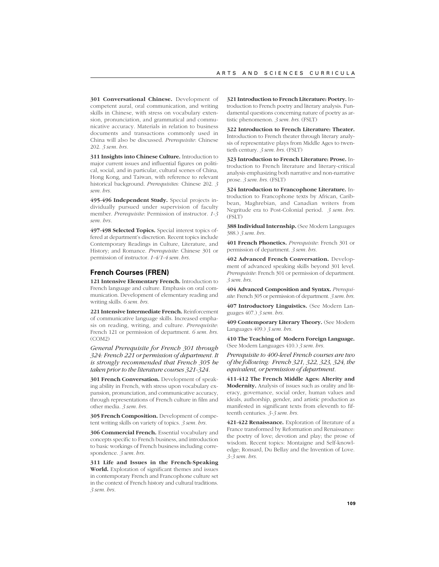**301 Conversational Chinese.** Development of competent aural, oral communication, and writing skills in Chinese, with stress on vocabulary extension, pronunciation, and grammatical and communicative accuracy. Materials in relation to business documents and transactions commonly used in China will also be discussed. *Prerequisite*: Chinese 202. *3 sem. hrs.*

**311 Insights into Chinese Culture.** Introduction to major current issues and influential figures on political, social, and in particular, cultural scenes of China, Hong Kong, and Taiwan, with reference to relevant historical background. *Prerequisites:* Chinese 202. *3 sem. hrs.*

**495-496 Independent Study.** Special projects individually pursued under supervision of faculty member. *Prerequisite*: Permission of instructor. *1-3 sem. hrs.*

**497-498 Selected Topics.** Special interest topics offered at department's discretion. Recent topics include Contemporary Readings in Culture, Literature, and History; and Romance. *Prerequisite*: Chinese 301 or permission of instructor. *1-4/1-4 sem. hrs.*

## **French Courses (FREN)**

**121 Intensive Elementary French.** Introduction to French language and culture. Emphasis on oral communication. Development of elementary reading and writing skills. *6 sem. hrs.*

**221 Intensive Intermediate French.** Reinforcement of communicative language skills. Increased emphasis on reading, writing, and culture. *Prerequisite*: French 121 or permission of department. *6 sem. hrs.* (COM2)

*General Prerequisite for French 301 through 324: French 221 or permission of department. It is strongly recommended that French 305 be taken prior to the literature courses 321-324.*

**301 French Conversation.** Development of speaking ability in French, with stress upon vocabulary expansion, pronunciation, and communicative accuracy, through representations of French culture in film and other media. *3 sem. hrs.*

**305 French Composition.** Development of competent writing skills on variety of topics. *3 sem. hrs.*

**306 Commercial French.** Essential vocabulary and concepts specific to French business, and introduction to basic workings of French business including correspondence. *3 sem. hrs.*

**311 Life and Issues in the French-Speaking World.** Exploration of significant themes and issues in contemporary French and Francophone culture set in the context of French history and cultural traditions. *3 sem. hrs.*

**321 Introduction to French Literature: Poetry.** Introduction to French poetry and literary analysis. Fundamental questions concerning nature of poetry as artistic phenomenon. *3 sem. hrs.* (FSLT)

**322 Introduction to French Literature: Theater.** Introduction to French theater through literary analysis of representative plays from Middle Ages to twentieth century. *3 sem. hrs.* (FSLT)

**323 Introduction to French Literature: Prose.** Introduction to French literature and literary-critical analysis emphasizing both narrative and non-narrative prose. *3 sem. hrs.* (FSLT)

**324 Introduction to Francophone Literature.** Introduction to Francophone texts by African, Caribbean, Maghrebian, and Canadian writers from Negritude era to Post-Colonial period. *3 sem. hrs.* (FSLT)

388 Individual Internship. (See Modern Languages 388.) *3 sem. hrs.*

**401 French Phonetics.** *Prerequisite*: French 301 or permission of department. *3 sem. hrs.*

**402 Advanced French Conversation.** Development of advanced speaking skills beyond 301 level. *Prerequisite*: French 301 or permission of department. *3 sem. hrs.*

**404 Advanced Composition and Syntax.** *Prerequisite*: French 305 or permission of department. *3 sem. hrs.*

**407 Introductory Linguistics.** (See Modern Languages 407.) *3 sem. hrs.*

**409 Contemporary Literary Theory.** (See Modern Languages 409.) *3 sem. hrs.*

**410 The Teaching of Modern Foreign Language.** (See Modern Languages 410.) *3 sem. hrs.*

*Prerequisite to 400-level French courses are two of the following: French 321, 322, 323, 324, the equivalent, or permission of department.*

**411-412 The French Middle Ages: Alterity and Modernity.** Analysis of issues such as orality and literacy, governance, social order, human values and ideals, authorship, gender, and artistic production as manifested in significant texts from eleventh to fifteenth centuries. *3-3 sem. hrs.*

**421-422 Renaissance.** Exploration of literature of a France transformed by Reformation and Renaissance: the poetry of love; devotion and play; the prose of wisdom. Recent topics: Montaigne and Self-knowledge; Ronsard, Du Bellay and the Invention of Love. *3-3 sem. hrs.*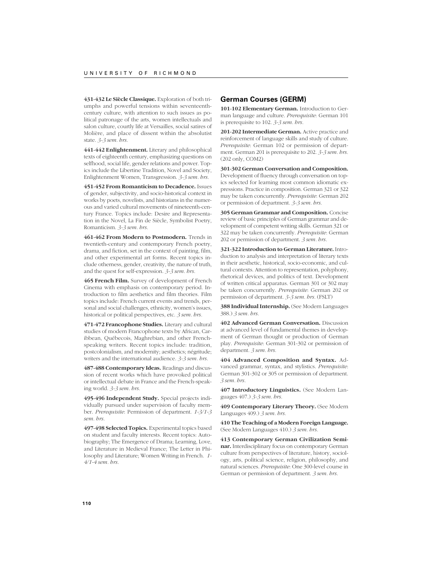**431-432 Le Siècle Classique.** Exploration of both triumphs and powerful tensions within seventeenthcentury culture, with attention to such issues as political patronage of the arts, women intellectuals and salon culture, courtly life at Versailles, social satires of Molière, and place of dissent within the absolutist state. *3-3 sem. hrs.*

**441-442 Enlightenment.** Literary and philosophical texts of eighteenth century, emphasizing questions on selfhood, social life, gender relations and power. Topics include the Libertine Tradition, Novel and Society, Enlightenment Women, Transgression. *3-3 sem. hrs.*

**451-452 From Romanticism to Decadence.** Issues of gender, subjectivity, and socio-historical context in works by poets, novelists, and historians in the numerous and varied cultural movements of nineteenth-century France. Topics include: Desire and Representation in the Novel, La Fin de Siècle, Symbolist Poetry, Romanticism. *3-3 sem. hrs.*

**461-462 From Modern to Postmodern.** Trends in twentieth-century and contemporary French poetry, drama, and fiction, set in the context of painting, film, and other experimental art forms. Recent topics include otherness, gender, creativity, the nature of truth, and the quest for self-expression. *3-3 sem. hrs.*

**465 French Film.** Survey of development of French Cinema with emphasis on contemporary period. Introduction to film aesthetics and film theories. Film topics include: French current events and trends, personal and social challenges, ethnicity, women's issues, historical or political perspectives, etc. *3 sem. hrs.*

**471-472 Francophone Studies.** Literary and cultural studies of modern Francophone texts by African, Caribbean, Québecois, Maghrebian, and other Frenchspeaking writers. Recent topics include: tradition, postcolonialism, and modernity; aesthetics; négritude; writers and the international audience. *3-3 sem. hrs.*

**487-488 Contemporary Ideas.** Readings and discussion of recent works which have provoked political or intellectual debate in France and the French-speaking world. *3-3 sem. hrs.*

**495-496 Independent Study.** Special projects individually pursued under supervision of faculty member. *Prerequisite*: Permission of department. *1-3/1-3 sem. hrs.*

**497-498 Selected Topics.** Experimental topics based on student and faculty interests. Recent topics: Autobiography; The Emergence of Drama; Learning, Love, and Literature in Medieval France; The Letter in Philosophy and Literature; Women Writing in French. *1- 4/1-4 sem. hrs.*

#### **German Courses (GERM)**

**101-102 Elementary German.** Introduction to German language and culture. *Prerequisite*: German 101 is prerequisite to 102. *3-3 sem. hrs.*

**201-202 Intermediate German.** Active practice and reinforcement of language skills and study of culture. *Prerequisite*: German 102 or permission of department. German 201 is prerequisite to 202. *3-3 sem. hrs.* (202 only, COM2)

**301-302 German Conversation and Composition.** Development of fluency through conversation on topics selected for learning most common idiomatic expressions. Practice in composition. German 321 or 322 may be taken concurrently. *Prerequisite*: German 202 or permission of department. *3-3 sem. hrs.*

**305 German Grammar and Composition.** Concise review of basic principles of German grammar and development of competent writing skills. German 321 or 322 may be taken concurrently. *Prerequisite*: German 202 or permission of department. *3 sem. hrs.*

**321-322 Introduction to German Literature.** Introduction to analysis and interpretation of literary texts in their aesthetic, historical, socio-economic, and cultural contexts. Attention to representation, polyphony, rhetorical devices, and politics of text. Development of written critical apparatus. German 301 or 302 may be taken concurrently. *Prerequisite*: German 202 or permission of department. *3-3 sem. hrs.* (FSLT)

**388 Individual Internship.** (See Modern Languages 388.) *3 sem. hrs.*

**402 Advanced German Conversation.** Discussion at advanced level of fundamental themes in development of German thought or production of German play. *Prerequisite*: German 301-302 or permission of department. *3 sem. hrs.*

**404 Advanced Composition and Syntax.** Advanced grammar, syntax, and stylistics. *Prerequisite*: German 301-302 or 305 or permission of department. *3 sem. hrs.*

**407 Introductory Linguistics.** (See Modern Languages 407.) *3-3 sem. hrs.*

**409 Contemporary Literary Theory.** (See Modern Languages 409.) *3 sem. hrs.*

**410 The Teaching of a Modern Foreign Language.** (See Modern Languages 410.) *3 sem. hrs.*

**413 Contemporary German Civilization Seminar.** Interdisciplinary focus on contemporary German culture from perspectives of literature, history, sociology, arts, political science, religion, philosophy, and natural sciences. *Prerequisite*: One 300-level course in German or permission of department. *3 sem. hrs.*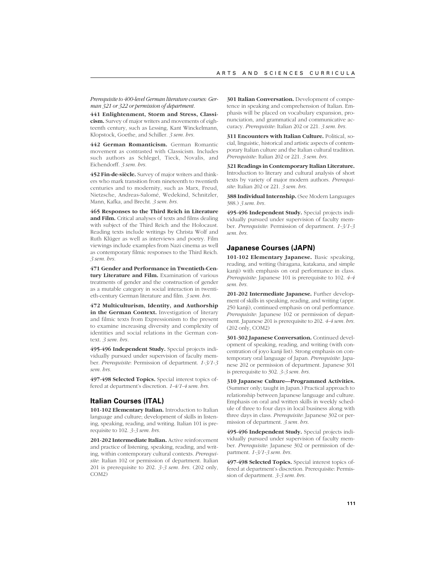*Prerequisite to 400-level German literature courses: German 321 or 322 or permission of department.*

**441 Enlightenment, Storm and Stress, Classicism.** Survey of major writers and movements of eighteenth century, such as Lessing, Kant Winckelmann, Klopstock, Goethe, and Schiller. *3 sem. hrs.*

**442 German Romanticism.** German Romantic movement as contrasted with Classicism. Includes such authors as Schlegel, Tieck, Novalis, and Eichendorff. *3 sem. hrs.*

**452 Fin-de-siècle.** Survey of major writers and thinkers who mark transition from nineteenth to twentieth centuries and to modernity, such as Marx, Freud, Nietzsche, Andreas-Salomé, Wedekind, Schnitzler, Mann, Kafka, and Brecht. *3 sem. hrs.*

**465 Responses to the Third Reich in Literature and Film.** Critical analyses of texts and films dealing with subject of the Third Reich and the Holocaust. Reading texts include writings by Christa Wolf and Ruth Klüger as well as interviews and poetry. Film viewings include examples from Nazi cinema as well as contemporary filmic responses to the Third Reich. *3 sem. hrs.*

**471 Gender and Performance in Twentieth-Century Literature and Film.** Examination of various treatments of gender and the construction of gender as a mutable category in social interaction in twentieth-century German literature and film. *3 sem. hrs.*

**472 Multiculturism, Identity, and Authorship in the German Context.** Investigation of literary and filmic texts from Expressionism to the present to examine increasing diversity and complexity of identities and social relations in the German context. *3 sem. hrs.*

**495-496 Independent Study.** Special projects individually pursued under supervision of faculty member. *Prerequisite*: Permission of department. *1-3/1-3 sem. hrs.*

**497-498 Selected Topics.** Special interest topics offered at department's discretion. *1-4/1-4 sem. hrs.*

# **Italian Courses (ITAL)**

**101-102 Elementary Italian.** Introduction to Italian language and culture; development of skills in listening, speaking, reading, and writing. Italian 101 is prerequisite to 102. *3-3 sem. hrs.*

**201-202 Intermediate Italian.** Active reinforcement and practice of listening, speaking, reading, and writing, within contemporary cultural contexts. *Prerequisite*: Italian 102 or permission of department. Italian 201 is prerequisite to 202. *3-3 sem. hrs.* (202 only, COM2)

**301 Italian Conversation.** Development of competence in speaking and comprehension of Italian. Emphasis will be placed on vocabulary expansion, pronunciation, and grammatical and communicative accuracy. *Prerequisite*: Italian 202 or 221. *3 sem. hrs.*

**311 Encounters with Italian Culture.** Political, social, linguistic, historical and artistic aspects of contemporary Italian culture and the Italian cultural tradition. *Prerequisite*: Italian 202 or 221. *3 sem. hrs.*

**321 Readings in Contemporary Italian Literature.** Introduction to literary and cultural analysis of short texts by variety of major modern authors. *Prerequisite*: Italian 202 or 221. *3 sem. hrs.*

388 Individual Internship. (See Modern Languages 388.) *3 sem. hrs.*

**495-496 Independent Study.** Special projects individually pursued under supervision of faculty member. *Prerequisite*: Permission of department. *1-3/1-3 sem. hrs.*

## **Japanese Courses (JAPN)**

**101-102 Elementary Japanese.** Basic speaking, reading, and writing (hiragana, katakana, and simple kanji) with emphasis on oral performance in class. *Prerequisite*: Japanese 101 is prerequisite to 102. *4-4 sem. hrs.*

201-202 Intermediate Japanese. Further development of skills in speaking, reading, and writing (appr. 250 kanji), continued emphasis on oral performance. *Prerequisite*: Japanese 102 or permission of department. Japanese 201 is prerequisite to 202. *4-4 sem. hrs.* (202 only, COM2)

**301-302 Japanese Conversation.** Continued development of speaking, reading, and writing (with concentration of joyo kanji list). Strong emphasis on contemporary oral language of Japan. *Prerequisite*: Japanese 202 or permission of department. Japanese 301 is prerequisite to 302. *3-3 sem. hrs.*

**310 Japanese Culture—Programmed Activities.** (Summer only; taught in Japan.) Practical approach to relationship between Japanese language and culture. Emphasis on oral and written skills in weekly schedule of three to four days in local business along with three days in class. *Prerequisite*: Japanese 302 or permission of department. *3 sem. hrs.*

**495-496 Independent Study.** Special projects individually pursued under supervision of faculty member. *Prerequisite*: Japanese 302 or permission of department. *1-3/1-3 sem. hrs.*

**497-498 Selected Topics.** Special interest topics offered at department's discretion. Prerequisite: Permission of department. *3-3 sem. hrs.*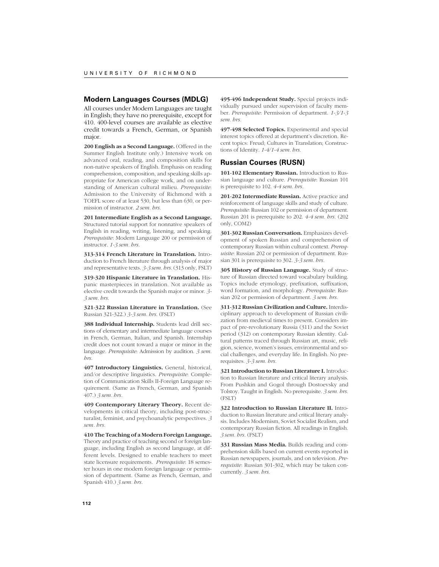#### **Modern Languages Courses (MDLG)**

All courses under Modern Languages are taught in English; they have no prerequisite, except for 410. 400-level courses are available as elective credit towards a French, German, or Spanish major.

**200 English as a Second Language.** (Offered in the Summer English Institute only.) Intensive work on advanced oral, reading, and composition skills for non-native speakers of English. Emphasis on reading comprehension, composition, and speaking skills appropriate for American college work, and on understanding of American cultural milieu. *Prerequisite*: Admission to the University of Richmond with a TOEFL score of at least 530, but less than 630, or permission of instructor. *2 sem. hrs.*

**201 Intermediate English as a Second Language.** Structured tutorial support for nonnative speakers of English in reading, writing, listening, and speaking. *Prerequisite*: Modern Language 200 or permission of instructor. *1-3 sem. hrs.*

**313-314 French Literature in Translation.** Introduction to French literature through analysis of major and representative texts. *3-3 sem. hrs.* (313 only, FSLT)

**319-320 Hispanic Literature in Translation.** Hispanic masterpieces in translation. Not available as elective credit towards the Spanish major or minor. *3- 3 sem. hrs.*

**321-322 Russian Literature in Translation.** (See Russian 321-322.) *3-3 sem. hrs.* (FSLT)

**388 Individual Internship.** Students lead drill sections of elementary and intermediate language courses in French, German, Italian, and Spanish. Internship credit does not count toward a major or minor in the language. *Prerequisite*: Admission by audition. *3 sem. hrs.*

**407 Introductory Linguistics.** General, historical, and/or descriptive linguistics. *Prerequisite*: Completion of Communication Skills II-Foreign Language requirement. (Same as French, German, and Spanish 407.) *3 sem. hrs.*

**409 Contemporary Literary Theory.** Recent developments in critical theory, including post-structuralist, feminist, and psychoanalytic perspectives. *3 sem. hrs.*

**410 The Teaching of a Modern Foreign Language.** Theory and practice of teaching second or foreign language, including English as second language, at different levels. Designed to enable teachers to meet state licensure requirements. *Prerequisite*: 18 semester hours in one modern foreign language or permission of department. (Same as French, German, and Spanish 410.) *3 sem. hrs.*

**495-496 Independent Study.** Special projects individually pursued under supervision of faculty member. *Prerequisite*: Permission of department. *1-3/1-3 sem. hrs.*

**497-498 Selected Topics.** Experimental and special interest topics offered at department's discretion. Recent topics: Freud; Cultures in Translation; Constructions of Identity. *1-4/1-4 sem. hrs.*

#### **Russian Courses (RUSN)**

**101-102 Elementary Russian.** Introduction to Russian language and culture. *Prerequisite*: Russian 101 is prerequisite to 102. *4-4 sem. hrs.*

**201-202 Intermediate Russian.** Active practice and reinforcement of language skills and study of culture. *Prerequisite*: Russian 102 or permission of department. Russian 201 is prerequisite to 202. *4-4 sem. hrs.* (202 only, COM2)

**301-302 Russian Conversation.** Emphasizes development of spoken Russian and comprehension of contemporary Russian within cultural context. *Prerequisite*: Russian 202 or permission of department. Russian 301 is prerequisite to 302. *3-3 sem. hrs.*

**305 History of Russian Language.** Study of structure of Russian directed toward vocabulary building. Topics include etymology, prefixation, suffixation, word formation, and morphology. *Prerequisite*: Russian 202 or permission of department. *3 sem. hrs.*

**311-312 Russian Civilization and Culture.** Interdisciplinary approach to development of Russian civilization from medieval times to present. Considers impact of pre-revolutionary Russia (311) and the Soviet period (312) on contemporary Russian identity. Cultural patterns traced through Russian art, music, religion, science, women's issues, environmental and social challenges, and everyday life. In English. No prerequisites. *3-3 sem. hrs.*

**321 Introduction to Russian Literature I.** Introduction to Russian literature and critical literary analysis. From Pushkin and Gogol through Dostoevsky and Tolstoy. Taught in English. No prerequisite. *3 sem. hrs.* (FSLT)

**322 Introduction to Russian Literature II.** Introduction to Russian literature and critical literary analysis. Includes Modernism, Soviet Socialist Realism, and contemporary Russian fiction. All readings in English. *3 sem. hrs.* (FSLT)

**331 Russian Mass Media.** Builds reading and comprehension skills based on current events reported in Russian newspapers, journals, and on television. *Prerequisite*: Russian 301-302, which may be taken concurrently. *3 sem. hrs.*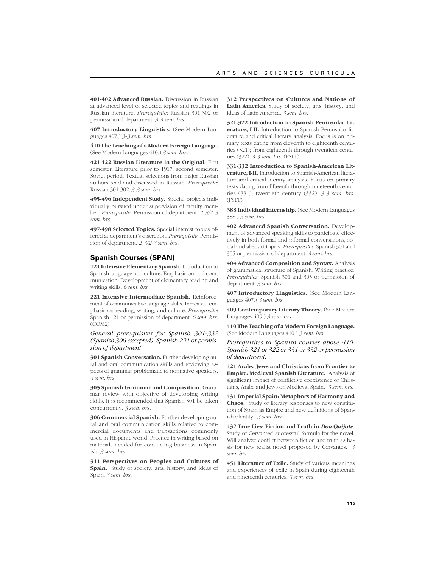**401-402 Advanced Russian.** Discussion in Russian at advanced level of selected topics and readings in Russian literature. *Prerequisite*: Russian 301-302 or permission of department. *3-3 sem. hrs.*

**407 Introductory Linguistics.** (See Modern Languages 407.) *3-3 sem. hrs.*

**410 The Teaching of a Modern Foreign Language.** (See Modern Languages 410.) *3 sem. hrs.*

**421-422 Russian Literature in the Original.** First semester: Literature prior to 1917; second semester: Soviet period. Textual selections from major Russian authors read and discussed in Russian. *Prerequisite*: Russian 301-302. *3-3 sem. hrs.*

**495-496 Independent Study.** Special projects individually pursued under supervision of faculty member. *Prerequisite*: Permission of department. *1-3/1-3 sem. hrs.*

**497-498 Selected Topics.** Special interest topics offered at department's discretion. *Prerequisite*: Permission of department. *2-3/2-3 sem. hrs.*

#### **Spanish Courses (SPAN)**

**121 Intensive Elementary Spanish.** Introduction to Spanish language and culture. Emphasis on oral communication. Development of elementary reading and writing skills. *6 sem. hrs.*

**221 Intensive Intermediate Spanish.** Reinforcement of communicative language skills. Increased emphasis on reading, writing, and culture. *Prerequisite*: Spanish 121 or permission of department. *6 sem. hrs.* (COM2)

*General prerequisites for Spanish 301-332 (Spanish 306 excepted)*: *Spanish 221 or permission of department.*

301 Spanish Conversation. Further developing aural and oral communication skills and reviewing aspects of grammar problematic to nonnative speakers. *3 sem. hrs.*

**305 Spanish Grammar and Composition.** Grammar review with objective of developing writing skills. It is recommended that Spanish 301 be taken concurrently. *3 sem. hrs.*

**306 Commercial Spanish.** Further developing aural and oral communication skills relative to commercial documents and transactions commonly used in Hispanic world. Practice in writing based on materials needed for conducting business in Spanish. *3 sem. hrs.*

**311 Perspectives on Peoples and Cultures of Spain.** Study of society, arts, history, and ideas of Spain. *3 sem. hrs.*

**312 Perspectives on Cultures and Nations of Latin America.** Study of society, arts, history, and ideas of Latin America. *3 sem. hrs.*

**321-322 Introduction to Spanish Peninsular Literature, I-II.** Introduction to Spanish Peninsular literature and critical literary analysis. Focus is on primary texts dating from eleventh to eighteenth centuries (321); from eighteenth through twentieth centuries (322). *3-3 sem. hrs.* (FSLT)

**331-332 Introduction to Spanish-American Literature, I-II.** Introduction to Spanish-American literature and critical literary analysis. Focus on primary texts dating from fifteenth through nineteenth centuries (331); twentieth century (332). *3-3 sem. hrs.* (FSLT)

388 Individual Internship. (See Modern Languages 388.) *3 sem. hrs.*

**402 Advanced Spanish Conversation.** Development of advanced speaking skills to participate effectively in both formal and informal conversations, social and abstract topics. *Prerequisites*: Spanish 301 and 305 or permission of department. *3 sem. hrs.*

**404 Advanced Composition and Syntax.** Analysis of grammatical structure of Spanish. Writing practice. *Prerequisites*: Spanish 301 and 305 or permission of department. *3 sem. hrs.*

**407 Introductory Linguistics.** (See Modern Languages 407.) *3 sem. hrs.*

**409 Contemporary Literary Theory.** (See Modern Languages 409.) *3 sem. hrs.*

**410 The Teaching of a Modern Foreign Language.** (See Modern Languages 410.) *3 sem. hrs.*

*Prerequisites to Spanish courses above 410: Spanish 321 or 322 or 331 or 332 or permission of department.*

**421 Arabs, Jews and Christians from Frontier to Empire: Medieval Spanish Literature.** Analysis of significant impact of conflictive coexistence of Christians, Arabs and Jews on Medieval Spain. *3 sem. hrs.*

**431 Imperial Spain: Metaphors of Harmony and Chaos.** Study of literary responses to new constitution of Spain as Empire and new definitions of Spanish identity. *3 sem. hrs.*

**432 True Lies: Fiction and Truth in** *Don Quijote***.** Study of Cervantes' successful formula for the novel. Will analyze conflict between fiction and truth as basis for new realist novel proposed by Cervantes. *3 sem. hrs.*

**451 Literature of Exile.** Study of various meanings and experiences of exile in Spain during eighteenth and nineteenth centuries. *3 sem. hrs.*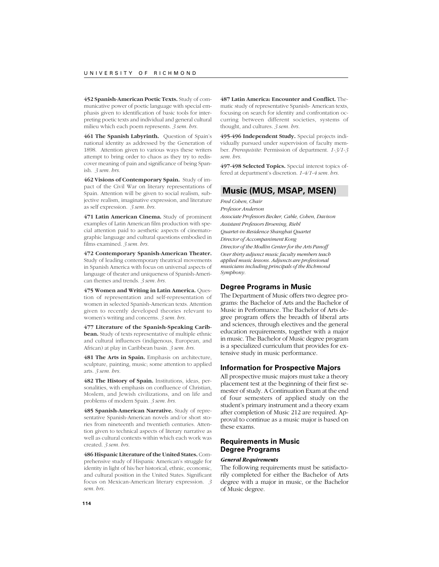**452 Spanish-American Poetic Texts.** Study of communicative power of poetic language with special emphasis given to identification of basic tools for interpreting poetic texts and individual and general cultural milieu which each poem represents. *3 sem. hrs.*

**461 The Spanish Labyrinth.** Question of Spain's national identity as addressed by the Generation of 1898. Attention given to various ways these writers attempt to bring order to chaos as they try to rediscover meaning of pain and significance of being Spanish. *3 sem. hrs.*

**462 Visions of Contemporary Spain.** Study of impact of the Civil War on literary representations of Spain. Attention will be given to social realism, subjective realism, imaginative expression, and literature as self expression. *3 sem. hrs.*

**471 Latin American Cinema.** Study of prominent examples of Latin American film production with special attention paid to aesthetic aspects of cinematographic language and cultural questions embodied in films examined. *3 sem. hrs.*

**472 Contemporary Spanish-American Theater.** Study of leading contemporary theatrical movements in Spanish America with focus on universal aspects of language of theater and uniqueness of Spanish-American themes and trends. *3 sem. hrs.*

**475 Women and Writing in Latin America.** Question of representation and self-representation of women in selected Spanish-American texts. Attention given to recently developed theories relevant to women's writing and concerns. *3 sem. hrs.*

**477 Literature of the Spanish-Speaking Caribbean.** Study of texts representative of multiple ethnic and cultural influences (indigenous, European, and African) at play in Caribbean basin. *3 sem. hrs.*

**481 The Arts in Spain.** Emphasis on architecture, sculpture, painting, music; some attention to applied arts. *3 sem. hrs.*

**482 The History of Spain.** Institutions, ideas, personalities, with emphasis on confluence of Christian, Moslem, and Jewish civilizations, and on life and problems of modern Spain. *3 sem. hrs.*

**485 Spanish-American Narrative.** Study of representative Spanish-American novels and/or short stories from nineteenth and twentieth centuries. Attention given to technical aspects of literary narrative as well as cultural contexts within which each work was created. *3 sem. hrs.*

**486 Hispanic Literature of the United States.** Comprehensive study of Hispanic American's struggle for identity in light of his/her historical, ethnic, economic, and cultural position in the United States. Significant focus on Mexican-American literary expression. *3 sem. hrs.*

**487 Latin America: Encounter and Conflict.** Thematic study of representative Spanish- American texts, focusing on search for identity and confrontation occurring between different societies, systems of thought, and cultures. *3 sem. hrs.*

**495-496 Independent Study.** Special projects individually pursued under supervision of faculty member. *Prerequisite*: Permission of department. *1-3/1-3 sem. hrs.*

**497-498 Selected Topics.** Special interest topics offered at department's discretion. *1-4/1-4 sem. hrs.*

# **Music (MUS, MSAP, MSEN)**

*Fred Cohen, Chair Professor Anderson Associate Professors Becker, Cable, Cohen, Davison Assistant Professors Broening, Riehl Quartet-in-Residence Shanghai Quartet Director of Accompaniment Kong Director of the Modlin Center for the Arts Panoff Over thirty adjunct music faculty members teach applied music lessons. Adjuncts are professional musicians including principals of the Richmond Symphony.*

#### **Degree Programs in Music**

The Department of Music offers two degree programs: the Bachelor of Arts and the Bachelor of Music in Performance. The Bachelor of Arts degree program offers the breadth of liberal arts and sciences, through electives and the general education requirements, together with a major in music. The Bachelor of Music degree program is a specialized curriculum that provides for extensive study in music performance.

#### **Information for Prospective Majors**

All prospective music majors must take a theory placement test at the beginning of their first semester of study. A Continuation Exam at the end of four semesters of applied study on the student's primary instrument and a theory exam after completion of Music 212 are required. Approval to continue as a music major is based on these exams.

# **Requirements in Music Degree Programs**

# *General Requirements*

The following requirements must be satisfactorily completed for either the Bachelor of Arts degree with a major in music, or the Bachelor of Music degree.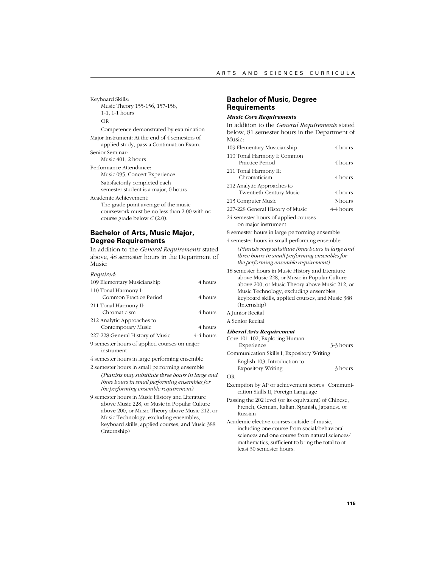Keyboard Skills: Music Theory 155-156, 157-158, 1-1, 1-1 hours OR Competence demonstrated by examination Major Instrument: At the end of 4 semesters of applied study, pass a Continuation Exam. Senior Seminar: Music 401, 2 hours Performance Attendance: Music 095, Concert Experience Satisfactorily completed each semester student is a major, 0 hours Academic Achievement: The grade point average of the music coursework must be no less than 2.00 with no course grade below *C* (2.0). **Bachelor of Arts, Music Major, Degree Requirements** In addition to the *General Requirements* stated above, 48 semester hours in the Department of Music:

#### *Required:*

| 109 Elementary Musicianship                                | 4 hours   |  |
|------------------------------------------------------------|-----------|--|
| 110 Tonal Harmony I:<br>Common Practice Period             | 4 hours   |  |
| 211 Tonal Harmony II:<br>Chromaticism                      | 4 hours   |  |
| 212 Analytic Approaches to<br>Contemporary Music           | 4 hours   |  |
| 227-228 General History of Music                           | 4-4 hours |  |
| 9 semester hours of applied courses on major<br>instrument |           |  |

4 semester hours in large performing ensemble

2 semester hours in small performing ensemble *(Pianists may substitute three hours in large and three hours in small performing ensembles for the performing ensemble requirement)*

9 semester hours in Music History and Literature above Music 228, or Music in Popular Culture above 200, or Music Theory above Music 212, or Music Technology, excluding ensembles, keyboard skills, applied courses, and Music 388 (Internship)

# **Bachelor of Music, Degree Requirements**

#### *Music Core Requirements*

In addition to the *General Requirements* stated below, 81 semester hours in the Department of Music: 109 Elementary Musicianship 4 hours 110 Tonal Harmony I: Common Practice Period 4 hours 211 Tonal Harmony II: Chromaticism 4 hours 212 Analytic Approaches to Twentieth-Century Music 4 hours 213 Computer Music 3 hours 227-228 General History of Music 4-4 hours

24 semester hours of applied courses on major instrument

8 semester hours in large performing ensemble

4 semester hours in small performing ensemble *(Pianists may substitute three hours in large and three hours in small performing ensembles for the performing ensemble requirement)*

18 semester hours in Music History and Literature above Music 228, or Music in Popular Culture above 200, or Music Theory above Music 212, or Music Technology, excluding ensembles, keyboard skills, applied courses, and Music 388 (Internship) A Junior Recital

A Senior Recital

#### *Liberal Arts Requirement*

| Core 101-102, Exploring Human                  |           |
|------------------------------------------------|-----------|
| Experience                                     | 3-3 hours |
| Communication Skills I, Expository Writing     |           |
| English 103, Introduction to                   |           |
| <b>Expository Writing</b>                      | 3 hours   |
| OR                                             |           |
| Exemption by AP or achievement scores Communi- |           |

Passing the 202 level (or its equivalent) of Chinese, French, German, Italian, Spanish, Japanese or Russian

cation Skills II, Foreign Language

Academic elective courses outside of music, including one course from social/behavioral sciences and one course from natural sciences/ mathematics, sufficient to bring the total to at least 30 semester hours.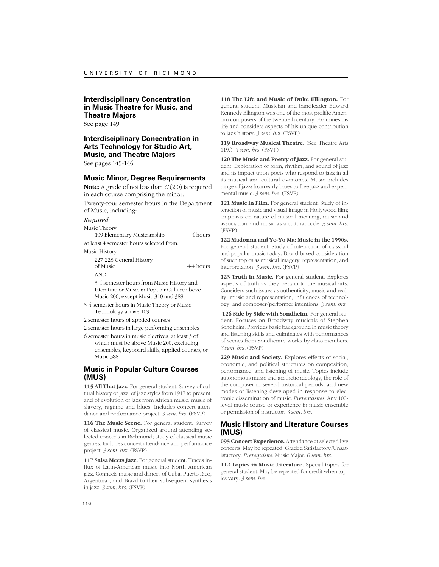# **Interdisciplinary Concentration in Music Theatre for Music, and Theatre Majors**

See page 149.

# **Interdisciplinary Concentration in Arts Technology for Studio Art, Music, and Theatre Majors**

See pages 145-146.

#### **Music Minor, Degree Requirements**

**Note:** A grade of not less than *C* (2.0) is required in each course comprising the minor.

Twenty-four semester hours in the Department of Music, including:

#### *Required:*

Music Theory

109 Elementary Musicianship 4 hours

At least 4 semester hours selected from:

Music History

227-228 General History of Music 4-4 hours AND 3-4 semester hours from Music History and Literature or Music in Popular Culture above Music 200, except Music 310 and 388

3-4 semester hours in Music Theory or Music Technology above 109

2 semester hours of applied courses

2 semester hours in large performing ensembles

6 semester hours in music electives, at least 3 of which must be above Music 200, excluding ensembles, keyboard skills, applied courses, or Music 388

## **Music in Popular Culture Courses (MUS)**

**115 All That Jazz.** For general student. Survey of cultural history of jazz; of jazz styles from 1917 to present; and of evolution of jazz from African music, music of slavery, ragtime and blues. Includes concert attendance and performance project. *3 sem. hrs.* (FSVP)

**116 The Music Scene.** For general student. Survey of classical music. Organized around attending selected concerts in Richmond; study of classical music genres. Includes concert attendance and performance project. *3 sem. hrs.* (FSVP)

**117 Salsa Meets Jazz.** For general student. Traces influx of Latin-American music into North American jazz. Connects music and dances of Cuba, Puerto Rico, Argentina , and Brazil to their subsequent synthesis in jazz. *3 sem. hrs.* (FSVP)

**118 The Life and Music of Duke Ellington.** For general student. Musician and bandleader Edward Kennedy Ellington was one of the most prolific American composers of the twentieth century. Examines his life and considers aspects of his unique contribution to jazz history. *3 sem. hrs.* (FSVP)

**119 Broadway Musical Theatre.** (See Theatre Arts 119.) *3 sem. hrs.* (FSVP)

**120 The Music and Poetry of Jazz.** For general student. Exploration of form, rhythm, and sound of jazz and its impact upon poets who respond to jazz in all its musical and cultural overtones. Music includes range of jazz: from early blues to free jazz and experimental music. *3 sem. hrs.* (FSVP)

**121 Music in Film.** For general student. Study of interaction of music and visual image in Hollywood film; emphasis on nature of musical meaning, music and association, and music as a cultural code. *3 sem. hrs.* (FSVP)

**122 Madonna and Yo-Yo Ma: Music in the 1990s.** For general student. Study of interaction of classical and popular music today. Broad-based consideration of such topics as musical imagery, representation, and interpretation. *3 sem. hrs.* (FSVP)

**123 Truth in Music.** For general student. Explores aspects of truth as they pertain to the musical arts. Considers such issues as authenticity, music and reality, music and representation, influences of technology, and composer/performer intentions. *3 sem. hrs.*

**126 Side by Side with Sondheim.** For general student. Focuses on Broadway musicals of Stephen Sondheim. Provides basic background in music theory and listening skills and culminates with performances of scenes from Sondheim's works by class members. *3 sem. hrs.* (FSVP)

**229 Music and Society.** Explores effects of social, economic, and political structures on composition, performance, and listening of music. Topics include autonomous music and aesthetic ideology, the role of the composer in several historical periods, and new modes of listening developed in response to electronic dissemination of music. *Prerequisites*: Any 100 level music course or experience in music ensemble or permission of instructor. *3 sem. hrs.*

### **Music History and Literature Courses (MUS)**

**095 Concert Experience.** Attendance at selected live concerts. May be repeated. Graded Satisfactory/Unsatisfactory. *Prerequisite:* Music Major. *0 sem. hrs.*

**112 Topics in Music Literature.** Special topics for general student. May be repeated for credit when topics vary. *3 sem. hrs.*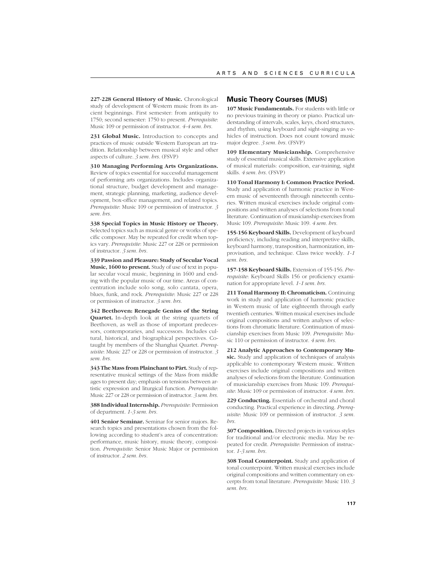**227-228 General History of Music.** Chronological study of development of Western music from its ancient beginnings. First semester: from antiquity to 1750; second semester: 1750 to present. *Prerequisite*: Music 109 or permission of instructor. *4-4 sem. hrs.*

231 Global Music. Introduction to concepts and practices of music outside Western European art tradition. Relationship between musical style and other aspects of culture. *3 sem. hrs.* (FSVP)

**310 Managing Performing Arts Organizations.** Review of topics essential for successful management of performing arts organizations. Includes organizational structure, budget development and management, strategic planning, marketing, audience development, box-office management, and related topics. *Prerequisite*: Music 109 or permission of instructor. *3 sem. hrs.*

**338 Special Topics in Music History or Theory.** Selected topics such as musical genre or works of specific composer. May be repeated for credit when topics vary. *Prerequisite*: Music 227 or 228 or permission of instructor. *3 sem. hrs.*

**339 Passion and Pleasure: Study of Secular Vocal Music, 1600 to present.** Study of use of text in popular secular vocal music, beginning in 1600 and ending with the popular music of our time. Areas of concentration include solo song, solo cantata, opera, blues, funk, and rock. *Prerequisite*: Music 227 or 228 or permission of instructor. *3 sem. hrs.*

**342 Beethoven: Renegade Genius of the String Quartet.** In-depth look at the string quartets of Beethoven, as well as those of important predecessors, contemporaries, and successors. Includes cultural, historical, and biographical perspectives. Cotaught by members of the Shanghai Quartet. *Prerequisite*: Music 227 or 228 or permission of instructor. *3 sem. hrs.*

**343 The Mass from Plainchant to Pärt.** Study of representative musical settings of the Mass from middle ages to present day; emphasis on tensions between artistic expression and liturgical function. *Prerequisite*: Music 227 or 228 or permission of instructor. *3 sem. hrs.*

**388 Individual Internship.** *Prerequisite*: Permission of department. *1-3 sem. hrs.*

**401 Senior Seminar.** Seminar for senior majors. Research topics and presentations chosen from the following according to student's area of concentration: performance, music history, music theory, composition. *Prerequisite*: Senior Music Major or permission of instructor. *2 sem. hrs.*

#### **Music Theory Courses (MUS)**

**107 Music Fundamentals.** For students with little or no previous training in theory or piano. Practical understanding of intervals, scales, keys, chord structures, and rhythm, using keyboard and sight-singing as vehicles of instruction. Does not count toward music major degree. *3 sem. hrs.* (FSVP)

**109 Elementary Musicianship.** Comprehensive study of essential musical skills. Extensive application of musical materials: composition, ear-training, sight skills. *4 sem. hrs.* (FSVP)

**110 Tonal Harmony I: Common Practice Period.** Study and application of harmonic practice in Western music of seventeenth through nineteenth centuries. Written musical exercises include original compositions and written analyses of selections from tonal literature. Continuation of musicianship exercises from Music 109. *Prerequisite*: Music 109. *4 sem. hrs.*

**155-156 Keyboard Skills.** Development of keyboard proficiency, including reading and interpretive skills, keyboard harmony, transposition, harmonization, improvisation, and technique. Class twice weekly. *1-1 sem. hrs.*

**157-158 Keyboard Skills.** Extension of 155-156. *Prerequisite*: Keyboard Skills 156 or proficiency examination for appropriate level. *1-1 sem. hrs.*

**211 Tonal Harmony II: Chromaticism.** Continuing work in study and application of harmonic practice in Western music of late eighteenth through early twentieth centuries. Written musical exercises include original compositions and written analyses of selections from chromatic literature. Continuation of musicianship exercises from Music 109. *Prerequisite*: Music 110 or permission of instructor. *4 sem. hrs.*

**212 Analytic Approaches to Contemporary Music.** Study and application of techniques of analysis applicable to contemporary Western music. Written exercises include original compositions and written analyses of selections from the literature. Continuation of musicianship exercises from Music 109. *Prerequisite*: Music 109 or permission of instructor. *4 sem. hrs.*

**229 Conducting.** Essentials of orchestral and choral conducting. Practical experience in directing. *Prerequisite*: Music 109 or permission of instructor. *3 sem. hrs.*

**307 Composition.** Directed projects in various styles for traditional and/or electronic media. May be repeated for credit. *Prerequisite*: Permission of instructor. *1-3 sem. hrs.*

**308 Tonal Counterpoint.** Study and application of tonal counterpoint. Written musical exercises include original compositions and written commentary on excerpts from tonal literature. *Prerequisite*: Music 110. *3 sem. hrs.*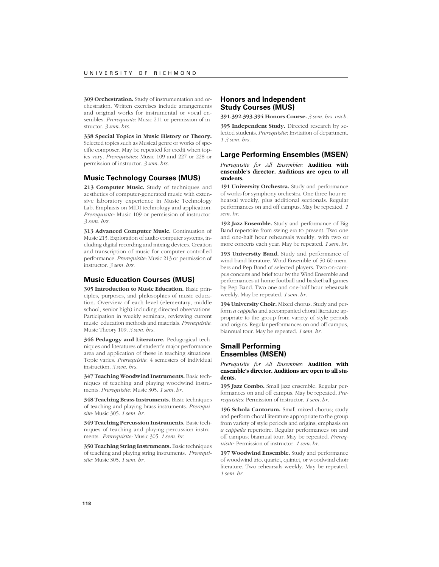**309 Orchestration.** Study of instrumentation and orchestration. Written exercises include arrangements and original works for instrumental or vocal ensembles. *Prerequisite*: Music 211 or permission of instructor. *3 sem. hrs.*

**338 Special Topics in Music History or Theory.** Selected topics such as Musical genre or works of specific composer. May be repeated for credit when topics vary. *Prerequisites*: Music 109 and 227 or 228 or permission of instructor. *3 sem. hrs.*

## **Music Technology Courses (MUS)**

213 Computer Music. Study of techniques and aesthetics of computer-generated music with extensive laboratory experience in Music Technology Lab. Emphasis on MIDI technology and application. *Prerequisite*: Music 109 or permission of instructor. *3 sem. hrs.*

**313 Advanced Computer Music.** Continuation of Music 213. Exploration of audio computer systems, including digital recording and mixing devices. Creation and transcription of music for computer controlled performance. *Prerequisite*: Music 213 or permission of instructor. *3 sem. hrs.*

# **Music Education Courses (MUS)**

**305 Introduction to Music Education.** Basic principles, purposes, and philosophies of music education. Overview of each level (elementary, middle school, senior high) including directed observations. Participation in weekly seminars, reviewing current music education methods and materials. *Prerequisite*: Music Theory 109. *3 sem. hrs.*

**346 Pedagogy and Literature.** Pedagogical techniques and literatures of student's major performance area and application of these in teaching situations. Topic varies. *Prerequisite*: 4 semesters of individual instruction. *3 sem. hrs.*

**347 Teaching Woodwind Instruments.** Basic techniques of teaching and playing woodwind instruments. *Prerequisite:* Music 305. *1 sem. hr.*

**348 Teaching Brass Instruments.** Basic techniques of teaching and playing brass instruments. *Prerequisite:* Music 305. *1 sem. hr.*

**349 Teaching Percussion Instruments.** Basic techniques of teaching and playing percussion instruments. *Prerequisite:* Music 305. *1 sem. hr.*

**350 Teaching String Instruments.** Basic techniques of teaching and playing string instruments. *Prerequisite:* Music 305. *1 sem. hr.*

# **Honors and Independent Study Courses (MUS)**

**391-392-393-394 Honors Course.** *3 sem. hrs. each.*

**395 Independent Study.** Directed research by selected students. *Prerequisite*: Invitation of department. *1-3 sem. hrs.*

#### **Large Performing Ensembles (MSEN)**

*Prerequisite for All Ensembles:* **Audition with ensemble's director. Auditions are open to all students.**

191 University Orchestra. Study and performance of works for symphony orchestra. One three-hour rehearsal weekly, plus additional sectionals. Regular performances on and off campus. May be repeated. *1 sem. hr.*

**192 Jazz Ensemble.** Study and performance of Big Band repertoire from swing era to present. Two one and one-half hour rehearsals weekly, with two or more concerts each year. May be repeated. *1 sem. hr.*

**193 University Band.** Study and performance of wind band literature. Wind Ensemble of 50-60 members and Pep Band of selected players. Two on-campus concerts and brief tour by the Wind Ensemble and performances at home football and basketball games by Pep Band. Two one and one-half hour rehearsals weekly. May be repeated. *1 sem. hr.*

**194 University Choir.** Mixed chorus. Study and perform *a cappella* and accompanied choral literature appropriate to the group from variety of style periods and origins. Regular performances on and off campus, biannual tour. May be repeated. *1 sem. hr.*

## **Small Performing Ensembles (MSEN)**

*Prerequisite for All Ensembles:* **Audition with ensemble's director. Auditions are open to all students.**

**195 Jazz Combo.** Small jazz ensemble. Regular performances on and off campus. May be repeated. *Prerequisites*: Permission of instructor. *1 sem. hr.*

**196 Schola Cantorum.** Small mixed chorus; study and perform choral literature appropriate to the group from variety of style periods and origins; emphasis on *a cappella* repertoire. Regular performances on and off campus; biannual tour. May be repeated. *Prerequisite*: Permission of instructor. *1 sem. hr.*

**197 Woodwind Ensemble.** Study and performance of woodwind trio, quartet, quintet, or woodwind choir literature. Two rehearsals weekly. May be repeated. *1 sem. hr.*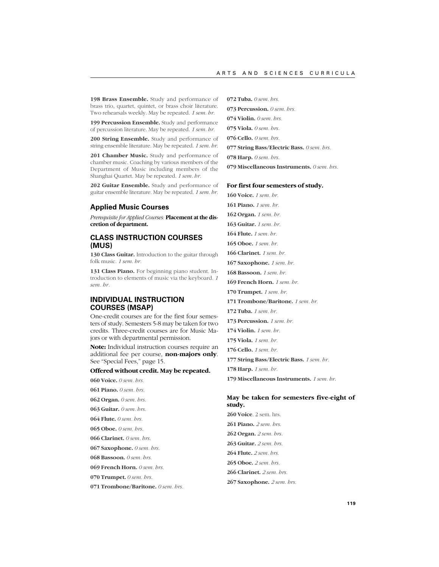**198 Brass Ensemble.** Study and performance of brass trio, quartet, quintet, or brass choir literature. Two rehearsals weekly. May be repeated. *1 sem. hr.*

**199 Percussion Ensemble.** Study and performance of percussion literature. May be repeated. *1 sem. hr.*

**200 String Ensemble.** Study and performance of string ensemble literature. May be repeated. *1 sem. hr.*

201 Chamber Music. Study and performance of chamber music. Coaching by various members of the Department of Music including members of the Shanghai Quartet. May be repeated. *1 sem. hr.*

**202 Guitar Ensemble.** Study and performance of guitar ensemble literature. May be repeated. *1 sem. hr.*

#### **Applied Music Courses**

*Prerequisite for Applied Courses:* **Placement at the discretion of department.**

# **CLASS INSTRUCTION COURSES (MUS)**

130 Class Guitar. Introduction to the guitar through folk music. *1 sem. hr.*

**131 Class Piano.** For beginning piano student. Introduction to elements of music via the keyboard. *1 sem. hr.*

# **INDIVIDUAL INSTRUCTION COURSES (MSAP)**

One-credit courses are for the first four semesters of study. Semesters 5-8 may be taken for two credits. Three-credit courses are for Music Majors or with departmental permission.

**Note:** Individual instruction courses require an additional fee per course, **non-majors only**. See "Special Fees," page 15.

# **Offered without credit. May be repeated.**

- **060 Voice.** *0 sem. hrs.*
- **061 Piano.** *0 sem. hrs.*
- **062 Organ.** *0 sem. hrs.*
- **063 Guitar.** *0 sem. hrs.*
- **064 Flute.** *0 sem. hrs.*
- **065 Oboe.** *0 sem. hrs*.
- **066 Clarinet.** *0 sem. hrs.*
- **067 Saxophone.** *0 sem. hrs.*
- **068 Bassoon.** *0 sem. hrs.*
- **069 French Horn.** *0 sem. hrs.*
- **070 Trumpet.** *0 sem. hrs.*

**071 Trombone/Baritone.** *0 sem. hrs.*

**072 Tuba.** *0 sem. hrs.*

**073 Percussion.** *0 sem. hrs.*

**074 Violin.** *0 sem. hrs.*

**075 Viola.** *0 sem. hrs.*

**076 Cello.** *0 sem. hrs.*

**077 String Bass/Electric Bass.** *0 sem. hrs.*

**078 Harp.** *0 sem. hrs.*

**079 Miscellaneous Instruments.** *0 sem. hrs.*

#### **For first four semesters of study.**

**160 Voice.** *1 sem. hr.* **161 Piano.** *1 sem. hr.* **162 Organ.** *1 sem. hr.* **163 Guitar.** *1 sem. hr.* **164 Flute.** *1 sem. hr.* **165 Oboe.** *1 sem. hr.* **166 Clarinet.** *1 sem. hr.* **167 Saxophone.** *1 sem. hr.* **168 Bassoon.** *1 sem. hr.* **169 French Horn.** *1 sem. hr.* **170 Trumpet.** *1 sem. hr.* **171 Trombone/Baritone.** *1 sem. hr.* **172 Tuba.** *1 sem. hr.* **173 Percussion.** *1 sem. hr.* **174 Violin.** *1 sem. hr.* **175 Viola.** *1 sem. hr.* **176 Cello.** *1 sem. hr.* **177 String Bass/Electric Bass.** *1 sem. hr.*

**178 Harp.** *1 sem. hr.*

**179 Miscellaneous Instruments.** *1 sem. hr.*

# **May be taken for semesters five-eight of study.**

**260 Voice**. 2 sem. hrs. **261 Piano.** *2 sem. hrs*. **262 Organ.** *2 sem. hrs.* **263 Guitar.** *2 sem. hrs*. **264 Flute.** *2 sem. hrs*. **265 Oboe.** *2 sem. hrs.* **266 Clarinet.** *2 sem. hrs.* **267 Saxophone.** *2 sem. hrs.*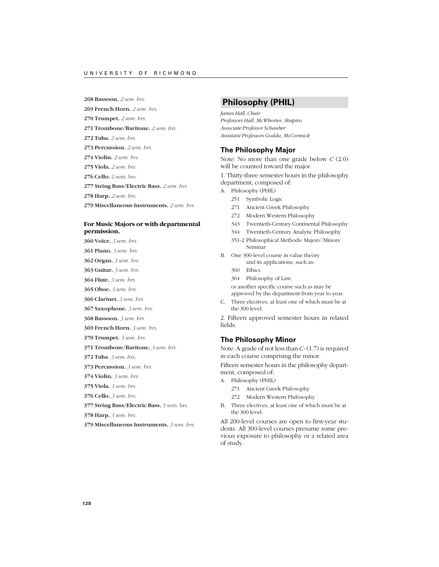**268 Bassoon.** *2 sem. hrs.*

**269 French Horn.** *2 sem. hrs*.

**270 Trumpet.** *2 sem. hrs.*

- **271 Trombone/Baritone.** *2 sem. hrs.*
- **272 Tuba.** *2 sem. hrs.*
- **273 Percussion.** *2 sem. hrs.*
- **274 Violin.** *2 sem. hrs.*
- **275 Viola.** *2 sem. hrs.*
- **276 Cello.** 2 sem. hrs.
- **277 String Bass/Electric Bass.** *2 sem. hrs.*

**278 Harp.** *2 sem. hrs*.

**279 Miscellaneous Instruments.** *2 sem. hrs*.

#### **For Music Majors or with departmental permission.**

**360 Voice.** *3 sem. hrs.*

**361 Piano.** *3 sem. hrs.*

- **362 Organ.** *3 sem. hrs.*
- **363 Guitar.** *3 sem. hrs.*
- **364 Flute.** *3 sem. hrs.*
- **365 Oboe.** *3 sem. hrs.*
- **366 Clarinet.** *3 sem. hrs.*
- **367 Saxophone.** *3 sem. hrs.*
- **368 Bassoon.** *3 sem. hrs.*
- **369 French Horn.** *3 sem. hrs.*
- **370 Trumpet.** *3 sem. hrs.*
- **371 Trombone/Baritone.** *3 sem. hrs.*
- **372 Tuba**. *3 sem. hrs.*
- **373 Percussion.** *3 sem. hrs.*
- **374 Violin.** *3 sem. hrs.*
- **375 Viola.** *3 sem. hrs.*
- **376 Cello.** *3 sem. hrs.*
- **377 String Bass/Electric Bass.** 3 sem. hrs.
- **378 Harp.** *3 sem. hrs.*
- **379 Miscellaneous Instruments.** *3 sem. hrs.*

# **Philosophy (PHIL)**

*James Hall, Chair Professors Hall, McWhorter, Shapiro Associate Professor Schauber Assistant Professors Goddu, McCormick*

#### **The Philosophy Major**

Note: No more than one grade below *C* (2.0) will be counted toward the major.

1. Thirty-three semester hours in the philosophy department, composed of:

- A. Philosophy (PHIL)
	- 251 Symbolic Logic
	- 271 Ancient Greek Philosophy
	- 272 Modern Western Philosophy
	- 343 Twentieth-Century Continental Philosophy
	- 344 Twentieth-Century Analytic Philosophy
	- 351-2 Philosophical Methods: Majors'/Minors' Seminar
- B. One 300-level course in value theory and its applications, such as:
	- 360 Ethics
	- 364 Philosophy of Law,

or another specific course such as may be approved by the department from year to year.

C. Three electives, at least one of which must be at the 300 level.

2. Fifteen approved semester hours in related fields.

#### **The Philosophy Minor**

Note: A grade of not less than *C-* (1.7) is required in each course comprising the minor.

Fifteen semester hours in the philosophy department, composed of:

- A. Philosophy (PHIL)
	- 271 Ancient Greek Philosophy
	- 272 Modern Western Philosophy
- B. Three electives, at least one of which must be at the 300 level.

All 200-level courses are open to first-year students. All 300-level courses presume some previous exposure to philosophy or a related area of study.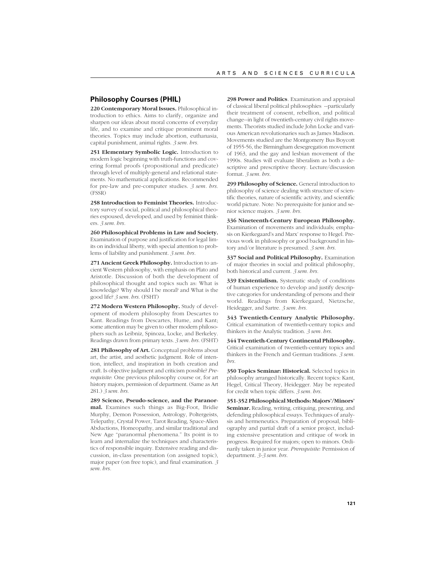#### **Philosophy Courses (PHIL)**

**220 Contemporary Moral Issues.** Philosophical introduction to ethics. Aims to clarify, organize and sharpen our ideas about moral concerns of everyday life, and to examine and critique prominent moral theories. Topics may include abortion, euthanasia, capital punishment, animal rights. *3 sem. hrs.*

**251 Elementary Symbolic Logic.** Introduction to modern logic beginning with truth-functions and covering formal proofs (propositional and predicate) through level of multiply-general and relational statements. No mathematical applications. Recommended for pre-law and pre-computer studies. *3 sem. hrs.* (FSSR)

**258 Introduction to Feminist Theories.** Introductory survey of social, political and philosophical theories espoused, developed, and used by feminist thinkers. *3 sem. hrs.*

**260 Philosophical Problems in Law and Society.** Examination of purpose and justification for legal limits on individual liberty, with special attention to problems of liability and punishment. *3 sem. hrs.*

**271 Ancient Greek Philosophy.** Introduction to ancient Western philosophy, with emphasis on Plato and Aristotle. Discussion of both the development of philosophical thought and topics such as: What is knowledge? Why should I be moral? and What is the good life? *3 sem. hrs.* (FSHT)

**272 Modern Western Philosophy.** Study of development of modern philosophy from Descartes to Kant. Readings from Descartes, Hume, and Kant; some attention may be given to other modern philosophers such as Leibniz, Spinoza, Locke, and Berkeley. Readings drawn from primary texts. *3 sem. hrs.* (FSHT)

281 Philosophy of Art. Conceptual problems about art, the artist, and aesthetic judgment. Role of intention, intellect, and inspiration in both creation and craft. Is objective judgment and criticism possible? *Prerequisite*: One previous philosophy course or, for art history majors, permission of department. (Same as Art 281.) *3 sem. hrs.*

**289 Science, Pseudo-science, and the Paranormal.** Examines such things as Big-Foot, Bridie Murphy, Demon Possession, Astrology, Poltergeists, Telepathy, Crystal Power, Tarot Reading, Space-Alien Abductions, Homeopathy, and similar traditional and New Age "paranormal phenomena." Its point is to learn and internalize the techniques and characteristics of responsible inquiry. Extensive reading and discussion, in-class presentation (on assigned topic), major paper (on free topic), and final examination. *3 sem. hrs.*

**298 Power and Politics**. Examination and appraisal of classical liberal political philosophies --particularly their treatment of consent, rebellion, and political change--in light of twentieth-century civil rights movements. Theorists studied include John Locke and various American revolutionaries such as James Madison. Movements studied are the Montgomery Bus Boycott of 1955-56, the Birmingham desegregation movement of 1963, and the gay and lesbian movement of the 1990s. Studies will evaluate liberalism as both a descriptive and prescriptive theory. Lecture/discussion format. *3 sem. hrs.*

**299 Philosophy of Science.** General introduction to philosophy of science dealing with structure of scientific theories, nature of scientific activity, and scientific world picture. Note: No prerequisite for junior and senior science majors. *3 sem. hrs.*

**336 Nineteenth-Century European Philosophy.** Examination of movements and individuals; emphasis on Kierkegaard's and Marx' response to Hegel. Previous work in philosophy or good background in history and/or literature is presumed. *3 sem. hrs.*

**337 Social and Political Philosophy.** Examination of major theories in social and political philosophy, both historical and current. *3 sem. hrs.*

**339 Existentialism.** Systematic study of conditions of human experience to develop and justify descriptive categories for understanding of persons and their world. Readings from Kierkegaard, Nietzsche, Heidegger, and Sartre. *3 sem. hrs.*

**343 Twentieth-Century Analytic Philosophy.** Critical examination of twentieth-century topics and thinkers in the Analytic tradition. *3 sem. hrs.*

**344 Twentieth-Century Continental Philosophy.** Critical examination of twentieth-century topics and thinkers in the French and German traditions. *3 sem. hrs.*

**350 Topics Seminar: Historical.** Selected topics in philosophy arranged historically. Recent topics: Kant, Hegel, Critical Theory, Heidegger. May be repeated for credit when topic differs. *3 sem. hrs.*

**351-352 Philosophical Methods: Majors'/Minors' Seminar.** Reading, writing, critiquing, presenting, and defending philosophical essays. Techniques of analysis and hermeneutics. Preparation of proposal, bibliography and partial draft of a senior project, including extensive presentation and critique of work in progress. Required for majors; open to minors. Ordinarily taken in junior year. *Prerequisite:* Permission of department. *3-3 sem. hrs.*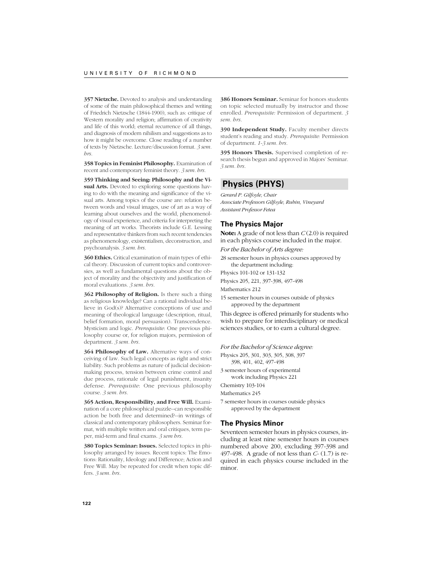**357 Nietzche.** Devoted to analysis and understanding of some of the main philosophical themes and writing of Friedrich Nietzsche (1844-1900), such as: critique of Western morality and religion; affirmation of creativity and life of this world; eternal recurrence of all things, and diagnosis of modern nihilism and suggestions as to how it might be overcome. Close reading of a number of texts by Nietzsche. Lecture/discussion format. *3 sem. hrs.*

**358 Topics in Feminist Philosophy.** Examination of recent and contemporary feminist theory. *3 sem. hrs.*

**359 Thinking and Seeing: Philosophy and the Visual Arts.** Devoted to exploring some questions having to do with the meaning and significance of the visual arts. Among topics of the course are: relation between words and visual images, use of art as a way of learning about ourselves and the world, phenomenology of visual experience, and criteria for interpreting the meaning of art works. Theorists include G.E. Lessing and representative thinkers from such recent tendencies as phenomenology, existentialism, deconstruction, and psychoanalysis. *3 sem. hrs.*

**360 Ethics.** Critical examination of main types of ethical theory. Discussion of current topics and controversies, as well as fundamental questions about the object of morality and the objectivity and justification of moral evaluations. *3 sem. hrs.*

**362 Philosophy of Religion.** Is there such a thing as religious knowledge? Can a rational individual believe in God(s)? Alternative conceptions of use and meaning of theological language (description, ritual, belief formation, moral persuasion). Transcendence. Mysticism and logic. *Prerequisite*: One previous philosophy course or, for religion majors, permission of department. *3 sem. hrs.*

**364 Philosophy of Law.** Alternative ways of conceiving of law. Such legal concepts as right and strict liability. Such problems as nature of judicial decisionmaking process, tension between crime control and due process, rationale of legal punishment, insanity defense. *Prerequisite*: One previous philosophy course. *3 sem. hrs.*

**365 Action, Responsibility, and Free Will.** Examination of a core philosophical puzzle--can responsible action be both free and determined?--in writings of classical and contemporary philosophers. Seminar format, with multiple written and oral critiques, term paper, mid-term and final exams. *3 sem hrs.*

**380 Topics Seminar: Issues.** Selected topics in philosophy arranged by issues. Recent topics: The Emotions: Rationality, Ideology and Difference; Action and Free Will. May be repeated for credit when topic differs. *3 sem. hrs.*

**386 Honors Seminar.** Seminar for honors students on topic selected mutually by instructor and those enrolled. *Prerequisite:* Permission of department. *3 sem. hrs.*

**390 Independent Study.** Faculty member directs student's reading and study. *Prerequisite:* Permission of department. *1-3 sem. hrs.*

**395 Honors Thesis.** Supervised completion of research thesis begun and approved in Majors' Seminar. *3 sem. hrs.*

# **Physics (PHYS)**

*Gerard P. Gilfoyle, Chair Associate Professors Gilfoyle, Rubin, Vineyard Assistant Professor Fetea*

#### **The Physics Major**

**Note:** A grade of not less than *C* (2.0) is required in each physics course included in the major.

*For the Bachelor of Arts degree:*

28 semester hours in physics courses approved by the department including:

Physics 101-102 or 131-132

Physics 205, 221, 397-398, 497-498

Mathematics 212

15 semester hours in courses outside of physics approved by the department

This degree is offered primarily for students who wish to prepare for interdisciplinary or medical sciences studies, or to earn a cultural degree.

*For the Bachelor of Science degree:*

Physics 205, 301, 303, 305, 308, 397 398, 401, 402, 497-498

3 semester hours of experimental

work including Physics 221 Chemistry 103-104

Mathematics 245

7 semester hours in courses outside physics approved by the department

#### **The Physics Minor**

Seventeen semester hours in physics courses, including at least nine semester hours in courses numbered above 200, excluding 397-398 and 497-498. A grade of not less than *C-* (1.7) is required in each physics course included in the minor.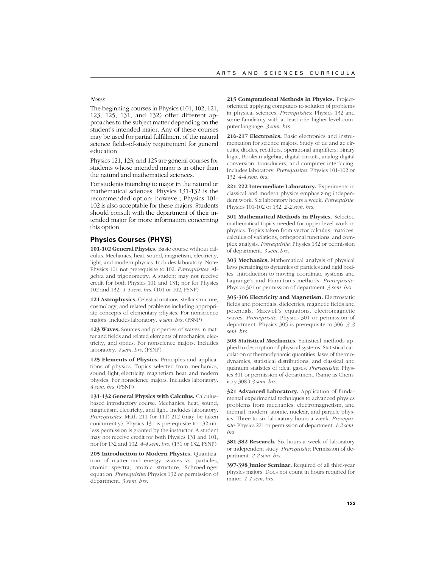*Notes*

The beginning courses in Physics (101, 102, 121, 123, 125, 131, and 132) offer different approaches to the subject matter depending on the student's intended major. Any of these courses may be used for partial fulfillment of the natural science fields-of-study requirement for general education.

Physics 121, 123, and 125 are general courses for students whose intended major is in other than the natural and mathematical sciences.

For students intending to major in the natural or mathematical sciences, Physics 131-132 is the recommended option; however, Physics 101- 102 is also acceptable for these majors. Students should consult with the department of their intended major for more information concerning this option.

#### **Physics Courses (PHYS)**

**101-102 General Physics.** Basic course without calculus. Mechanics, heat, sound, magnetism, electricity, light, and modern physics. Includes laboratory. Note: Physics 101 not prerequisite to 102. *Prerequisites*: Algebra and trigonometry. A student may not receive credit for both Physics 101 and 131; nor for Physics 102 and 132. *4-4 sem. hrs.* (101 or 102, FSNP)

**121 Astrophysics.** Celestial motions, stellar structure, cosmology, and related problems including appropriate concepts of elementary physics. For nonscience majors. Includes laboratory. *4 sem. hrs.* (FSNP)

**123 Waves.** Sources and properties of waves in matter and fields and related elements of mechanics, electricity, and optics. For nonscience majors. Includes laboratory. *4 sem. hrs.* (FSNP)

**125 Elements of Physics.** Principles and applications of physics. Topics selected from mechanics, sound, light, electricity, magnetism, heat, and modern physics. For nonscience majors. Includes laboratory. *4 sem. hrs.* (FSNP)

**131-132 General Physics with Calculus.** Calculusbased introductory course. Mechanics, heat, sound, magnetism, electricity, and light. Includes laboratory. *Prerequisites*: Math 211 (or 111)-212 (may be taken concurrently). Physics 131 is prerequisite to 132 unless permission is granted by the instructor. A student may not receive credit for both Physics 131 and 101, nor for 132 and 102. *4-4 sem. hrs.* (131 or 132, FSNP)

**205 Introduction to Modern Physics.** Quantization of matter and energy, waves vs. particles, atomic spectra, atomic structure, Schroedinger equation. *Prerequisite*: Physics 132 or permission of department. *3 sem. hrs.*

**215 Computational Methods in Physics.** Projectoriented: applying computers to solution of problems in physical sciences. *Prerequisites*: Physics 132 and some familiarity with at least one higher-level computer language. *3 sem. hrs.*

**216-217 Electronics.** Basic electronics and instrumentation for science majors. Study of dc and ac circuits, diodes, rectifiers, operational amplifiers, binary logic, Boolean algebra, digital circuits, analog-digital conversion, transducers, and computer interfacing. Includes laboratory. *Prerequisites*: Physics 101-102 or 132. *4-4 sem. hrs.*

**221-222 Intermediate Laboratory.** Experiments in classical and modern physics emphasizing independent work. Six laboratory hours a week. *Prerequisite*: Physics 101-102 or 132. *2-2 sem. hrs.*

**301 Mathematical Methods in Physics.** Selected mathematical topics needed for upper-level work in physics. Topics taken from vector calculus, matrices, calculus of variations, orthogonal functions, and complex analysis. *Prerequisite*: Physics 132 or permission of department. *3 sem. hrs.*

**303 Mechanics.** Mathematical analysis of physical laws pertaining to dynamics of particles and rigid bodies. Introduction to moving coordinate systems and Lagrange's and Hamilton's methods. *Prerequisite*: Physics 301 or permission of department. *3 sem. hrs.*

**305-306 Electricity and Magnetism.** Electrostatic fields and potentials, dielectrics, magnetic fields and potentials. Maxwell's equations, electromagnetic waves. *Prerequisite*: Physics 301 or permission of department. Physics 305 is prerequisite to 306. *3-3 sem. hrs.*

**308 Statistical Mechanics.** Statistical methods applied to description of physical systems. Statistical calculation of thermodynamic quantities, laws of thermodynamics, statistical distributions, and classical and quantum statistics of ideal gases. *Prerequisite*: Physics 301 or permission of department. (Same as Chemistry 308.) *3 sem. hrs.*

**321 Advanced Laboratory.** Application of fundamental experimental techniques to advanced physics problems from mechanics, electromagnetism, and thermal, modern, atomic, nuclear, and particle physics. Three to six laboratory hours a week. *Prerequisite*: Physics 221 or permission of department. *1-2 sem. hrs.*

**381-382 Research.** Six hours a week of laboratory or independent study. *Prerequisite*: Permission of department. *2-2 sem. hrs.*

**397-398 Junior Seminar.** Required of all third-year physics majors. Does not count in hours required for minor. *1-1 sem. hrs.*

**123**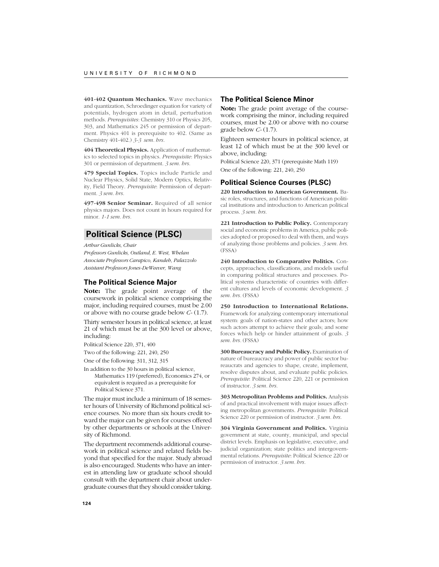**401-402 Quantum Mechanics.** Wave mechanics and quantization, Schroedinger equation for variety of potentials, hydrogen atom in detail, perturbation methods. *Prerequisites*: Chemistry 310 or Physics 205, 303, and Mathematics 245 or permission of department. Physics 401 is prerequisite to 402. (Same as Chemistry 401-402.) *3-3 sem. hrs.*

**404 Theoretical Physics.** Application of mathematics to selected topics in physics. *Prerequisite*: Physics 301 or permission of department. *3 sem. hrs.*

**479 Special Topics.** Topics include Particle and Nuclear Physics, Solid State, Modern Optics, Relativity, Field Theory. *Prerequisite*: Permission of department. *3 sem. hrs.*

**497-498 Senior Seminar.** Required of all senior physics majors. Does not count in hours required for minor. *1-1 sem. hrs.*

# **Political Science (PLSC)**

*Arthur Gunlicks, Chair Professors Gunlicks, Outland, E. West, Whelan Associate Professors Carapico, Kandeh, Palazzolo Assistant Professors Jones-DeWeever, Wang*

#### **The Political Science Major**

**Note:** The grade point average of the coursework in political science comprising the major, including required courses, must be 2.00 or above with no course grade below *C-* (1.7).

Thirty semester hours in political science, at least 21 of which must be at the 300 level or above, including:

Political Science 220, 371, 400

Two of the following: 221, 240, 250

One of the following: 311, 312, 315

In addition to the 30 hours in political science, Mathematics 119 (preferred), Economics 274, or equivalent is required as a prerequisite for Political Science 371.

The major must include a minimum of 18 semester hours of University of Richmond political science courses. No more than six hours credit toward the major can be given for courses offered by other departments or schools at the University of Richmond.

The department recommends additional coursework in political science and related fields beyond that specified for the major. Study abroad is also encouraged. Students who have an interest in attending law or graduate school should consult with the department chair about undergraduate courses that they should consider taking.

## **The Political Science Minor**

**Note:** The grade point average of the coursework comprising the minor, including required courses, must be 2.00 or above with no course grade below *C-* (1.7).

Eighteen semester hours in political science, at least 12 of which must be at the 300 level or above, including:

Political Science 220, 371 (prerequisite Math 119) One of the following: 221, 240, 250

#### **Political Science Courses (PLSC)**

**220 Introduction to American Government.** Basic roles, structures, and functions of American political institutions and introduction to American political process. *3 sem. hrs.*

**221 Introduction to Public Policy.** Contemporary social and economic problems in America, public policies adopted or proposed to deal with them, and ways of analyzing those problems and policies. *3 sem. hrs.* (FSSA)

**240 Introduction to Comparative Politics.** Concepts, approaches, classifications, and models useful in comparing political structures and processes. Political systems characteristic of countries with different cultures and levels of economic development. *3 sem. hrs.* (FSSA)

**250 Introduction to International Relations.** Framework for analyzing contemporary international system: goals of nation-states and other actors; how such actors attempt to achieve their goals; and some forces which help or hinder attainment of goals. *3 sem. hrs.* (FSSA)

**300 Bureaucracy and Public Policy.** Examination of nature of bureaucracy and power of public sector bureaucrats and agencies to shape, create, implement, resolve disputes about, and evaluate public policies. *Prerequisite*: Political Science 220, 221 or permission of instructor. *3 sem. hrs.*

**303 Metropolitan Problems and Politics.** Analysis of and practical involvement with major issues affecting metropolitan governments. *Prerequisite*: Political Science 220 or permission of instructor. *3 sem. hrs.*

**304 Virginia Government and Politics.** Virginia government at state, county, municipal, and special district levels. Emphasis on legislative, executive, and judicial organization; state politics and intergovernmental relations. *Prerequisite*: Political Science 220 or permission of instructor. *3 sem. hrs.*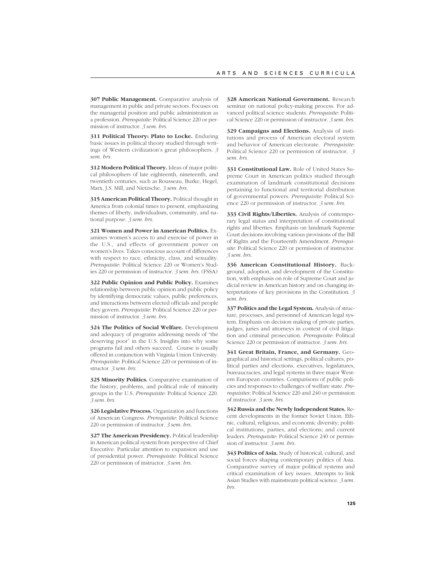**307 Public Management.** Comparative analysis of management in public and private sectors. Focuses on the managerial position and public administration as a profession. *Prerequisite*: Political Science 220 or permission of instructor. *3 sem. hrs.*

**311 Political Theory: Plato to Locke.** Enduring basic issues in political theory studied through writings of Western civilization's great philosophers. *3 sem. hrs.*

**312 Modern Political Theory.** Ideas of major political philosophers of late eighteenth, nineteenth, and twentieth centuries, such as Rousseau, Burke, Hegel, Marx, J.S. Mill, and Nietzsche. *3 sem. hrs.*

**315 American Political Theory.** Political thought in America from colonial times to present, emphasizing themes of liberty, individualism, community, and national purpose. *3 sem. hrs.*

**321 Women and Power in American Politics.** Examines women's access to and exercise of power in the U.S., and effects of government power on women's lives. Takes conscious account of differences with respect to race, ethnicity, class, and sexuality. *Prerequisite*: Political Science 220 or Women's Studies 220 or permission of instructor. *3 sem. hrs.* (FSSA)

**322 Public Opinion and Public Policy.** Examines relationship between public opinion and public policy by identifying democratic values, public preferences, and interactions between elected officials and people they govern. *Prerequisite*: Political Science 220 or permission of instructor. *3 sem. hrs.*

**324 The Politics of Social Welfare.** Development and adequacy of programs addressing needs of "the deserving poor" in the U.S. Insights into why some programs fail and others succeed. Course is usually offered in conjunction with Virginia Union University. *Prerequisite*: Political Science 220 or permission of instructor. *3 sem. hrs.*

**325 Minority Politics.** Comparative examination of the history, problems, and political role of minority groups in the U.S. *Prerequisite*: Political Science 220. *3 sem. hrs.*

**326 Legislative Process.** Organization and functions of American Congress. *Prerequisite*: Political Science 220 or permission of instructor. *3 sem. hrs.*

**327 The American Presidency.** Political leadership in American political system from perspective of Chief Executive. Particular attention to expansion and use of presidential power. *Prerequisite*: Political Science 220 or permission of instructor. *3 sem. hrs.*

**328 American National Government.** Research seminar on national policy-making process. For advanced political science students. *Prerequisite*: Political Science 220 or permission of instructor. *3 sem. hrs.*

**329 Campaigns and Elections.** Analysis of institutions and process of American electoral system and behavior of American electorate. *Prerequisite*: Political Science 220 or permission of instructor. *3 sem. hrs.*

**331 Constitutional Law.** Role of United States Supreme Court in American politics studied through examination of landmark constitutional decisions pertaining to functional and territorial distribution of governmental powers. *Prerequisite*: Political Science 220 or permission of instructor. *3 sem. hrs.*

**333 Civil Rights/Liberties.** Analysis of contemporary legal status and interpretation of constitutional rights and liberties. Emphasis on landmark Supreme Court decisions involving various provisions of the Bill of Rights and the Fourteenth Amendment. *Prerequisite*: Political Science 220 or permission of instructor. *3 sem. hrs.*

**336 American Constitutional History.** Background, adoption, and development of the Constitution, with emphasis on role of Supreme Court and judicial review in American history and on changing interpretations of key provisions in the Constitution. *3 sem. hrs.*

**337 Politics and the Legal System.** Analysis of structure, processes, and personnel of American legal system. Emphasis on decision making of private parties, judges, juries and attorneys in context of civil litigation and criminal prosecution. *Prerequisite*: Political Science 220 or permission of instructor. *3 sem. hrs.*

**341 Great Britain, France, and Germany.** Geographical and historical settings, political cultures, political parties and elections, executives, legislatures, bureaucracies, and legal systems in three major Western European countries. Comparisons of public policies and responses to challenges of welfare state. *Prerequisites*: Political Science 220 and 240 or permission of instructor. *3 sem. hrs.*

**342 Russia and the Newly Independent States.** Recent developments in the former Soviet Union. Ethnic, cultural, religious, and economic diversity; political institutions, parties, and elections; and current leaders. *Prerequisite*: Political Science 240 or permission of instructor. *3 sem. hrs.*

**343 Politics of Asia.** Study of historical, cultural, and social forces shaping contemporary politics of Asia. Comparative survey of major political systems and critical examination of key issues. Attempts to link Asian Studies with mainstream political science. *3 sem. hrs.*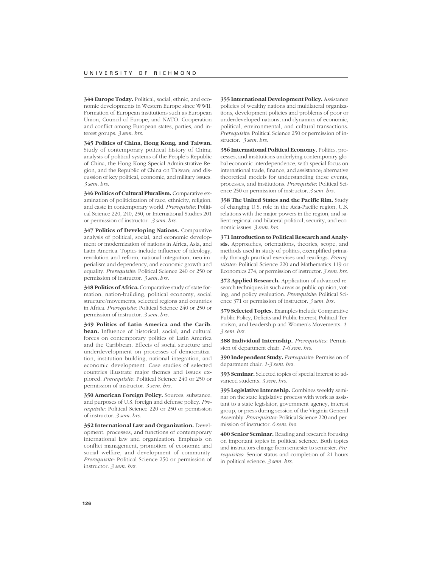**344 Europe Today.** Political, social, ethnic, and economic developments in Western Europe since WWII. Formation of European institutions such as European Union, Council of Europe, and NATO. Cooperation and conflict among European states, parties, and interest groups. *3 sem. hrs.*

**345 Politics of China, Hong Kong, and Taiwan.** Study of contemporary political history of China; analysis of political systems of the People's Republic of China, the Hong Kong Special Administrative Region, and the Republic of China on Taiwan; and discussion of key political, economic, and military issues. *3 sem. hrs.*

**346 Politics of Cultural Pluralism.** Comparative examination of politicization of race, ethnicity, religion, and caste in contemporary world. *Prerequisite*: Political Science 220, 240, 250, or International Studies 201 or permission of instructor. *3 sem. hrs.*

**347 Politics of Developing Nations.** Comparative analysis of political, social, and economic development or modernization of nations in Africa, Asia, and Latin America. Topics include influence of ideology, revolution and reform, national integration, neo-imperialism and dependency, and economic growth and equality. *Prerequisite*: Political Science 240 or 250 or permission of instructor. *3 sem. hrs.*

**348 Politics of Africa.** Comparative study of state formation, nation-building, political economy, social structure/movements, selected regions and countries in Africa. *Prerequisite*: Political Science 240 or 250 or permission of instructor. *3 sem. hrs.*

**349 Politics of Latin America and the Caribbean.** Influence of historical, social, and cultural forces on contemporary politics of Latin America and the Caribbean. Effects of social structure and underdevelopment on processes of democratization, institution building, national integration, and economic development. Case studies of selected countries illustrate major themes and issues explored. *Prerequisite*: Political Science 240 or 250 or permission of instructor. *3 sem. hrs.*

**350 American Foreign Policy.** Sources, substance, and purposes of U.S. foreign and defense policy. *Prerequisite*: Political Science 220 or 250 or permission of instructor. *3 sem. hrs.*

**352 International Law and Organization.** Development, processes, and functions of contemporary international law and organization. Emphasis on conflict management, promotion of economic and social welfare, and development of community. *Prerequisite*: Political Science 250 or permission of instructor. *3 sem. hrs.*

**355 International Development Policy.** Assistance policies of wealthy nations and multilateral organizations, development policies and problems of poor or underdeveloped nations, and dynamics of economic, political, environmental, and cultural transactions. *Prerequisite*: Political Science 250 or permission of instructor. *3 sem. hrs.*

**356 International Political Economy.** Politics, processes, and institutions underlying contemporary global economic interdependence, with special focus on international trade, finance, and assistance; alternative theoretical models for understanding these events, processes, and institutions. *Prerequisite*: Political Science 250 or permission of instructor. *3 sem. hrs.*

**358 The United States and the Pacific Rim.** Study of changing U.S. role in the Asia-Pacific region, U.S. relations with the major powers in the region, and salient regional and bilateral political, security, and economic issues. *3 sem. hrs.*

**371 Introduction to Political Research and Analysis.** Approaches, orientations, theories, scope, and methods used in study of politics, exemplified primarily through practical exercises and readings. *Prerequisites*: Political Science 220 and Mathematics 119 or Economics 274, or permission of instructor. *3 sem. hrs.*

**372 Applied Research.** Application of advanced research techniques in such areas as public opinion, voting, and policy evaluation. *Prerequisite*: Political Science 371 or permission of instructor. *3 sem. hrs.*

**379 Selected Topics.** Examples include Comparative Public Policy, Deficits and Public Interest, Political Terrorism, and Leadership and Women's Movements. *1- 3 sem. hrs.*

**388 Individual Internship.** *Prerequisites*: Permission of department chair. *1-6 sem. hrs.*

**390 Independent Study.** *Prerequisite*: Permission of department chair. *1-3 sem. hrs.*

**393 Seminar.** Selected topics of special interest to advanced students. *3 sem. hrs.*

**395 Legislative Internship.** Combines weekly seminar on the state legislative process with work as assistant to a state legislator, government agency, interest group, or press during session of the Virginia General Assembly. *Prerequisites*: Political Science 220 and permission of instructor. *6 sem. hrs.*

**400 Senior Seminar.** Reading and research focusing on important topics in political science. Both topics and instructors change from semester to semester. *Prerequisites*: Senior status and completion of 21 hours in political science. *3 sem. hrs.*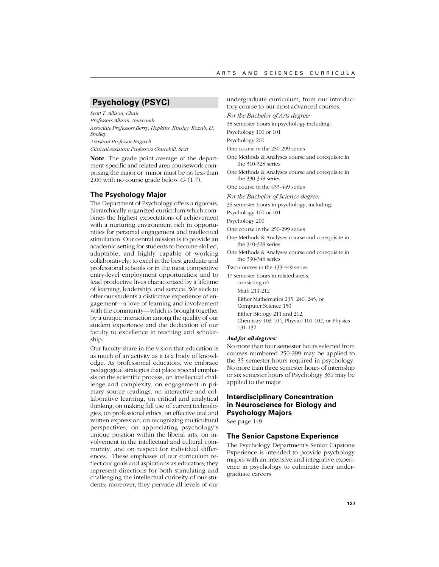# **Psychology (PSYC)**

*Scott T. Allison, Chair Professors Allison, Newcomb Associate Professors Berry, Hopkins, Kinsley, Kozub, Li, Sholley Assistant Professor Bagwell Clinical Assistant Professors Churchill, Stott*

**Note**: The grade point average of the department-specific and related area coursework comprising the major or minor must be no less than 2.00 with no course grade below *C*- (1.7).

## **The Psychology Major**

The Department of Psychology offers a rigorous, hierarchically organized curriculum which combines the highest expectations of achievement with a nurturing environment rich in opportunities for personal engagement and intellectual stimulation. Our central mission is to provide an academic setting for students to become skilled, adaptable, and highly capable of working collaboratively; to excel in the best graduate and professional schools or in the most competitive entry-level employment opportunities; and to lead productive lives characterized by a lifetime of learning, leadership, and service. We seek to offer our students a distinctive experience of engagement—a love of learning and involvement with the community—which is brought together by a unique interaction among the quality of our student experience and the dedication of our faculty to excellence in teaching and scholarship.

Our faculty share in the vision that education is as much of an activity as it is a body of knowledge. As professional educators, we embrace pedagogical strategies that place special emphasis on the scientific process, on intellectual challenge and complexity, on engagement in primary source readings, on interactive and collaborative learning, on critical and analytical thinking, on making full use of current technologies, on professional ethics, on effective oral and written expression, on recognizing multicultural perspectives, on appreciating psychology's unique position within the liberal arts, on involvement in the intellectual and cultural community, and on respect for individual differences. These emphases of our curriculum reflect our goals and aspirations as educators; they represent directions for both stimulating and challenging the intellectual curiosity of our students; moreover, they pervade all levels of our

undergraduate curriculum, from our introductory course to our most advanced courses.

*For the Bachelor of Arts degree:*

35 semester hours in psychology including:

Psychology 100 or 101

Psychology 200

One course in the 250-299 series

- One Methods & Analyses course and corequisite in the 310-328 series
- One Methods & Analyses course and corequisite in the 330-348 series

One course in the 433-449 series

*For the Bachelor of Science degree:*

35 semester hours in psychology, including:

Psychology 100 or 101

Psychology 200

One course in the 250-299 series

One Methods & Analyses course and corequisite in the 310-328 series

One Methods & Analyses course and corequisite in the 330-348 series

Two courses in the 433-449 series

17 semester hours in related areas,

consisting of: Math 211-212 Either Mathematics 235, 240, 245, or Computer Science 150 Either Biology 211 and 212, Chemistry 103-104, Physics 101-102, or Physics 131-132

#### *And for all degrees:*

No more than four semester hours selected from courses numbered 250-299 may be applied to the 35 semester hours required in psychology. No more than three semester hours of internship or six semester hours of Psychology 361 may be applied to the major.

# **Interdisciplinary Concentration in Neuroscience for Biology and Psychology Majors**

See page 149.

### **The Senior Capstone Experience**

The Psychology Department's Senior Capstone Experience is intended to provide psychology majors with an intensive and integrative experience in psychology to culminate their undergraduate careers.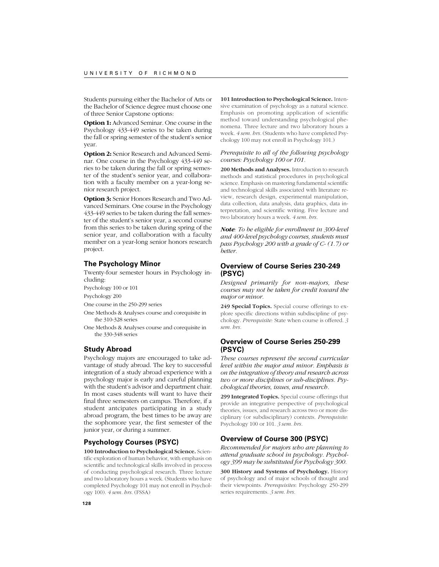Students pursuing either the Bachelor of Arts or the Bachelor of Science degree must choose one of three Senior Capstone options:

**Option 1:** Advanced Seminar. One course in the Psychology 433-449 series to be taken during the fall or spring semester of the student's senior year.

**Option 2:** Senior Research and Advanced Seminar. One course in the Psychology 433-449 series to be taken during the fall or spring semester of the student's senior year, and collaboration with a faculty member on a year-long senior research project.

**Option 3:** Senior Honors Research and Two Advanced Seminars. One course in the Psychology 433-449 series to be taken during the fall semester of the student's senior year, a second course from this series to be taken during spring of the senior year, and collaboration with a faculty member on a year-long senior honors research project.

### **The Psychology Minor**

Twenty-four semester hours in Psychology including:

Psychology 100 or 101

Psychology 200

One course in the 250-299 series

- One Methods & Analyses course and corequisite in the 310-328 series
- One Methods & Analyses course and corequisite in the 330-348 series

#### **Study Abroad**

Psychology majors are encouraged to take advantage of study abroad. The key to successful integration of a study abroad experience with a psychology major is early and careful planning with the student's advisor and department chair. In most cases students will want to have their final three semesters on campus. Therefore, if a student antcipates participating in a study abroad program, the best times to be away are the sophomore year, the first semester of the junior year, or during a summer.

#### **Psychology Courses (PSYC)**

**100 Introduction to Psychological Science.** Scientific exploration of human behavior, with emphasis on scientific and technological skills involved in process of conducting psychological research. Three lecture and two laboratory hours a week. (Students who have completed Psychology 101 may not enroll in Psychology 100). *4 sem. hrs.* (FSSA)

**101 Introduction to Psychological Science.** Intensive examination of psychology as a natural science. Emphasis on promoting application of scientific method toward understanding psychological phenomena. Three lecture and two laboratory hours a week. *4 sem. hrs.* (Students who have completed Psychology 100 may not enroll in Psychology 101.)

#### *Prerequisite to all of the following psychology courses: Psychology 100 or 101.*

**200 Methods and Analyses.** Introduction to research methods and statistical procedures in psychological science. Emphasis on mastering fundamental scientific and technological skills associated with literature review, research design, experimental manipulation, data collection, data analysis, data graphics, data interpretation, and scientific writing. Five lecture and two laboratory hours a week. *4 sem. hrs.*

*Note: To be eligible for enrollment in 300-level and 400-level psychology courses, students must pass Psychology 200 with a grade of C- (1.7) or better.*

## **Overview of Course Series 230-249 (PSYC)**

*Designed primarily for non-majors, these courses may not be taken for credit toward the major or minor.*

**249 Special Topics.** Special course offerings to explore specific directions within subdiscipline of psychology. *Prerequisite:* State when course is offered. *3 sem. hrs.*

# **Overview of Course Series 250-299 (PSYC)**

*These courses represent the second curricular level within the major and minor. Emphasis is on the integration of theory and research across two or more disciplines or sub-disciplines. Psychological theories, issues, and research.*

**299 Integrated Topics.** Special course offerings that provide an integrative perspective of psychological theories, issues, and research across two or more disciplinary (or subdisciplinary) contexts. *Prerequisite:* Psychology 100 or 101. *3 sem. hrs.*

## **Overview of Course 300 (PSYC)**

*Recommended for majors who are planning to attend graduate school in psychology. Psychology 399 may be substituted for Psychology 300.*

**300 History and Systems of Psychology.** History of psychology and of major schools of thought and their viewpoints. *Prerequisites*: Psychology 250-299 series requirements. *3 sem. hrs.*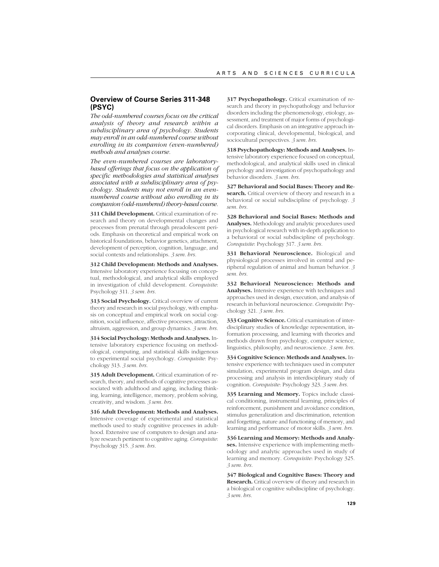# **Overview of Course Series 311-348 (PSYC)**

*The odd-numbered courses focus on the critical analysis of theory and research within a subdisciplinary area of psychology. Students may enroll in an odd-numbered course without enrolling in its companion (even-numbered) methods and analyses course.*

*The even-numbered courses are laboratorybased offerings that focus on the application of specific methodologies and statistical analyses associated with a subdisciplinary area of psychology. Students may not enroll in an evennumbered course without also enrolling in its companion (odd-numbered) theory-based course.*

**311 Child Development.** Critical examination of research and theory on developmental changes and processes from prenatal through preadolescent periods. Emphasis on theoretical and empirical work on historical foundations, behavior genetics, attachment, development of perception, cognition, language, and social contexts and relationships. *3 sem. hrs.*

**312 Child Development: Methods and Analyses.** Intensive laboratory experience focusing on conceptual, methodological, and analytical skills employed in investigation of child development. *Corequisite*: Psychology 311. *3 sem. hrs.*

**313 Social Psychology.** Critical overview of current theory and research in social psychology, with emphasis on conceptual and empirical work on social cognition, social influence, affective processes, attraction, altruism, aggression, and group dynamics. *3 sem. hrs.*

**314 Social Psychology: Methods and Analyses.** Intensive laboratory experience focusing on methodological, computing, and statistical skills indigenous to experimental social psychology. *Corequisite*: Psychology 313. *3 sem. hrs.*

**315 Adult Development.** Critical examination of research, theory, and methods of cognitive processes associated with adulthood and aging, including thinking, learning, intelligence, memory, problem solving, creativity, and wisdom. *3 sem. hrs.*

**316 Adult Development: Methods and Analyses.** Intensive coverage of experimental and statistical methods used to study cognitive processes in adulthood. Extensive use of computers to design and analyze research pertinent to cognitive aging. *Corequisite*: Psychology 315. *3 sem. hrs.*

**317 Psychopathology.** Critical examination of research and theory in psychopathology and behavior disorders including the phenomenology, etiology, assessment, and treatment of major forms of psychological disorders. Emphasis on an integrative approach incorporating clinical, developmental, biological, and sociocultural perspectives. *3 sem. hrs.*

**318 Psychopathology: Methods and Analyses.** Intensive laboratory experience focused on conceptual, methodological, and analytical skills used in clinical psychology and investigation of psychopathology and behavior disorders. *3 sem. hrs.*

**327 Behavioral and Social Bases: Theory and Research.** Critical overview of theory and research in a behavioral or social subdiscipline of psychology. *3 sem. hrs.*

**328 Behavioral and Social Bases: Methods and Analyses.** Methodology and analytic procedures used in psychological research with in-depth application to a behavioral or social subdiscipline of psychology. *Corequisite*: Psychology 317. *3 sem. hrs.*

**331 Behavioral Neuroscience.** Biological and physiological processes involved in central and peripheral regulation of animal and human behavior. *3 sem. hrs.*

**332 Behavioral Neuroscience: Methods and Analyses.** Intensive experience with techniques and approaches used in design, execution, and analysis of research in behavioral neuroscience. *Corequisite*: Psychology 321. *3 sem. hrs.*

**333 Cognitive Science.** Critical examination of interdisciplinary studies of knowledge representation, information processing, and learning with theories and methods drawn from psychology, computer science, linguistics, philosophy, and neuroscience. *3 sem. hrs.*

**334 Cognitive Science: Methods and Analyses.** Intensive experience with techniques used in computer simulation, experimental program design, and data processing and analysis in interdisciplinary study of cognition. *Corequisite*: Psychology 323. *3 sem. hrs.*

335 Learning and Memory. Topics include classical conditioning, instrumental learning, principles of reinforcement, punishment and avoidance condition, stimulus generalization and discrimination, retention and forgetting, nature and functioning of memory, and learning and performance of motor skills. *3 sem. hrs.*

**336 Learning and Memory: Methods and Analyses.** Intensive experience with implementing methodology and analytic approaches used in study of learning and memory. *Corequisite*: Psychology 325. *3 sem. hrs.*

**347 Biological and Cognitive Bases: Theory and Research.** Critical overview of theory and research in a biological or cognitive subdiscipline of psychology. *3 sem. hrs.*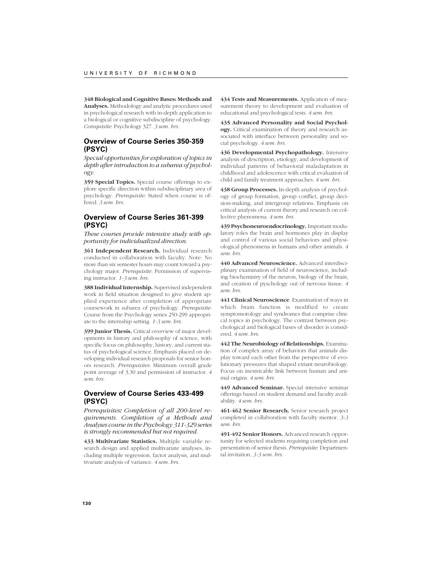**348 Biological and Cognitive Bases: Methods and Analyses.** Methodology and analytic procedures used in psychological research with in-depth application to a biological or cognitive subdiscipline of psychology. *Corequisite*: Psychology 327. *3 sem. hrs.*

## **Overview of Course Series 350-359 (PSYC)**

*Special opportunities for exploration of topics in depth after introduction to a subarea of psychology.*

**359 Special Topics.** Special course offerings to explore specific direction within subdisciplinary area of psychology. *Prerequisite*: Stated when course is offered. *3 sem. hrs.*

# **Overview of Course Series 361-399 (PSYC)**

*These courses provide intensive study with opportunity for individualized direction.*

**361 Independent Research.** Individual research conducted in collaboration with faculty. Note: No more than six semester hours may count toward a psychology major. *Prerequisite*: Permission of supervising instructor. *1-3 sem. hrs.*

**388 Individual Internship.** Supervised independent work in field situation designed to give student applied experience after completion of appropriate coursework in subarea of psychology. *Prerequisite*: Course from the Psychology series 250-299 appropriate to the internship setting. *1-3 sem. hrs.*

**399 Junior Thesis.** Critical overview of major developments in history and philosophy of science, with specific focus on philosophy, history, and current status of psychological science. Emphasis placed on developing individual research proposals for senior honors research. *Prerequisites*: Minimum overall grade point average of 3.30 and permission of instructor. *4 sem. hrs.*

## **Overview of Course Series 433-499 (PSYC)**

*Prerequisites: Completion of all 200-level requirements. Completion of a Methods and Analyses course in the Psychology 311-329 series is strongly recommended but not required.*

**433 Multivariate Statistics.** Multiple variable research design and applied multivariate analyses, including multiple regression, factor analysis, and multivariate analysis of variance. *4 sem. hrs.*

**434 Tests and Measurements.** Application of measurement theory to development and evaluation of educational and psychological tests. *4 sem. hrs.*

**435 Advanced Personality and Social Psychology.** Critical examination of theory and research associated with interface between personality and social psychology. *4 sem. hrs.*

**436 Developmental Psychopathology.** Intensive analysis of description, etiology, and development of individual patterns of behavioral maladaptation in childhood and adolescence with critical evaluation of child and family treatment approaches. *4 sem. hrs.*

**438 Group Processes.** In-depth analysis of psychology of group formation, group conflict, group decision-making, and intergroup relations. Emphasis on critical analysis of current theory and research on collective phenomena. *4 sem. hrs.*

**439 Psychoneuroendocrinology.** Important modulatory roles the brain and hormones play in display and control of various social behaviors and physiological phenomena in humans and other animals. *4 sem. hrs.*

**440 Advanced Neuroscience.** Advanced interdisciplinary examination of field of neuroscience, including biochemistry of the neuron, biology of the brain, and creation of pyschology out of nervous tissue. *4 sem. hrs.*

**441 Clinical Neuroscience**. Examination of ways in which brain function is modified to create symptomotology and syndromes that comprise clinical topics in psychology. The contrast between psychological and biological bases of disorder is considered. *4 sem. hrs.*

**442 The Neurobiology of Relationships.** Examination of complex array of behaviors that animals display toward each other from the perspective of evolutionary pressures that shaped extant neurobiology. Focus on inextricable link between human and animal origins. *4 sem. hrs.*

**449 Advanced Seminar.** Special intensive seminar offerings based on student demand and faculty availability. *4 sem. hrs.*

**461-462 Senior Research.** Senior research project completed in collaboration with faculty mentor. *3-3 sem. hrs.*

**491-492 Senior Honors.** Advanced research opportunity for selected students requiring completion and presentation of senior thesis. *Prerequisite*: Departmental invitation. *3-3 sem. hrs.*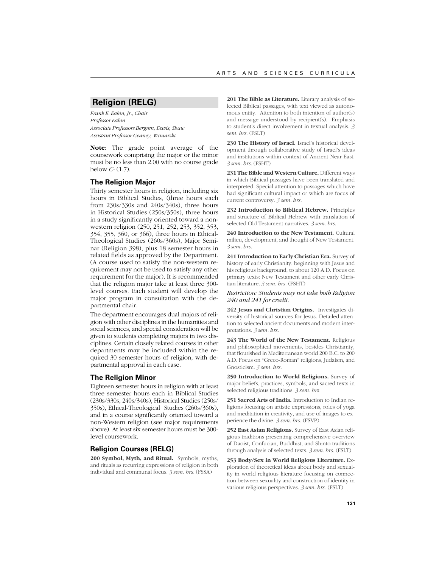# **Religion (RELG)**

*Frank E. Eakin, Jr., Chair Professor Eakin Associate Professors Bergren, Davis, Shaw Assistant Professor Geaney, Winiarski*

**Note**: The grade point average of the coursework comprising the major or the minor must be no less than 2.00 with no course grade below *C-* (1.7).

#### **The Religion Major**

Thirty semester hours in religion, including six hours in Biblical Studies, (three hours each from 230s/330s and 240s/340s), three hours in Historical Studies (250s/350s), three hours in a study significantly oriented toward a nonwestern religion (250, 251, 252, 253, 352, 353, 354, 355, 360, or 366), three hours in Ethical-Theological Studies (260s/360s), Major Seminar (Religion 398), plus 18 semester hours in related fields as approved by the Department. (A course used to satisfy the non-western requirement may not be used to satisfy any other requirement for the major). It is recommended that the religion major take at least three 300 level courses. Each student will develop the major program in consultation with the departmental chair.

The department encourages dual majors of religion with other disciplines in the humanities and social sciences, and special consideration will be given to students completing majors in two disciplines. Certain closely related courses in other departments may be included within the required 30 semester hours of religion, with departmental approval in each case.

#### **The Religion Minor**

Eighteen semester hours in religion with at least three semester hours each in Biblical Studies (230s/330s, 240s/340s), Historical Studies (250s/ 350s), Ethical-Theological Studies (260s/360s), and in a course significantly oriented toward a non-Western religion (see major requirements above). At least six semester hours must be 300 level coursework.

## **Religion Courses (RELG)**

**200 Symbol, Myth, and Ritual.** Symbols, myths, and rituals as recurring expressions of religion in both individual and communal focus. *3 sem. hrs.* (FSSA)

**201 The Bible as Literature.** Literary analysis of selected Biblical passages, with text viewed as autonomous entity. Attention to both intention of author(s) and message understood by recipient(s). Emphasis to student's direct involvement in textual analysis. *3 sem. hrs.* (FSLT)

**230 The History of Israel.** Israel's historical development through collaborative study of Israel's ideas and institutions within context of Ancient Near East. *3 sem. hrs.* (FSHT)

**231 The Bible and Western Culture.** Different ways in which Biblical passages have been translated and interpreted. Special attention to passages which have had significant cultural impact or which are focus of current controversy. *3 sem. hrs.*

**232 Introduction to Biblical Hebrew.** Principles and structure of Biblical Hebrew with translation of selected Old Testament narratives. *3 sem. hrs.*

**240 Introduction to the New Testament.** Cultural milieu, development, and thought of New Testament. *3 sem. hrs.*

**241 Introduction to Early Christian Era.** Survey of history of early Christianity, beginning with Jesus and his religious background, to about 120 A.D. Focus on primary texts: New Testament and other early Christian literature. *3 sem. hrs.* (FSHT)

#### *Restriction: Students may not take both Religion 240 and 241 for credit.*

**242 Jesus and Christian Origins.** Investigates diversity of historical sources for Jesus. Detailed attention to selected ancient documents and modern interpretations. *3 sem. hrs.*

**243 The World of the New Testament.** Religious and philosophical movements, besides Christianity, that flourished in Mediterranean world 200 B.C. to 200 A.D. Focus on "Greco-Roman" religions, Judaism, and Gnosticism. *3 sem. hrs.*

**250 Introduction to World Religions.** Survey of major beliefs, practices, symbols, and sacred texts in selected religious traditions. *3 sem. hrs.*

**251 Sacred Arts of India.** Introduction to Indian religions focusing on artistic expressions, roles of yoga and meditation in creativity, and use of images to experience the divine. *3 sem. hrs.* (FSVP)

**252 East Asian Religions.** Survey of East Asian religious traditions presenting comprehensive overview of Daoist, Confucian, Buddhist, and Shinto traditions through analysis of selected texts. *3 sem. hrs.* (FSLT)

**253 Body/Sex in World Religious Literature.** Exploration of theoretical ideas about body and sexuality in world religious literature focusing on connection between sexuality and construction of identity in various religious perspectives. *3 sem. hrs.* (FSLT)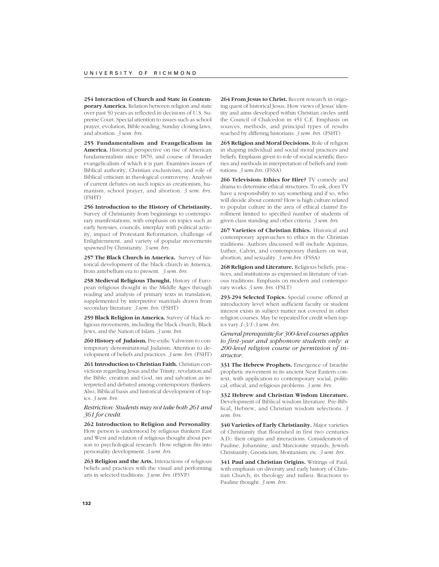**254 Interaction of Church and State in Contemporary America.** Relation between religion and state over past 50 years as reflected in decisions of U.S. Supreme Court. Special attention to issues such as school prayer, evolution, Bible reading, Sunday closing laws, and abortion. *3 sem. hrs.*

**255 Fundamentalism and Evangelicalism in America.** Historical perspective on rise of American fundamentalism since 1870, and course of broader evangelicalism of which it is part. Examines issues of Biblical authority, Christian exclusivism, and role of Biblical criticism in theological controversy. Analysis of current debates on such topics as creationism, humanism, school prayer, and abortion. *3 sem. hrs.* (FSHT)

**256 Introduction to the History of Christianity.** Survey of Christianity from beginnings to contemporary manifestations, with emphasis on topics such as early heresies, councils, interplay with political activity, impact of Protestant Reformation, challenge of Enlightenment, and variety of popular movements spawned by Christianity. *3 sem. hrs.*

**257 The Black Church in America.** Survey of historical development of the black church in America, from antebellum era to present. *3 sem. hrs.*

**258 Medieval Religious Thought.** History of European religious thought in the Middle Ages through reading and analysis of primary texts in translation, supplemented by interpretive materials drawn from secondary literature. *3 sem. hrs.* (FSHT)

**259 Black Religion in America.** Survey of black religious movements, including the black church, Black Jews, and the Nation of Islam. *3 sem. hrs.*

**260 History of Judaism.** Pre-exilic Yahwism to contemporary denominational Judaism. Attention to development of beliefs and practices. *3 sem. hrs.* (FSHT)

**261 Introduction to Christian Faith.** Christian convictions regarding Jesus and the Trinity, revelation and the Bible, creation and God, sin and salvation as interpreted and debated among contemporary thinkers. Also, Biblical basis and historical development of topics. *3 sem. hrs.*

*Restriction: Students may not take both 261 and 361 for credit.*

**262 Introduction to Religion and Personality**. How person is understood by religious thinkers East and West and relation of religious thought about person to psychological research. How religion fits into personality development. *3 sem. hrs.*

**263 Religion and the Arts.** Interactions of religious beliefs and practices with the visual and performing arts in selected traditions. *3 sem. hrs.* (FSVP)

**264 From Jesus to Christ.** Recent research in ongoing quest of historical Jesus. How views of Jesus' identity and aims developed within Christian circles until the Council of Chalcedon in 451 C.E. Emphasis on sources, methods, and principal types of results reached by differing historians. *3 sem. hrs.* (FSHT)

**265 Religion and Moral Decisions.** Role of religion in shaping individual and social moral practices and beliefs. Emphasis given to role of social scientific theories and methods in interpretation of beliefs and institutions. *3 sem.hrs.* (FSSA)

**266 Television: Ethics for Hire?** TV comedy and drama to determine ethical structures. To ask, does TV have a responsibility to say something and if so, who will decide about content? How is high culture related to popular culture in the area of ethical claims? Enrollment limited to specified number of students of given class standing and other criteria. *3 sem. hrs.*

**267 Varieties of Christian Ethics.** Historical and contemporary approaches to ethics in the Christian traditions. Authors discussed will include Aquinas, Luther, Calvin, and contemporary thinkers on war, abortion, and sexuality. *3 sem.hrs.* (FSSA)

**268 Religion and Literature.** Religious beliefs, practices, and institutions as expressed in literature of various traditions. Emphasis on modern and contemporary works. *3 sem. hrs.* (FSLT)

**293-294 Selected Topics.** Special course offered at introductory level when sufficient faculty or student interest exists in subject matter not covered in other religion courses. May be repeated for credit when topics vary.*1-3/1-3 sem. hrs.*

*General prerequisite for 300-level courses applies to first-year and sophomore students only: a 200-level religion course or permission of instructor.*

**331 The Hebrew Prophets.** Emergence of Israelite prophetic movement in its ancient Near Eastern context, with application to contemporary social, political, ethical, and religious problems. *3 sem. hrs.*

**332 Hebrew and Christian Wisdom Literature.** Development of Biblical wisdom literature. Pre-Biblical, Hebrew, and Christian wisdom selections. *3 sem. hrs.*

**340 Varieties of Early Christianity.** Major varieties of Christianity that flourished in first two centuries A.D.: their origins and interactions. Consideration of Pauline, Johannine, and Marcionite strands; Jewish Christianity; Gnosticism; Montanism; etc. *3 sem. hrs.*

**341 Paul and Christian Origins.** Writings of Paul, with emphasis on diversity and early history of Christian Church, its theology and milieu. Reactions to Pauline thought. *3 sem. hrs.*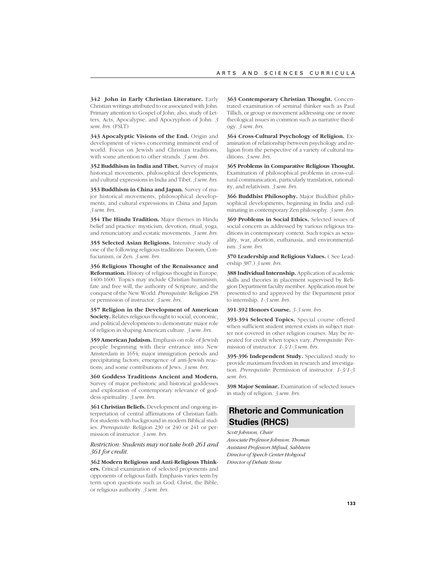**342 John in Early Christian Literature.** Early Christian writings attributed to or associated with John. Primary attention to Gospel of John; also, study of Letters, Acts, Apocalypse, and Apocryphon of John. *3 sem. hrs.* (FSLT)

**343 Apocalyptic Visions of the End.** Origin and development of views concerning imminent end of world. Focus on Jewish and Christian traditions, with some attention to other strands. *3 sem. hrs.*

**352 Buddhism in India and Tibet.** Survey of major historical movements, philosophical developments, and cultural expressions in India and Tibet. *3 sem. hrs.*

**353 Buddhism in China and Japan.** Survey of major historical movements, philosophical developments, and cultural expressions in China and Japan. *3 sem. hrs.*

**354 The Hindu Tradition.** Major themes in Hindu belief and practice: mysticism, devotion, ritual, yoga, and renunciatory and ecstatic movements. *3 sem. hrs.*

**355 Selected Asian Religions.** Intensive study of one of the following religious traditions: Daoism, Confucianism, or Zen. *3 sem. hrs.*

**356 Religious Thought of the Renaissance and Reformation.** History of religious thought in Europe, 1400-1600. Topics may include Christian humanism, fate and free will, the authority of Scripture, and the conquest of the New World. *Prerequisite*: Religion 258 or permission of instructor. *3 sem. hrs.*

**357 Religion in the Development of American Society.** Relates religious thought to social, economic, and political developments to demonstrate major role of religion in shaping American culture. *3 sem. hrs.*

**359 American Judaism.** Emphasis on role of Jewish people beginning with their entrance into New Amsterdam in 1654; major immigration periods and precipitating factors; emergence of anti-Jewish reactions; and some contributions of Jews. *3 sem. hrs.*

**360 Goddess Traditions Ancient and Modern.** Survey of major prehistoric and historical goddesses and exploration of contemporary relevance of goddess spirituality. *3 sem. hrs.*

**361 Christian Beliefs.** Development and ongoing interpretation of central affirmations of Christian faith. For students with background in modern Biblical studies. *Prerequisite*: Religion 230 or 240 or 241 or permission of instructor. *3 sem. hrs.*

#### *Restriction: Students may not take both 261 and 361 for credit.*

**362 Modern Religious and Anti-Religious Thinkers.** Critical examination of selected proponents and opponents of religious faith. Emphasis varies term by term upon questions such as God, Christ, the Bible, or religious authority. *3 sem. hrs.*

**363 Contemporary Christian Thought.** Concentrated examination of seminal thinker such as Paul Tillich, or group or movement addressing one or more theological issues in common such as narrative theology. *3 sem. hrs.*

**364 Cross-Cultural Psychology of Religion.** Examination of relationship between psychology and religion from the perspective of a variety of cultural traditions. *3 sem. hrs.*

**365 Problems in Comparative Religious Thought.** Examination of philosophical problems in cross-cultural communication, particularly translation, rationality, and relativism. *3 sem. hrs.*

**366 Buddhist Philosophy.** Major Buddhist philosophical developments, beginning in India and culminating in contemporary Zen philosophy. *3 sem. hrs.*

**369 Problems in Social Ethics.** Selected issues of social concern as addressed by various religious traditions in contemporary context. Such topics as sexuality, war, abortion, euthanasia, and environmentalism. *3 sem. hrs.*

**370 Leadership and Religious Values.** ( See Leadership 387.) *3 sem. hrs.*

**388 Individual Internship.** Application of academic skills and theories in placement supervised by Religion Department faculty member. Application must be presented to and approved by the Department prior to internship. *1-3 sem. hrs.*

**391-392 Honors Course.** *3-3 sem. hrs.*

**393-394 Selected Topics.** Special course offered when sufficient student interest exists in subject matter not covered in other religion courses. May be repeated for credit when topics vary. *Prerequisite*: Permission of instructor. *1-3/1-3 sem. hrs.*

**395-396 Independent Study.** Specialized study to provide maximum freedom in research and investigation. *Prerequisite*: Permission of instructor. *1-3/1-3 sem. hrs.*

**398 Major Seminar.** Examination of selected issues in study of religion. *3 sem. hrs.*

# **Rhetoric and Communication Studies (RHCS)**

*Scott Johnson, Chair Associate Professor Johnson, Thomas Assistant Professors Mifsud, Sahlstein Director of Speech Center Hobgood Director of Debate Stone*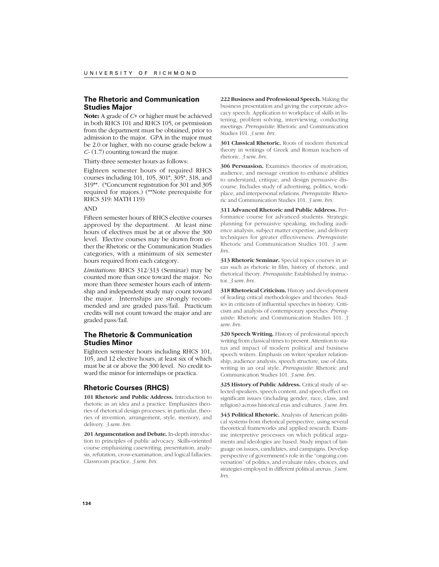# **The Rhetoric and Communication Studies Major**

**Note:** A grade of *C+* or higher must be achieved in both RHCS 101 and RHCS 105, or permission from the department must be obtained, prior to admission to the major. GPA in the major must be 2.0 or higher, with no course grade below a *C-* (1.7) counting toward the major.

Thirty-three semester hours as follows:

Eighteen semester hours of required RHCS courses including 101, 105, 301\*, 305\*, 318, and 319\*\*. (\*Concurrent registration for 301 and 305 required for majors.) (\*\*Note prerequisite for RHCS 319: MATH 119)

#### AND

Fifteen semester hours of RHCS elective courses approved by the department. At least nine hours of electives must be at or above the 300 level. Elective courses may be drawn from either the Rhetoric or the Communication Studies categories, with a minimum of six semester hours required from each category.

*Limitations:* RHCS 312/313 (Seminar) may be counted more than once toward the major. No more than three semester hours each of internship and independent study may count toward the major. Internships are strongly recommended and are graded pass/fail. Practicum credits will not count toward the major and are graded pass/fail.

# **The Rhetoric & Communication Studies Minor**

Eighteen semester hours including RHCS 101, 105, and 12 elective hours, at least six of which must be at or above the 300 level. No credit toward the minor for internships or practica.

#### **Rhetoric Courses (RHCS)**

**101 Rhetoric and Public Address.** Introduction to rhetoric as an idea and a practice. Emphasizes theories of rhetorical design processes, in particular, theories of invention, arrangement, style, memory, and delivery. *3 sem. hrs.*

**201 Argumentation and Debate.** In-depth introduction to principles of public advocacy. Skills-oriented course emphasizing casewriting, presentation, analysis, refutation, cross-examination, and logical fallacies. Classroom practice. *3 sem. hrs.*

**222 Business and Professional Speech.** Making the business presentation and giving the corporate advocacy speech. Application to workplace of skills in listening, problem solving, interviewing, conducting meetings. *Prerequisite*: Rhetoric and Communication Studies 101. *3 sem. hrs.*

**301 Classical Rhetoric.** Roots of modern rhetorical theory in writings of Greek and Roman teachers of rhetoric. *3 sem. hrs.*

**306 Persuasion.** Examines theories of motivation, audience, and message creation to enhance abilities to understand, critique, and design persuasive discourse. Includes study of advertising, politics, workplace, and interpersonal relations. *Prerequisite*: Rhetoric and Communication Studies 101. *3 sem. hrs.*

**311 Advanced Rhetoric and Public Address.** Performance course for advanced students. Strategic planning for persuasive speaking, including audience analysis, subject matter expertise, and delivery techniques for greater effectiveness. *Prerequisite*: Rhetoric and Communication Studies 101. *3 sem. hrs.*

**313 Rhetoric Seminar.** Special topics courses in areas such as rhetoric in film, history of rhetoric, and rhetorical theory. *Prerequisite*: Established by instructor. *3 sem. hrs.*

**318 Rhetorical Criticism.** History and development of leading critical methodologies and theories. Studies in criticism of influential speeches in history. Criticism and analysis of contemporary speeches. *Prerequisite*: Rhetoric and Communication Studies 101. *3 sem. hrs.*

**320 Speech Writing.** History of professional speech writing from classical times to present. Attention to status and impact of modern political and business speech writers. Emphasis on writer/speaker relationship, audience analysis, speech structure, use of data, writing in an oral style. *Prerequisite*: Rhetoric and Communication Studies 101. *3 sem. hrs.*

**325 History of Public Address.** Critical study of selected speakers, speech content, and speech effect on significant issues (including gender, race, class, and religion) across historical eras and cultures. *3 sem. hrs.*

**343 Political Rhetoric.** Analysis of American political systems from rhetorical perspective, using several theoretical frameworks and applied research. Examine interpretive processes on which political arguments and ideologies are based. Study impact of language on issues, candidates, and campaigns. Develop perspective of government's role in the "ongoing conversation" of politics, and evaluate rules, choices, and strategies employed in different political arenas. *3 sem. hrs.*

**134**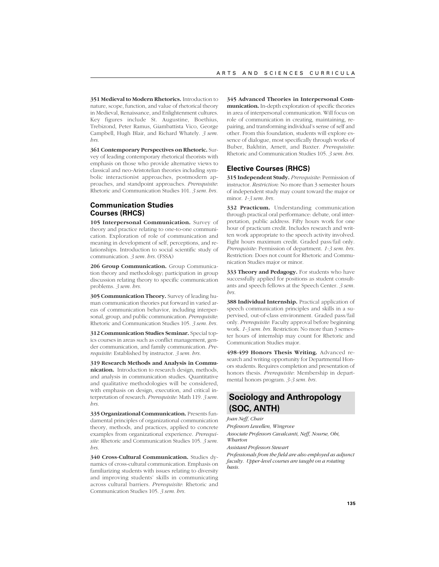**351 Medieval to Modern Rhetorics.** Introduction to nature, scope, function, and value of rhetorical theory in Medieval, Renaissance, and Enlightenment cultures. Key figures include St. Augustine, Boethius, Trebizond, Peter Ramus, Giambattista Vico, George Campbell, Hugh Blair, and Richard Whately. *3 sem. hrs.*

**361 Contemporary Perspectives on Rhetoric.** Survey of leading contemporary rhetorical theorists with emphasis on those who provide alternative views to classical and neo-Aristotelian theories including symbolic interactionist approaches, postmodern approaches, and standpoint approaches. *Prerequisite*: Rhetoric and Communication Studies 101. *3 sem. hrs.*

# **Communication Studies Courses (RHCS)**

**105 Interpersonal Communication.** Survey of theory and practice relating to one-to-one communication. Exploration of role of communication and meaning in development of self, perceptions, and relationships. Introduction to social scientific study of communication. *3 sem. hrs.* (FSSA)

**206 Group Communication.** Group Communication theory and methodology; participation in group discussion relating theory to specific communication problems. *3 sem. hrs.*

**305 Communication Theory.** Survey of leading human communication theories put forward in varied areas of communication behavior, including interpersonal, group, and public communication. *Prerequisite*: Rhetoric and Communication Studies 105. *3 sem. hrs.*

**312 Communication Studies Seminar.** Special topics courses in areas such as conflict management, gender communication, and family communication. *Prerequisite*: Established by instructor. *3 sem. hrs.*

**319 Research Methods and Analysis in Communication.** Introduction to research design, methods, and analysis in communication studies. Quantitative and qualitative methodologies will be considered, with emphasis on design, execution, and critical interpretation of research. *Prerequisite*: Math 119. *3 sem. hrs.*

**335 Organizational Communication.** Presents fundamental principles of organizational communication theory, methods, and practices, applied to concrete examples from organizational experience. *Prerequisite*: Rhetoric and Communication Studies 105. *3 sem. hrs.*

**340 Cross-Cultural Communication.** Studies dynamics of cross-cultural communication. Emphasis on familiarizing students with issues relating to diversity and improving students' skills in communicating across cultural barriers. *Prerequisite*: Rhetoric and Communication Studies 105. *3 sem. hrs.*

**345 Advanced Theories in Interpersonal Communication.** In-depth exploration of specific theories in area of interpersonal communication. Will focus on role of communication in creating, maintaining, repairing, and transforming individual's sense of self and other. From this foundation, students will explore essence of dialogue, most specifically through works of Buber, Bakhtin, Arnett, and Baxter. *Prerequisite*: Rhetoric and Communication Studies 105. *3 sem. hrs.*

### **Elective Courses (RHCS)**

**315 Independent Study.** *Prerequisite*: Permission of instructor. *Restriction:* No more than 3 semester hours of independent study may count toward the major or minor. *1-3 sem. hrs.*

**332 Practicum.** Understanding communication through practical oral performance: debate, oral interpretation, public address. Fifty hours work for one hour of practicum credit. Includes research and written work appropriate to the speech activity involved. Eight hours maximum credit. Graded pass/fail only. *Prerequisite*: Permission of department. *1-3 sem. hrs.* Restriction: Does not count for Rhetoric and Communication Studies major or minor.

**333 Theory and Pedagogy.** For students who have successfully applied for positions as student consultants and speech fellows at the Speech Center. *3 sem. hrs.*

**388 Individual Internship.** Practical application of speech communication principles and skills in a supervised, out-of-class environment. Graded pass/fail only. *Prerequisite*: Faculty approval before beginning work. *1-3 sem. hrs.* Restriction: No more than 3 semester hours of internship may count for Rhetoric and Communication Studies major.

**498-499 Honors Thesis Writing.** Advanced research and writing opportunity for Departmental Honors students. Requires completion and presentation of honors thesis. *Prerequisite*: Membership in departmental honors program. *3-3 sem. hrs.*

# **Sociology and Anthropology (SOC, ANTH)**

*Joan Neff, Chair*

*Professors Lewellen, Wingrove*

*Associate Professors Cavalcanti, Neff, Nourse, Obi, Wharton*

*Assistant Professors Stewart*

*Professionals from the field are also employed as adjunct faculty. Upper-level courses are taught on a rotating basis.*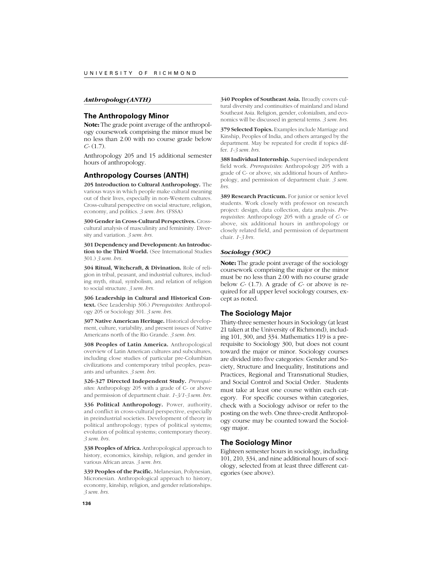#### *Anthropology(ANTH)*

#### **The Anthropology Minor**

**Note:** The grade point average of the anthropology coursework comprising the minor must be no less than 2.00 with no course grade below *C-* (1.7).

Anthropology 205 and 15 additional semester hours of anthropology.

### **Anthropology Courses (ANTH)**

**205 Introduction to Cultural Anthropology.** The various ways in which people make cultural meaning out of their lives, especially in non-Western cultures. Cross-cultural perspective on social structure, religion, economy, and politics. *3 sem. hrs.* (FSSA)

**300 Gender in Cross-Cultural Perspectives.** Crosscultural analysis of masculinity and femininity. Diversity and variation. *3 sem. hrs.*

**301 Dependency and Development: An Introduction to the Third World.** (See International Studies 301.) *3 sem. hrs.*

**304 Ritual, Witchcraft, & Divination.** Role of religion in tribal, peasant, and industrial cultures, including myth, ritual, symbolism, and relation of religion to social structure. *3 sem. hrs.*

**306 Leadership in Cultural and Historical Context.** (See Leadership 306.) *Prerequisites:* Anthropology 205 or Sociology 301. *3 sem. hrs.*

**307 Native American Heritage.** Historical development, culture, variability, and present issues of Native Americans north of the Rio Grande. *3 sem. hrs.*

**308 Peoples of Latin America.** Anthropological overview of Latin American cultures and subcultures, including close studies of particular pre-Columbian civilizations and contemporary tribal peoples, peasants and urbanites. *3 sem. hrs.*

**326-327 Directed Independent Study.** *Prerequisites:* Anthropology 205 with a grade of C- or above and permission of department chair. *1-3/1-3 sem. hrs.*

**336 Political Anthropology.** Power, authority, and conflict in cross-cultural perspective, especially in preindustrial societies. Development of theory in political anthropology; types of political systems; evolution of political systems; contemporary theory. *3 sem. hrs.*

**338 Peoples of Africa.** Anthropological approach to history, economics, kinship, religion, and gender in various African areas. *3 sem. hrs.*

**339 Peoples of the Pacific.** Melanesian, Polynesian, Micronesian. Anthropological approach to history, economy, kinship, religion, and gender relationships. *3 sem. hrs.*

**340 Peoples of Southeast Asia.** Broadly covers cultural diversity and continuities of mainland and island Southeast Asia. Religion, gender, colonialism, and economics will be discussed in general terms. *3 sem. hrs.*

**379 Selected Topics.** Examples include Marriage and Kinship, Peoples of India, and others arranged by the department. May be repeated for credit if topics differ. *1-3 sem. hrs.*

**388 Individual Internship.** Supervised independent field work. *Prerequisites:* Anthropology 205 with a grade of C- or above, six additional hours of Anthropology, and permission of department chair. *3 sem. hrs.*

**389 Research Practicum.** For junior or senior level students. Work closely with professor on research project: design, data collection, data analysis. *Prerequisites*: Anthropology 205 with a grade of *C-* or above, six additional hours in anthropology or closely related field, and permission of department chair. *1-3 hrs.*

#### *Sociology (SOC)*

**Note:** The grade point average of the sociology coursework comprising the major or the minor must be no less than 2.00 with no course grade below *C-* (1.7). A grade of *C-* or above is required for all upper level sociology courses, except as noted.

### **The Sociology Major**

Thirty-three semester hours in Sociology (at least 21 taken at the University of Richmond), including 101, 300, and 334. Mathematics 119 is a prerequisite to Sociology 300, but does not count toward the major or minor. Sociology courses are divided into five categories: Gender and Society, Structure and Inequality, Institutions and Practices, Regional and Transnational Studies, and Social Control and Social Order. Students must take at least one course within each category. For specific courses within categories, check with a Sociology advisor or refer to the posting on the web. One three-credit Anthropology course may be counted toward the Sociology major.

#### **The Sociology Minor**

Eighteen semester hours in sociology, including 101, 210, 334, and nine additional hours of sociology, selected from at least three different categories (see above).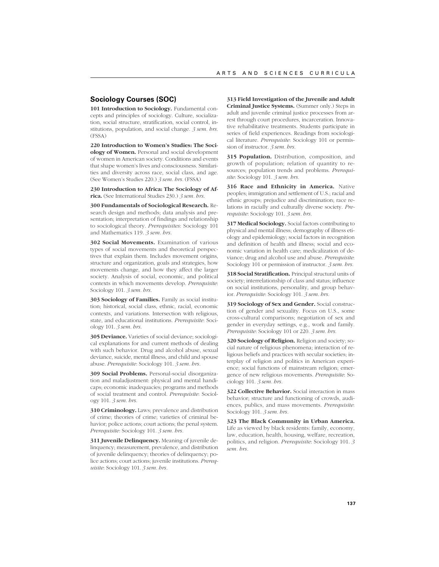## **Sociology Courses (SOC)**

**101 Introduction to Sociology.** Fundamental concepts and principles of sociology. Culture, socialization, social structure, stratification, social control, institutions, population, and social change. *3 sem. hrs.* (FSSA)

**220 Introduction to Women's Studies: The Sociology of Women.** Personal and social development of women in American society. Conditions and events that shape women's lives and consciousness. Similarities and diversity across race, social class, and age. (See Women's Studies 220.) *3 sem. hrs.* (FSSA)

**230 Introduction to Africa: The Sociology of Africa.** (See International Studies 230.) *3 sem. hrs.*

**300 Fundamentals of Sociological Research.** Research design and methods; data analysis and presentation; interpretation of findings and relationship to sociological theory. *Prerequisites*: Sociology 101 and Mathematics 119. *3 sem. hrs.*

**302 Social Movements.** Examination of various types of social movements and theoretical perspectives that explain them. Includes movement origins, structure and organization, goals and strategies, how movements change, and how they affect the larger society. Analysis of social, economic, and political contexts in which movements develop. *Prerequisite*: Sociology 101. *3 sem. hrs.*

**303 Sociology of Families.** Family as social institution; historical, social class, ethnic, racial, economic contexts, and variations. Intersection with religious, state, and educational institutions. *Prerequisite*: Sociology 101. *3 sem. hrs.*

**305 Deviance.** Varieties of social deviance; sociological explanations for and current methods of dealing with such behavior. Drug and alcohol abuse, sexual deviance, suicide, mental illness, and child and spouse abuse. *Prerequisite*: Sociology 101. *3 sem. hrs.*

**309 Social Problems.** Personal-social disorganization and maladjustment: physical and mental handicaps; economic inadequacies; programs and methods of social treatment and control. *Prerequisite*: Sociology 101. *3 sem. hrs.*

**310 Criminology.** Laws; prevalence and distribution of crime; theories of crime; varieties of criminal behavior; police actions; court actions; the penal system. *Prerequisite*: Sociology 101. *3 sem. hrs.*

**311 Juvenile Delinquency.** Meaning of juvenile delinquency; measurement, prevalence, and distribution of juvenile delinquency; theories of delinquency; police actions; court actions; juvenile institutions. *Prerequisite*: Sociology 101. *3 sem. hrs.*

**313 Field Investigation of the Juvenile and Adult Criminal Justice Systems.** (Summer only.) Steps in adult and juvenile criminal justice processes from arrest through court procedures, incarceration. Innovative rehabilitative treatments. Students participate in series of field experiences. Readings from sociological literature. *Prerequisite*: Sociology 101 or permission of instructor. *3 sem. hrs.*

**315 Population.** Distribution, composition, and growth of population; relation of quantity to resources; population trends and problems. *Prerequisite*: Sociology 101. *3 sem. hrs.*

**316 Race and Ethnicity in America.** Native peoples; immigration and settlement of U.S.; racial and ethnic groups; prejudice and discrimination; race relations in racially and culturally diverse society. *Prerequisite*: Sociology 101. *3 sem. hrs.*

**317 Medical Sociology.** Social factors contributing to physical and mental illness; demography of illness etiology and epidemiology; social factors in recognition and definition of health and illness; social and economic variation in health care; medicalization of deviance; drug and alcohol use and abuse. *Prerequisite*: Sociology 101 or permission of instructor. *3 sem. hrs.*

**318 Social Stratification.** Principal structural units of society; interrelationship of class and status; influence on social institutions, personality, and group behavior. *Prerequisite*: Sociology 101. *3 sem. hrs.*

**319 Sociology of Sex and Gender.** Social construction of gender and sexuality. Focus on U.S., some cross-cultural comparisons; negotiation of sex and gender in everyday settings, e.g., work and family. *Prerequisite*: Sociology 101 or 220. *3 sem. hrs.*

**320 Sociology of Religion.** Religion and society; social nature of religious phenomena; interaction of religious beliefs and practices with secular societies; interplay of religion and politics in American experience; social functions of mainstream religion; emergence of new religious movements. *Prerequisite*: Sociology 101. *3 sem. hrs.*

**322 Collective Behavior.** Social interaction in mass behavior; structure and functioning of crowds, audiences, publics, and mass movements. *Prerequisite*: Sociology 101. *3 sem. hrs.*

**323 The Black Community in Urban America.** Life as viewed by black residents: family, economy, law, education, health, housing, welfare, recreation, politics, and religion. *Prerequisite*: Sociology 101. *3 sem. hrs.*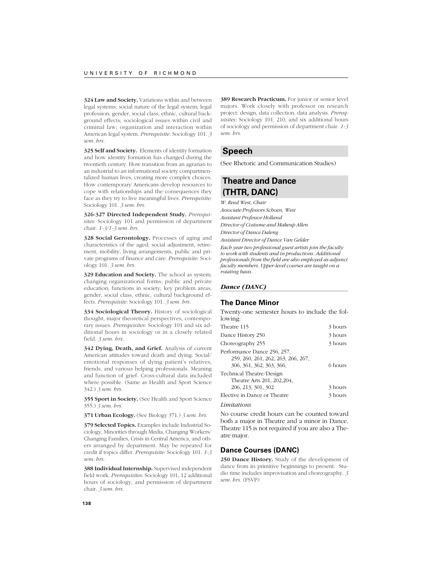**324 Law and Society.** Variations within and between legal systems; social nature of the legal system; legal profession; gender, social class, ethnic, cultural background effects; sociological issues within civil and criminal law; organization and interaction within American legal system. *Prerequisite*: Sociology 101. *3 sem. hrs.*

**325 Self and Society.** Elements of identity formation and how identity formation has changed during the twentieth century. How transition from an agrarian to an industrial to an informational society compartmentalized human lives, creating more complex choices. How contemporary Americans develop resources to cope with relationships and the consequences they face as they try to live meaningful lives. *Prerequisite:* Sociology 101. *3 sem. hrs.*

**326-327 Directed Independent Study.** *Prerequisites*: Sociology 101 and permission of department chair. *1-3/1-3 sem. hrs.*

**328 Social Gerontology.** Processes of aging and characteristics of the aged; social adjustment, retirement, mobility, living arrangements, public and private programs of finance and care. *Prerequisite*: Sociology 101. *3 sem. hrs.*

**329 Education and Society.** The school as system; changing organizational forms; public and private education; functions in society; key problem areas; gender, social class, ethnic, cultural background effects. *Prerequisite*: Sociology 101. *3 sem. hrs.*

**334 Sociological Theory.** History of sociological thought, major theoretical perspectives, contemporary issues. *Prerequisites*: Sociology 101 and six additional hours in sociology or in a closely related field. *3 sem. hrs.*

**342 Dying, Death, and Grief.** Analysis of current American attitudes toward death and dying. Social/ emotional responses of dying patient's relatives, friends, and various helping professionals. Meaning and function of grief. Cross-cultural data included where possible. (Same as Health and Sport Science 342.) *3 sem. hrs.*

**355 Sport in Society.** (See Health and Sport Science 355.) *3 sem. hrs.*

**371 Urban Ecology.** (See Biology 371.) *3 sem. hrs.*

**379 Selected Topics.** Examples include Industrial Sociology, Minorities through Media, Changing Workers/ Changing Families, Crisis in Central America, and others arranged by department. May be repeated for credit if topics differ. *Prerequisite*: Sociology 101. *1-3 sem. hrs.*

**388 Individual Internship.** Supervised independent field work. *Prerequisites*: Sociology 101, 12 additional hours of sociology, and permission of department chair. *3 sem. hrs.*

**389 Research Practicum.** For junior or senior level majors. Work closely with professor on research project: design, data collection, data analysis. *Prerequisites*: Sociology 101, 210, and six additional hours of sociology and permission of department chair. *1-3 sem. hrs.*

# **Speech**

(See Rhetoric and Communication Studies)

# **Theatre and Dance (THTR, DANC)**

*W. Reed West, Chair Associate Professors Schoen, West Assistant Professor Holland Director of Costume and Makeup Allen Director of Dance Daleng Assistant Director of Dance Van Gelder Each year two professional guest artists join the faculty to work with students and in productions. Additional professionals from the field are also employed as adjunct*

*faculty members. Upper-level courses are taught on a rotating basis.*

# *Dance (DANC)*

# **The Dance Minor**

Twenty-one semester hours to include the following:

| Theatre 115                                                                                                               | 3 hours |
|---------------------------------------------------------------------------------------------------------------------------|---------|
| Dance History 250                                                                                                         | 3 hours |
| Choreography 255                                                                                                          | 3 hours |
| Performance Dance 256, 257,<br>259, 260, 261, 262, 263, 266, 267,<br>306, 361, 362, 363, 366,<br>Technical Theatre/Design | 6 hours |
| Theatre Arts 201, 202, 204,<br>206, 213, 301, 302                                                                         | 3 hours |
| Elective in Dance or Theatre                                                                                              | 3 hours |
| Limitations                                                                                                               |         |

# No course credit hours can be counted toward

both a major in Theatre and a minor in Dance. Theatre 115 is not required if you are also a Theatre major.

## **Dance Courses (DANC)**

**250 Dance History.** Study of the development of dance from its primitive beginnings to present. Studio time includes improvisation and choreography. *3 sem. hrs.* (FSVP)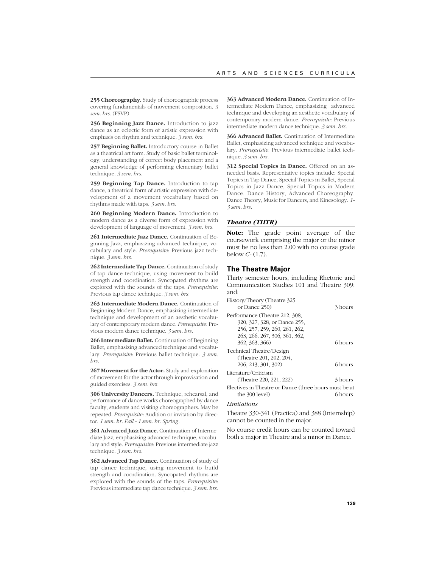**255 Choreography.** Study of choreographic process covering fundamentals of movement composition. *3 sem. hrs.* (FSVP)

**256 Beginning Jazz Dance.** Introduction to jazz dance as an eclectic form of artistic expression with emphasis on rhythm and technique. *3 sem. hrs.*

**257 Beginning Ballet.** Introductory course in Ballet as a theatrical art form. Study of basic ballet terminology, understanding of correct body placement and a general knowledge of performing elementary ballet technique. *3 sem. hrs.*

**259 Beginning Tap Dance.** Introduction to tap dance, a theatrical form of artistic expression with development of a movement vocabulary based on rhythms made with taps. *3 sem. hrs.*

**260 Beginning Modern Dance.** Introduction to modern dance as a diverse form of expression with development of language of movement. *3 sem. hrs.*

**261 Intermediate Jazz Dance.** Continuation of Beginning Jazz, emphasizing advanced technique, vocabulary and style. *Prerequisite*: Previous jazz technique. *3 sem. hrs.*

**262 Intermediate Tap Dance.** Continuation of study of tap dance technique, using movement to build strength and coordination. Syncopated rhythms are explored with the sounds of the taps. *Prerequisite*: Previous tap dance technique. *3 sem. hrs.*

**263 Intermediate Modern Dance.** Continuation of Beginning Modern Dance, emphasizing intermediate technique and development of an aesthetic vocabulary of contemporary modern dance. *Prerequisite*: Previous modern dance technique. *3 sem. hrs.*

**266 Intermediate Ballet.** Continuation of Beginning Ballet, emphasizing advanced technique and vocabulary. *Prerequisite*: Previous ballet technique. *3 sem. hrs.*

**267 Movement for the Actor.** Study and exploration of movement for the actor through improvisation and guided exercises. *3 sem. hrs.*

**306 University Dancers.** Technique, rehearsal, and performance of dance works choreographed by dance faculty, students and visiting choreographers. May be repeated. *Prerequisite*: Audition or invitation by director. *1 sem. hr. Fall - 1 sem. hr. Spring.*

**361 Advanced Jazz Dance.** Continuation of Intermediate Jazz, emphasizing advanced technique, vocabulary and style. *Prerequisite*: Previous intermediate jazz technique. *3 sem. hrs.*

**362 Advanced Tap Dance.** Continuation of study of tap dance technique, using movement to build strength and coordination. Syncopated rhythms are explored with the sounds of the taps. *Prerequisite*: Previous intermediate tap dance technique. *3 sem. hrs.*

**363 Advanced Modern Dance.** Continuation of Intermediate Modern Dance, emphasizing advanced technique and developing an aesthetic vocabulary of contemporary modern dance. *Prerequisite*: Previous intermediate modern dance technique. *3 sem. hrs.*

**366 Advanced Ballet.** Continuation of Intermediate Ballet, emphasizing advanced technique and vocabulary. *Prerequisite*: Previous intermediate ballet technique. *3 sem. hrs.*

**312 Special Topics in Dance.** Offered on an asneeded basis. Representative topics include: Special Topics in Tap Dance, Special Topics in Ballet, Special Topics in Jazz Dance, Special Topics in Modern Dance, Dance History, Advanced Choreography, Dance Theory, Music for Dancers, and Kinesology. *1- 3 sem. hrs.*

#### *Theatre (THTR)*

**Note:** The grade point average of the coursework comprising the major or the minor must be no less than 2.00 with no course grade below *C-* (1.7).

#### **The Theatre Major**

Thirty semester hours, including Rhetoric and Communication Studies 101 and Theatre 309; and:

| History/Theory (Theatre 325                           |         |
|-------------------------------------------------------|---------|
| or Dance 250)                                         | 3 hours |
| Performance (Theatre 212, 308,                        |         |
| 320, 327, 328, or Dance 255,                          |         |
| 256, 257, 259, 260, 261, 262,                         |         |
| 263, 266, 267, 306, 361, 362,                         |         |
| 362, 363, 366)                                        | 6 hours |
| Technical Theatre/Design                              |         |
| (Theatre 201, 202, 204,                               |         |
| 206, 213, 301, 302)                                   | 6 hours |
| Literature/Criticism                                  |         |
| (Theatre 220, 221, 222)                               | 3 hours |
| Electives in Theatre or Dance (three hours must be at |         |
| the 300 level)                                        | 6 hours |
|                                                       |         |

#### *Limitations*

Theatre 330-341 (Practica) and 388 (Internship) cannot be counted in the major.

No course credit hours can be counted toward both a major in Theatre and a minor in Dance.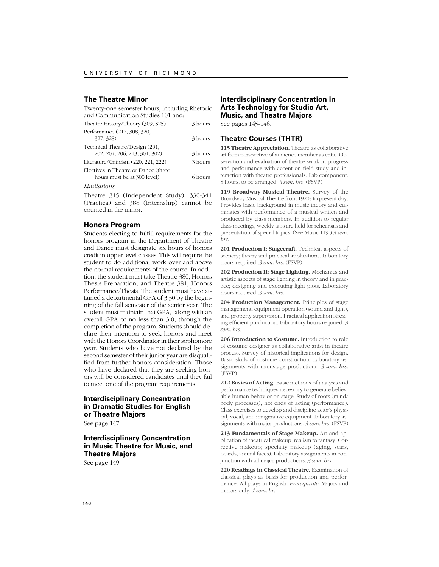# **The Theatre Minor**

| Twenty-one semester hours, including Rhetoric |         |
|-----------------------------------------------|---------|
| and Communication Studies 101 and:            |         |
| Theatre History/Theory (309, 325)             | 3 hours |
| Performance (212, 308, 320,                   |         |
| 327, 328)                                     | 3 hours |
| Technical Theatre/Design (201,                |         |
| 202, 204, 206, 213, 301, 302)                 | 3 hours |
| Literature/Criticism (220, 221, 222)          | 3 hours |
| Electives in Theatre or Dance (three          |         |
| hours must be at 300 level)                   | 6 hours |

#### *Limitations*

Theatre 315 (Independent Study), 330-341 (Practica) and 388 (Internship) cannot be counted in the minor.

#### **Honors Program**

Students electing to fulfill requirements for the honors program in the Department of Theatre and Dance must designate six hours of honors credit in upper level classes. This will require the student to do additional work over and above the normal requirements of the course. In addition, the student must take Theatre 380, Honors Thesis Preparation, and Theatre 381, Honors Performance/Thesis. The student must have attained a departmental GPA of 3.30 by the beginning of the fall semester of the senior year. The student must maintain that GPA, along with an overall GPA of no less than 3.0, through the completion of the program. Students should declare their intention to seek honors and meet with the Honors Coordinator in their sophomore year. Students who have not declared by the second semester of their junior year are disqualified from further honors consideration. Those who have declared that they are seeking honors will be considered candidates until they fail to meet one of the program requirements.

# **Interdisciplinary Concentration in Dramatic Studies for English or Theatre Majors**

See page 147.

# **Interdisciplinary Concentration in Music Theatre for Music, and Theatre Majors**

See page 149.

# **Interdisciplinary Concentration in Arts Technology for Studio Art, Music, and Theatre Majors**

See pages 145-146.

#### **Theatre Courses (THTR)**

**115 Theatre Appreciation.** Theatre as collaborative art from perspective of audience member as critic. Observation and evaluation of theatre work in progress and performance with accent on field study and interaction with theatre professionals. Lab component: 8 hours, to be arranged. *3 sem. hrs.* (FSVP)

**119 Broadway Musical Theatre.** Survey of the Broadway Musical Theatre from 1920s to present day. Provides basic background in music theory and culminates with performance of a musical written and produced by class members. In addition to regular class meetings, weekly labs are held for rehearsals and presentation of special topics. (See Music 119.) *3 sem. hrs.*

201 Production I: Stagecraft. Technical aspects of scenery; theory and practical applications. Laboratory hours required. *3 sem. hrs.* (FSVP)

**202 Production II: Stage Lighting.** Mechanics and artistic aspects of stage lighting in theory and in practice; designing and executing light plots. Laboratory hours required. *3 sem. hrs.*

**204 Production Management.** Principles of stage management, equipment operation (sound and light), and property supervision. Practical application stressing efficient production. Laboratory hours required. *3 sem. hrs.*

**206 Introduction to Costume.** Introduction to role of costume designer as collaborative artist in theatre process. Survey of historical implications for design. Basic skills of costume construction. Laboratory assignments with mainstage productions. *3 sem. hrs.* (FSVP)

**212 Basics of Acting.** Basic methods of analysis and performance techniques necessary to generate believable human behavior on stage. Study of roots (mind/ body processes), not ends of acting (performance). Class exercises to develop and discipline actor's physical, vocal, and imaginative equipment. Laboratory assignments with major productions. *3 sem. hrs.* (FSVP)

**213 Fundamentals of Stage Makeup.** Art and application of theatrical makeup, realism to fantasy. Corrective makeup; specialty makeup (aging, scars, beards, animal faces). Laboratory assignments in conjunction with all major productions. *3 sem. hrs.*

**220 Readings in Classical Theatre.** Examination of classical plays as basis for production and performance. All plays in English. *Prerequisite*: Majors and minors only. *1 sem. hr.*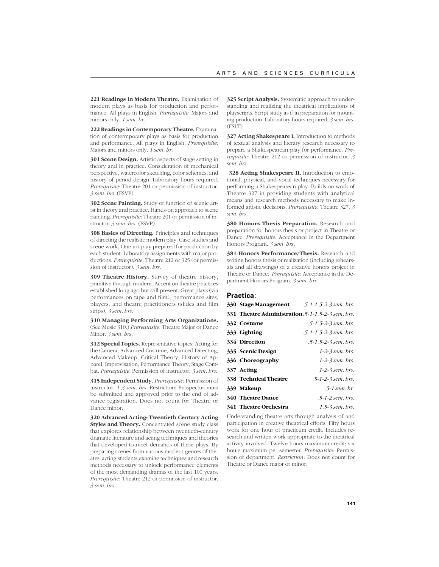**221 Readings in Modern Theatre.** Examination of modern plays as basis for production and performance. All plays in English. *Prerequisite*: Majors and minors only. *1 sem. hr.*

**222 Readings in Contemporary Theatre.** Examination of contermporary plays as basis for production and performance. All plays in English. *Prerequisite*: Majors and minors only. *1 sem. hr.*

**301 Scene Design.** Artistic aspects of stage setting in theory and in practice. Consideration of mechanical perspective, watercolor sketching, color schemes, and history of period design. Laboratory hours required. *Prerequisite*: Theatre 201 or permission of instructor. *3 sem. hrs.* (FSVP)

**302 Scene Painting.** Study of function of scenic artist in theory and practice. Hands-on approach to scene painting. *Prerequisite*: Theatre 201 or permission of instructor. *3 sem. hrs.* (FSVP)

**308 Basics of Directing.** Principles and techniques of directing the realistic modern play. Case studies and scene work. One-act play prepared for production by each student. Laboratory assignments with major productions. *Prerequisite*: Theatre 212 or 325 (or permission of instructor). *3 sem. hrs.*

**309 Theatre History.** Survey of theatre history, primitive through modern. Accent on theatre practices established long ago but still present. Great plays (via performances on tape and film); performance sites, players, and theatre practitioners (slides and film strips). *3 sem. hrs.*

**310 Managing Performing Arts Organizations.** (See Music 310.) *Prerequisite*: Theatre Major or Dance Minor. *3 sem. hrs.*

**312 Special Topics.** Representative topics: Acting for the Camera, Advanced Costume, Advanced Directing, Advanced Makeup, Critical Theory, History of Apparel, Improvisation, Performance Theory, Stage Combat. *Prerequisite*: Permission of instructor. *3 sem. hrs.*

**315 Independent Study.** *Prerequisite*: Permission of instructor. *1-3 sem. hrs.* Restriction: Prospectus must be submitted and approved prior to the end of advance registration. Does not count for Theatre or Dance minor.

**320 Advanced Acting: Twentieth-Century Acting Styles and Theory.** Concentrated scene study class that explores relationship between twentieth-century dramatic literature and acting techniques and theories that developed to meet demands of these plays. By preparing scenes from various modern genres of theatre, acting students examine techniques and research methods necessary to unlock performance elements of the most demanding dramas of the last 100 years. *Prerequisite*: Theatre 212 or permission of instructor. *3 sem. hrs.*

**325 Script Analysis.** Systematic approach to understanding and realizing the theatrical implications of playscripts. Script study as if in preparation for mounting production. Laboratory hours required. *3 sem. hrs.* (FSLT)

327 Acting Shakespeare I. Introduction to methods of textual analysis and literary research necessary to prepare a Shakespearean play for performance. *Prerequisite*: Theatre 212 or permission of instructor. *3 sem. hrs.*

328 Acting Shakespeare II. Introduction to emotional, physical, and vocal techniques necessary for performing a Shakespearean play. Builds on work of Theatre 327 in providing students with analytical means and research methods necessary to make informed artistic decisions. *Prerequisite*: Theatre 327. *3 sem. hrs.*

**380 Honors Thesis Preparation.** Research and preparation for honors thesis or project in Theatre or Dance. *Prerequisite*: Acceptance in the Department Honors Program. *3 sem. hrs.*

**381 Honors Performance/Thesis.** Research and writing honors thesis or realization (including rehearsals and all drawings) of a creative honors project in Theatre or Dance. *Prerequisite*: Acceptance in the Department Honors Program. *3 sem. hrs.*

#### **Practica:**

|                              | <b>330 Stage Management</b> 5-1-1.5-2-3 sem. brs.         |
|------------------------------|-----------------------------------------------------------|
|                              | <b>331 Theatre Administration.</b> 5-1-1. 5-2-3 sem. brs. |
| 332 Costume                  | $.5 - 1.5 - 2 - 3$ sem. brs.                              |
| 333 Lighting                 | $.5 - 1 - 1.5 - 2 - 3$ sem. brs.                          |
| 334 Direction                | $.5 - 1.5 - 2 - 3$ sem. brs.                              |
| 335 Scenic Design            | $1-2-3$ sem. brs.                                         |
| 336 Choreography             | $1-2-3$ sem. brs.                                         |
| 337 Acting                   | $1-2-3$ sem. brs.                                         |
| <b>338 Technical Theatre</b> | .5-1-2-3 sem. brs.                                        |
| 339 Makeup                   | $.5-1$ sem. br.                                           |
| <b>340 Theatre Dance</b>     | $.5-1-2$ sem. brs.                                        |
| 341 Theatre Orchestra        | $1.5-3$ sem. brs.                                         |

Understanding theatre arts through analysis of and participation in creative theatrical efforts. Fifty hours work for one hour of practicum credit. Includes research and written work appropriate to the theatrical activity involved. Twelve hours maximum credit; six hours maximum per semester. *Prerequisite*: Permission of department. *Restriction*: Does not count for Theatre or Dance major or minor.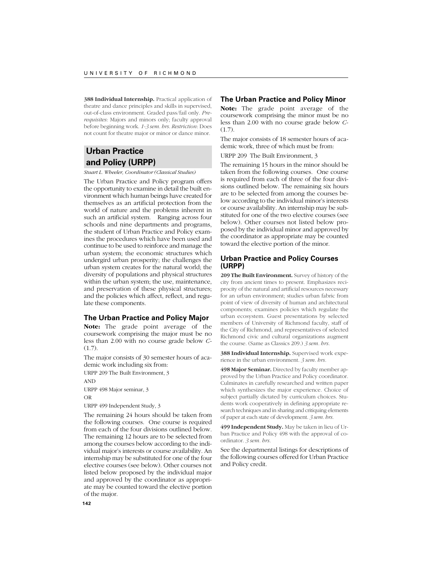**388 Individual Internship.** Practical application of theatre and dance principles and skills in supervised, out-of-class environment. Graded pass/fail only. *Prerequisites*: Majors and minors only; faculty approval before beginning work. *1-3 sem. hrs. Restriction*: Does not count for theatre major or minor or dance minor.

# **Urban Practice and Policy (URPP)**

*Stuart L. Wheeler, Coordinator (Classical Studies)*

The Urban Practice and Policy program offers the opportunity to examine in detail the built environment which human beings have created for themselves as an artificial protection from the world of nature and the problems inherent in such an artificial system. Ranging across four schools and nine departments and programs, the student of Urban Practice and Policy examines the procedures which have been used and continue to be used to reinforce and manage the urban system; the economic structures which undergird urban prosperity; the challenges the urban system creates for the natural world; the diversity of populations and physical structures within the urban system; the use, maintenance, and preservation of these physical structures; and the policies which affect, reflect, and regulate these components.

## **The Urban Practice and Policy Major**

**Note:** The grade point average of the coursework comprising the major must be no less than 2.00 with no course grade below *C-*  $(1.7)$ .

The major consists of 30 semester hours of academic work including six from:

URPP 209 The Built Environment, 3 AND URPP 498 Major seminar, 3 OR

URPP 499 Independent Study, 3

The remaining 24 hours should be taken from the following courses. One course is required from each of the four divisions outlined below. The remaining 12 hours are to be selected from among the courses below according to the individual major's interests or course availability. An internship may be substituted for one of the four elective courses (see below). Other courses not listed below proposed by the individual major and approved by the coordinator as appropriate may be counted toward the elective portion of the major.

#### **The Urban Practice and Policy Minor**

**Note:** The grade point average of the coursework comprising the minor must be no less than 2.00 with no course grade below *C-*  $(1.7)$ .

The major consists of 18 semester hours of academic work, three of which must be from:

URPP 209 The Built Environment, 3

The remaining 15 hours in the minor should be taken from the following courses. One course is required from each of three of the four divisions outlined below. The remaining six hours are to be selected from among the courses below according to the individual minor's interests or course availability. An internship may be substituted for one of the two elective courses (see below). Other courses not listed below proposed by the individual minor and approved by the coordinator as appropriate may be counted toward the elective portion of the minor.

### **Urban Practice and Policy Courses (URPP)**

**209 The Built Environment.** Survey of history of the city from ancient times to present. Emphasizes reciprocity of the natural and artificial resources necessary for an urban environment; studies urban fabric from point of view of diversity of human and architectural components; examines policies which regulate the urban ecosystem. Guest presentations by selected members of University of Richmond faculty, staff of the City of Richmond, and representatives of selected Richmond civic and cultural organizations augment the course. (Same as Classics 209.) *3 sem. hrs.*

**388 Individual Internship.** Supervised work experience in the urban environment. *3 sem. hrs.*

**498 Major Seminar.** Directed by faculty member approved by the Urban Practice and Policy coordinator. Culminates in carefully researched and written paper which synthesizes the major experience. Choice of subject partially dictated by curriculum choices. Students work cooperatively in defining appropriate research techniques and in sharing and critiquing elements of paper at each state of development. *3 sem. hrs.*

**499 Independent Study.** May be taken in lieu of Urban Practice and Policy 498 with the approval of coordinator. *3 sem. hrs.*

See the departmental listings for descriptions of the following courses offered for Urban Practice and Policy credit.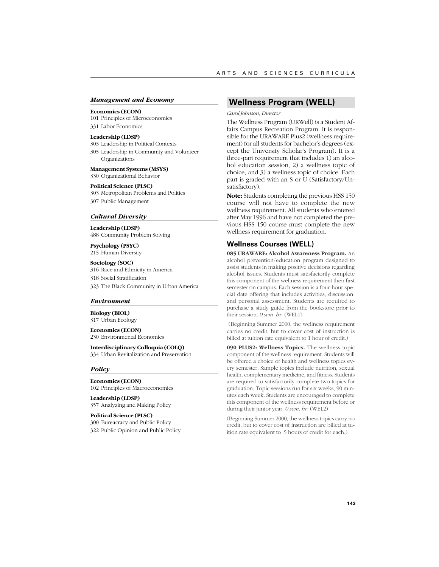#### *Management and Economy*

#### **Economics (ECON)**

101 Principles of Microeconomics

331 Labor Economics

## **Leadership (LDSP)**

303 Leadership in Political Contexts

305 Leadership in Community and Volunteer Organizations

**Management Systems (MSYS)** 330 Organizational Behavior

#### **Political Science (PLSC)**

303 Metropolitan Problems and Politics 307 Public Management

#### *Cultural Diversity*

**Leadership (LDSP)** 488 Community Problem Solving

**Psychology (PSYC)** 215 Human Diversity

**Sociology (SOC)** 316 Race and Ethnicity in America 318 Social Stratification 323 The Black Community in Urban America

#### *Environment*

**Biology (BIOL)** 317 Urban Ecology

**Economics (ECON)** 230 Environmental Economics

**Interdisciplinary Colloquia (COLQ)** 334 Urban Revitalization and Preservation

#### *Policy*

**Economics (ECON)** 102 Principles of Macroeconomics

**Leadership (LDSP)** 357 Analyzing and Making Policy

**Political Science (PLSC)** 300 Bureacracy and Public Policy 322 Public Opinion and Public Policy

# **Wellness Program (WELL)**

#### *Carol Johnson, Director*

The Wellness Program (URWell) is a Student Affairs Campus Recreation Program. It is responsible for the URAWARE Plus2 (wellness requirement) for all students for bachelor's degrees (except the University Scholar's Program). It is a three-part requirement that includes 1) an alcohol education session, 2) a wellness topic of choice, and 3) a wellness topic of choice. Each part is graded with an S or U (Satisfactory/Unsatisfactory).

**Note:** Students completing the previous HSS 150 course will not have to complete the new wellness requirement. All students who entered after May 1996 and have not completed the previous HSS 150 course must complete the new wellness requirement for graduation.

#### **Wellness Courses (WELL)**

**085 URAWARE: Alcohol Awareness Program.** An alcohol prevention/education program designed to assist students in making positive decisions regarding alcohol issues. Students must satisfactorily complete this component of the wellness requirement their first semester on campus. Each session is a four-hour special date offering that includes activities, discussion, and personal assessment. Students are required to purchase a study guide from the bookstore prior to their session. *0 sem. hr.* (WEL1)

 (Beginning Summer 2000, the wellness requirement carries no credit, but to cover cost of instruction is billed at tuition rate equivalent to 1 hour of credit.)

**090 PLUS2: Wellness Topics.** The wellness topic component of the wellness requirement. Students will be offered a choice of health and wellness topics every semester. Sample topics include nutrition, sexual health, complementary medicine, and fitness. Students are required to satisfactorily complete two topics for graduation. Topic sessions run for six weeks, 90 minutes each week. Students are encouraged to complete this component of the wellness requirement before or during their junior year. *0 sem. hr.* (WEL2)

(Beginning Summer 2000, the wellness topics carry no credit, but to cover cost of instruction are billed at tuition rate equivalent to .5 hours of credit for each.)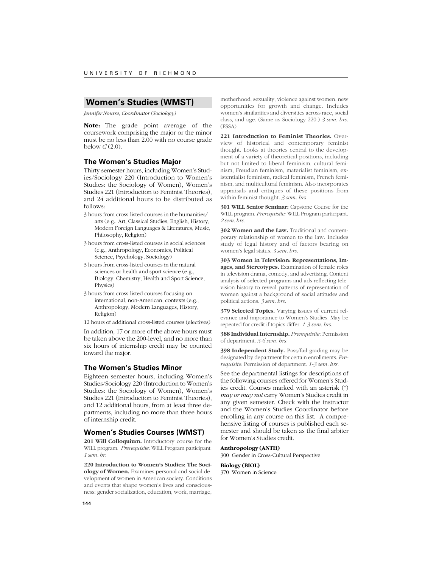# **Women's Studies (WMST)**

*Jennifer Nourse, Coordinator (Sociology)*

**Note:** The grade point average of the coursework comprising the major or the minor must be no less than 2.00 with no course grade below *C* (2.0).

#### **The Women's Studies Major**

Thirty semester hours, including Women's Studies/Sociology 220 (Introduction to Women's Studies: the Sociology of Women), Women's Studies 221 (Introduction to Feminist Theories), and 24 additional hours to be distributed as follows:

- 3 hours from cross-listed courses in the humanities/ arts (e.g., Art, Classical Studies, English, History, Modern Foreign Languages & Literatures, Music, Philosophy, Religion)
- 3 hours from cross-listed courses in social sciences (e.g., Anthropology, Economics, Political Science, Psychology, Sociology)
- 3 hours from cross-listed courses in the natural sciences or health and sport science (e.g., Biology, Chemistry, Health and Sport Science, Physics)
- 3 hours from cross-listed courses focusing on international, non-American, contexts (e.g., Anthropology, Modern Languages, History, Religion)

12 hours of additional cross-listed courses (electives)

In addition, 17 or more of the above hours must be taken above the 200-level, and no more than six hours of internship credit may be counted toward the major.

#### **The Women's Studies Minor**

Eighteen semester hours, including Women's Studies/Sociology 220 (Introduction to Women's Studies: the Sociology of Women), Women's Studies 221 (Introduction to Feminist Theories), and 12 additional hours, from at least three departments, including no more than three hours of internship credit.

#### **Women's Studies Courses (WMST)**

**201 Will Colloquium.** Introductory course for the WILL program. *Prerequisite*: WILL Program participant. *1 sem. hr.*

**220 Introduction to Women's Studies: The Sociology of Women.** Examines personal and social development of women in American society. Conditions and events that shape women's lives and consciousness: gender socialization, education, work, marriage,

motherhood, sexuality, violence against women, new opportunities for growth and change. Includes women's similarities and diversities across race, social class, and age. (Same as Sociology 220.) *3 sem. hrs.* (FSSA)

**221 Introduction to Feminist Theories.** Overview of historical and contemporary feminist thought. Looks at theories central to the development of a variety of theoretical positions, including but not limited to liberal feminism, cultural feminism, Freudian feminism, materialist feminism, existentialist feminism, radical feminism, French feminism, and multicultural feminism. Also incorporates appraisals and critiques of these positions from within feminist thought. *3 sem. hrs.*

**301 WILL Senior Seminar:** Capstone Course for the WILL program. *Prerequisite:* WILL Program participant. *2 sem. hrs.*

**302 Women and the Law.** Traditional and contemporary relationship of women to the law. Includes study of legal history and of factors bearing on women's legal status. *3 sem. hrs.*

**303 Women in Television: Representations, Images, and Stereotypes.** Examination of female roles in television drama, comedy, and advertising. Content analysis of selected programs and ads reflecting television history to reveal patterns of representation of women against a background of social attitudes and political actions. *3 sem. hrs.*

**379 Selected Topics.** Varying issues of current relevance and importance to Women's Studies. May be repeated for credit if topics differ. *1-3 sem. hrs.*

**388 Individual Internship.** *Prerequisite*: Permission of department. *3-6 sem. hrs.*

**398 Independent Study.** Pass/fail grading may be designated by department for certain enrollments. *Prerequisite*: Permission of department. *1-3 sem. hrs.*

See the departmental listings for descriptions of the following courses offered for Women's Studies credit. Courses marked with an asterisk (\*) *may or may not* carry Women's Studies credit in any given semester. Check with the instructor and the Women's Studies Coordinator before enrolling in any course on this list. A comprehensive listing of courses is published each semester and should be taken as the final arbiter for Women's Studies credit.

#### **Anthropology (ANTH)**

300 Gender in Cross-Cultural Perspective

## **Biology (BIOL)**

370 Women in Science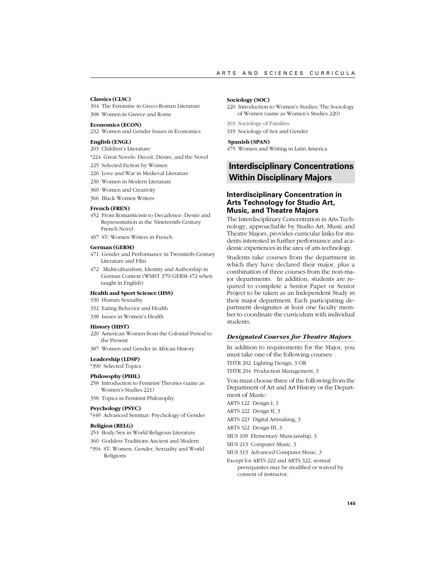#### **Classics (CLSC)**

304 The Feminine in Greco-Roman Literature 308 Women in Greece and Rome

### **Economics (ECON)**

232 Women and Gender Issues in Economics

# **English (ENGL)**

- 203 Children's Literature
- \*224 Great Novels: Deceit, Desire, and the Novel
- 225 Selected Fiction by Women
- 226 Love and War in Medieval Literature
- 230 Women in Modern Literature
- 360 Women and Creativity
- 366 Black Women Writers

### **French (FREN)**

- 452 From Romanticism to Decadence: Desire and Representation in the Nineteenth-Century French Novel
- 497 ST: Women Writers in French

### **German (GERM)**

- 471 Gender and Performance in Twentieth-Century Literature and Film
- 472 Multiculturalism, Identity and Authorship in German Context (WMST 379/GERM 472 when taught in English)

### **Health and Sport Science (HSS)**

- 330 Human Sexuality
- 332 Eating Behavior and Health
- 338 Issues in Women's Health

# **History (HIST)**

- 220 American Women from the Colonial Period to the Present
- 387 Women and Gender in African History

### **Leadership (LDSP)**

\*390 Selected Topics

### **Philosophy (PHIL)**

- 258 Introduction to Feminist Theories (same as Women's Studies 221)
- 358 Topics in Feminist Philosophy

### **Psychology (PSYC)**

\*449 Advanced Seminar: Psychology of Gender

### **Religion (RELG)**

- 253 Body/Sex in World Religious Literature
- 360 Goddess Traditions Ancient and Modern
- \*394 ST: Women, Gender, Sexuality and World Religions

#### **Sociology (SOC)**

- 220 Introduction to Women's Studies: The Sociology of Women (same as Women's Studies 220)
- 303 Sociology of Families
- 319 Sociology of Sex and Gender

### **Spanish (SPAN)**

475 Women and Writing in Latin America

# **Interdisciplinary Concentrations Within Disciplinary Majors**

# **Interdisciplinary Concentration in Arts Technology for Studio Art, Music, and Theatre Majors**

The Interdisciplinary Concentration in Arts Technology, approachable by Studio Art, Music and Theatre Majors, provides curricular links for students interested in further performance and academic experiences in the area of arts technology.

Students take courses from the department in which they have declared their major, plus a combination of three courses from the non-major departments. In addition, students are required to complete a Senior Paper or Senior Project to be taken as an Independent Study in their major department. Each participating department designates at least one faculty member to coordinate the curriculum with individual students.

### *Designated Courses for Theatre Majors*

In addition to requirements for the Major, you must take one of the following courses: THTR 202 Lighting Design, 3 OR

THTR 204 Production Management, 3

You must choose three of the following from the Department of Art and Art History or the Department of Music:

ARTS 122 Design I, 3

ARTS 222 Design II, 3

- ARTS 223 Digital Artmaking, 3
- ARTS 322 Design III, 3

MUS 109 Elementary Musicianship, 3

MUS 213 Computer Music, 3

- MUS 313 Advanced Computer Music, 3
- Except for ARTS 222 and ARTS 322, normal prerequisites may be modified or waived by consent of instructor.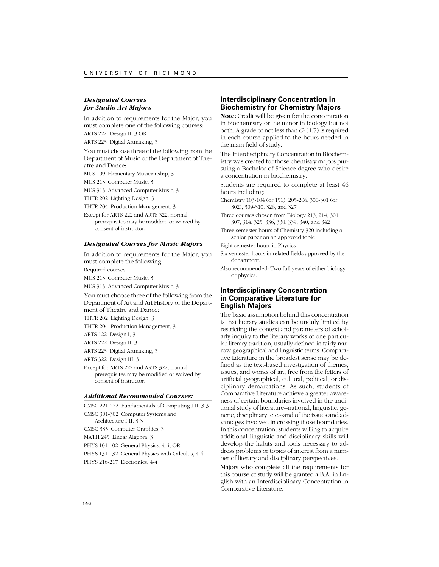# *Designated Courses for Studio Art Majors*

In addition to requirements for the Major, you must complete one of the following courses: ARTS 222 Design II, 3 OR

ARTS 223 Digital Artmaking, 3

You must choose three of the following from the Department of Music or the Department of Theatre and Dance:

MUS 109 Elementary Musicianship, 3

MUS 213 Computer Music, 3

MUS 313 Advanced Computer Music, 3

THTR 202 Lighting Design, 3

THTR 204 Production Management, 3

Except for ARTS 222 and ARTS 322, normal prerequisites may be modified or waived by consent of instructor.

# *Designated Courses for Music Majors*

In addition to requirements for the Major, you must complete the following:

Required courses:

MUS 213 Computer Music, 3

MUS 313 Advanced Computer Music, 3

You must choose three of the following from the Department of Art and Art History or the Department of Theatre and Dance:

THTR 202 Lighting Design, 3

THTR 204 Production Management, 3

ARTS 122 Design I, 3

ARTS 222 Design II, 3

ARTS 223 Digital Artmaking, 3

ARTS 322 Design III, 3

Except for ARTS 222 and ARTS 322, normal prerequisites may be modified or waived by consent of instructor.

### *Additional Recommended Courses:*

CMSC 221-222 Fundamentals of Computing I-II, 3-3 CMSC 301-302 Computer Systems and Architecture I-II, 3-3 CMSC 335 Computer Graphics, 3 MATH 245 Linear Algebra, 3 PHYS 101-102 General Physics, 4-4, OR PHYS 131-132 General Physics with Calculus, 4-4

PHYS 216-217 Electronics, 4-4

# **Interdisciplinary Concentration in Biochemistry for Chemistry Majors**

**Note:** Credit will be given for the concentration in biochemistry or the minor in biology but not both. A grade of not less than *C-* (1.7) is required in each course applied to the hours needed in the main field of study.

The Interdisciplinary Concentration in Biochemistry was created for those chemistry majors pursuing a Bachelor of Science degree who desire a concentration in biochemistry.

Students are required to complete at least 46 hours including:

Chemistry 103-104 (or 151), 205-206, 300-301 (or 302), 309-310, 326, and 327

Three courses chosen from Biology 213, 214, 301, 307, 314, 325, 336, 338, 339, 340, and 342

Three semester hours of Chemistry 320 including a senior paper on an approved topic

Eight semester hours in Physics

Six semester hours in related fields approved by the department.

Also recommended: Two full years of either biology or physics.

# **Interdisciplinary Concentration in Comparative Literature for English Majors**

The basic assumption behind this concentration is that literary studies can be unduly limited by restricting the context and parameters of scholarly inquiry to the literary works of one particular literary tradition, usually defined in fairly narrow geographical and linguistic terms. Comparative Literature in the broadest sense may be defined as the text-based investigation of themes, issues, and works of art, free from the fetters of artificial geographical, cultural, political, or disciplinary demarcations. As such, students of Comparative Literature achieve a greater awareness of certain boundaries involved in the traditional study of literature--national, linguistic, generic, disciplinary, etc.--and of the issues and advantages involved in crossing those boundaries. In this concentration, students willing to acquire additional linguistic and disciplinary skills will develop the habits and tools necessary to address problems or topics of interest from a number of literary and disciplinary perspectives.

Majors who complete all the requirements for this course of study will be granted a B.A. in English with an Interdisciplinary Concentration in Comparative Literature.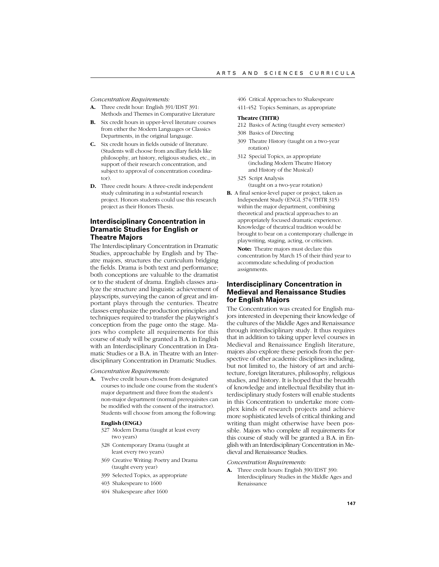*Concentration Requirements:*

- **A.** Three credit hour: English 391/IDST 391: Methods and Themes in Comparative Literature
- **B.** Six credit hours in upper-level literature courses from either the Modern Languages or Classics Departments, in the original language.
- **C.** Six credit hours in fields outside of literature. (Students will choose from ancillary fields like philosophy, art history, religious studies, etc., in support of their research concentration, and subject to approval of concentration coordinator).
- **D.** Three credit hours: A three-credit independent study culminating in a substantial research project. Honors students could use this research project as their Honors Thesis.

# **Interdisciplinary Concentration in Dramatic Studies for English or Theatre Majors**

The Interdisciplinary Concentration in Dramatic Studies, approachable by English and by Theatre majors, structures the curriculum bridging the fields. Drama is both text and performance; both conceptions are valuable to the dramatist or to the student of drama. English classes analyze the structure and linguistic achievement of playscripts, surveying the canon of great and important plays through the centuries. Theatre classes emphasize the production principles and techniques required to transfer the playwright's conception from the page onto the stage. Majors who complete all requirements for this course of study will be granted a B.A. in English with an Interdisciplinary Concentration in Dramatic Studies or a B.A. in Theatre with an Interdisciplinary Concentration in Dramatic Studies.

*Concentration Requirements:*

**A.** Twelve credit hours chosen from designated courses to include one course from the student's major department and three from the student's non-major department (normal prerequisites can be modified with the consent of the instructor). Students will choose from among the following:

# **English (ENGL)**

- 327 Modern Drama (taught at least every two years)
- 328 Contemporary Drama (taught at least every two years)
- 369 Creative Writing: Poetry and Drama (taught every year)
- 399 Selected Topics, as appropriate
- 403 Shakespeare to 1600
- 404 Shakespeare after 1600
- 406 Critical Approaches to Shakespeare
- 411-452 Topics Seminars, as appropriate

### **Theatre (THTR)**

- 212 Basics of Acting (taught every semester)
- 308 Basics of Directing
- 309 Theatre History (taught on a two-year rotation)
- 312 Special Topics, as appropriate (including Modern Theatre History and History of the Musical)
- 325 Script Analysis (taught on a two-year rotation)
- **B.** A final senior-level paper or project, taken as Independent Study (ENGL 374/THTR 315) within the major department, combining theoretical and practical approaches to an appropriately focused dramatic experience. Knowledge of theatrical tradition would be brought to bear on a contemporary challenge in playwriting, staging, acting, or criticism. **Note:** Theatre majors must declare this concentration by March 15 of their third year to accommodate scheduling of production assignments.

# **Interdisciplinary Concentration in Medieval and Renaissance Studies for English Majors**

The Concentration was created for English majors interested in deepening their knowledge of the cultures of the Middle Ages and Renaissance through interdisciplinary study. It thus requires that in addition to taking upper level courses in Medieval and Renaissance English literature, majors also explore these periods from the perspective of other academic disciplines including, but not limited to, the history of art and architecture, foreign literatures, philosophy, religious studies, and history. It is hoped that the breadth of knowledge and intellectual flexibility that interdisciplinary study fosters will enable students in this Concentration to undertake more complex kinds of research projects and achieve more sophisticated levels of critical thinking and writing than might otherwise have been possible. Majors who complete all requirements for this course of study will be granted a B.A. in English with an Interdisciplinary Concentration in Medieval and Renaissance Studies.

#### *Concentration Requirements:*

**A.** Three credit hours: English 390/IDST 390: Interdisciplinary Studies in the Middle Ages and Renaissance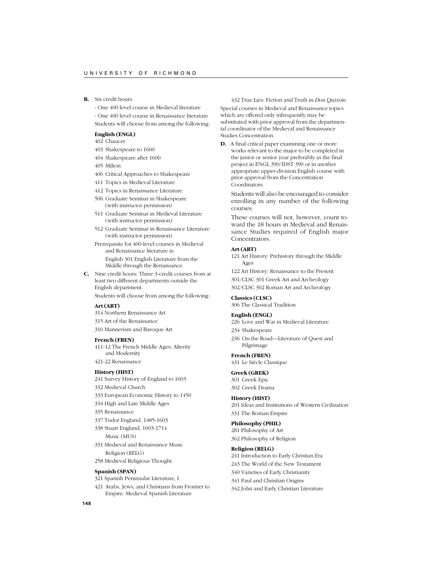**B.** Six credit hours:

- One 400 level course in Medieval literature

- One 400 level course in Renaissance literature Students will choose from among the following:

# **English (ENGL)**

402 Chaucer

- 403 Shakespeare to 1600
- 404 Shakespeare after 1600
- 405 Milton
- 406 Critical Approaches to Shakespeare
- 411 Topics in Medieval Literature
- 412 Topics in Renaissance Literature
- 506 Graduate Seminar in Shakespeare (with instructor permission)
- 511 Graduate Seminar in Medieval Literature (with instructor permission)
- 512 Graduate Seminar in Renaissance Literature (with instructor permission)
- Prerequisite for 400-level courses in Medieval and Renaissance literature is: English 301 English Literature from the Middle through the Renaissance.
- **C.** Nine credit hours: Three 3-credit courses from at least two different departments outside the English department.

Students will choose from among the following:

# **Art (ART)**

- 314 Northern Renaissance Art
- 315 Art of the Renaissance
- 316 Mannerism and Baroque Art

#### **French (FREN)**

- 411-12 The French Middle Ages: Alterity and Modernity
- 421-22 Renaissance

#### **History (HIST)**

- 241 Survey History of England to 1603 332 Medieval Church
- 333 European Economic History to 1450
- 334 High and Late Middle Ages
- 335 Renaissance
- 337 Tudor England, 1485-1603
- 338 Stuart England, 1603-1714 Music (MUS)
- 331 Medieval and Renaissance Music Religion (RELG)
- 258 Medieval Religious Thought

### **Spanish (SPAN)**

321 Spanish Peninsular Literature, I

421 Arabs, Jews, and Christians from Frontier to Empire: Medieval Spanish Literature

432 True Lies: Fiction and Truth in *Don Quixote* Special courses in Medieval and Renaissance topics which are offered only infrequently may be substituted with prior approval from the departmental coordinator of the Medieval and Renaissance Studies Concentration.

**D.** A final critical paper examining one or more works relevant to the major to be completed in the junior or senior year preferably as the final project in ENGL 390/IDST 390 or in another appropriate upper-division English course with prior approval from the Concentration Coordinators.

Students will also be encouraged to consider enrolling in any number of the following courses.

These courses will not, however, count toward the 18 hours in Medieval and Renaissance Studies required of English major Concentrators.

### **Art (ART)**

121 Art History: Prehistory through the Middle Ages

122 Art History: Renaissance to the Present

301/CLSC 301 Greek Art and Archeology

302/CLSC 302 Roman Art and Archeology

#### **Classics (CLSC)**

306 The Classical Tradition

### **English (ENGL)**

226 Love and War in Medieval Literature

- 234 Shakespeare
- 236 On the Road—Literature of Quest and Pilgrimage

### **French (FREN)**

431 Le Siècle Classique

# **Greek (GREK)**

301 Greek Epic 302 Greek Drama

### **History (HIST)**

201 Ideas and Institutions of Western Civilization 331 The Roman Empire

#### **Philosophy (PHIL)**

281 Philosophy of Art 362 Philosophy of Religion

### **Religion (RELG)**

241 Introduction to Early Christian Era

- 243 The World of the New Testament
- 340 Varieties of Early Christianity
- 341 Paul and Christian Origins
- 342 John and Early Christian Literature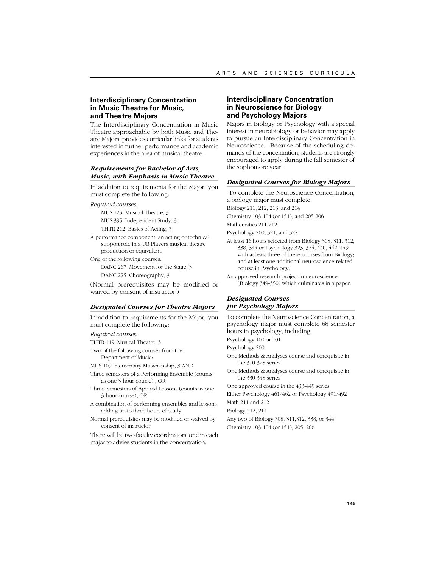# **Interdisciplinary Concentration in Music Theatre for Music, and Theatre Majors**

The Interdisciplinary Concentration in Music Theatre approachable by both Music and Theatre Majors, provides curricular links for students interested in further performance and academic experiences in the area of musical theatre.

# *Requirements for Bachelor of Arts, Music, with Emphasis in Music Theatre*

In addition to requirements for the Major, you must complete the following:

*Required courses:*

MUS 123 Musical Theatre, 3 MUS 395 Independent Study, 3

THTR 212 Basics of Acting, 3 A performance component: an acting or technical

- support role in a UR Players musical theatre production or equivalent. One of the following courses:
- DANC 267 Movement for the Stage, 3 DANC 225 Choreography, 3

(Normal prerequisites may be modified or waived by consent of instructor.)

### *Designated Courses for Theatre Majors*

In addition to requirements for the Major, you must complete the following:

*Required courses:*

- THTR 119 Musical Theatre, 3
- Two of the following courses from the Department of Music:
- MUS 109 Elementary Musicianship, 3 AND
- Three semesters of a Performing Ensemble (counts as one 3-hour course) , OR
- Three semesters of Applied Lessons (counts as one 3-hour course), OR
- A combination of performing ensembles and lessons adding up to three hours of study
- Normal prerequisites may be modified or waived by consent of instructor.

There will be two faculty coordinators: one in each major to advise students in the concentration.

# **Interdisciplinary Concentration in Neuroscience for Biology and Psychology Majors**

Majors in Biology or Psychology with a special interest in neurobiology or behavior may apply to pursue an Interdisciplinary Concentration in Neuroscience. Because of the scheduling demands of the concentration, students are strongly encouraged to apply during the fall semester of the sophomore year.

### *Designated Courses for Biology Majors*

 To complete the Neuroscience Concentration, a biology major must complete: Biology 211, 212, 213, and 214

Chemistry 103-104 (or 151), and 205-206

Mathematics 211-212

Psychology 200, 321, and 322

- At least 16 hours selected from Biology 308, 311, 312, 338, 344 or Psychology 323, 324, 440, 442, 449 with at least three of these courses from Biology; and at least one additional neuroscience-related course in Psychology.
- An approved research project in neuroscience (Biology 349-350) which culminates in a paper.

# *Designated Courses for Psychology Majors*

To complete the Neuroscience Concentration, a psychology major must complete 68 semester hours in psychology, including:

Psychology 100 or 101

Psychology 200

- One Methods & Analyses course and corequisite in the 310-328 series
- One Methods & Analyses course and corequisite in the 330-348 series

One approved course in the 433-449 series

Either Psychology 461/462 or Psychology 491/492

Math 211 and 212

Biology 212, 214

- Any two of Biology 308, 311,312, 338, or 344
- Chemistry 103-104 (or 151), 205, 206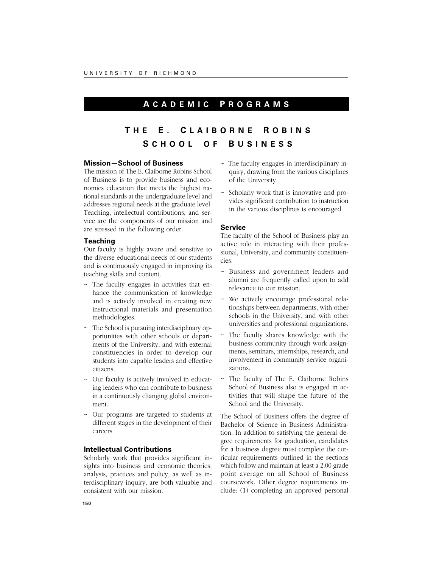# **A CADEMIC P ROGRAMS**

# **T H E E. C LAIBORNE R OBINS S CHOOL O F B USINESS**

# **Mission—School of Business**

The mission of The E. Claiborne Robins School of Business is to provide business and economics education that meets the highest national standards at the undergraduate level and addresses regional needs at the graduate level. Teaching, intellectual contributions, and service are the components of our mission and are stressed in the following order:

# **Teaching**

Our faculty is highly aware and sensitive to the diverse educational needs of our students and is continuously engaged in improving its teaching skills and content.

- ~ The faculty engages in activities that enhance the communication of knowledge and is actively involved in creating new instructional materials and presentation methodologies.
- ~ The School is pursuing interdisciplinary opportunities with other schools or departments of the University, and with external constituencies in order to develop our students into capable leaders and effective citizens.
- ~ Our faculty is actively involved in educating leaders who can contribute to business in a continuously changing global environment.
- ~ Our programs are targeted to students at different stages in the development of their careers.

# **Intellectual Contributions**

Scholarly work that provides significant insights into business and economic theories, analysis, practices and policy, as well as interdisciplinary inquiry, are both valuable and consistent with our mission.

- ~ The faculty engages in interdisciplinary inquiry, drawing from the various disciplines of the University.
- Scholarly work that is innovative and provides significant contribution to instruction in the various disciplines is encouraged.

# **Service**

The faculty of the School of Business play an active role in interacting with their professional, University, and community constituencies.

- Business and government leaders and alumni are frequently called upon to add relevance to our mission.
- We actively encourage professional relationships between departments, with other schools in the University, and with other universities and professional organizations.
- The faculty shares knowledge with the business community through work assignments, seminars, internships, research, and involvement in community service organizations.
- The faculty of The E. Claiborne Robins School of Business also is engaged in activities that will shape the future of the School and the University.

The School of Business offers the degree of Bachelor of Science in Business Administration. In addition to satisfying the general degree requirements for graduation, candidates for a business degree must complete the curricular requirements outlined in the sections which follow and maintain at least a 2.00 grade point average on all School of Business coursework. Other degree requirements include: (1) completing an approved personal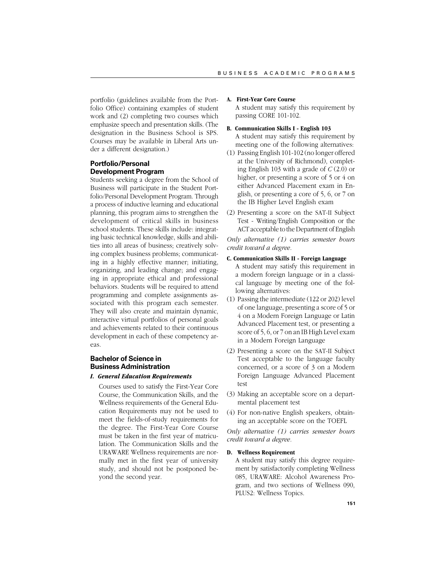portfolio (guidelines available from the Portfolio Office) containing examples of student work and (2) completing two courses which emphasize speech and presentation skills. (The designation in the Business School is SPS. Courses may be available in Liberal Arts under a different designation.)

# **Portfolio/Personal Development Program**

Students seeking a degree from the School of Business will participate in the Student Portfolio/Personal Development Program. Through a process of inductive learning and educational planning, this program aims to strengthen the development of critical skills in business school students. These skills include: integrating basic technical knowledge, skills and abilities into all areas of business; creatively solving complex business problems; communicating in a highly effective manner; initiating, organizing, and leading change; and engaging in appropriate ethical and professional behaviors. Students will be required to attend programming and complete assignments associated with this program each semester. They will also create and maintain dynamic, interactive virtual portfolios of personal goals and achievements related to their continuous development in each of these competency areas.

# **Bachelor of Science in Business Administration**

# *I. General Education Requirements*

Courses used to satisfy the First-Year Core Course, the Communication Skills, and the Wellness requirements of the General Education Requirements may not be used to meet the fields-of-study requirements for the degree. The First-Year Core Course must be taken in the first year of matriculation. The Communication Skills and the URAWARE Wellness requirements are normally met in the first year of university study, and should not be postponed beyond the second year.

# **A. First-Year Core Course**

A student may satisfy this requirement by passing CORE 101-102.

### **B. Communication Skills I - English 103**

- A student may satisfy this requirement by meeting one of the following alternatives:
- (1) Passing English 101-102 (no longer offered at the University of Richmond), completing English 103 with a grade of *C* (2.0) or higher, or presenting a score of 5 or 4 on either Advanced Placement exam in English, or presenting a core of 5, 6, or 7 on the IB Higher Level English exam
- (2) Presenting a score on the SAT-II Subject Test - Writing/English Composition or the ACT acceptable to the Department of English

*Only alternative (1) carries semester hours credit toward a degree.*

# **C. Communication Skills II - Foreign Language**

A student may satisfy this requirement in a modern foreign language or in a classical language by meeting one of the following alternatives:

- (1) Passing the intermediate (122 or 202) level of one language, presenting a score of 5 or 4 on a Modern Foreign Language or Latin Advanced Placement test, or presenting a score of 5, 6, or 7 on an IB High Level exam in a Modern Foreign Language
- (2) Presenting a score on the SAT-II Subject Test acceptable to the language faculty concerned, or a score of 3 on a Modern Foreign Language Advanced Placement test
- (3) Making an acceptable score on a departmental placement test
- (4) For non-native English speakers, obtaining an acceptable score on the TOEFL

*Only alternative (1) carries semester hours credit toward a degree.*

# **D. Wellness Requirement**

A student may satisfy this degree requirement by satisfactorily completing Wellness 085, URAWARE: Alcohol Awareness Program, and two sections of Wellness 090, PLUS2: Wellness Topics.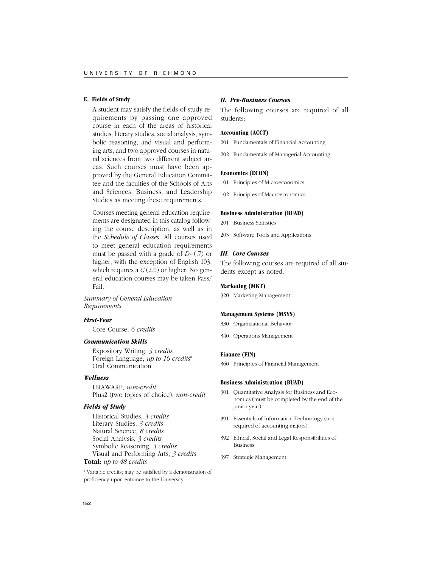# **E. Fields of Study**

A student may satisfy the fields-of-study requirements by passing one approved course in each of the areas of historical studies, literary studies, social analysis, symbolic reasoning, and visual and performing arts, and two approved courses in natural sciences from two different subject areas. Such courses must have been approved by the General Education Committee and the faculties of the Schools of Arts and Sciences, Business, and Leadership Studies as meeting these requirements.

Courses meeting general education requirements are designated in this catalog following the course description, as well as in the *Schedule of Classes*. All courses used to meet general education requirements must be passed with a grade of *D-* (.7) or higher, with the exception of English 103, which requires a *C* (2.0) or higher. No general education courses may be taken Pass/ Fail.

*Summary of General Education Requirements*

# *First-Year*

Core Course, *6 credits*

# *Communication Skills*

Expository Writing, *3 credits* Foreign Language, *up to 16 credits*<sup>a</sup> Oral Communication

# *Wellness*

URAWARE, *non-credit* Plus2 (two topics of choice), *non-credit*

# *Fields of Study*

Historical Studies, *3 credits* Literary Studies, *3 credits* Natural Science, *8 credits* Social Analysis, *3 credits* Symbolic Reasoning, *3 credits* Visual and Performing Arts, *3 credits*

# **Total:** *up to 48 credits*

a Variable credits; may be satisfied by a demonstration of proficiency upon entrance to the University.

### *II. Pre-Business Courses*

The following courses are required of all students:

### **Accounting (ACCT)**

201 Fundamentals of Financial Accounting

202 Fundamentals of Managerial Accounting

# **Economics (ECON)**

101 Principles of Microeconomics

102 Principles of Macroeconomics

### **Business Administration (BUAD)**

- 201 Business Statistics
- 203 Software Tools and Applications

### *III. Core Courses*

The following courses are required of all students except as noted.

### **Marketing (MKT)**

320 Marketing Management

# **Management Systems (MSYS)**

- 330 Organizational Behavior
- 340 Operations Management

### **Finance (FIN)**

360 Principles of Financial Management

# **Business Administration (BUAD)**

- 301 Quantitative Analysis for Business and Economics (must be completed by the end of the junior year)
- 391 Essentials of Information Technology (not required of accounting majors)
- 392 Ethical, Social and Legal Responsibilities of Business
- 397 Strategic Management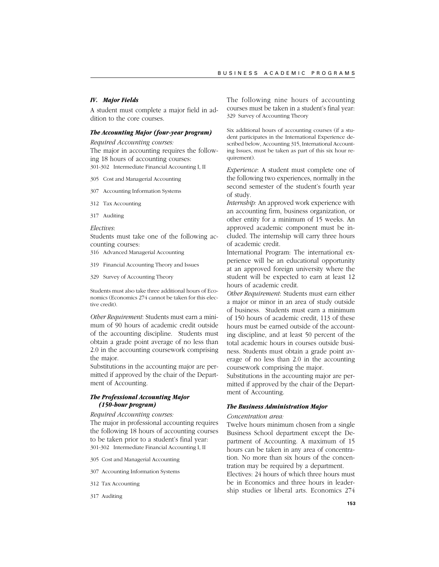# *IV. Major Fields*

A student must complete a major field in addition to the core courses.

# *The Accounting Major (four-year program)*

*Required Accounting courses:* The major in accounting requires the following 18 hours of accounting courses: 301-302 Intermediate Financial Accounting I, II

305 Cost and Managerial Accounting

- 307 Accounting Information Systems
- 312 Tax Accounting
- 317 Auditing

### *Electives*:

Students must take one of the following accounting courses:

- 316 Advanced Managerial Accounting
- 319 Financial Accounting Theory and Issues
- 329 Survey of Accounting Theory

Students must also take three additional hours of Economics (Economics 274 cannot be taken for this elective credit).

*Other Requirement*: Students must earn a minimum of 90 hours of academic credit outside of the accounting discipline. Students must obtain a grade point average of no less than 2.0 in the accounting coursework comprising the major.

Substitutions in the accounting major are permitted if approved by the chair of the Department of Accounting.

# *The Professional Accounting Major (150-hour program)*

# *Required Accounting courses:*

The major in professional accounting requires the following 18 hours of accounting courses to be taken prior to a student's final year: 301-302 Intermediate Financial Accounting I, II

- 305 Cost and Managerial Accounting
- 307 Accounting Information Systems
- 312 Tax Accounting
- 317 Auditing

The following nine hours of accounting courses must be taken in a student's final year: 329 Survey of Accounting Theory

Six additional hours of accounting courses (if a student participates in the International Experience described below, Accounting 315, International Accounting Issues, must be taken as part of this six hour requirement).

*Experience*: A student must complete one of the following two experiences, normally in the second semester of the student's fourth year of study.

*Internship:* An approved work experience with an accounting firm, business organization, or other entity for a minimum of 15 weeks. An approved academic component must be included. The internship will carry three hours of academic credit.

International Program: The international experience will be an educational opportunity at an approved foreign university where the student will be expected to earn at least 12 hours of academic credit.

*Other Requirement*: Students must earn either a major or minor in an area of study outside of business. Students must earn a minimum of 150 hours of academic credit, 113 of these hours must be earned outside of the accounting discipline, and at least 50 percent of the total academic hours in courses outside business. Students must obtain a grade point average of no less than 2.0 in the accounting coursework comprising the major.

Substitutions in the accounting major are permitted if approved by the chair of the Department of Accounting.

# *The Business Administration Major*

### *Concentration area:*

Twelve hours minimum chosen from a single Business School department except the Department of Accounting. A maximum of 15 hours can be taken in any area of concentration. No more than six hours of the concentration may be required by a department.

Electives: 24 hours of which three hours must be in Economics and three hours in leadership studies or liberal arts. Economics 274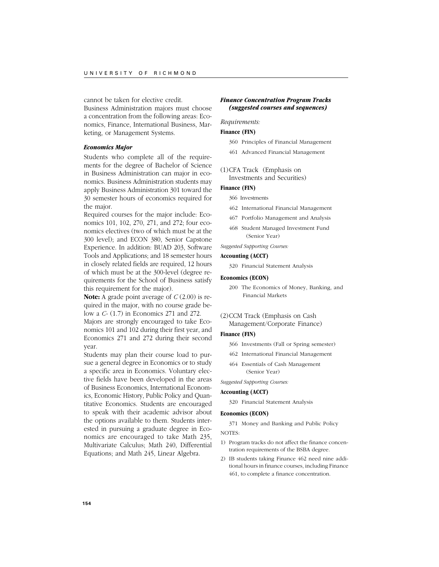cannot be taken for elective credit.

Business Administration majors must choose a concentration from the following areas: Economics, Finance, International Business, Marketing, or Management Systems.

### *Economics Major*

Students who complete all of the requirements for the degree of Bachelor of Science in Business Administration can major in economics. Business Administration students may apply Business Administration 301 toward the 30 semester hours of economics required for the major.

Required courses for the major include: Economics 101, 102, 270, 271, and 272; four economics electives (two of which must be at the 300 level); and ECON 380, Senior Capstone Experience. In addition: BUAD 203, Software Tools and Applications; and 18 semester hours in closely related fields are required, 12 hours of which must be at the 300-level (degree requirements for the School of Business satisfy this requirement for the major).

**Note:** A grade point average of *C* (2.00) is required in the major, with no course grade below a *C-* (1.7) in Economics 271 and 272.

Majors are strongly encouraged to take Economics 101 and 102 during their first year, and Economics 271 and 272 during their second year.

Students may plan their course load to pursue a general degree in Economics or to study a specific area in Economics. Voluntary elective fields have been developed in the areas of Business Economics, International Economics, Economic History, Public Policy and Quantitative Economics. Students are encouraged to speak with their academic advisor about the options available to them. Students interested in pursuing a graduate degree in Economics are encouraged to take Math 235, Multivariate Calculus; Math 240, Differential Equations; and Math 245, Linear Algebra.

# *Finance Concentration Program Tracks (suggested courses and sequences)*

# *Requirements:*

### **Finance (FIN)**

360 Principles of Financial Management

- 461 Advanced Financial Management
- (1)CFA Track (Emphasis on Investments and Securities)

# **Finance (FIN)**

#### 366 Investments

- 462 International Financial Management
- 467 Portfolio Management and Analysis
- 468 Student Managed Investment Fund (Senior Year)
- *Suggested Supporting Courses:*

# **Accounting (ACCT)**

320 Financial Statement Analysis

### **Economics (ECON)**

200 The Economics of Money, Banking, and Financial Markets

# (2)CCM Track (Emphasis on Cash

Management/Corporate Finance)

# **Finance (FIN)**

- 366 Investments (Fall or Spring semester)
- 462 International Financial Management
- 464 Essentials of Cash Management (Senior Year)

*Suggested Supporting Courses:*

### **Accounting (ACCT)**

320 Financial Statement Analysis

### **Economics (ECON)**

371 Money and Banking and Public Policy

# NOTES:

- 1) Program tracks do not affect the finance concentration requirements of the BSBA degree.
- 2) IB students taking Finance 462 need nine additional hours in finance courses, including Finance 461, to complete a finance concentration.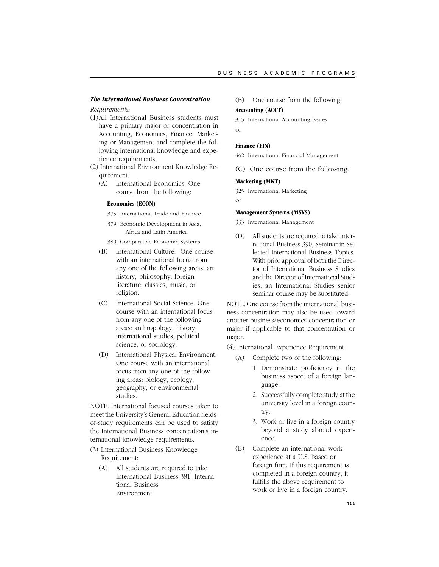# *The International Business Concentration*

# *Requirements:*

- (1)All International Business students must have a primary major or concentration in Accounting, Economics, Finance, Marketing or Management and complete the following international knowledge and experience requirements.
- (2) International Environment Knowledge Requirement:
	- (A) International Economics. One course from the following:

# **Economics (ECON)**

- 375 International Trade and Finance
- 379 Economic Development in Asia, Africa and Latin America
- 380 Comparative Economic Systems
- (B) International Culture. One course with an international focus from any one of the following areas: art history, philosophy, foreign literature, classics, music, or religion.
- (C) International Social Science. One course with an international focus from any one of the following areas: anthropology, history, international studies, political science, or sociology.
- (D) International Physical Environment. One course with an international focus from any one of the following areas: biology, ecology, geography, or environmental studies.

NOTE: International focused courses taken to meet the University's General Education fieldsof-study requirements can be used to satisfy the International Business concentration's international knowledge requirements.

- (3) International Business Knowledge Requirement:
	- (A) All students are required to take International Business 381, International Business Environment.

# (B) One course from the following:

# **Accounting (ACCT)**

315 International Accounting Issues

or

# **Finance (FIN)**

462 International Financial Management

(C) One course from the following:

# **Marketing (MKT)**

325 International Marketing

# or

# **Management Systems (MSYS)**

333 International Management

(D) All students are required to take International Business 390, Seminar in Selected International Business Topics. With prior approval of both the Director of International Business Studies and the Director of International Studies, an International Studies senior seminar course may be substituted.

NOTE: One course from the international business concentration may also be used toward another business/economics concentration or major if applicable to that concentration or major.

(4) International Experience Requirement:

- (A) Complete two of the following:
	- 1 Demonstrate proficiency in the business aspect of a foreign language.
	- 2. Successfully complete study at the university level in a foreign country.
	- 3. Work or live in a foreign country beyond a study abroad experience.
- (B) Complete an international work experience at a U.S. based or foreign firm. If this requirement is completed in a foreign country, it fulfills the above requirement to work or live in a foreign country.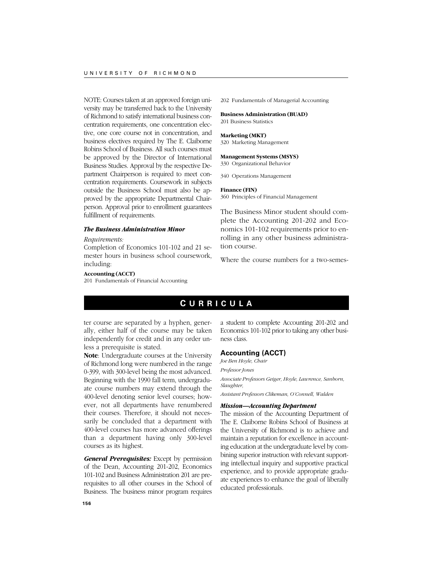NOTE: Courses taken at an approved foreign university may be transferred back to the University of Richmond to satisfy international business concentration requirements, one concentration elective, one core course not in concentration, and business electives required by The E. Claiborne Robins School of Business. All such courses must be approved by the Director of International Business Studies. Approval by the respective Department Chairperson is required to meet concentration requirements. Coursework in subjects outside the Business School must also be approved by the appropriate Departmental Chairperson. Approval prior to enrollment guarantees fulfillment of requirements.

# *The Business Administration Minor*

# *Requirements:*

Completion of Economics 101-102 and 21 semester hours in business school coursework, including:

#### **Accounting (ACCT)**

201 Fundamentals of Financial Accounting

202 Fundamentals of Managerial Accounting

# **Business Administration (BUAD)**

201 Business Statistics

#### **Marketing (MKT)**

320 Marketing Management

### **Management Systems (MSYS)** 330 Organizational Behavior

340 Operations Management

### **Finance (FIN)**

360 Principles of Financial Management

The Business Minor student should complete the Accounting 201-202 and Economics 101-102 requirements prior to enrolling in any other business administration course.

Where the course numbers for a two-semes-

# **C URRICULA**

ter course are separated by a hyphen, generally, either half of the course may be taken independently for credit and in any order unless a prerequisite is stated.

**Note**: Undergraduate courses at the University of Richmond long were numbered in the range 0-399, with 300-level being the most advanced. Beginning with the 1990 fall term, undergraduate course numbers may extend through the 400-level denoting senior level courses; however, not all departments have renumbered their courses. Therefore, it should not necessarily be concluded that a department with 400-level courses has more advanced offerings than a department having only 300-level courses as its highest.

*General Prerequisites:* Except by permission of the Dean, Accounting 201-202, Economics 101-102 and Business Administration 201 are prerequisites to all other courses in the School of Business. The business minor program requires

a student to complete Accounting 201-202 and Economics 101-102 prior to taking any other business class.

# **Accounting (ACCT)**

*Joe Ben Hoyle, Chair*

*Professor Jones*

*Associate Professors Geiger, Hoyle, Lawrence, Sanborn, Slaughter,*

*Assistant Professors Clikeman, O'Connell, Walden*

### *Mission—Accounting Department*

The mission of the Accounting Department of The E. Claiborne Robins School of Business at the University of Richmond is to achieve and maintain a reputation for excellence in accounting education at the undergraduate level by combining superior instruction with relevant supporting intellectual inquiry and supportive practical experience, and to provide appropriate graduate experiences to enhance the goal of liberally educated professionals.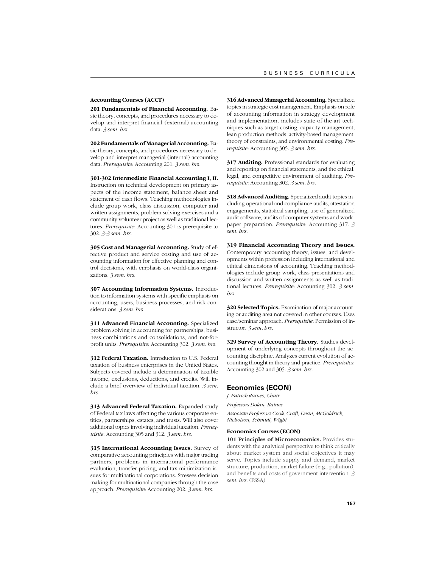### **Accounting Courses (ACCT)**

**201 Fundamentals of Financial Accounting.** Basic theory, concepts, and procedures necessary to develop and interpret financial (external) accounting data. *3 sem. hrs.*

**202 Fundamentals of Managerial Accounting.** Basic theory, concepts, and procedures necessary to develop and interpret managerial (internal) accounting data. *Prerequisite*: Accounting 201. *3 sem. hrs.*

**301-302 Intermediate Financial Accounting I, II.** Instruction on technical development on primary aspects of the income statement, balance sheet and statement of cash flows. Teaching methodologies include group work, class discussion, computer and written assignments, problem solving exercises and a community volunteer project as well as traditional lectures. *Prerequisite*: Accounting 301 is prerequisite to 302. *3-3 sem. hrs.*

**305 Cost and Managerial Accounting.** Study of effective product and service costing and use of accounting information for effective planning and control decisions, with emphasis on world-class organizations. *3 sem. hrs.*

**307 Accounting Information Systems.** Introduction to information systems with specific emphasis on accounting, users, business processes, and risk considerations. *3 sem. hrs.*

**311 Advanced Financial Accounting.** Specialized problem solving in accounting for partnerships, business combinations and consolidations, and not-forprofit units. *Prerequisite*: Accounting 302. *3 sem. hrs.*

**312 Federal Taxation.** Introduction to U.S. Federal taxation of business enterprises in the United States. Subjects covered include a determination of taxable income, exclusions, deductions, and credits. Will include a brief overview of individual taxation. *3 sem. hrs.*

**313 Advanced Federal Taxation.** Expanded study of Federal tax laws affecting the various corporate entities, partnerships, estates, and trusts. Will also cover additional topics involving individual taxation. *Prerequisite*: Accounting 305 and 312. *3 sem. hrs.*

**315 International Accounting Issues.** Survey of comparative accounting principles with major trading partners, problems in international performance evaluation, transfer pricing, and tax minimization issues for multinational corporations. Stresses decision making for multinational companies through the case approach. *Prerequisite*: Accounting 202. *3 sem. hrs.*

**316 Advanced Managerial Accounting.** Specialized topics in strategic cost management. Emphasis on role of accounting information in strategy development and implementation, includes state-of-the-art techniques such as target costing, capacity management, lean production methods, activity-based management, theory of constraints, and environmental costing. *Prerequisite*: Accounting 305. *3 sem. hrs.*

**317 Auditing.** Professional standards for evaluating and reporting on financial statements, and the ethical, legal, and competitive environment of auditing. *Prerequisite*: Accounting 302. *3 sem. hrs.*

**318 Advanced Auditing.** Specialized audit topics including operational and compliance audits, attestation engagements, statistical sampling, use of generalized audit software, audits of computer systems and workpaper preparation. *Prerequisite*: Accounting 317. *3 sem. hrs.*

**319 Financial Accounting Theory and Issues.** Contemporary accounting theory, issues, and developments within profession including international and ethical dimensions of accounting. Teaching methodologies include group work, class presentations and discussion and written assignments as well as traditional lectures. *Prerequisite*: Accounting 302. *3 sem. hrs.*

**320 Selected Topics.** Examination of major accounting or auditing area not covered in other courses. Uses case/seminar approach. *Prerequisite*: Permission of instructor. *3 sem. hrs.*

**329 Survey of Accounting Theory.** Studies development of underlying concepts throughout the accounting discipline. Analyzes current evolution of accounting thought in theory and practice. *Prerequisites*: Accounting 302 and 305. *3 sem. hrs.*

### **Economics (ECON)**

*J. Patrick Raines, Chair*

*Professors Dolan, Raines*

*Associate Professors Cook, Craft, Dean, McGoldrick, Nicholson, Schmidt, Wight*

### **Economics Courses (ECON)**

**101 Principles of Microeconomics.** Provides students with the analytical perspective to think critically about market system and social objectives it may serve. Topics include supply and demand, market structure, production, market failure (e.g., pollution), and benefits and costs of government intervention. *3 sem. hrs.* (FSSA)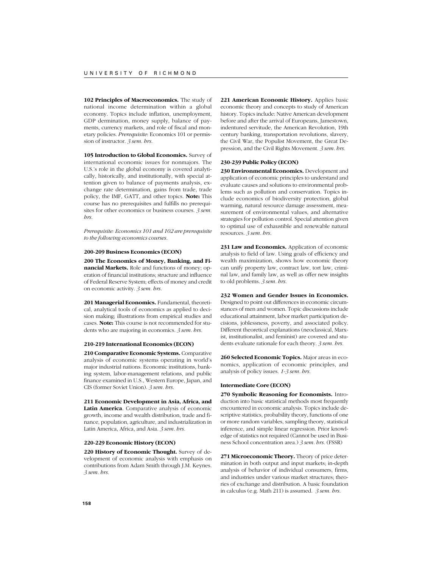**102 Principles of Macroeconomics.** The study of national income determination within a global economy. Topics include inflation, unemployment, GDP dermination, money supply, balance of payments, currency markets, and role of fiscal and monetary policies. *Prerequisite*: Economics 101 or permission of instructor. *3 sem. hrs.*

**105 Introduction to Global Economics.** Survey of international economic issues for nonmajors. The U.S.'s role in the global economy is covered analytically, historically, and institutionally, with special attention given to balance of payments analysis, exchange rate determination, gains from trade, trade policy, the IMF, GATT, and other topics. **Note:** This course has no prerequisites and fulfills no prerequisites for other economics or business courses. *3 sem. hrs.*

*Prerequisite: Economics 101 and 102 are prerequisite to the following economics courses.*

### **200-209 Business Economics (ECON)**

**200 The Economics of Money, Banking, and Financial Markets.** Role and functions of money; operation of financial institutions; structure and influence of Federal Reserve System; effects of money and credit on economic activity. *3 sem. hrs*.

**201 Managerial Economics.** Fundamental, theoretical, analytical tools of economics as applied to decision making; illustrations from empirical studies and cases. **Note:** This course is not recommended for students who are majoring in economics. *3 sem. hrs.*

### **210-219 International Economics (ECON)**

**210 Comparative Economic Systems.** Comparative analysis of economic systems operating in world's major industrial nations. Economic institutions, banking system, labor-management relations, and public finance examined in U.S., Western Europe, Japan, and CIS (former Soviet Union). *3 sem. hrs.*

**211 Economic Development in Asia, Africa, and Latin America**. Comparative analysis of economic growth, income and wealth distribution, trade and finance, population, agriculture, and industrialization in Latin America, Africa, and Asia. *3 sem. hrs.*

### **220-229 Economic History (ECON)**

**220 History of Economic Thought.** Survey of development of economic analysis with emphasis on contributions from Adam Smith through J.M. Keynes. *3 sem. hrs.*

**221 American Economic History.** Applies basic economic theory and concepts to study of American history. Topics include: Native American development before and after the arrival of Europeans, Jamestown, indentured servitude, the American Revolution, 19th century banking, transportation revolutions, slavery, the Civil War, the Populist Movement, the Great Depression, and the Civil Rights Movement. *3 sem. hrs.*

# **230-239 Public Policy (ECON)**

**230 Environmental Economics.** Development and application of economic principles to understand and evaluate causes and solutions to environmental problems such as pollution and conservation. Topics include economics of biodiversity protection, global warming, natural resource damage assessment, measurement of environmental values, and alternative strategies for pollution control. Special attention given to optimal use of exhaustible and renewable natural resources. *3 sem. hrs.*

**231 Law and Economics.** Application of economic analysis to field of law. Using goals of efficiency and wealth maximization, shows how economic theory can unify property law, contract law, tort law, criminal law, and family law, as well as offer new insights to old problems. *3 sem. hrs*.

**232 Women and Gender Issues in Economics.** Designed to point out differences in economic circumstances of men and women. Topic discussions include educational attainment, labor market participation decisions, joblessness, poverty, and associated policy. Different theoretical explanations (neoclassical, Marxist, institutionalist, and feminist) are covered and students evaluate rationale for each theory. *3 sem. hrs.*

**260 Selected Economic Topics.** Major areas in economics, application of economic principles, and analysis of policy issues. *1-3 sem. hrs.*

### **Intermediate Core (ECON)**

**270 Symbolic Reasoning for Economists.** Introduction into basic statistical methods most frequently encountered in economic analysis. Topics include descriptive statistics, probability theory, functions of one or more random variables, sampling theory, statistical inference, and simple linear regression. Prior knowledge of statistics not required (Cannot be used in Business School concentration area.) *3 sem. hrs.* (FSSR)

**271 Microeconomic Theory.** Theory of price determination in both output and input markets; in-depth analysis of behavior of individual consumers, firms, and industries under various market structures; theories of exchange and distribution. A basic foundation in calculus (e.g. Math 211) is assumed. *3 sem. hrs.*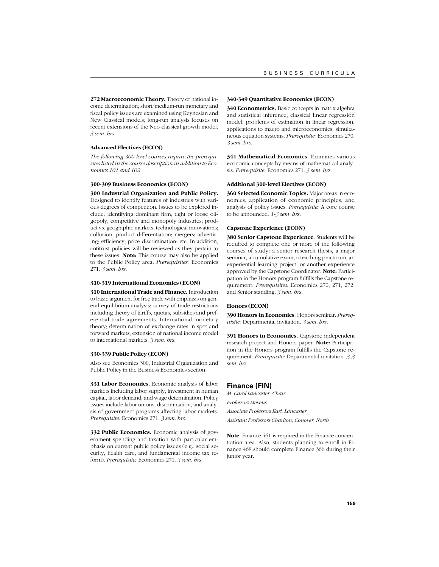**272 Macroeconomic Theory.** Theory of national income determination; short/medium-run monetary and fiscal policy issues are examined using Keynesian and New Classical models; long-run analysis focuses on recent extensions of the Neo-classical growth model. *3 sem. hrs.*

### **Advanced Electives (ECON)**

*The following 300-level courses require the prerequisites listed in the course description in addition to Economics 101 and 102.*

#### **300-309 Business Economics (ECON)**

**300 Industrial Organization and Public Policy.** Designed to identify features of industries with various degrees of competition. Issues to be explored include: identifying dominant firm, tight or loose oligopoly, competitive and monopoly industries; product vs. geographic markets; technological innovations; collusion, product differentiation; mergers; advertising; efficiency; price discrimination; etc. In addition, antitrust policies will be reviewed as they pertain to these issues. **Note:** This course may also be applied to the Public Policy area. *Prerequisites:* Economics 271. *3 sem. hrs.*

### **310-319 International Economics (ECON)**

**310 International Trade and Finance.** Introduction to basic argument for free trade with emphasis on general equilibrium analysis; survey of trade restrictions including theory of tariffs, quotas, subsidies and preferential trade agreements. International monetary theory; determination of exchange rates in spot and forward markets; extension of national income model to international markets. *3 sem. hrs.*

### **330-339 Public Policy (ECON)**

Also see Economics 300, Industrial Organization and Public Policy in the Business Economics section.

**331 Labor Economics.** Economic analysis of labor markets including labor supply, investment in human capital, labor demand, and wage determination. Policy issues include labor unions, discrimination, and analysis of government programs affecting labor markets. *Prerequisite:* Economics 271. *3 sem. hrs.*

**332 Public Economics.** Economic analysis of government spending and taxation with particular emphasis on current public policy issues (e.g., social security, health care, and fundamental income tax reform). *Prerequisite:* Economics 271. *3 sem. hrs*.

#### **340-349 Quantitative Economics (ECON)**

**340 Econometrics.** Basic concepts in matrix algebra and statistical inference; classical linear regression model; problems of estimation in linear regression; applications to macro and microeconomics; simultaneous equation systems. *Prerequisite:* Economics 270. *3 sem. hrs.*

**341 Mathematical Economics**. Examines various economic concepts by means of mathematical analysis. *Prerequisite:* Economics 271. *3 sem. hrs.*

#### **Additional 300-level Electives (ECON)**

**360 Selected Economic Topics.** Major areas in economics, application of economic principles, and analysis of policy issues. *Prerequisite:* A core course to be announced. *1-3 sem. hrs.*

#### **Capstone Experience (ECON)**

**380 Senior Capstone Experience**. Students will be required to complete one or more of the following courses of study: a senior research thesis, a major seminar, a cumulative exam, a teaching practicum, an experiential learning project, or another experience approved by the Capstone Coordinator. **Note:** Participation in the Honors program fulfills the Capstone requirement. *Prerequisites:* Economics 270, 271, 272, and Senior standing. *3 sem. hrs.*

# **Honors (ECON)**

**390 Honors in Economics**. Honors seminar. *Prerequisite:* Departmental invitation. *3 sem. hrs.*

**391 Honors in Economics.** Capstone independent research project and Honors paper. **Note:** Participation in the Honors program fulfills the Capstone requirement. *Prerequisite:* Departmental invitation. *3-3 sem. hrs.*

# **Finance (FIN)**

*M. Carol Lancaster, Chair Professors Stevens Associate Professors Earl, Lancaster Assistant Professors Charlton, Conover, North*

**Note**: Finance 461 is required in the Finance concentration area. Also, students planning to enroll in Finance 468 should complete Finance 366 during their junior year.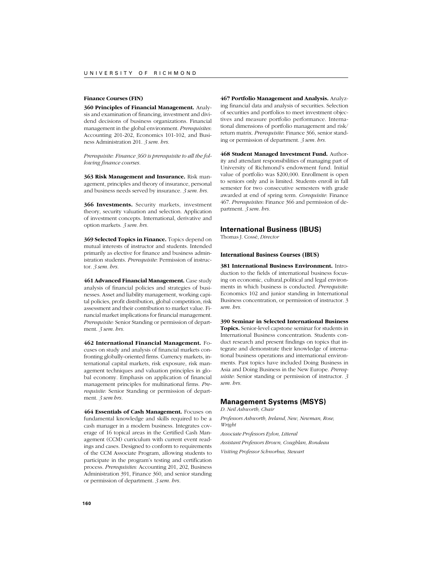### **Finance Courses (FIN)**

**360 Principles of Financial Management.** Analysis and examination of financing, investment and dividend decisions of business organizations. Financial management in the global environment. *Prerequisites*: Accounting 201-202, Economics 101-102, and Business Administration 201. *3 sem. hrs.*

*Prerequisite: Finance 360 is prerequisite to all the following finance courses.*

**363 Risk Management and Insurance.** Risk management, principles and theory of insurance, personal and business needs served by insurance. *3 sem. hrs.*

**366 Investments.** Security markets, investment theory, security valuation and selection. Application of investment concepts. International, derivative and option markets. *3 sem. hrs.*

**369 Selected Topics in Finance.** Topics depend on mutual interests of instructor and students. Intended primarily as elective for finance and business administration students. *Prerequisite*: Permission of instructor. *3 sem. hrs.*

**461 Advanced Financial Management.** Case study analysis of financial policies and strategies of businesses. Asset and liability management, working capital policies, profit distribution, global competition, risk assessment and their contribution to market value. Financial market implications for financial management. *Prerequisite:* Senior Standing or permission of department. *3 sem. hrs.*

**462 International Financial Management.** Focuses on study and analysis of financial markets confronting globally-oriented firms. Currency markets, international capital markets, risk exposure, risk management techniques and valuation principles in global economy. Emphasis on application of financial management principles for multinational firms. *Prerequisite:* Senior Standing or permission of department. *3 sem hrs.*

**464 Essentials of Cash Management.** Focuses on fundamental knowledge and skills required to be a cash manager in a modern business. Integrates coverage of 16 topical areas in the Certified Cash Management (CCM) curriculum with current event readings and cases. Designed to conform to requirements of the CCM Associate Program, allowing students to participate in the program's testing and certification process. *Prerequisites:* Accounting 201, 202, Business Administration 391, Finance 360, and senior standing or permission of department. *3 sem. hrs.*

**467 Portfolio Management and Analysis.** Analyzing financial data and analysis of securities. Selection of securities and portfolios to meet investment objectives and measure portfolio performance. International dimensions of portfolio management and risk/ return matrix. *Prerequisite*: Finance 366, senior standing or permission of department. *3 sem. hrs.*

**468 Student Managed Investment Fund.** Authority and attendant responsibilities of managing part of University of Richmond's endowment fund. Initial value of portfolio was \$200,000. Enrollment is open to seniors only and is limited. Students enroll in fall semester for two consecutive semesters with grade awarded at end of spring term. *Corequisite*: Finance 467. *Prerequisites*: Finance 366 and permission of department. *3 sem. hrs.*

# **International Business (IBUS)**

Thomas J. Cossé, *Director*

#### **International Business Courses (IBUS)**

**381 International Business Environment.** Introduction to the fields of international business focusing on economic, cultural,political and legal environments in which business is conducted. *Prerequisite*: Economics 102 and junior standing in International Business concentration, or permission of instructor. 3 *sem. hrs.*

**390 Seminar in Selected International Business**

**Topics.** Senior-level capstone seminar for students in International Business concentration. Students conduct research and present findings on topics that integrate and demonstrate their knowledge of international business operations and international environments. Past topics have included Doing Business in Asia and Doing Business in the New Europe. *Prerequisite*: Senior standing or permission of instructor. *3 sem. hrs.*

# **Management Systems (MSYS)**

*D. Neil Ashworth, Chair*

*Professors Ashworth, Ireland, New, Newman, Rose, Wright*

*Associate Professors Eylon, Litteral*

*Assistant Professors Brown, Coughlan, Rondeau*

*Visiting Professor Schnorbus, Stewart*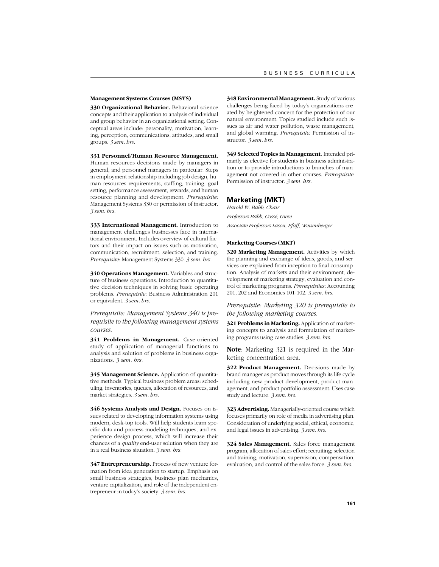### **Management Systems Courses (MSYS)**

**330 Organizational Behavior.** Behavioral science concepts and their application to analysis of individual and group behavior in an organizational setting. Conceptual areas include: personality, motivation, learning, perception, communications, attitudes, and small groups. *3 sem. hrs.*

**331 Personnel/Human Resource Management.**

Human resources decisions made by managers in general, and personnel managers in particular. Steps in employment relationship including job design, human resources requirements, staffing, training, goal setting, performance assessment, rewards, and human resource planning and development. *Prerequisite*: Management Systems 330 or permission of instructor. *3 sem. hrs.*

**333 International Management.** Introduction to management challenges businesses face in international environment. Includes overview of cultural factors and their impact on issues such as motivation, communication, recruitment, selection, and training. *Prerequisite*: Management Systems 330. *3 sem. hrs.*

**340 Operations Management.** Variables and structure of business operations. Introduction to quantitative decision techniques in solving basic operating problems. *Prerequisite*: Business Administration 201 or equivalent. *3 sem. hrs.*

*Prerequisite: Management Systems 340 is prerequisite to the following management systems courses.*

341 Problems in Management. Case-oriented study of application of managerial functions to analysis and solution of problems in business organizations. *3 sem. hrs.*

**345 Management Science.** Application of quantitative methods. Typical business problem areas: scheduling, inventories, queues, allocation of resources, and market strategies. *3 sem. hrs.*

**346 Systems Analysis and Design.** Focuses on issues related to developing information systems using modern, desk-top tools. Will help students learn specific data and process modeling techniques, and experience design process, which will increase their chances of a *quality* end-user solution when they are in a real business situation. *3 sem. hrs.*

**347 Entrepreneurship.** Process of new venture formation from idea generation to startup. Emphasis on small business strategies, business plan mechanics, venture capitalization, and role of the independent entrepreneur in today's society. *3 sem. hrs.*

**348 Environmental Management.** Study of various challenges being faced by today's organizations created by heightened concern for the protection of our natural environment. Topics studied include such issues as air and water pollution, waste management, and global warming. *Prerequisite:* Permission of instructor. *3 sem. hrs.*

**349 Selected Topics in Management.** Intended primarily as elective for students in business administration or to provide introductions to branches of management not covered in other courses. *Prerequisite*: Permission of instructor. *3 sem. hrs.*

### **Marketing (MKT)**

*Harold W. Babb, Chair Professors Babb, Cossé, Giese Associate Professors Lascu, Pfaff, Weisenberger*

#### **Marketing Courses (MKT)**

**320 Marketing Management.** Activities by which the planning and exchange of ideas, goods, and services are explained from inception to final consumption. Analysis of markets and their environment, development of marketing strategy, evaluation and control of marketing programs. *Prerequisites*: Accounting 201, 202 and Economics 101-102. *3 sem. hrs.*

# *Prerequisite: Marketing 320 is prerequisite to the following marketing courses.*

**321 Problems in Marketing.** Application of marketing concepts to analysis and formulation of marketing programs using case studies. *3 sem. hrs.*

**Note**: Marketing 321 is required in the Marketing concentration area.

**322 Product Management.** Decisions made by brand manager as product moves through its life cycle including new product development, product management, and product portfolio assessment. Uses case study and lecture. *3 sem. hrs.*

**323 Advertising.** Managerially-oriented course which focuses primarily on role of media in advertising plan. Consideration of underlying social, ethical, economic, and legal issues in advertising. *3 sem. hrs.*

**324 Sales Management.** Sales force management program, allocation of sales effort; recruiting; selection and training, motivation, supervision, compensation, evaluation, and control of the sales force. *3 sem. hrs.*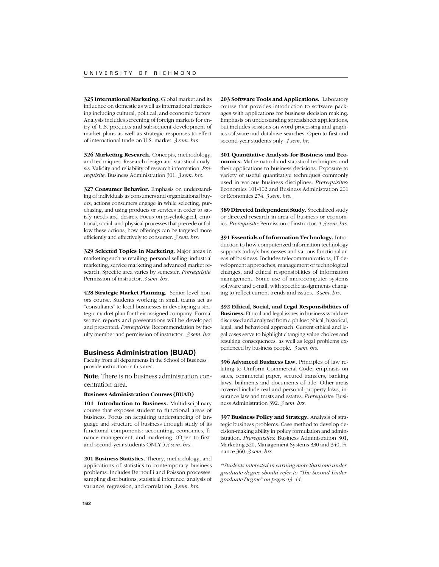325 International Marketing. Global market and its influence on domestic as well as international marketing including cultural, political, and economic factors. Analysis includes screening of foreign markets for entry of U.S. products and subsequent development of market plans as well as strategic responses to effect of international trade on U.S. market. *3 sem. hrs.*

**326 Marketing Research.** Concepts, methodology, and techniques. Research design and statistical analysis. Validity and reliability of research information. *Prerequisite*: Business Administration 301. *3 sem. hrs.*

**327 Consumer Behavior.** Emphasis on understanding of individuals as consumers and organizational buyers; actions consumers engage in while selecting, purchasing, and using products or services in order to satisfy needs and desires. Focus on psychological, emotional, social, and physical processes that precede or follow these actions; how offerings can be targeted more efficiently and effectively to consumer. *3 sem. hrs.*

**329 Selected Topics in Marketing.** Major areas in marketing such as retailing, personal selling, industrial marketing, service marketing and advanced market research. Specific area varies by semester. *Prerequisite*: Permission of instructor. *3 sem. hrs.*

**428 Strategic Market Planning.** Senior level honors course. Students working in small teams act as "consultants" to local businesses in developing a strategic market plan for their assigned company. Formal written reports and presentations will be developed and presented. *Prerequisite*: Recommendation by faculty member and permission of instructor. *3 sem. hrs.*

#### **Business Administration (BUAD)**

Faculty from all departments in the School of Business provide instruction in this area.

**Note**: There is no business administration concentration area.

#### **Business Administration Courses (BUAD)**

**101 Introduction to Business.** Multidisciplinary course that exposes student to functional areas of business. Focus on acquiring understanding of language and structure of business through study of its functional components: accounting, economics, finance management, and marketing. (Open to firstand second-year students ONLY.) *3 sem. hrs.*

**201 Business Statistics.** Theory, methodology, and applications of statistics to contemporary business problems. Includes Bernoulli and Poisson processes, sampling distributions, statistical inference, analysis of variance, regression, and correlation. *3 sem. hrs.*

**203 Software Tools and Applications.** Laboratory course that provides introduction to software packages with applications for business decision making. Emphasis on understanding spreadsheet applications, but includes sessions on word processing and graphics software and database searches. Open to first and second-year students only *1 sem. hr.*

**301 Quantitative Analysis for Business and Economics.** Mathematical and statistical techniques and their applications to business decisions. Exposure to variety of useful quantitative techniques commonly used in various business disciplines. *Prerequisites*: Economics 101-102 and Business Administration 201 or Economics 274. *3 sem. hrs.*

**389 Directed Independent Study.** Specialized study or directed research in area of business or economics. *Prerequisite*: Permission of instructor. *1-3 sem. hrs.*

**391 Essentials of Information Technology.** Introduction to how computerized information technology supports today's businesses and various functional areas of business. Includes telecommunications, IT development approaches, management of technological changes, and ethical responsibilities of information management. Some use of microcomputer systems software and e-mail, with specific assignments changing to reflect current trends and issues. *3 sem. hrs.*

**392 Ethical, Social, and Legal Responsibilities of Business.** Ethical and legal issues in business world are discussed and analyzed from a philosophical, historical, legal, and behavioral approach. Current ethical and legal cases serve to highlight changing value choices and resulting consequences, as well as legal problems experienced by business people. *3 sem. hrs.*

**396 Advanced Business Law.** Principles of law relating to Uniform Commercial Code; emphasis on sales, commercial paper, secured transfers, banking laws, bailments and documents of title. Other areas covered include real and personal property laws, insurance law and trusts and estates. *Prerequisite*: Business Administration 392. *3 sem. hrs.*

**397 Business Policy and Strategy.** Analysis of strategic business problems. Case method to develop decision-making ability in policy formulation and administration. *Prerequisites*: Business Administration 301, Marketing 320, Management Systems 330 and 340, Finance 360. *3 sem. hrs.*

*\*\*Students interested in earning more than one undergraduate degree should refer to "The Second Undergraduate Degree" on pages 43-44.*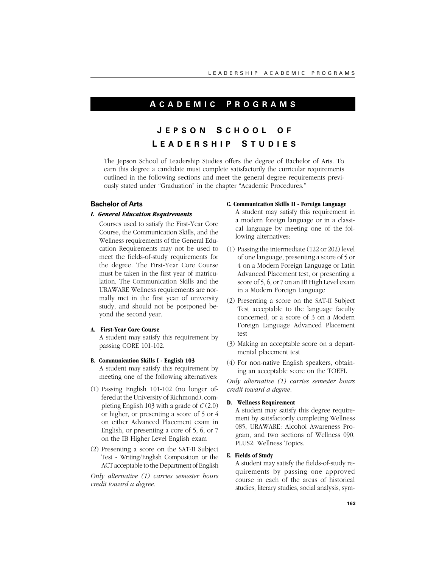# **A CADEMIC P ROGRAMS**

# **J EPSON S CHOOL O F L EADERSHIP S TUDIES**

The Jepson School of Leadership Studies offers the degree of Bachelor of Arts. To earn this degree a candidate must complete satisfactorily the curricular requirements outlined in the following sections and meet the general degree requirements previously stated under "Graduation" in the chapter "Academic Procedures."

# **Bachelor of Arts**

# *I. General Education Requirements*

Courses used to satisfy the First-Year Core Course, the Communication Skills, and the Wellness requirements of the General Education Requirements may not be used to meet the fields-of-study requirements for the degree. The First-Year Core Course must be taken in the first year of matriculation. The Communication Skills and the URAWARE Wellness requirements are normally met in the first year of university study, and should not be postponed beyond the second year.

# **A. First-Year Core Course**

A student may satisfy this requirement by passing CORE 101-102.

- **B. Communication Skills I English 103** A student may satisfy this requirement by meeting one of the following alternatives:
- (1) Passing English 101-102 (no longer offered at the University of Richmond), completing English 103 with a grade of *C* (2.0) or higher, or presenting a score of 5 or 4 on either Advanced Placement exam in English, or presenting a core of 5, 6, or 7 on the IB Higher Level English exam
- (2) Presenting a score on the SAT-II Subject Test - Writing/English Composition or the ACT acceptable to the Department of English

*Only alternative (1) carries semester hours credit toward a degree.*

# **C. Communication Skills II - Foreign Language**

A student may satisfy this requirement in a modern foreign language or in a classical language by meeting one of the following alternatives:

- (1) Passing the intermediate (122 or 202) level of one language, presenting a score of 5 or 4 on a Modern Foreign Language or Latin Advanced Placement test, or presenting a score of 5, 6, or 7 on an IB High Level exam in a Modern Foreign Language
- (2) Presenting a score on the SAT-II Subject Test acceptable to the language faculty concerned, or a score of 3 on a Modern Foreign Language Advanced Placement test
- (3) Making an acceptable score on a departmental placement test
- (4) For non-native English speakers, obtaining an acceptable score on the TOEFL

*Only alternative (1) carries semester hours credit toward a degree.*

# **D. Wellness Requirement**

A student may satisfy this degree requirement by satisfactorily completing Wellness 085, URAWARE: Alcohol Awareness Program, and two sections of Wellness 090, PLUS2: Wellness Topics.

# **E. Fields of Study**

A student may satisfy the fields-of-study requirements by passing one approved course in each of the areas of historical studies, literary studies, social analysis, sym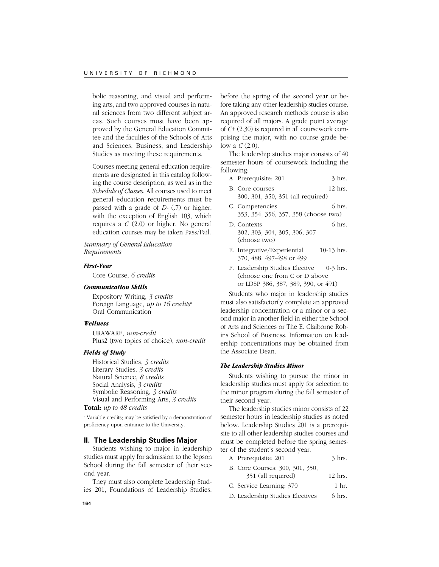bolic reasoning, and visual and performing arts, and two approved courses in natural sciences from two different subject areas. Such courses must have been approved by the General Education Committee and the faculties of the Schools of Arts and Sciences, Business, and Leadership Studies as meeting these requirements.

Courses meeting general education requirements are designated in this catalog following the course description, as well as in the *Schedule of Classes*. All courses used to meet general education requirements must be passed with a grade of *D-* (.7) or higher, with the exception of English 103, which requires a *C* (2.0) or higher. No general education courses may be taken Pass/Fail.

*Summary of General Education Requirements*

### *First-Year*

Core Course, *6 credits*

# *Communication Skills*

Expository Writing, *3 credits* Foreign Language, *up to 16 credits*<sup>a</sup> Oral Communication

# *Wellness*

URAWARE, *non-credit* Plus2 (two topics of choice), *non-credit*

# *Fields of Study*

Historical Studies, *3 credits* Literary Studies, *3 credits* Natural Science, *8 credits* Social Analysis, *3 credits* Symbolic Reasoning, *3 credits* Visual and Performing Arts, *3 credits*

# **Total:** *up to 48 credits*

a Variable credits; may be satisfied by a demonstration of proficiency upon entrance to the University.

# **II. The Leadership Studies Major**

Students wishing to major in leadership studies must apply for admission to the Jepson School during the fall semester of their second year.

They must also complete Leadership Studies 201, Foundations of Leadership Studies,

before the spring of the second year or before taking any other leadership studies course. An approved research methods course is also required of all majors. A grade point average of *C+* (2.30) is required in all coursework comprising the major, with no course grade below a *C* (2.0).

The leadership studies major consists of 40 semester hours of coursework including the following:

| A. Prerequisite: 201 |  | $3$ hrs. |
|----------------------|--|----------|
|----------------------|--|----------|

- B. Core courses 12 hrs. 300, 301, 350, 351 (all required)
- C. Competencies 6 hrs. 353, 354, 356, 357, 358 (choose two)
- D. Contexts 6 hrs. 302, 303, 304, 305, 306, 307 (choose two)
- E. Integrative/Experiential 10-13 hrs. 370, 488, 497-498 or 499
- F. Leadership Studies Elective 0-3 hrs. (choose one from C or D above or LDSP 386, 387, 389, 390, or 491)

Students who major in leadership studies must also satisfactorily complete an approved leadership concentration or a minor or a second major in another field in either the School of Arts and Sciences or The E. Claiborne Robins School of Business. Information on leadership concentrations may be obtained from the Associate Dean.

### *The Leadership Studies Minor*

Students wishing to pursue the minor in leadership studies must apply for selection to the minor program during the fall semester of their second year.

The leadership studies minor consists of 22 semester hours in leadership studies as noted below. Leadership Studies 201 is a prerequisite to all other leadership studies courses and must be completed before the spring semester of the student's second year.

- A. Prerequisite: 201 3 hrs.
- B. Core Courses: 300, 301, 350, 351 (all required) 12 hrs.
- C. Service Learning:  $370$  1 hr.
- D. Leadership Studies Electives 6 hrs.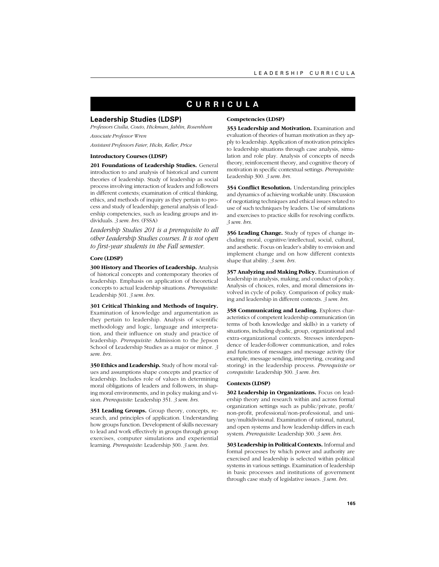# **C URRICULA**

# **Leadership Studies (LDSP)**

*Professors Ciulla, Couto, Hickman, Jablin, Rosenblum Associate Professor Wren*

*Assistant Professors Faier, Hicks, Keller, Price*

### **Introductory Courses (LDSP)**

**201 Foundations of Leadership Studies.** General introduction to and analysis of historical and current theories of leadership. Study of leadership as social process involving interaction of leaders and followers in different contexts; examination of critical thinking, ethics, and methods of inquiry as they pertain to process and study of leadership; general analysis of leadership competencies, such as leading groups and individuals. *3 sem. hrs.* (FSSA)

*Leadership Studies 201 is a prerequisite to all other Leadership Studies courses. It is not open to first-year students in the Fall semester.*

### **Core (LDSP)**

**300 History and Theories of Leadership.** Analysis of historical concepts and contemporary theories of leadership. Emphasis on application of theoretical concepts to actual leadership situations. *Prerequisite:* Leadership 301. *3 sem. hrs.*

**301 Critical Thinking and Methods of Inquiry.** Examination of knowledge and argumentation as they pertain to leadership. Analysis of scientific methodology and logic, language and interpretation, and their influence on study and practice of leadership. *Prerequisite:* Admission to the Jepson School of Leadership Studies as a major or minor. *3 sem. hrs.*

**350 Ethics and Leadership.** Study of how moral values and assumptions shape concepts and practice of leadership. Includes role of values in determining moral obligations of leaders and followers, in shaping moral environments, and in policy making and vision. *Prerequisite:* Leadership 351. *3 sem. hrs.*

**351 Leading Groups.** Group theory, concepts, research, and principles of application. Understanding how groups function. Development of skills necessary to lead and work effectively in groups through group exercises, computer simulations and experiential learning. *Prerequisite:* Leadership 300. *3 sem. hrs.*

### **Competencies (LDSP)**

**353 Leadership and Motivation.** Examination and evaluation of theories of human motivation as they apply to leadership. Application of motivation principles to leadership situations through case analysis, simulation and role play. Analysis of concepts of needs theory, reinforcement theory, and cognitive theory of motivation in specific contextual settings. *Prerequisite:* Leadership 300. *3 sem. hrs.*

**354 Conflict Resolution.** Understanding principles and dynamics of achieving workable unity. Discussion of negotiating techniques and ethical issues related to use of such techniques by leaders. Use of simulations and exercises to practice skills for resolving conflicts. *3 sem. hrs.*

**356 Leading Change.** Study of types of change including moral, cognitive/intellectual, social, cultural, and aesthetic. Focus on leader's ability to envision and implement change and on how different contexts shape that ability. *3 sem. hrs.*

**357 Analyzing and Making Policy.** Examination of leadership in analysis, making, and conduct of policy. Analysis of choices, roles, and moral dimensions involved in cycle of policy. Comparison of policy making and leadership in different contexts. *3 sem. hrs.*

**358 Communicating and Leading.** Explores characteristics of competent leadership communication (in terms of both knowledge and skills) in a variety of situations, including dyadic, group, organizational and extra-organizational contexts. Stresses interdependence of leader-follower communication, and roles and functions of messages and message activity (for example, message sending, interpreting, creating and storing) in the leadership process. *Prerequisite or corequisite:* Leadership 300. *3 sem. hrs.*

#### **Contexts (LDSP)**

**302 Leadership in Organizations.** Focus on leadership theory and research within and across formal organization settings such as public/private, profit/ non-profit, professional/non-professional, and unitary/multidivisional. Examination of rational, natural, and open systems and how leadership differs in each system. *Prerequisite:* Leadership 300. *3 sem. hrs.*

**303 Leadership in Political Contexts.** Informal and formal processes by which power and authority are exercised and leadership is selected within political systems in various settings. Examination of leadership in basic processes and institutions of government through case study of legislative issues. *3 sem. hrs.*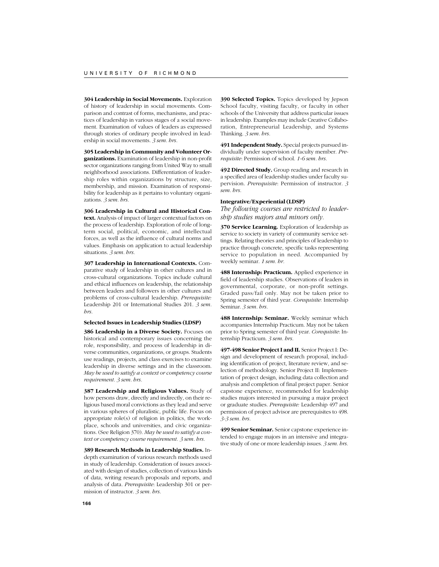**304 Leadership in Social Movements.** Exploration of history of leadership in social movements. Comparison and contrast of forms, mechanisms, and practices of leadership in various stages of a social movement. Examination of values of leaders as expressed through stories of ordinary people involved in leadership in social movements. *3 sem. hrs.*

**305 Leadership in Community and Volunteer Organizations.** Examination of leadership in non-profit sector organizations ranging from United Way to small neighborhood associations. Differentiation of leadership roles within organizations by structure, size, membership, and mission. Examination of responsibility for leadership as it pertains to voluntary organizations. *3 sem. hrs.*

**306 Leadership in Cultural and Historical Context.** Analysis of impact of larger contextual factors on the process of leadership. Exploration of role of longterm social, political, economic, and intellectual forces, as well as the influence of cultural norms and values. Emphasis on application to actual leadership situations. *3 sem. hrs.*

**307 Leadership in International Contexts.** Comparative study of leadership in other cultures and in cross-cultural organizations. Topics include cultural and ethical influences on leadership, the relationship between leaders and followers in other cultures and problems of cross-cultural leadership. *Prerequisite:* Leadership 201 or International Studies 201. *3 sem. hrs.*

#### **Selected Issues in Leadership Studies (LDSP)**

**386 Leadership in a Diverse Society.** Focuses on historical and contemporary issues concerning the role, responsibility, and process of leadership in diverse communities, organizations, or groups. Students use readings, projects, and class exercises to examine leadership in diverse settings and in the classroom. *May be used to satisfy a context or competency course requirement. 3 sem. hrs.*

**387 Leadership and Religious Values.** Study of how persons draw, directly and indirectly, on their religious based moral convictions as they lead and serve in various spheres of pluralistic, public life. Focus on appropriate role(s) of religion in politics, the workplace, schools and universities, and civic organizations. (See Religion 370). *May be used to satisfy a context or competency course requirement. 3 sem. hrs.*

**389 Research Methods in Leadership Studies.** Indepth examination of various research methods used in study of leadership. Consideration of issues associated with design of studies, collection of various kinds of data, writing research proposals and reports, and analysis of data. *Prerequisite*: Leadership 301 or permission of instructor. *3 sem. hrs.*

**390 Selected Topics.** Topics developed by Jepson School faculty, visiting faculty, or faculty in other schools of the University that address particular issues in leadership. Examples may include Creative Collaboration, Entrepreneurial Leadership, and Systems Thinking. *3 sem. hrs.*

**491 Independent Study.** Special projects pursued individually under supervision of faculty member. *Prerequisite*: Permission of school. *1-6 sem. hrs.*

**492 Directed Study.** Group reading and research in a specified area of leadership studies under faculty supervision. *Prerequisite*: Permission of instructor. *3 sem. hrs.*

### **Integrative/Experiential (LDSP)**

*The following courses are restricted to leadership studies majors and minors only.*

**370 Service Learning.** Exploration of leadership as service to society in variety of community service settings. Relating theories and principles of leadership to practice through concrete, specific tasks representing service to population in need. Accompanied by weekly seminar. *1 sem. hr.*

**488 Internship: Practicum.** Applied experience in field of leadership studies. Observations of leaders in governmental, corporate, or non-profit settings. Graded pass/fail only. May not be taken prior to Spring semester of third year. *Corequisite*: Internship Seminar. *3 sem. hrs.*

**488 Internship: Seminar.** Weekly seminar which accompanies Internship Practicum. May not be taken prior to Spring semester of third year. *Corequisite*: Internship Practicum. *3 sem. hrs.*

**497-498 Senior Project I and II.** Senior Project I: Design and development of research proposal, including identification of project, literature review, and selection of methodology. Senior Project II: Implementation of project design, including data collection and analysis and completion of final project paper. Senior capstone experience, recommended for leadership studies majors interested in pursuing a major project or graduate studies. *Prerequisite:* Leadership 497 and permission of project advisor are prerequisites to 498. *3-3 sem. hrs.*

**499 Senior Seminar.** Senior capstone experience intended to engage majors in an intensive and integrative study of one or more leadership issues. *3 sem. hrs.*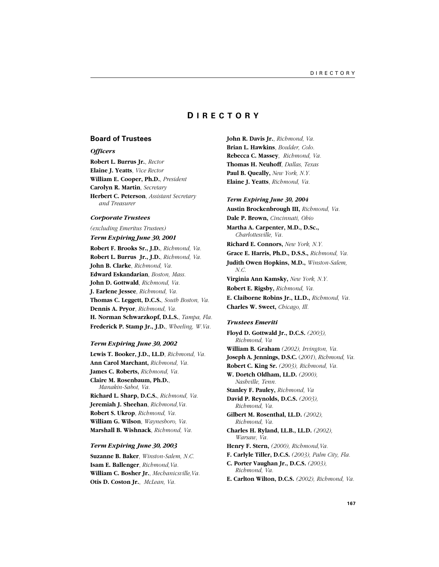# **D IRECTORY**

# **Board of Trustees**

# *Officers*

**Robert L. Burrus Jr.**, *Rector* **Elaine J. Yeatts**, *Vice Rector* **William E. Cooper, Ph.D.**, *President* **Carolyn R. Martin**, *Secretary* **Herbert C. Peterson**, *Assistant Secretary and Treasurer*

# *Corporate Trustees*

*(excluding Emeritus Trustees)*

*Term Expiring June 30, 2001*

**Robert F. Brooks Sr., J.D.**, *Richmond, Va.* **Robert L. Burrus Jr., J.D.**, *Richmond, Va.* **John B. Clarke**, *Richmond, Va.* **Edward Eskandarian**, *Boston, Mass.* **John D. Gottwald**, *Richmond, Va.* **J. Earlene Jessee**, *Richmond, Va.* **Thomas C. Leggett, D.C.S.**, *South Boston, Va.* **Dennis A. Pryor**, *Richmond, Va.* **H. Norman Schwarzkopf, D.L.S.**, *Tampa, Fla.* **Frederick P. Stamp Jr., J.D.**, *Wheeling, W.Va.*

# *Term Expiring June 30, 2002*

**Lewis T. Booker, J.D., LL.D**, *Richmond, Va.* **Ann Carol Marchant,** *Richmond, Va.* **James C. Roberts,** *Richmond, Va.* **Claire M. Rosenbaum, Ph.D.**, *Manakin-Sabot, Va.* **Richard L. Sharp, D.C.S.**, *Richmond, Va.* **Jeremiah J. Sheehan**, *Richmond,Va.* **Robert S. Ukrop**, *Richmond, Va.* **William G. Wilson**, *Waynesboro, Va.* **Marshall B. Wishnack**, *Richmond, Va.*

## *Term Expiring June 30, 2003*

**Suzanne B. Baker**, *Winston-Salem, N.C.* **Isam E. Ballenger**, *Richmond,Va.* **William C. Bosher Jr.**, *Mechanicsville,Va.* **Otis D. Coston Jr.**, *McLean, Va.*

**John R. Davis Jr.**, *Richmond, Va.* **Brian L. Hawkins**, *Boulder, Colo.* **Rebecca C. Massey**, *Richmond, Va.* **Thomas H. Neuhoff**, *Dallas, Texas* **Paul B. Queally,** *New York, N.Y.* **Elaine J. Yeatts**, *Richmond, Va.*

# *Term Expiring June 30, 2004*

**Austin Brockenbrough III,** *Richmond, Va.* **Dale P. Brown,** *Cincinnati, Ohio* **Martha A. Carpenter, M.D., D.Sc.,** *Charlottesville, Va.* **Richard E. Connors,** *New York, N.Y.* **Grace E. Harris, Ph.D., D.S.S.,** *Richmond, Va.* **Judith Owen Hopkins, M.D.,** *Winston-Salem, N.C.* **Virginia Ann Kamsky,** *New York, N.Y.* **Robert E. Rigsby,** *Richmond, Va.* **E. Claiborne Robins Jr., LL.D.,** *Richmond, Va.* **Charles W. Sweet,** *Chicago, Ill.*

#### *Trustees Emeriti*

**Floyd D. Gottwald Jr., D.C.S.** *(2003), Richmond, Va* **William B. Graham** *(2002), Irvington, Va.* **Joseph A. Jennings, D.S.C.** (*2001*), *Richmond, Va.* **Robert C. King Sr.** *(2003), Richmond, Va.* **W. Dortch Oldham, LL.D.** *(2000), Nashville, Tenn.* **Stanley F. Pauley,** *Richmond, Va* **David P. Reynolds, D.C.S.** *(2003), Richmond, Va.* **Gilbert M. Rosenthal, LL.D.** *(2002), Richmond, Va.* **Charles H. Ryland, LL.B., LL.D.** *(2002), Warsaw, Va.* **Henry F. Stern,** *(2000), Richmond,Va.* **F. Carlyle Tiller, D.C.S.** *(2003), Palm City, Fla.* **C. Porter Vaughan Jr., D.C.S.** *(2003), Richmond, Va.* **E. Carlton Wilton, D.C.S.** *(2002), Richmond, Va.*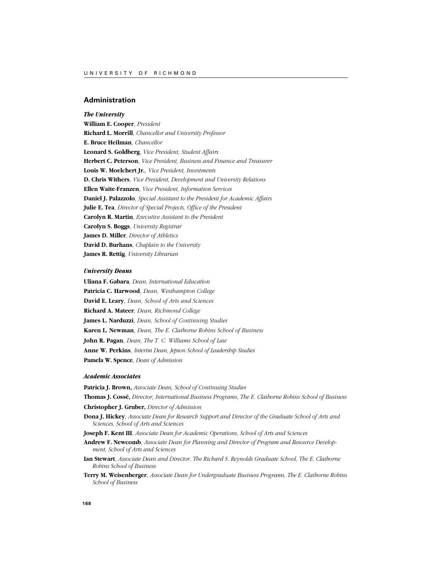# **Administration**

# *The University*

**William E. Cooper**, *President* **Richard L. Morrill**, *Chancellor and University Professor* **E. Bruce Heilman**, *Chancellor* **Leonard S. Goldberg**, *Vice President, Student Affairs* **Herbert C. Peterson**, *Vice President, Business and Finance and Treasurer* **Louis W. Moelchert Jr.**, *Vice President, Investments* **D. Chris Withers**, *Vice President, Development and University Relations* **Ellen Waite-Franzen**, *Vice President, Information Services* **Daniel J. Palazzolo**, *Special Assistant to the President for Academic Affairs* **Julie E. Tea**, *Director of Special Projects, Office of the President* **Carolyn R. Martin**, *Executive Assistant to the President* **Carolyn S. Boggs**, *University Registrar* **James D. Miller**, *Director of Athletics* **David D. Burhans**, *Chaplain to the University* **James R. Rettig**, *University Librarian*

# *University Deans*

**Uliana F. Gabara**, *Dean, International Education* **Patricia C. Harwood**, *Dean, Westhampton College* **David E. Leary**, *Dean, School of Arts and Sciences* **Richard A. Mateer**, *Dean, Richmond College* **James L. Narduzzi**, *Dean, School of Continuing Studies* **Karen L. Newman**, *Dean, The E. Claiborne Robins School of Business* **John R. Pagan**, *Dean, The T. C. Williams School of Law* **Anne W. Perkins**, *Interim Dean, Jepson School of Leadership Studies* **Pamela W. Spence**, *Dean of Admission*

### *Academic Associates*

**Patricia J. Brown,** *Associate Dean, School of Continuing Studies* **Thomas J. Cossé,** *Director, International Business Programs, The E. Claiborne Robins School of Business* **Christopher J. Gruber,** *Director of Admission* **Dona J. Hickey**, *Associate Dean for Research Support and Director of the Graduate School of Arts and Sciences, School of Arts and Sciences* **Joseph F. Kent III**, *Associate Dean for Academic Operations, School of Arts and Sciences* **Andrew F. Newcomb**, *Associate Dean for Planning and Director of Program and Resource Development, School of Arts and Sciences* **Ian Stewart**, *Associate Dean and Director, The Richard S. Reynolds Graduate School, The E. Claiborne Robins School of Business*

**Terry M. Weisenberger**, *Associate Dean for Undergraduate Business Programs, The E. Claiborne Robins School of Business*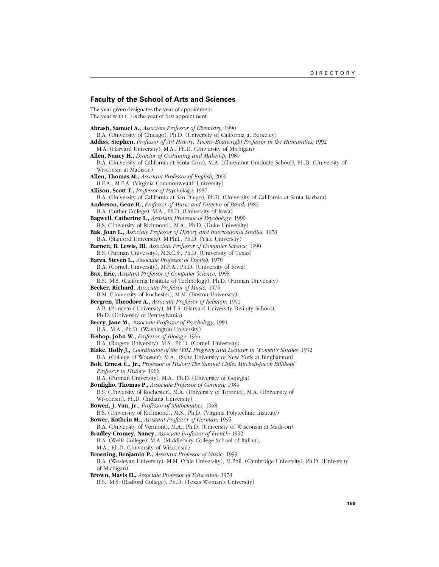# **Faculty of the School of Arts and Sciences**

The year given designates the year of appointment. The year with ( ) is the year of first appointment.

**Abrash, Samuel A.,** *Associate Professor of Chemistry;* 1990 B.A. (University of Chicago), Ph.D. (University of California at Berkeley) **Addiss, Stephen,** *Professor of Art History, Tucker-Boatwright Professor in the Humanities;* 1992 M.A. (Harvard University), M.A., Ph.D. (University of Michigan) **Allen, Nancy H.,** *Director of Costuming and Make-Up,* 1989 B.A. (University of California at Santa Cruz), M.A. (Claremont Graduate School), Ph.D. (University of Wisconsin at Madison) **Allen, Thomas M.,** *Assistant Professor of English,* 2000 B.F.A., M.F.A. (Virginia Commonwealth University) **Allison, Scott T.,** *Professor of Psychology;* 1987 B.A. (University of California at San Diego), Ph.D. (University of California at Santa Barbara) **Anderson, Gene H.,** *Professor of Music and Director of Band;* 1982 B.A. (Luther College), M.A., Ph.D. (University of Iowa) **Bagwell, Catherine L.,** *Assistant Professor of Psychology;* 1999 B.S. (University of Richmond), M.A., Ph.D. (Duke University) **Bak, Joan L.,** *Associate Professor of History and International Studies;* 1978 B.A. (Stanford University), M.Phil., Ph.D. (Yale University) **Barnett, B. Lewis, III,** *Associate Professor of Computer Science;* 1990 B.S. (Furman University), M.S.C.S., Ph.D. (University of Texas) **Barza, Steven L.,** *Associate Professor of English;* 1978 B.A. (Cornell University), M.F.A., Ph.D. (University of Iowa) **Bax, Eric,** *Assistant Professor of Computer Science*, 1998 B.S., M.S. (California Institute of Technology), Ph.D. (Furman University) **Becker, Richard,** *Associate Professor of Music;* 1975 B.M. (University of Rochester), M.M. (Boston University) **Bergren, Theodore A.,** *Associate Professor of Religion;* 1991 A.B. (Princeton University), M.T.S. (Harvard University Divinity School), Ph.D. (University of Pennsylvania) **Berry, Jane M.,** *Associate Professor of Psychology;* 1991 B.A., M.A., Ph.D. (Washington University) **Bishop, John W.,** *Professor of Biology;* 1966 B.A. (Rutgers University), M.S., Ph.D. (Cornell University) **Blake, Holly J.,** *Coordinator of the WILL Program and Lecturer in Women's Studies;* 1992 B.A. (College of Wooster), M.A., (State University of New York at Binghamton) **Bolt, Ernest C., Jr.,** *Professor of History,The Samuel Chiles Mitchell-Jacob Billikopf Professor in History;* 1966 B.A. (Furman University), M.A., Ph.D. (University of Georgia) **Bonfiglio, Thomas P.,** *Associate Professor of German;* 1984 B.S. (University of Rochester), M.A. (University of Toronto), M.A. (University of Wisconsin), Ph.D. (Indiana University) **Bowen, J. Van, Jr.,** *Professor of Mathematics,* 1968 B.S. (University of Richmond), M.S., Ph.D. (Virginia Polytechnic Institute) **Bower, Kathrin M.,** *Assistant Professor of German;* 1995 B.A. (University of Vermont), M.A., Ph.D. (University of Wisconsin at Madison) **Bradley-Cromey, Nancy,** *Associate Professor of French;* 1992 B.A. (Wells College), M.A. (Middlebury College School of Italian), M.A., Ph.D. (University of Wisconsin) **Broening, Benjamin P.,** *Assistant Professor of Music;* 1999 B.A. (Wesleyan University), M.M. (Yale University), M.Phil. (Cambridge University), Ph.D. (University of Michigan) **Brown, Mavis H.,** *Associate Professor of Education;* 1978 B.S., M.S. (Radford College), Ph.D. (Texas Woman's University)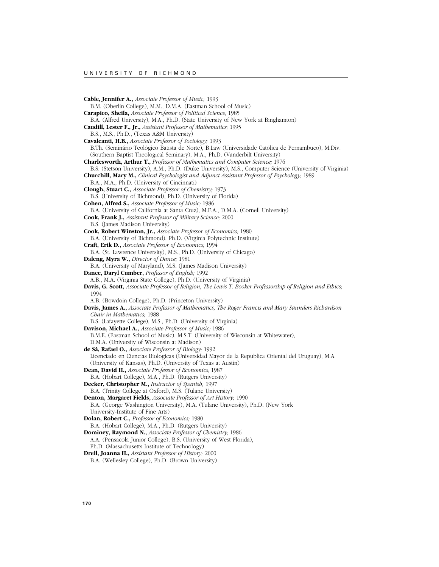**Cable, Jennifer A.,** *Associate Professor of Music;* 1993 B.M. (Oberlin College), M.M., D.M.A. (Eastman School of Music) **Carapico, Sheila,** *Associate Professor of Political Science;* 1985 B.A. (Alfred University), M.A., Ph.D. (State University of New York at Binghamton) **Caudill, Lester F., Jr.,** *Assistant Professor of Mathematics;* 1995 B.S., M.S., Ph.D., (Texas A&M University) **Cavalcanti, H.B.,** *Associate Professor of Sociology;* 1993 B.Th. (Seminário Teológico Batista de Norte), B.Law (Universidade Católica de Pernambuco), M.Div. (Southern Baptist Theological Seminary), M.A., Ph.D. (Vanderbilt University) **Charlesworth, Arthur T.,** *Professor of Mathematics and Computer Science;* 1976 B.S. (Stetson University), A.M., Ph.D. (Duke University), M.S., Computer Science (University of Virginia) **Churchill, Mary M.,** *Clinical Psychologist and Adjunct Assistant Professor of Psychology;* 1989 B.A., M.A., Ph.D. (University of Cincinnati) **Clough, Stuart C.,** *Associate Professor of Chemistry;* 1973 B.S. (University of Richmond), Ph.D. (University of Florida) **Cohen, Alfred S.,** *Associate Professor of Music;* 1986 B.A. (University of California at Santa Cruz), M.F.A., D.M.A. (Cornell University) **Cook, Frank J.,** *Assistant Professor of Military Science;* 2000 B.S. (James Madison University) **Cook, Robert Winston, Jr.,** *Associate Professor of Economics;* 1980 B.A. (University of Richmond), Ph.D. (Virginia Polytechnic Institute) **Craft, Erik D.,** *Associate Professor of Economics;* 1994 B.A. (St. Lawrence University), M.S., Ph.D. (University of Chicago) **Daleng, Myra W.,** *Director of Dance;* 1981 B.A. (University of Maryland), M.S. (James Madison University) **Dance, Daryl Cumber,** *Professor of English;* 1992 A.B., M.A. (Virginia State College), Ph.D. (University of Virginia) **Davis, G. Scott,** *Associate Professor of Religion, The Lewis T. Booker Professorship of Religion and Ethics;* 1994 A.B. (Bowdoin College), Ph.D. (Princeton University) **Davis, James A.,** *Associate Professor of Mathematics, The Roger Francis and Mary Saunders Richardson Chair in Mathematics;* 1988 B.S. (Lafayette College), M.S., Ph.D. (University of Virginia) **Davison, Michael A.,** *Associate Professor of Music;* 1986 B.M.E. (Eastman School of Music), M.S.T. (University of Wisconsin at Whitewater), D.M.A. (University of Wisconsin at Madison) **de Sá, Rafael O.,** *Associate Professor of Biology;* 1992 Licenciado en Ciencias Biologicas (Universidad Mayor de la Republica Oriental del Uruguay), M.A. (University of Kansas), Ph.D. (University of Texas at Austin) **Dean, David H.,** *Associate Professor of Economics;* 1987 B.A. (Hobart College), M.A., Ph.D. (Rutgers University) **Decker, Christopher M.,** *Instructor of Spanish;* 1997 B.A. (Trinity College at Oxford), M.S. (Tulane University) **Denton, Margaret Fields,** *Associate Professor of Art History;* 1990 B.A. (George Washington University), M.A. (Tulane University), Ph.D. (New York University-Institute of Fine Arts) **Dolan, Robert C.,** *Professor of Economics;* 1980 B.A. (Hobart College), M.A., Ph.D. (Rutgers University) **Dominey, Raymond N.,** *Associate Professor of Chemistry;* 1986 A.A. (Pensacola Junior College), B.S. (University of West Florida), Ph.D. (Massachusetts Institute of Technology) **Drell, Joanna H.,** *Assistant Professor of History;* 2000 B.A. (Wellesley College), Ph.D. (Brown University)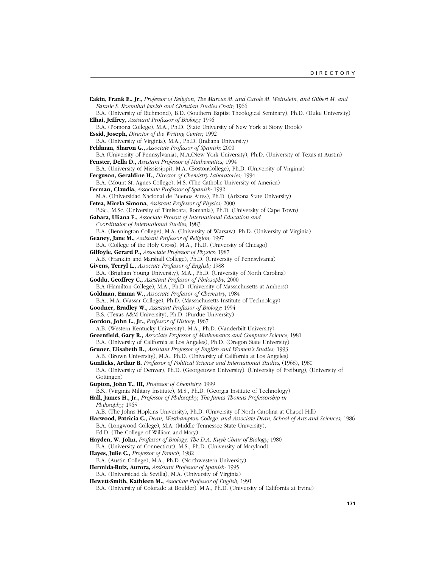**Eakin, Frank E., Jr.,** *Professor of Religion, The Marcus M. and Carole M. Weinstein, and Gilbert M. and Fannie S. Rosenthal Jewish and Christian Studies Chair;* 1966 B.A. (University of Richmond), B.D. (Southern Baptist Theological Seminary), Ph.D. (Duke University) **Elhai, Jeffrey,** *Assistant Professor of Biology;* 1996 B.A. (Pomona College), M.A., Ph.D. (State University of New York at Stony Brook) **Essid, Joseph,** *Director of the Writing Center;* 1992 B.A. (University of Virginia), M.A., Ph.D. (Indiana University) **Feldman, Sharon G.,** *Associate Professor of Spanish;* 2000 B.A (University of Pennsylvania), M.A.(New York University), Ph.D. (University of Texas at Austin) **Fenster, Della D.,** *Assistant Professor of Mathematics;* 1994 B.A. (University of Mississippi), M.A. (BostonCollege), Ph.D. (University of Virginia) **Ferguson, Geraldine H.,** *Director of Chemistry Laboratories;* 1994 B.A. (Mount St. Agnes College), M.S. (The Catholic University of America) **Ferman, Claudia,** *Associate Professor of Spanish;* 1992 M.A. (Universidad Nacional de Buenos Aires), Ph.D. (Arizona State University) **Fetea, Mirela Simona,** *Assistant Professor of Physics;* 2000 B.Sc., M.Sc. (University of Timisoara, Romania), Ph.D. (University of Cape Town) **Gabara, Uliana F.,** *Associate Provost of International Education and Coordinator of International Studies;* 1983 B.A. (Bennington College), M.A. (University of Warsaw), Ph.D. (University of Virginia) **Geaney, Jane M.,** *Assistant Professor of Religion;* 1997 B.A. (College of the Holy Cross), M.A., Ph.D. (University of Chicago) **Gilfoyle, Gerard P.,** *Associate Professor of Physics;* 1987 A.B. (Franklin and Marshall College), Ph.D. (University of Pennsylvania) **Givens, Terryl L.,** *Associate Professor of English;* 1988 B.A. (Brigham Young University), M.A., Ph.D. (University of North Carolina) **Goddu, Geoffrey C.,** *Assistant Professor of Philosophy;* 2000 B.A (Hamilton College), M.A., Ph.D. (University of Massachusetts at Amherst) **Goldman, Emma W.,** *Associate Professor of Chemistry;* 1984 B.A., M.A. (Vassar College), Ph.D. (Massachusetts Institute of Technology) **Goodner, Bradley W.,** *Assistant Professor of Biology;* 1994 B.S. (Texas A&M University), Ph.D. (Purdue University) **Gordon, John L., Jr.,** *Professor of History;* 1967 A.B. (Western Kentucky University), M.A., Ph.D. (Vanderbilt University) **Greenfield, Gary R.,** *Associate Professor of Mathematics and Computer Science;* 1981 B.A. (University of California at Los Angeles), Ph.D. (Oregon State University) **Gruner, Elisabeth R.,** *Assistant Professor of English and Women's Studies;* 1993 A.B. (Brown University), M.A., Ph.D. (University of California at Los Angeles) **Gunlicks, Arthur B.** *Professor of Political Science and International Studies;* (1968), 1980 B.A. (University of Denver), Ph.D. (Georgetown University), (University of Freiburg), (University of Gottingen) **Gupton, John T., III,** *Professor of Chemistry;* 1999 B.S., (Virginia Military Institute), M.S., Ph.D. (Georgia Institute of Technology) **Hall, James H., Jr.,** *Professor of Philosophy, The James Thomas Professorship in Philosophy;* 1965 A.B. (The Johns Hopkins University), Ph.D. (University of North Carolina at Chapel Hill) **Harwood, Patricia C.,** *Dean, Westhampton College, and Associate Dean, School of Arts and Sciences;* 1986 B.A. (Longwood College), M.A. (Middle Tennessee State University), Ed.D. (The College of William and Mary) **Hayden, W. John,** *Professor of Biology, The D.A. Kuyk Chair of Biology;* 1980 B.A. (University of Connecticut), M.S., Ph.D. (University of Maryland) **Hayes, Julie C.,** *Professor of French;* 1982 B.A. (Austin College), M.A., Ph.D. (Northwestern University) **Hermida-Ruiz, Aurora,** *Assistant Professor of Spanish;* 1995 B.A. (Universidad de Sevilla), M.A. (University of Virginia) **Hewett-Smith, Kathleen M.,** *Associate Professor of English;* 1991 B.A. (University of Colorado at Boulder), M.A., Ph.D. (University of California at Irvine)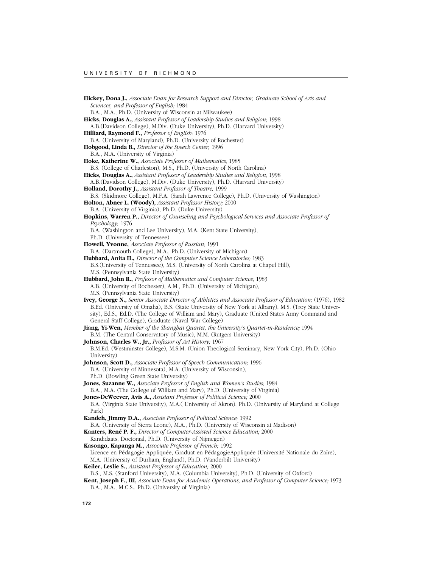**Hickey, Dona J.,** *Associate Dean for Research Support and Director, Graduate School of Arts and Sciences, and Professor of English;* 1984 B.A., M.A., Ph.D. (University of Wisconsin at Milwaukee) **Hicks, Douglas A.,** *Assistant Professor of Leadership Studies and Religion;* 1998 A.B.(Davidson College), M.Div. (Duke University), Ph.D. (Harvard University) **Hilliard, Raymond F.,** *Professor of English;* 1976 B.A. (University of Maryland), Ph.D. (University of Rochester) **Hobgood, Linda B.,** *Director of the Speech Center;* 1996 B.A., M.A. (University of Virginia) **Hoke, Katherine W.,** *Associate Professor of Mathematics;* 1985 B.S. (College of Charleston), M.S., Ph.D. (University of North Carolina) **Hicks, Douglas A.,** *Assistant Professor of Leadership Studies and Religion;* 1998 A.B.(Davidson College), M.Div. (Duke University), Ph.D. (Harvard University) **Holland, Dorothy J.,** *Assistant Professor of Theatre;* 1999 B.S. (Skidmore College), M.F.A. (Sarah Lawrence College), Ph.D. (University of Washington) **Holton, Abner L. (Woody),** *Assistant Professor History;* 2000 B.A. (University of Virginia), Ph.D. (Duke University) **Hopkins, Warren P.,** *Director of Counseling and Psychological Services and Associate Professor of Psychology;* 1976 B.A. (Washington and Lee University), M.A. (Kent State University), Ph.D. (University of Tennessee) **Howell, Yvonne,** *Associate Professor of Russian;* 1991 B.A. (Dartmouth College), M.A., Ph.D. (University of Michigan) **Hubbard, Anita H.,** *Director of the Computer Science Laboratories;* 1983 B.S.(University of Tennessee), M.S. (University of North Carolina at Chapel Hill), M.S. (Pennsylvania State University) **Hubbard, John R.,** *Professor of Mathematics and Computer Science;* 1983 A.B. (University of Rochester), A.M., Ph.D. (University of Michigan), M.S. (Pennsylvania State University) **Ivey, George N.,** *Senior Associate Director of Athletics and Associate Professor of Education;* (1976), 1982 B.Ed. (University of Omaha), B.S. (State University of New York at Albany), M.S. (Troy State University), Ed.S., Ed.D. (The College of William and Mary), Graduate (United States Army Command and General Staff College), Graduate (Naval War College) **Jiang, Yi-Wen,** *Member of the Shanghai Quartet, the University's Quartet-in-Residence;* 1994 B.M. (The Central Conservatory of Music), M.M. (Rutgers University) **Johnson, Charles W., Jr.,** *Professor of Art History;* 1967 B.M.Ed. (Westminster College), M.S.M. (Union Theological Seminary, New York City), Ph.D. (Ohio University) **Johnson, Scott D.,** *Associate Professor of Speech Communication;* 1996 B.A. (University of Minnesota), M.A. (University of Wisconsin), Ph.D. (Bowling Green State University) **Jones, Suzanne W.,** *Associate Professor of English and Women's Studies;* 1984 B.A., M.A. (The College of William and Mary), Ph.D. (University of Virginia) **Jones-DeWeever, Avis A.,** *Assistant Professor of Political Science;* 2000 B.A. (Virginia State University), M.A.( University of Akron), Ph.D. (University of Maryland at College Park) **Kandeh, Jimmy D.A.,** *Associate Professor of Political Science;* 1992 B.A. (University of Sierra Leone), M.A., Ph.D. (University of Wisconsin at Madison) **Kanters, René P. F.,** *Director of Computer-Assisted Science Education;* 2000 Kandidaats, Doctoraal, Ph.D. (University of Nijmegen) **Kasongo, Kapanga M.,** *Associate Professor of French;* 1992 Licence en Pédagogie Appliquée, Graduat en PédagogieAppliquée (Université Nationale du Zaïre), M.A. (University of Durham, England), Ph.D. (Vanderbilt University) **Keiler, Leslie S.,** *Assistant Professor of Education;* 2000 B.S., M.S. (Stanford University), M.A. (Columbia University), Ph.D. (University of Oxford) **Kent, Joseph F., III,** *Associate Dean for Academic Operations, and Professor of Computer Science;* 1973 B.A., M.A., M.C.S., Ph.D. (University of Virginia)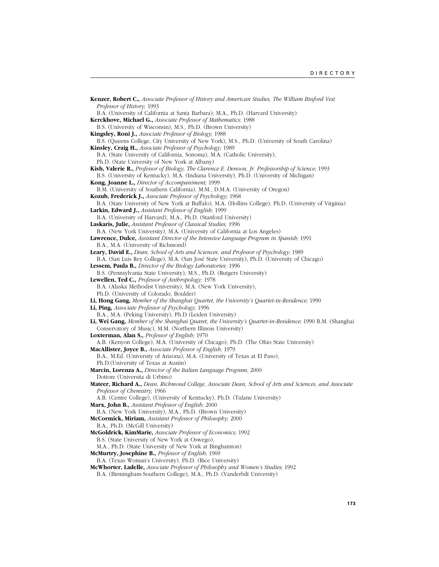**Kenzer, Robert C.,** *Associate Professor of History and American Studies, The William Binford Vest Professor of History;* 1993 B.A. (University of California at Santa Barbara); M.A., Ph.D. (Harvard University) **Kerckhove, Michael G.,** *Associate Professor of Mathematics;* 1988 B.S. (University of Wisconsin), M.S., Ph.D. (Brown University) **Kingsley, Roni J.,** *Associate Professor of Biology;* 1988 B.S. (Queens College, City University of New York), M.S., Ph.D. (University of South Carolina) **Kinsley, Craig H.,** *Associate Professor of Psychology;* 1989 B.A. (State University of California, Sonoma), M.A. (Catholic University), Ph.D. (State University of New York at Albany) **Kish, Valerie R.,** *Professor of Biology, The Clarence E. Denoon, Jr. Professorship of Science;* 1993 B.S. (University of Kentucky), M.A. (Indiana University), Ph.D. (University of Michigan) **Kong, Joanne L.,** *Director of Accompaniment;* 1999 B.M. (University of Southern California), M.M., D.M.A. (University of Oregon) **Kozub, Frederick J.,** *Associate Professor of Psychology;* 1968 B.A. (State University of New York at Buffalo), M.A. (Hollins College), Ph.D. (University of Virginia) **Larkin, Edward J.,** *Assistant Professor of English;* 1999 B.A. (University of Harvard), M.A., Ph.D. (Stanford University) **Laskaris, Julie,** *Assistant Professor of Classical Studies;* 1996 B.A. (New York University), M.A. (University of California at Los Angeles) **Lawrence, Dulce,** *Assistant Director of the Intensive Language Program in Spanish;* 1991 B.A., M.A. (University of Richmond) **Leary, David E.,** *Dean, School of Arts and Sciences, and Professor of Psychology;* 1989 B.A. (San Luis Rey College), M.A. (San José State University), Ph.D. (University of Chicago) **Lessem, Paula B.,** *Director of the Biology Laboratories;* 1996 B.S. (Pennsylvania State University), M.S., Ph.D. (Rutgers University) **Lewellen, Ted C.,** *Professor of Anthropology;* 1978 B.A. (Alaska Methodist University), M.A. (New York University), Ph.D. (University of Colorado, Boulder) **Li, Hong Gang,** *Member of the Shanghai Quartet, the University's Quartet-in-Residence;* 1990 **Li, Ping,** *Associate Professor of Psychology;* 1996 B.A., M.A. (Peking University), Ph.D (Leiden University) **Li, Wei Gang,** *Member of the Shanghai Quaret, the University's Quartet-in-Residence;* 1990 B.M. (Shanghai Conservatory of Music), M.M. (Northern Illinois University) **Loxterman, Alan S.,** *Professor of English;* 1970 A.B. (Kenyon College), M.A. (University of Chicago), Ph.D. (The Ohio State University) **MacAllister, Joyce B.,** *Associate Professor of English;* 1979 B.A., M.Ed. (University of Arizona), M.A. (University of Texas at El Paso), Ph.D.(University of Texas at Austin) **Marcin, Lorenza A.,** *Director of the Italian Language Program;* 2000 Dottore (Universita di Urbino) **Mateer, Richard A.,** *Dean, Richmond College, Associate Dean, School of Arts and Sciences, and Associate Professor of Chemistry;* 1966 A.B. (Centre College), (University of Kentucky), Ph.D. (Tulane University) **Marx, John B.,** *Assistant Professor of English;* 2000 B.A. (New York University), M.A., Ph.D. (Brown University) **McCormick, Miriam,** *Assistant Professor of Philosophy;* 2000 B.A., Ph.D. (McGill University) **McGoldrick, KimMarie,** *Associate Professor of Economics;* 1992 B.S. (State University of New York at Oswego), M.A., Ph.D. (State University of New York at Binghamton) **McMurtry, Josephine B.,** *Professor of English;* 1969 B.A. (Texas Woman's University), Ph.D. (Rice University) **McWhorter, Ladelle,** *Associate Professor of Philosophy and Women's Studies;* 1992 B.A. (Birmingham-Southern College), M.A., Ph.D. (Vanderbilt University)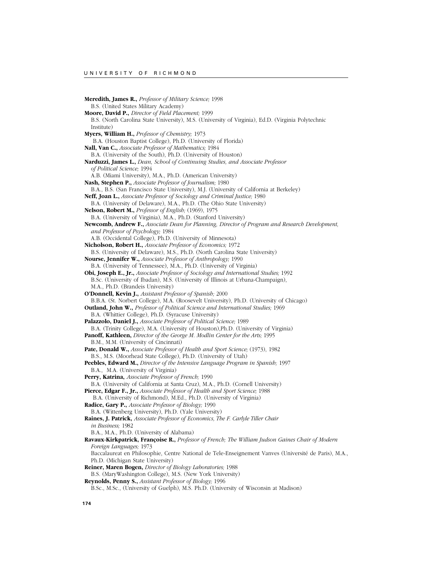**Meredith, James R.,** *Professor of Military Science;* 1998 B.S. (United States Military Academy) **Moore, David P.,** *Director of Field Placement;* 1999 B.S. (North Carolina State University), M.S. (University of Virginia), Ed.D. (Virginia Polytechnic Institute) **Myers, William H.,** *Professor of Chemistry;* 1973 B.A. (Houston Baptist College), Ph.D. (University of Florida) **Nall, Van C.,** *Associate Professor of Mathematics;* 1984 B.A. (University of the South), Ph.D. (University of Houston) **Narduzzi, James L.,** *Dean, School of Continuing Studies, and Associate Professor of Political Science;* 1994 A.B. (Miami University), M.A., Ph.D. (American University) **Nash, Stephen P.,** *Associate Professor of Journalism;* 1980 B.A., B.S. (San Francisco State University), M.J. (University of California at Berkeley) **Neff, Joan L.,** *Associate Professor of Sociology and Criminal Justice;* 1980 B.A. (University of Delaware), M.A., Ph.D. (The Ohio State University) **Nelson, Robert M.,** *Professor of English;* (1969), 1975 B.A. (University of Virginia), M.A., Ph.D. (Stanford University) **Newcomb, Andrew F.,** *Associate Dean for Planning, Director of Program and Research Development, and Professor of Psychology;* 1984 A.B. (Occidental College), Ph.D. (University of Minnesota) **Nicholson, Robert H.,** *Associate Professor of Economics;* 1972 B.S. (University of Delaware), M.S., Ph.D. (North Carolina State University) **Nourse, Jennifer W.,** *Associate Professor of Anthropology;* 1990 B.A. (University of Tennessee), M.A., Ph.D. (University of Virginia) **Obi, Joseph E., Jr.,** *Associate Professor of Sociology and International Studies;* 1992 B.Sc. (University of Ibadan), M.S. (University of Illinois at Urbana-Champaign), M.A., Ph.D. (Brandeis University) **O'Donnell, Kevin J.,** *Assistant Professor of Spanish;* 2000 B.B.A. (St. Norbert College), M.A. (Roosevelt University), Ph.D. (University of Chicago) **Outland, John W.,** *Professor of Political Science and International Studies;* 1969 B.A. (Whittier College), Ph.D. (Syracuse University) **Palazzolo, Daniel J.,** *Associate Professor of Political Science;* 1989 B.A. (Trinity College), M.A. (University of Houston),Ph.D. (University of Virginia) **Panoff, Kathleen,** *Director of the George M. Modlin Center for the Arts;* 1995 B.M., M.M. (University of Cincinnati) **Pate, Donald W.,** *Associate Professor of Health and Sport Science;* (1973), 1982 B.S., M.S. (Moorhead State College), Ph.D. (University of Utah) **Peebles, Edward M.,** *Director of the Intensive Language Program in Spanish;* 1997 B.A., M.A. (University of Virginia) **Perry, Katrina,** *Associate Professor of French;* 1990 B.A. (University of California at Santa Cruz), M.A., Ph.D. (Cornell University) **Pierce, Edgar F., Jr.,** *Associate Professor of Health and Sport Science;* 1988 B.A. (University of Richmond), M.Ed., Ph.D. (University of Virginia) **Radice, Gary P.,** *Associate Professor of Biology;* 1990 B.A. (Wittenberg University), Ph.D. (Yale University) **Raines, J. Patrick,** *Associate Professor of Economics, The F. Carlyle Tiller Chair in Business;* 1982 B.A., M.A., Ph.D. (University of Alabama) **Ravaux-Kirkpatrick, Françoise R.,** *Professor of French; The William Judson Gaines Chair of Modern Foreign Languages;* 1973 Baccalaureat en Philosophie, Centre National de Tele-Enseignement Vanves (Université de Paris), M.A., Ph.D. (Michigan State University) **Reiner, Maren Bogen,** *Director of Biology Laboratories;* 1988 B.S. (MaryWashington College), M.S. (New York University) **Reynolds, Penny S.,** *Assistant Professor of Biology;* 1996 B.Sc., M.Sc., (University of Guelph), M.S. Ph.D. (University of Wisconsin at Madison)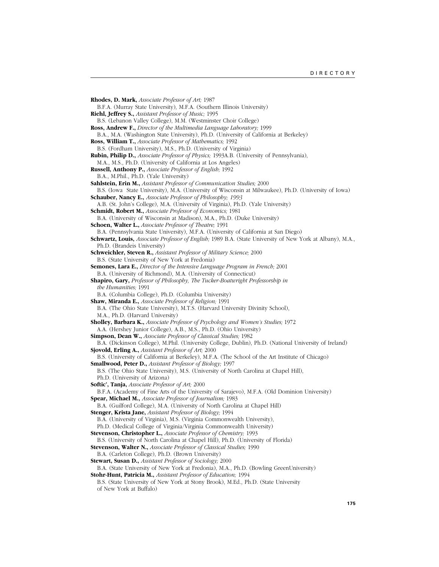**Rhodes, D. Mark,** *Associate Professor of Art;* 1987 B.F.A. (Murray State University), M.F.A. (Southern Illinois University) **Riehl, Jeffrey S.,** *Assistant Professor of Music;* 1995 B.S. (Lebanon Valley College), M.M. (Westminster Choir College) **Ross, Andrew F.,** *Director of the Multimedia Language Laboratory;* 1999 B.A., M.A. (Washington State University), Ph.D. (University of California at Berkeley) **Ross, William T.,** *Associate Professor of Mathematics;* 1992 B.S. (Fordham University), M.S., Ph.D. (University of Virginia) **Rubin, Philip D.,** *Associate Professor of Physics;* 1993A.B. (University of Pennsylvania), M.A., M.S., Ph.D. (University of California at Los Angeles) **Russell, Anthony P.,** *Associate Professor of English;* 1992 B.A., M.Phil., Ph.D. (Yale University) **Sahlstein, Erin M.,** *Assistant Professor of Communication Studies;* 2000 B.S. (Iowa State University), M.A. (University of Wisconsin at Milwaukee), Ph.D. (University of Iowa) **Schauber, Nancy E.,** *Associate Professor of Philosophy; 1993* A.B. (St. John's College), M.A. (University of Virginia), Ph.D. (Yale University) **Schmidt, Robert M.,** *Associate Professor of Economics;* 1981 B.A. (University of Wisconsin at Madison), M.A., Ph.D. (Duke University) **Schoen, Walter L.,** *Associate Professor of Theatre;* 1991 B.A. (Pennsylvania State University), M.F.A. (University of California at San Diego) **Schwartz, Louis,** *Associate Professor of English;* 1989 B.A. (State University of New York at Albany), M.A., Ph.D. (Brandeis University) **Schweichler, Steven R.,** *Assistant Professor of Military Science;* 2000 B.S. (State University of New York at Fredonia) **Semones, Lara E.,** *Director of the Intensive Language Program in French;* 2001 B.A. (University of Richmond), M.A. (University of Connecticut) **Shapiro, Gary,** *Professor of Philosophy, The Tucker-Boatwright Professorship in the Humanities;* 1991 B.A. (Columbia College), Ph.D. (Columbia University) **Shaw, Miranda E.,** *Associate Professor of Religion;* 1991 B.A. (The Ohio State University), M.T.S. (Harvard University Divinity School), M.A., Ph.D. (Harvard University) **Sholley, Barbara K.,** *Associate Professor of Psychology and Women's Studies;* 1972 A.A. (Hershey Junior College), A.B., M.S., Ph.D. (Ohio University) **Simpson, Dean W.,** *Associate Professor of Classical Studies;* 1982 B.A. (Dickinson College), M.Phil. (University College, Dublin), Ph.D. (National University of Ireland) **Sjovold, Erling A.,** *Assistant Professor of Art;* 2000 B.S. (University of California at Berkeley), M.F.A. (The School of the Art Institute of Chicago) **Smallwood, Peter D.,** *Assistant Professor of Biology;* 1997 B.S. (The Ohio State University), M.S. (University of North Carolina at Chapel Hill), Ph.D. (University of Arizona) **Softic', Tanja,** *Associate Professor of Art;* 2000 B.F.A. (Academy of Fine Arts of the University of Sarajevo), M.F.A. (Old Dominion University) **Spear, Michael M.,** *Associate Professor of Journalism;* 1983 B.A. (Guilford College), M.A. (University of North Carolina at Chapel Hill) **Stenger, Krista Jane,** *Assistant Professor of Biology;* 1994 B.A. (University of Virginia), M.S. (Virginia Commonwealth University), Ph.D. (Medical College of Virginia/Virginia Commonwealth University) **Stevenson, Christopher L.,** *Associate Professor of Chemistry;* 1993 B.S. (University of North Carolina at Chapel Hill), Ph.D. (University of Florida) **Stevenson, Walter N.,** *Associate Professor of Classical Studies;* 1990 B.A. (Carleton College), Ph.D. (Brown University) **Stewart, Susan D.,** *Assistant Professor of Sociology;* 2000 B.A. (State University of New York at Fredonia), M.A., Ph.D. (Bowling GreenUniversity) **Stohr-Hunt, Patricia M.,** *Assistant Professor of Education;* 1994 B.S. (State University of New York at Stony Brook), M.Ed., Ph.D. (State University of New York at Buffalo)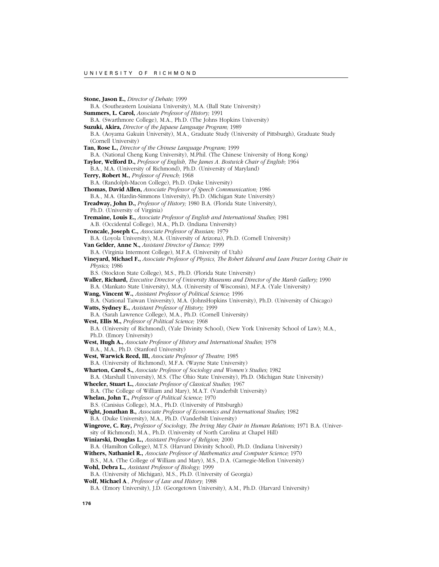**Stone, Jason E.,** *Director of Debate;* 1999 B.A. (Southeastern Louisiana University), M.A. (Ball State University) **Summers, L. Carol,** *Associate Professor of History;* 1991 B.A. (Swarthmore College), M.A., Ph.D. (The Johns Hopkins University) **Suzuki, Akira,** *Director of the Japaese Language Program;* 1989 B.A. (Aoyama Gakuin University), M.A., Graduate Study (University of Pittsburgh), Graduate Study (Cornell University) **Tan, Rose L.,** *Director of the Chinese Language Program;* 1999 B.A. (National Cheng Kung University), M.Phil. (The Chinese University of Hong Kong) **Taylor, Welford D.,** *Professor of English, The James A. Bostwick Chair of English;* 1964 B.A., M.A. (University of Richmond), Ph.D. (University of Maryland) **Terry, Robert M.,** *Professor of French;* 1968 B.A. (Randolph-Macon College), Ph.D. (Duke University) **Thomas, David Allen,** *Associate Professor of Speech Communication;* 1986 B.A., M.A. (Hardin-Simmons University), Ph.D. (Michigan State University) **Treadway, John D.,** *Professor of History;* 1980 B.A. (Florida State University), Ph.D. (University of Virginia) **Tremaine, Louis E.,** *Associate Professor of English and International Studies;* 1981 A.B. (Occidental College), M.A., Ph.D. (Indiana University) **Troncale, Joseph C.,** *Associate Professor of Russian;* 1979 B.A. (Loyola University), M.A. (University of Arizona), Ph.D. (Cornell University) **Van Gelder, Anne N.,** *Assistant Director of Dance;* 1999 B.A. (Virginia Intermont College), M.F.A. (University of Utah) **Vineyard, Michael F.,** *Associate Professor of Physics, The Robert Edward and Lean Frazer Loving Chair in Physics;* 1986 B.S. (Stockton State College), M.S., Ph.D. (Florida State University) **Waller, Richard,** *Executive Director of University Museums and Director of the Marsh Gallery;* 1990 B.A. (Mankato State University), M.A. (University of Wisconsin), M.F.A. (Yale University) **Wang, Vincent W.,** *Assistant Professor of Political Science;* 1996 B.A. (National Taiwan University), M.A. (JohnsHopkins University), Ph.D. (University of Chicago) **Watts, Sydney E.,** *Assistant Professor of History;* 1999 B.A. (Sarah Lawrence College), M.A., Ph.D. (Cornell University) **West, Ellis M.,** *Professor of Political Science;* 1968 B.A. (University of Richmond), (Yale Divinity School), (New York University School of Law); M.A., Ph.D. (Emory University) **West, Hugh A.,** *Associate Professor of History and International Studies;* 1978 B.A., M.A., Ph.D. (Stanford University) **West, Warwick Reed, III,** *Associate Professor of Theatre;* 1985 B.A. (University of Richmond), M.F.A. (Wayne State University) **Wharton, Carol S.,** *Associate Professor of Sociology and Women's Studies;* 1982 B.A. (Marshall University), M.S. (The Ohio State University), Ph.D. (Michigan State University) **Wheeler, Stuart L.,** *Associate Professor of Classical Studies;* 1967 B.A. (The College of William and Mary), M.A.T. (Vanderbilt University) **Whelan, John T.,** *Professor of Political Science;* 1970 B.S. (Canisius College), M.A., Ph.D. (University of Pittsburgh) **Wight, Jonathan B.,** *Associate Professor of Economics and International Studies;* 1982 B.A. (Duke University), M.A., Ph.D. (Vanderbilt University) **Wingrove, C. Ray,** *Professor of Sociology, The Irving May Chair in Human Relations;* 1971 B.A. (University of Richmond), M.A., Ph.D. (University of North Carolina at Chapel Hill) **Winiarski, Douglas L.,** *Assistant Professor of Religion;* 2000 B.A. (Hamilton College), M.T.S. (Harvard Divinity School), Ph.D. (Indiana University) **Withers, Nathaniel R.,** *Associate Professor of Mathematics and Computer Science;* 1970 B.S., M.A. (The College of William and Mary), M.S., D.A. (Carnegie-Mellon University) **Wohl, Debra L.,** *Assistant Professor of Biology;* 1999 B.A. (University of Michigan), M.S., Ph.D. (University of Georgia) **Wolf, Michael A**., *Professor of Law and History*; 1988 B.A. (Emory University), J.D. (Georgetown University), A.M., Ph.D. (Harvard University)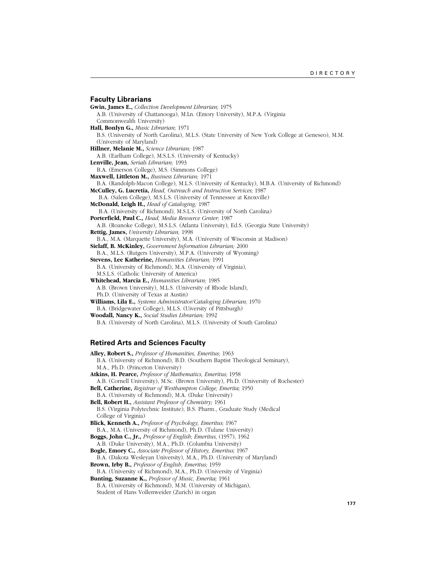# **Faculty Librarians**

**Gwin, James E.,** *Collection Development Librarian;* 1975 A.B. (University of Chattanooga), M.Ln. (Emory University), M.P.A. (Virginia Commonwealth University) **Hall, Bonlyn G.,** *Music Librarian;* 1971 B.S. (University of North Carolina), M.L.S. (State University of New York College at Geneseo), M.M. (University of Maryland) **Hillner, Melanie M.,** *Science Librarian;* 1987 A.B. (Earlham College), M.S.L.S. (University of Kentucky) **Lenville, Jean,** *Serials Librarian;* 1993 B.A. (Emerson College), M.S. (Simmons College) **Maxwell, Littleton M.,** *Business Librarian;* 1971 B.A. (Randolph-Macon College), M.L.S. (University of Kentucky), M.B.A. (University of Richmond) **McCulley, G. Lucretia,** *Head, Outreach and Instruction Services;* 1987 B.A. (Salem College), M.S.L.S. (University of Tennessee at Knoxville) **McDonald, Leigh H.,** *Head of Cataloging;* 1987 B.A. (University of Richmond), M.S.L.S. (University of North Carolina) **Porterfield, Paul C.,** *Head, Media Resource Center;* 1987 A.B. (Roanoke College), M.S.L.S. (Atlanta University), Ed.S. (Georgia State University) **Rettig, James,** *University Librarian;* 1998 B.A., M.A. (Marquette University), M.A. (University of Wisconsin at Madison) **Sielaff, B. McKinley,** *Government Information Librarian;* 2000 B.A., M.L.S. (Rutgers University), M.P.A. (University of Wyoming) **Stevens, Lee Katherine,** *Humanities Librarian;* 1991 B.A. (University of Richmond), M.A. (University of Virginia), M.S.L.S. (Catholic University of America) **Whitehead, Marcia E.,** *Humanities Librarian;* 1985 A.B. (Brown University), M.L.S. (University of Rhode Island), Ph.D. (University of Texas at Austin) **Williams, Lila E.,** *Systems Administrator/Cataloging Librarian;* 1970 B.A. (Bridgewater College), M.L.S. (Uiversity of Pittsburgh) **Woodall, Nancy K.,** *Social Studies Librarian;* 1992 B.A. (University of North Carolina), M.L.S. (University of South Carolina)

# **Retired Arts and Sciences Faculty**

**Alley, Robert S.,** *Professor of Humanities, Emeritus;* 1963 B.A. (University of Richmond), B.D. (Southern Baptist Theological Seminary), M.A., Ph.D. (Princeton University) **Atkins, H. Pearce,** *Professor of Mathematics, Emeritus;* 1958 A.B. (Cornell University), M.Sc. (Brown University), Ph.D. (University of Rochester) **Bell, Catherine,** *Registrar of Westhampton College, Emerita;* 1950 B.A. (University of Richmond), M.A. (Duke University) **Bell, Robert H.,** *Assistant Professor of Chemistry;* 1961 B.S. (Virginia Polytechnic Institute), B.S. Pharm., Graduate Study (Medical College of Virginia) **Blick, Kenneth A.,** *Professor of Psychology, Emeritus;* 1967 B.A., M.A. (University of Richmond), Ph.D. (Tulane University) **Boggs, John C., Jr.,** *Professor of English; Emeritus,* (1957), 1962 A.B. (Duke University), M.A., Ph.D. (Columbia University) **Bogle, Emory C.,** *Associate Professor of History, Emeritus;* 1967 B.A. (Dakota Wesleyan University), M.A., Ph.D. (University of Maryland) **Brown, Irby B.,** *Professor of English, Emeritus;* 1959 B.A. (University of Richmond), M.A., Ph.D. (University of Virginia) **Bunting, Suzanne K.,** *Professor of Music, Emerita;* 1961 B.A. (University of Richmond), M.M. (University of Michigan), Student of Hans Vollenweider (Zurich) in organ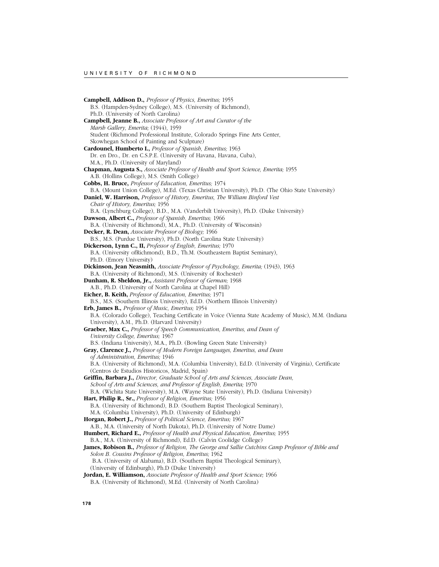**Campbell, Addison D.,** *Professor of Physics, Emeritus;* 1955 B.S. (Hampden-Sydney College), M.S. (University of Richmond), Ph.D. (University of North Carolina) **Campbell, Jeanne B.,** *Associate Professor of Art and Curator of the Marsh Gallery, Emerita;* (1944), 1959 Student (Richmond Professional Institute, Colorado Springs Fine Arts Center, Skowhegan School of Painting and Sculpture) **Cardounel, Humberto I.,** *Professor of Spanish, Emeritus;* 1963 Dr. en Dro., Dr. en C.S.P.E. (University of Havana, Havana, Cuba), M.A., Ph.D. (University of Maryland) **Chapman, Augusta S.,** *Associate Professor of Health and Sport Science, Emerita;* 1955 A.B. (Hollins College), M.S. (Smith College) **Cobbs, H. Bruce,** *Professor of Education, Emeritus;* 1974 B.A. (Mount Union College), M.Ed. (Texas Christian University), Ph.D. (The Ohio State University) **Daniel, W. Harrison,** *Professor of History, Emeritus, The William Binford Vest Chair of History, Emeritus;* 1956 B.A. (Lynchburg College), B.D., M.A. (Vanderbilt University), Ph.D. (Duke University) **Dawson, Albert C.,** *Professor of Spanish, Emeritus;* 1966 B.A. (University of Richmond), M.A., Ph.D. (University of Wisconsin) **Decker, R. Dean,** *Associate Professor of Biology;* 1966 B.S., M.S. (Purdue University), Ph.D. (North Carolina State University) **Dickerson, Lynn C., II,** *Professor of English, Emeritus;* 1970 B.A. (University ofRichmond), B.D., Th.M. (Southeastern Baptist Seminary), Ph.D. (Emory University) **Dickinson, Jean Neasmith,** *Associate Professor of Psychology, Emerita;* (1943), 1963 B.A. (University of Richmond), M.S. (University of Rochester) **Dunham, R. Sheldon, Jr.,** *Assistant Professor of German;* 1968 A.B., Ph.D. (University of North Carolina at Chapel Hill) **Eicher, B. Keith,** *Professor of Education, Emeritus;* 1971 B.S., M.S. (Southern Illinois University), Ed.D. (Northern Illinois University) **Erb, James B.,** *Professor of Music, Emeritus;* 1954 B.A. (Colorado College), Teaching Certificate in Voice (Vienna State Academy of Music), M.M. (Indiana University), A.M., Ph.D. (Harvard University) **Graeber, Max C.,** *Professor of Speech Communication, Emeritus, and Dean of University College, Emeritus;* 1967 B.S. (Indiana University), M.A., Ph.D. (Bowling Green State University) **Gray, Clarence J.,** *Professor of Modern Foreign Languages, Emeritus, and Dean of Administration, Emeritus;* 1946 B.A. (University of Richmond), M.A. (Columbia University), Ed.D. (University of Virginia), Certificate (Centros de Estudios Historicos, Madrid, Spain) **Griffin, Barbara J.,** *Director, Graduate School of Arts and Sciences, Associate Dean, School of Arts and Sciences, and Professor of English, Emerita;* 1970 B.A. (Wichita State University), M.A. (Wayne State University), Ph.D. (Indiana University) **Hart, Philip R., Sr.,** *Professor of Religion, Emeritus;* 1956 B.A. (University of Richmond), B.D. (Southern Baptist Theological Seminary), M.A. (Columbia University), Ph.D. (University of Edinburgh) **Horgan, Robert J.,** *Professor of Political Science, Emeritus;* 1967 A.B., M.A. (University of North Dakota), Ph.D. (University of Notre Dame) **Humbert, Richard E.,** *Professor of Health and Physical Education, Emeritus;* 1955 B.A., M.A. (University of Richmond), Ed.D. (Calvin Coolidge College) **James, Robison B.,** *Professor of Religion, The George and Sallie Cutchins Camp Professor of Bible and Solon B. Cousins Professor of Religion, Emeritus;* 1962 B.A. (University of Alabama), B.D. (Southern Baptist Theological Seminary), (University of Edinburgh), Ph.D (Duke University) **Jordan, E. Williamson,** *Associate Professor of Health and Sport Science;* 1966 B.A. (University of Richmond), M.Ed. (University of North Carolina)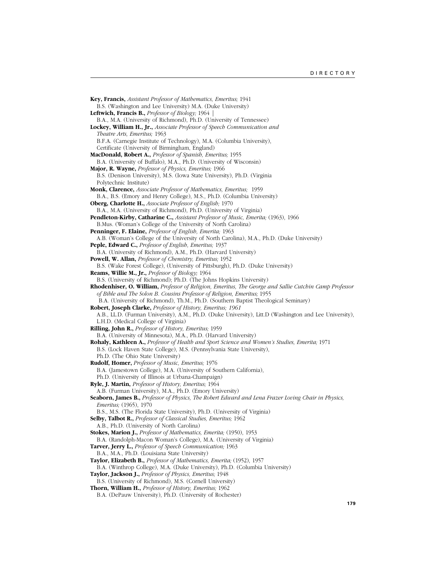**Key, Francis,** *Assistant Professor of Mathematics, Emeritus;* 1941 B.S. (Washington and Lee University) M.A. (Duke University) **Leftwich, Francis B.,** *Professor of Biology;* 1964 | B.A., M.A. (University of Richmond), Ph.D. (University of Tennessee) **Lockey, William H., Jr.,** *Associate Professor of Speech Communication and Theatre Arts, Emeritus;* 1963 B.F.A. (Carnegie Institute of Technology), M.A. (Columbia University), Certificate (University of Birmingham, England) **MacDonald, Robert A.,** *Professor of Spanish, Emeritus;* 1955 B.A. (University of Buffalo), M.A., Ph.D. (University of Wisconsin) **Major, R. Wayne,** *Professor of Physics, Emeritus;* 1966 B.S. (Denison University), M.S. (Iowa State University), Ph.D. (Virginia Polytechnic Institute) **Monk, Clarence,** *Associate Professor of Mathematics, Emeritus;* 1959 B.A., B.S. (Emory and Henry College), M.S., Ph.D. (Columbia University) **Oberg, Charlotte H.,** *Associate Professor of English;* 1970 B.A., M.A. (University of Richmond), Ph.D. (University of Virginia) **Pendleton-Kirby, Catharine C.,** *Assistant Professor of Music, Emerita;* (1963), 1966 B.Mus. (Woman's College of the University of North Carolina) **Penninger, F. Elaine,** *Professor of English, Emerita;* 1963 A.B. (Woman's College of the University of North Carolina), M.A., Ph.D. (Duke University) **Peple, Edward C.,** *Professor of English, Emeritus;* 1937 B.A. (University of Richmond), A.M., Ph.D. (Harvard University) **Powell, W. Allan,** *Professor of Chemistry, Emeritus;* 1952 B.S. (Wake Forest College), (University of Pittsburgh), Ph.D. (Duke University) **Reams, Willie M., Jr.,** *Professor of Biology;* 1964 B.S. (University of Richmond); Ph.D. (The Johns Hopkins University) **Rhodenhiser, O. William,** *Professor of Religion, Emeritus, The George and Sallie Cutchin Camp Professor of Bible and The Solon B. Cousins Professor of Religion, Emeritus;* 1955 B.A. (University of Richmond), Th.M., Ph.D. (Southern Baptist Theological Seminary) **Robert, Joseph Clarke,** *Professor of History, Emeritus; 1961* A.B., LL.D. (Furman University), A.M., Ph.D. (Duke University), Litt.D (Washington and Lee University), L.H.D. (Medical College of Virginia) **Rilling, John R.,** *Professor of History, Emeritus;* 1959 B.A. (University of Minnesota), M.A., Ph.D. (Harvard University) **Rohaly, Kathleen A.,** *Professor of Health and Sport Science and Women's Studies, Emerita;* 1971 B.S. (Lock Haven State College), M.S. (Pennsylvania State University), Ph.D. (The Ohio State University) **Rudolf, Homer,** *Professor of Music, Emeritus;* 1976 B.A. (Jamestown College), M.A. (University of Southern California), Ph.D. (University of Illinois at Urbana-Champaign) **Ryle, J. Martin,** *Professor of History, Emeritus;* 1964 A.B. (Furman University), M.A., Ph.D. (Emory University) **Seaborn, James B.,** *Professor of Physics, The Robert Edward and Lena Frazer Loving Chair in Physics, Emeritus;* (1965), 1970 B.S., M.S. (The Florida State University), Ph.D. (University of Virginia) **Selby, Talbot R.,** *Professor of Classical Studies, Emeritus;* 1962 A.B., Ph.D. (University of North Carolina) **Stokes, Marion J.,** *Professor of Mathematics, Emerita;* (1950), 1953 B.A. (Randolph-Macon Woman's College), M.A. (University of Virginia) **Tarver, Jerry L.,** *Professor of Speech Communication;* 1963 B.A., M.A., Ph.D. (Louisiana State University) **Taylor, Elizabeth B.,** *Professor of Mathematics, Emerita;* (1952), 1957 B.A. (Winthrop College), M.A. (Duke University), Ph.D. (Columbia University) **Taylor, Jackson J.,** *Professor of Physics, Emeritus;* 1948 B.S. (University of Richmond), M.S. (Cornell University) **Thorn, William H.,** *Professor of History, Emeritus;* 1962 B.A. (DePauw University), Ph.D. (University of Rochester)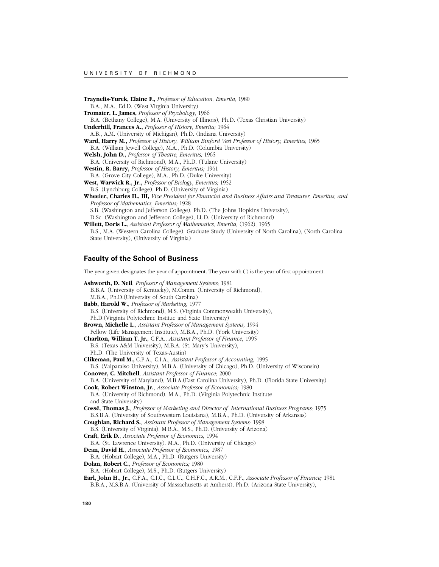**Traynelis-Yurek, Elaine F.,** *Professor of Education, Emerita;* 1980 B.A., M.A., Ed.D. (West Virginia University) **Tromater, L. James,** *Professor of Psychology;* 1966 B.A. (Bethany College), M.A. (University of Illinois), Ph.D. (Texas Christian University) **Underhill, Frances A.,** *Professor of History, Emerita;* 1964 A.B., A.M. (University of Michigan), Ph.D. (Indiana University) **Ward, Harry M.,** *Professor of History, William Binford Vest Professor of History, Emeritus;* 1965 B.A. (William Jewell College), M.A., Ph.D. (Columbia University) **Welsh, John D.,** *Professor of Theatre, Emeritus;* 1965 B.A. (University of Richmond), M.A., Ph.D. (Tulane University) **Westin, R. Barry,** *Professor of History, Emeritus;* 1961 B.A. (Grove City College), M.A., Ph.D. (Duke University) **West, Warwick R., Jr.,** *Professor of Biology, Emeritus;* 1952 B.S. (Lynchburg College), Ph.D. (University of Virginia) **Wheeler, Charles H., III,** *Vice President for Financial and Business Affairs and Treasurer, Emeritus, and Professor of Mathematics, Emeritus;* 1928 S.B. (Washington and Jefferson College), Ph.D. (The Johns Hopkins University), D.Sc. (Washington and Jefferson College), LL.D. (University of Richmond) **Willett, Doris L.,** *Assistant Professor of Mathematics, Emerita;* (1962), 1965 B.S., M.A. (Western Carolina College), Graduate Study (University of North Carolina), (North Carolina State University), (University of Virginia)

# **Faculty of the School of Business**

The year given designates the year of appointment. The year with ( ) is the year of first appointment.

**Ashworth, D. Neil**, *Professor of Management Systems;* 1981 B.B.A. (University of Kentucky), M.Comm. (University of Richmond), M.B.A., Ph.D.(University of South Carolina) **Babb, Harold W.**, *Professor of Marketing;* 1977 B.S. (University of Richmond), M.S. (Virginia Commonwealth University), Ph.D.(Virginia Polytechnic Institue and State University) **Brown, Michelle L.**, *Assistant Professor of Management Systems,* 1994 Fellow (Life Management Institute), M.B.A., Ph.D. (York University) **Charlton, William T. Jr.**, C.F.A., *Assistant Professor of Finance,* 1995 B.S. (Texas A&M University), M.B.A. (St. Mary's University), Ph.D. (The University of Texas-Austin) **Clikeman, Paul M.,** C.P.A., C.I.A., *Assistant Professor of Accounting,* 1995 B.S. (Valparaiso University), M.B.A. (University of Chicago), Ph.D. (University of Wisconsin) **Conover, C. Mitchell**, *Assistant Professor of Finance;* 2000 B.A. (University of Maryland), M.B.A.(East Carolina University), Ph.D. (Florida State University) **Cook, Robert Winston, Jr.**, *Associate Professor of Economics;* 1980 B.A. (University of Richmond), M.A., Ph.D. (Virginia Polytechnic Institute and State University) **Cossé, Thomas J.**, *Professor of Marketing and Director of International Business Programs;* 1975 B.S.B.A. (University of Southwestern Louisiana), M.B.A., Ph.D. (University of Arkansas) **Coughlan, Richard S.**, *Assistant Professor of Management Systems;* 1998 B.S. (University of Virginia), M.B.A., M.S., Ph.D. (University of Arizona) **Craft, Erik D.**, *Associate Professor of Economics,* 1994 B.A. (St. Lawrence University). M.A., Ph.D. (University of Chicago) **Dean, David H.**, *Associate Professor of Economics;* 1987 B.A. (Hobart College), M.A., Ph.D. (Rutgers University) **Dolan, Robert C.**, *Professor of Economics;* 1980 B.A. (Hobart College), M.S., Ph.D. (Rutgers University) **Earl, John H., Jr.**, C.F.A., C.I.C., C.L.U., C.H.F.C., A.R.M., C.F.P., *Associate Professor of Finance;* 1981 B.B.A., M.S.B.A. (University of Massachusetts at Amherst), Ph.D. (Arizona State University),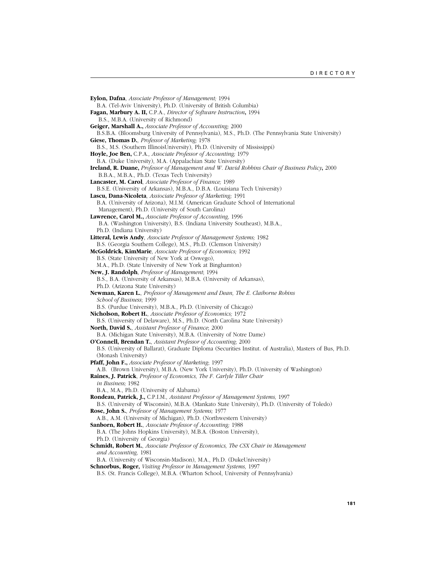**Eylon, Dafna**, *Associate Professor of Management;* 1994 B.A. (Tel-Aviv University), Ph.D. (University of British Columbia) **Fagan, Marbury A. II,** C.P.A., *Director of Software Instruction***,** 1994 B.S., M.B.A. (University of Richmond) **Geiger, Marshall A.,** *Associate Professor of Accounting;* 2000 B.S.B.A. (Bloomsburg University of Pennsylvania), M.S., Ph.D. (The Pennsylvania State University) **Giese, Thomas D.**, *Professor of Marketing;* 1978 B.S., M.S. (Southern IllinoisUniversity), Ph.D. (University of Mississippi) **Hoyle, Joe Ben,** C.P.A.*, Associate Professor of Accounting;* 1979 B.A. (Duke University), M.A. (Appalachian State University) **Ireland, R. Duane,** *Professor of Management and W. David Robbins Chair of Business Policy***,** 2000 B.B.A., M.B.A., Ph.D. (Texas Tech University) **Lancaster, M. Carol**, *Associate Professor of Finance;* 1989 B.S.E. (University of Arkansas), M.B.A., D.B.A. (Louisiana Tech University) **Lascu, Dana-Nicoleta**, *Assiociate Professor of Marketing;* 1991 B.A. (University of Arizona), M.I.M. (American Graduate School of International Management), Ph.D. (University of South Carolina) **Lawrence, Carol M.,** *Associate Professor of Accounting,* 1996 B.A. (Washington University), B.S. (Indiana University Southeast), M.B.A., Ph.D. (Indiana University) **Litteral, Lewis Andy**, *Associate Professor of Management Systems;* 1982 B.S. (Georgia Southern College), M.S., Ph.D. (Clemson University) **McGoldrick, KimMarie**, *Associate Professor of Economics;* 1992 B.S. (State University of New York at Oswego), M.A., Ph.D. (State University of New York at Binghamton) **New, J. Randolph**, *Professor of Management*; 1994 B.S., B.A. (University of Arkansas), M.B.A. (University of Arkansas), Ph.D. (Arizona State University) **Newman, Karen L.**, *Professor of Management and Dean, The E. Claiborne Robins School of Business*; 1999 B.S. (Purdue University), M.B.A., Ph.D. (University of Chicago) **Nicholson, Robert H.**, *Associate Professor of Economics;* 1972 B.S. (University of Delaware), M.S., Ph.D. (North Carolina State University) **North, David S.**, *Assistant Professor of Finance*; 2000 B.A. (Michigan State University), M.B.A. (University of Notre Dame) **O'Connell, Brendan T.**, *Assistant Professor of Accounting*; 2000 B.S. (University of Ballarat), Graduate Diploma (Securities Institut. of Australia), Masters of Bus, Ph.D. (Monash University) **Pfaff, John F.,** *Associate Professor of Marketing*; 1997 A.B. (Brown University), M.B.A. (New York University), Ph.D. (University of Washington) **Raines, J. Patrick**, *Professor of Economics, The F. Carlyle Tiller Chair in Business;* 1982 B.A., M.A., Ph.D. (University of Alabama) **Rondeau, Patrick, J.,** C.P.I.M.*, Assistant Professor of Management Systems,* 1997 B.S. (University of Wisconsin), M.B.A. (Mankato State University), Ph.D. (University of Toledo) **Rose, John S.**, *Professor of Management Systems;* 1977 A.B., A.M. (University of Michigan), Ph.D. (Northwestern University) **Sanborn, Robert H.**, *Associate Professor of Accounting;* 1988 B.A. (The Johns Hopkins University), M.B.A. (Boston University), Ph.D. (University of Georgia) **Schmidt, Robert M.**, *Associate Professor of Economics, The CSX Chair in Management and Accounting,* 1981 B.A. (University of Wisconsin-Madison), M.A., Ph.D. (DukeUniversity) **Schnorbus, Roger,** *Visiting Professor in Management Systems,* 1997 B.S. (St. Francis College), M.B.A. (Wharton School, University of Pennsylvania)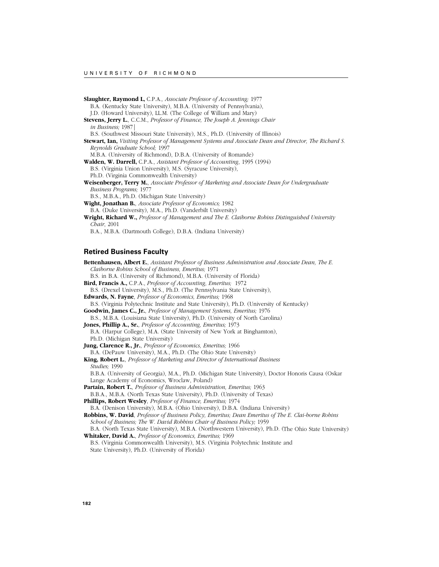**Slaughter, Raymond L,** C.P.A.*, Associate Professor of Accounting;* 1977 B.A. (Kentucky State University), M.B.A. (University of Pennsylvania), J.D. (Howard University), LL.M. (The College of William and Mary) **Stevens, Jerry L.**, C.C.M., *Professor of Finance, The Joseph A. Jennings Chair in Business;* 1987| B.S. (Southwest Missouri State University), M.S., Ph.D. (University of Illinois) **Stewart, Ian,** *Visiting Professor of Management Systems and Associate Dean and Director, The Richard S. Reynolds Graduate School;* 1997 M.B.A. (University of Richmond), D.B.A. (University of Romande) **Walden, W. Darrell,** C.P.A., *Assistant Professor of Accounting*, 1995 (1994) B.S. (Virginia Union University), M.S. (Syracuse University), Ph.D. (Virginia Commonwealth University) **Weisenberger, Terry M.**, *Associate Professor of Marketing and Associate Dean for Undergraduate Business Programs;* 1977 B.S., M.B.A., Ph.D. (Michigan State University) **Wight, Jonathan B.**, *Associate Professor of Economics;* 1982 B.A. (Duke University), M.A., Ph.D. (Vanderbilt University) **Wright, Richard W.,** *Professor of Management and The E. Claiborne Robins Distinguished University Chair*, 2001 B.A., M.B.A. (Dartmouth College), D.B.A. (Indiana University)

## **Retired Business Faculty**

**Bettenhausen, Albert E.**, *Assistant Professor of Business Administration and Associate Dean, The E. Claiborne Robins School of Business, Emeritus;* 1971 B.S. in B.A. (University of Richmond), M.B.A. (University of Florida) **Bird, Francis A.,** C.P.A., *Professor of Accounting, Emeritus;* 1972 B.S. (Drexel University), M.S., Ph.D. (The Pennsylvania State University), **Edwards, N. Fayne**, *Professor of Economics, Emeritus;* 1968 B.S. (Virginia Polytechnic Institute and State University), Ph.D. (University of Kentucky) **Goodwin, James C., Jr.**, *Professor of Management Systems, Emeritus;* 1976 B.S., M.B.A. (Louisiana State University), Ph.D. (University of North Carolina) **Jones, Phillip A., Sr.**, *Professor of Accounting, Emeritus;* 1973 B.A. (Harpur College), M.A. (State University of New York at Binghamton), Ph.D. (Michigan State University) **Jung, Clarence R., Jr.**, *Professor of Economics, Emeritus;* 1966 B.A. (DePauw University), M.A., Ph.D. (The Ohio State University) **King, Robert L.**, *Professor of Marketing and Director of International Business Studies;* 1990 B.B.A. (University of Georgia), M.A., Ph.D. (Michigan State University), Doctor Honoris Causa (Oskar Lange Academy of Economics, Wroclaw, Poland) **Partain, Robert T.**, *Professor of Business Administration, Emeritus;* 1963 B.B.A., M.B.A. (North Texas State University), Ph.D. (University of Texas) **Phillips, Robert Wesley**, *Professor of Finance, Emeritus;* 1974 B.A. (Denison University), M.B.A. (Ohio University), D.B.A. (Indiana University) **Robbins, W. David**, *Professor of Business Policy, Emeritus; Dean Emeritus of The E. Clai-borne Robins School of Business; The W. David Robbins Chair of Business Policy;* 1959 B.A. (North Texas State University), M.B.A. (Northwestern University), Ph.D. (The Ohio State University) **Whitaker, David A.**, *Professor of Economics, Emeritus;* 1969

B.S. (Virginia Commonwealth University), M.S. (Virginia Polytechnic Institute and State University), Ph.D. (University of Florida)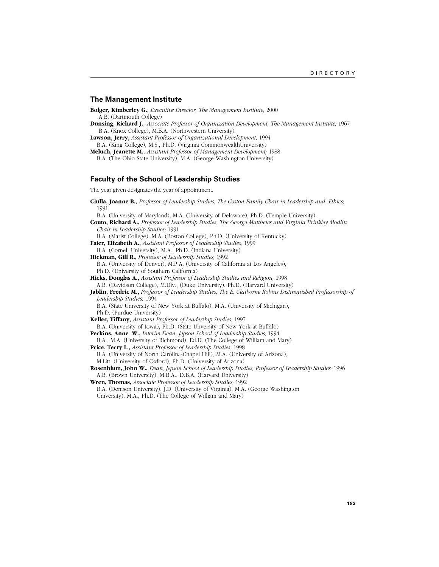#### **The Management Institute**

**Bolger, Kimberley G.**, *Executive Director, The Management Institute;* 2000 A.B. (Dartmouth College)

- **Dunsing, Richard J.**, *Associate Professor of Organization Development, The Management Institute;* 1967 B.A. (Knox College), M.B.A. (Northwestern University)
- **Lawson, Jerry,** *Assistant Professor of Organizational Development,* 1994
- B.A. (King College), M.S., Ph.D. (Virginia CommonwealthUniversity) **Meluch, Jeanette M.**, *Assistant Professor of Management Development;* 1988

B.A. (The Ohio State University), M.A. (George Washington University)

### **Faculty of the School of Leadership Studies**

The year given designates the year of appointment.

**Ciulla, Joanne B.,** *Professor of Leadership Studies, The Coston Family Chair in Leadership and Ethics;* 1991

B.A. (University of Maryland), M.A. (University of Delaware), Ph.D. (Temple University)

**Couto, Richard A.,** *Professor of Leadership Studies, The George Matthews and Virginia Brinkley Modlin Chair in Leadership Studies;* 1991

B.A. (Marist College), M.A. (Boston College), Ph.D. (University of Kentucky)

- **Faier, Elizabeth A.,** *Assistant Professor of Leadership Studies;* 1999
- B.A. (Cornell University), M.A., Ph.D. (Indiana University)

**Hickman, Gill R.,** *Professor of Leadership Studies;* 1992

B.A. (University of Denver), M.P.A. (University of California at Los Angeles), Ph.D. (University of Southern California)

- **Hicks, Douglas A.,** *Assistant Professor of Leadership Studies and Religion,* 1998
- A.B. (Davidson College), M.Div., (Duke University), Ph.D. (Harvard University)
- **Jablin, Fredric M.,** *Professor of Leadership Studies, The E. Claiborne Robins Distinguished Professorship of Leadership Studies;* 1994

B.A. (State University of New York at Buffalo), M.A. (University of Michigan), Ph.D. (Purdue University)

**Keller, Tiffany,** *Assistant Professor of Leadership Studies;* 1997

B.A. (University of Iowa), Ph.D. (State Unversity of New York at Buffalo) **Perkins, Anne W.,** *Interim Dean, Jepson School of Leadership Studies;* 1994

B.A., M.A. (University of Richmond), Ed.D. (The College of William and Mary)

**Price, Terry L.,** *Assistant Professor of Leadership Studies,* 1998

B.A. (University of North Carolina-Chapel Hill), M.A. (University of Arizona),

M.Litt. (University of Oxford), Ph.D. (University of Arizona)

**Rosenblum, John W.,** *Dean, Jepson School of Leadership Studies; Professor of Leadership Studies;* 1996 A.B. (Brown University), M.B.A., D.B.A. (Harvard University)

**Wren, Thomas,** *Associate Professor of Leadership Studies;* 1992 B.A. (Denison University), J.D. (University of Virginia), M.A. (George Washington University), M.A., Ph.D. (The College of William and Mary)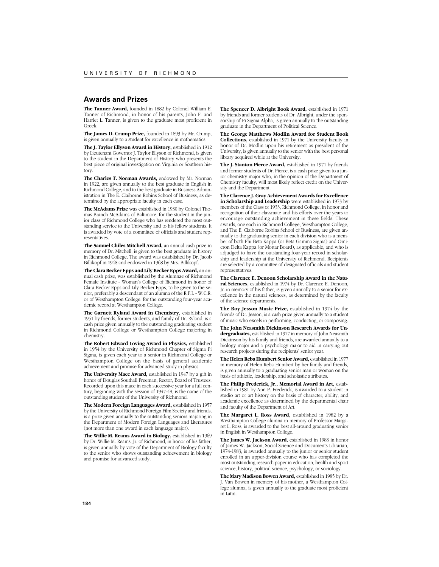## **Awards and Prizes**

**The Tanner Award,** founded in 1882 by Colonel William E. Tanner of Richmond, in honor of his parents, John F. and Harriet L. Tanner, is given to the graduate most proficient in Greek.

**The James D. Crump Prize,** founded in 1893 by Mr. Crump, is given annually to a student for excellence in mathematics.

**The J. Taylor Ellyson Award in History,** established in 1912 by Lieutenant Governor J. Taylor Ellyson of Richmond, is given to the student in the Department of History who presents the best piece of original investigation on Virginia or Southern history.

**The Charles T. Norman Awards,** endowed by Mr. Norman in 1922, are given annually to the best graduate in English in Richmond College, and to the best graduate in Business Administration in The E. Claiborne Robins School of Business, as determined by the appropriate faculty in each case.

**The McAdams Prize** was established in 1930 by Colonel Thomas Branch McAdams of Baltimore, for the student in the junior class of Richmond College who has rendered the most outstanding service to the University and to his fellow students. It is awarded by vote of a committee of officials and student representatives.

**The Samuel Chiles Mitchell Award,** an annual cash prize in memory of Dr. Mitchell, is given to the best graduate in history in Richmond College. The award was established by Dr. Jacob Billikopf in 1948 and endowed in 1968 by Mrs. Billikopf.

**The Clara Becker Epps and Lily Becker Epps Award,** an annual cash prize, was established by the Alumnae of Richmond Female Institute - Woman's College of Richmond in honor of Clara Becker Epps and Lily Becker Epps, to be given to the senior, preferably a descendant of an alumna of the R.F.I. - W.C.R. or of Westhampton College, for the outstanding four-year academic record at Westhampton College.

**The Garnett Ryland Award in Chemistry,** established in 1951 by friends, former students, and family of Dr. Ryland, is a cash prize given annually to the outstanding graduating student in Richmond College or Westhampton College majoring in chemistry.

**The Robert Edward Loving Award in Physics,** established in 1954 by the University of Richmond Chapter of Sigma Pi Sigma, is given each year to a senior in Richmond College or Westhampton College on the basis of general academic achievement and promise for advanced study in physics.

**The University Mace Award,** established in 1947 by a gift in honor of Douglas Southall Freeman, Rector, Board of Trustees. Recorded upon this mace in each successive year for a full century, beginning with the session of 1947-48, is the name of the outstanding student of the University of Richmond.

**The Modern Foreign Languages Award,** established in 1957 by the University of Richmond Foreign Film Society and friends, is a prize given annually to the outstanding seniors majoring in the Department of Modern Foreign Languages and Literatures (not more than one award in each language major).

**The Willie M. Reams Award in Biology,** established in 1969 by Dr. Willie M. Reams, Jr. of Richmond, in honor of his father, is given annually by vote of the Department of Biology faculty to the senior who shows outstanding achievement in biology and promise for advanced study.

**The Spencer D. Albright Book Award,** established in 1971 by friends and former students of Dr. Albright, under the sponsorship of Pi Sigma Alpha, is given annually to the outstanding graduate in the Department of Political Science.

**The George Matthews Modlin Award for Student Book Collections,** established in 1971 by the University faculty in honor of Dr. Modlin upon his retirement as president of the University, is given annually to the senior with the best personal library acquired while at the University.

**The J. Stanton Pierce Award,** established in 1971 by friends and former students of Dr. Pierce, is a cash prize given to a junior chemistry major who, in the opinion of the Department of Chemistry faculty, will most likely reflect credit on the University and the Department.

**The Clarence J. Gray Achievement Awards for Excellence in Scholarship and Leadership** were established in 1973 by members of the Class of 1933, Richmond College, in honor and recognition of their classmate and his efforts over the years to encourage outstanding achievement in these fields. These awards, one each in Richmond College, Westhampton College, and The E. Claiborne Robins School of Business, are given annually to the graduating senior in each division who is a member of both Phi Beta Kappa (or Beta Gamma Sigma) and Omicron Delta Kappa (or Mortar Board), as applicable, and who is adjudged to have the outstanding four-year record in scholarship and leadership at the University of Richmond. Recipients are selected by a committee of designated officials and student representatives.

**The Clarence E. Denoon Scholarship Award in the Natural Sciences,** established in 1974 by Dr. Clarence E. Denoon, Jr. in memory of his father, is given annually to a senior for excellence in the natural sciences, as determined by the faculty of the science departments.

**The Roy Jesson Music Prize,** established in 1974 by the friends of Dr. Jesson, is a cash prize given annually to a student of music who excels in performing, conducting, or composing.

**The John Neasmith Dickinson Research Awards for Undergraduates,** established in 1977 in memory of John Neasmith Dickinson by his family and friends, are awarded annually to a biology major and a psychology major to aid in carrying out research projects during the recipients' senior year.

**The Helen Reba Humbert Senior Award,** established in 1977 in memory of Helen Reba Humbert by her family and friends, is given annually to a graduating senior man or woman on the basis of athletic, leadership, and scholastic attributes.

**The Philip Frederick, Jr., Memorial Award in Art,** established in 1981 by Ann P. Frederick, is awarded to a student in studio art or art history on the basis of character, ability, and academic excellence as determined by the departmental chair and faculty of the Department of Art.

**The Margaret L. Ross Award,** established in 1982 by a Westhampton College alumna in memory of Professor Margaret L. Ross, is awarded to the best all-around graduating senior in English in Westhampton College.

**The James W. Jackson Award,** established in 1983 in honor of James W. Jackson, Social Science and Documents Librarian, 1974-1983, is awarded annually to the junior or senior student enrolled in an upper-division course who has completed the most outstanding research paper in education, health and sport science, history, political science, psychology, or sociology.

**The Mary Madison Bowen Award,** established in 1985 by Dr. J. Van Bowen in memory of his mother, a Westhampton College alumna, is given annually to the graduate most proficient in Latin.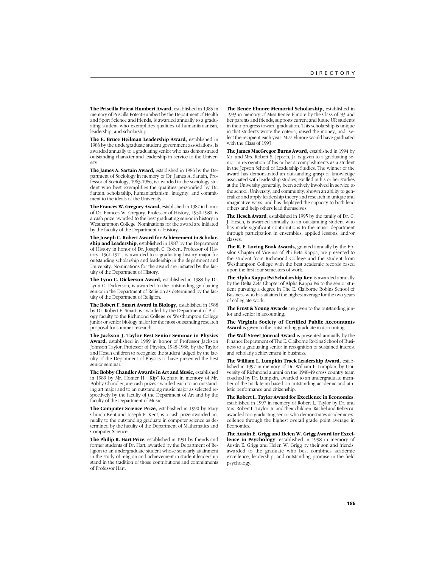**The Priscilla Poteat Humbert Award,** established in 1985 in memory of Priscilla PoteatHumbert by the Department of Health and Sport Science and friends, is awarded annually to a graduating student who exemplifies qualities of humanitarianism, leadership, and scholarship.

**The E. Bruce Heilman Leadership Award,** established in 1986 by the undergraduate student government associations, is awarded annually to a graduating senior who has demonstrated outstanding character and leadership in service to the University.

**The James A. Sartain Award,** established in 1986 by the Department of Sociology in memory of Dr. James A. Sartain, Professor of Sociology, 1963-1986, is awarded to the sociology student who best exemplifies the qualities personified by Dr. Sartain: scholarship, humanitarianism, integrity, and commitment to the ideals of the University.

**The Frances W. Gregory Award,** established in 1987 in honor of Dr. Frances W. Gregory, Professor of History, 1950-1980, is a cash prize awarded to the best graduating senior in history in Westhampton College. Nominations for the award are initiated by the faculty of the Department of History.

**The Joseph C. Robert Award for Achievement in Scholarship and Leadership,** established in 1987 by the Department of History in honor of Dr. Joseph C. Robert, Professor of History, 1961-1971, is awarded to a graduating history major for outstanding scholarship and leadership in the department and University. Nominations for the award are initiated by the faculty of the Department of History.

**The Lynn C. Dickerson Award,** established in 1988 by Dr. Lynn C. Dickerson, is awarded to the outstanding graduating senior in the Department of Religion as determined by the faculty of the Department of Religion.

**The Robert F. Smart Award in Biology,** established in 1988 by Dr. Robert F. Smart, is awarded by the Department of Biology faculty to the Richmond College or Westhampton College junior or senior biology major for the most outstanding research proposal for summer research.

**The Jackson J. Taylor Best Senior Seminar in Physics Award,** established in 1989 in honor of Professor Jackson Johnson Taylor, Professor of Physics, 1948-1986, by the Taylor and Hesch children to recognize the student judged by the faculty of the Department of Physics to have presented the best senior seminar.

**The Bobby Chandler Awards in Art and Music,** established in 1989 by Mr. Homer H. "Kip" Kephart in memory of Mr. Bobby Chandler, are cash prizes awarded each to an outstanding art major and to an outstanding music major as selected respectively by the faculty of the Department of Art and by the faculty of the Department of Music.

**The Computer Science Prize,** established in 1990 by Mary Church Kent and Joseph F. Kent, is a cash prize awarded annually to the outstanding graduate in computer science as determined by the faculty of the Department of Mathematics and Computer Science.

**The Philip R. Hart Prize,** established in 1991 by friends and former students of Dr. Hart, awarded by the Department of Religion to an undergraduate student whose scholarly attainment in the study of religion and achievement in student leadership stand in the tradition of those contributions and commitments of Professor Hart.

**The Renée Elmore Memorial Scholarship,** established in 1993 in memory of Miss Renée Elmore by the Class of '93 and her parents and friends, supports current and future UR students in their progress toward graduation. This scholarship is unique in that students wrote the criteria, raised the money, and select the recipient each year. Miss Elmore would have graduated with the Class of 1993.

**The James MacGregor Burns Award**, established in 1994 by Mr. and Mrs. Robert S. Jepson, Jr. is given to a graduating senior in recognition of his or her accomplishments as a student in the Jepson School of Leadership Studies. The winner of the award has demonstrated an outstanding grasp of knowledge associated with leadership studies, exclled in his or her studies at the University generally, been actively involved in service to the school, University, and community, shown an ability to generalize and apply leadership theory and research in unique and imaginative ways, and has displayed the capacity to both lead others and help others lead themselves.

**The Hesch Award**, established in 1995 by the family of Dr. C. J. Hesch, is awarded annually to an outstanding student who has made significant contributions to the music department through participation in ensembles, applied lessons, and/or classes.

**The R. E. Loving Book Awards,** granted annually by the Epsilon Chapter of Virginia of Phi Beta Kappa, are presented to the student from Richmond College and the student from Westhampton College with the best academic records based upon the first four semesters of work.

**The Alpha Kappa Psi Scholarship Key** is awarded annually by the Delta Zeta Chapter of Alpha Kappa Psi to the senior student pursuing a degree in The E. Claiborne Robins School of Business who has attained the highest average for the two years of collegiate work.

**The Ernst & Young Awards** are given to the outstanding junior and senior in accounting.

**The Virginia Society of Certified Public Accountants Award** is given to the outstanding graduate in accounting.

**The Wall Street Journal Award** is presented annually by the Finance Department of The E. Claiborne Robins School of Business to a graduating senior in recognition of sustained interest and scholarly achievement in business.

**The William L. Lumpkin Track Leadership Award,** established in 1997 in memory of Dr. William L. Lumpkin, by University of Richmond alumni on the 1948-49 cross country team coached by Dr. Lumpkin, awarded to an undergraduate member of the track team based on outstanding academic and athletic performance and citizenship.

**The Robert L. Taylor Award for Excellence in Economics**, established in 1997 in memory of Robert L. Taylor by Dr. and Mrs. Robert L. Taylor, Jr. and their children, Rachel and Rebecca, awarded to a graduating senior who demonstrates academic excellence through the highest overall grade point average in **Economics** 

**The Austin E. Grigg and Helen W. Grigg Award for Excellence in Psychology**, established in 1998 in memory of Austin E. Grigg and Helen W. Grigg by their son and friends, awarded to the graduate who best combines academic excellence, leadership, and outstanding promise in the field psychology.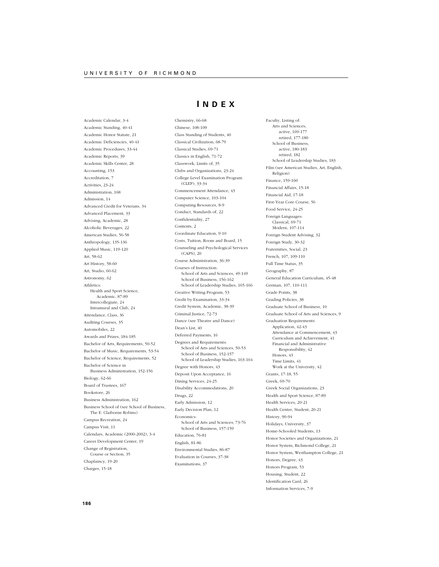Academic Calendar, 3-4

Academic Standing, 40-41 Academic Honor Statute, 21 Academic Deficiencies, 40-41 Academic Procedures, 33-44 Academic Reports, 39 Academic Skills Center, 28 Accounting, 153 Accreditation, 7 Activities, 23-24 Administration, 168 Admission, 14 Advanced Credit for Veterans, 34 Advanced Placement, 33 Advising, Academic, 28 Alcoholic Beverages, 22 American Studies, 56-58 Anthropology, 135-136 Applied Music, 119-120 Art, 58-62 Art History, 58-60 Art, Studio, 60-62 Astronomy, 62 Athletics: Health and Sport Science, Academic, 87-89 Intercollegiate, 24 Intramural and Club, 24 Attendance, Class, 36 Auditing Courses, 35 Automobiles, 22 Awards and Prizes, 184-185 Bachelor of Arts, Requirements, 50-52 Bachelor of Music, Requirements, 53-54 Bachelor of Science, Requirements, 52 Bachelor of Science in Business Administration, 152-156 Biology, 62-66 Board of Trustees, 167 Bookstore, 26 Business Administration, 162 Business School of (see School of Business, The E. Claiborne Robins) Campus Recreation, 24 Campus Visit, 11 Calendars, Academic (2000-2002), 3-4 Career Development Center, 19 Change of Registration, Course or Section, 35 Chaplaincy, 19-20 Charges, 15-18

# **I NDEX**

Chemistry, 66-68

Chinese, 108-109 Class Standing of Students, 40 Classical Civilization, 68-79 Classical Studies, 69-71 Classics in English, 71-72 Classwork, Limits of, 35 Clubs and Organizations, 23-24 College Level Examination Program (CLEP), 33-34 Commencement Attendance, 43 Computer Science, 103-104 Computing Resources, 8-9 Conduct, Standards of, 22 Confidentiality, 27 Contents, 2 Coordinate Education, 9-10 Costs, Tuition, Room and Board, 15 Counseling and Psychological Services (CAPS), 20 Course Administration, 36-39 Courses of Instruction: School of Arts and Sciences, 49-149 School of Business, 156-162 School of Leadership Studies, 165-166 Creative Writing Program, 53 Credit by Examination, 33-34 Credit System, Academic, 38-39 Criminal Justice, 72-73 Dance (see Theatre and Dance) Dean's List, 40 Deferred Payments, 16 Degrees and Requirements: School of Arts and Sciences, 50-53 School of Business, 152-157 School of Leadership Studies, 163-164 Degree with Honors, 43 Deposit Upon Acceptance, 16 Dining Services, 24-25 Disability Accommodations, 20 Drugs, 22 Early Admission, 12 Early Decision Plan, 12 Economics: School of Arts and Sciences, 73-76 School of Business, 157-159 Education, 76-81 English, 81-86 Environmental Studies, 86-87 Evaluation in Courses, 37-38 Examinations, 37

Faculty, Listing of: Arts and Sciences, active, 169-177 retired, 177-180 School of Business active, 180-183 retired, 182 School of Leadership Studies, 183 Film (see American Studies, Art, English, Religion) Finance, 159-160 Financial Affairs, 15-18 Financial Aid, 17-18 First-Year Core Course, 56 Food Service, 24-25 Foreign Languages: Classical, 69-71 Modern, 107-114 Foreign Student Advising, 32 Foreign Study, 30-32 Fraternities, Social, 23 French, 107, 109-110 Full Time Status, 35 Geography, 87 General Education Curriculum, 45-48 German, 107, 110-111 Grade Points, 38 Grading Policies, 38 Graduate School of Business, 10 Graduate School of Arts and Sciences, 9 Graduation Requirements: Application, 42-43 Attendance at Commencement, 43 Curriculum and Achievement, 41 Financial and Administrative Responsibility, 42 Honors, 43 Time Limits, 41 Work at the University, 42 Grants, 17-18, 55 Greek, 69-70 Greek Social Organizations, 23 Health and Sport Science, 87-89 Health Services, 20-21 Health Center, Student, 20-21 History, 90-94 Holidays, University, 37 Home-Schooled Students, 13 Honor Societies and Organizations, 21 Honor System, Richmond College, 21 Honor System, Westhampton College, 21 Honors, Degree, 43 Honors Program, 53 Housing, Student, 22 Identification Card, 26 Information Services, 7-9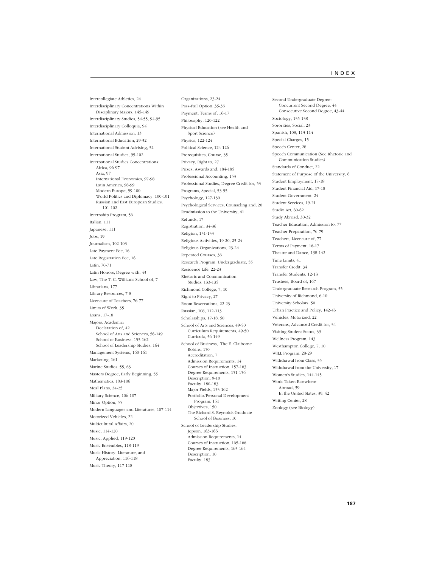Intercollegiate Athletics, 24 Interdisciplinary Concentrations Within Disciplinary Majors, 145-149 Interdisciplinary Studies, 54-55, 94-95 Interdisciplinary Colloquia, 94 International Admission, 13 International Education, 29-32 International Student Advising, 32 International Studies, 95-102 International Studies Concentrations: Africa, 96-97 Asia, 97 International Economics, 97-98 Latin America, 98-99 Modern Europe, 99-100 World Politics and Diplomacy, 100-101 Russian and East European Studies, 101-102 Internship Program, 56 Italian, 111 Japanese, 111 Jobs, 19 Journalism, 102-103 Late Payment Fee, 16 Late Registration Fee, 16 Latin, 70-71 Latin Honors, Degree with, 43 Law, The T. C. Williams School of, 7 Librarians, 177 Library Resources, 7-8 Licensure of Teachers, 76-77 Limits of Work, 35 Loans, 17-18 Majors, Academic: Declaration of, 42 School of Arts and Sciences, 56-149 School of Business, 153-162 School of Leadership Studies, 164 Management Systems, 160-161 Marketing, 161 Marine Studies, 55, 63 Masters Degree, Early Beginning, 55 Mathematics, 103-106 Meal Plans, 24-25 Military Science, 106-107 Minor Option, 55 Modern Languages and Literatures, 107-114 Motorized Vehicles, 22 Multicultural Affairs, 20 Music, 114-120 Music, Applied, 119-120 Music Ensembles, 118-119 Music History, Literature, and Appreciation, 116-118 Music Theory, 117-118

Organizations, 23-24 Pass-Fail Option, 35-36 Payment, Terms of, 16-17 Philosophy, 120-122 Physical Education (see Health and Sport Science) Physics, 122-124 Political Science, 124-126 Prerequisites, Course, 35 Privacy, Right to, 27 Prizes, Awards and, 184-185 Professional Accounting, 153 Professional Studies, Degree Credit for, 53 Programs, Special, 53-55 Psychology, 127-130 Psychological Services, Counseling and, 20 Readmission to the University, 41 Refunds, 17 Registration, 34-36 Religion, 131-133 Religious Activities, 19-20, 23-24 Religious Organizations, 23-24 Repeated Courses, 36 Research Program, Undergraduate, 55 Residence Life, 22-23 Rhetoric and Communication Studies, 133-135 Richmond College, 7, 10 Right to Privacy, 27 Room Reservations, 22-23 Russian, 108, 112-113 Scholarships, 17-18, 50 School of Arts and Sciences, 49-50 Curriculum Requirements, 49-50 Curricula, 56-149 School of Business, The E. Claiborne Robins, 150 Accreditation, 7 Admission Requirements, 14 Courses of Instruction, 157-163 Degree Requirements, 151-156 Description, 9-10 Faculty, 180-183 Major Fields, 153-162 Portfolio/Personal Development Program, 151 Objectives, 150 The Richard S. Reynolds Graduate School of Business, 10 School of Leadership Studies, Jepson, 163-166 Admission Requirements, 14 Courses of Instruction, 165-166 Degree Requirements, 163-164 Description, 10 Faculty, 183

Second Undergraduate Degree: Concurrent Second Degree, 44 Consecutive Second Degree, 43-44 Sociology, 135-138 Sororities, Social, 23 Spanish, 108, 113-114 Special Charges, 15 Speech Center, 28 Speech Communication (See Rhetoric and Communication Studies) Standards of Conduct, 22 Statement of Purpose of the University, 6 Student Employment, 17-18 Student Financial Aid, 17-18 Student Government, 24 Student Services, 19-21 Studio Art, 60-62 Study Abroad, 30-32 Teacher Education, Admission to, 77 Teacher Preparation, 76-79 Teachers, Licensure of, 77 Terms of Payment, 16-17 Theatre and Dance, 138-142 Time Limits, 41 Transfer Credit, 34 Transfer Students, 12-13 Trustees, Board of, 167 Undergraduate Research Program, 55 University of Richmond, 6-10 University Scholars, 50 Urban Practice and Policy, 142-43 Vehicles, Motorized, 22 Veterans, Advanced Credit for, 34 Visiting Student Status, 39 Wellness Program, 143 Westhampton College, 7, 10 WILL Program, 28-29 Withdrawal from Class, 35 Withdrawal from the University, 17 Women's Studies, 144-145 Work Taken Elsewhere: Abroad, 39 In the United States, 39, 42 Writing Center, 28 Zoology (see Biology)